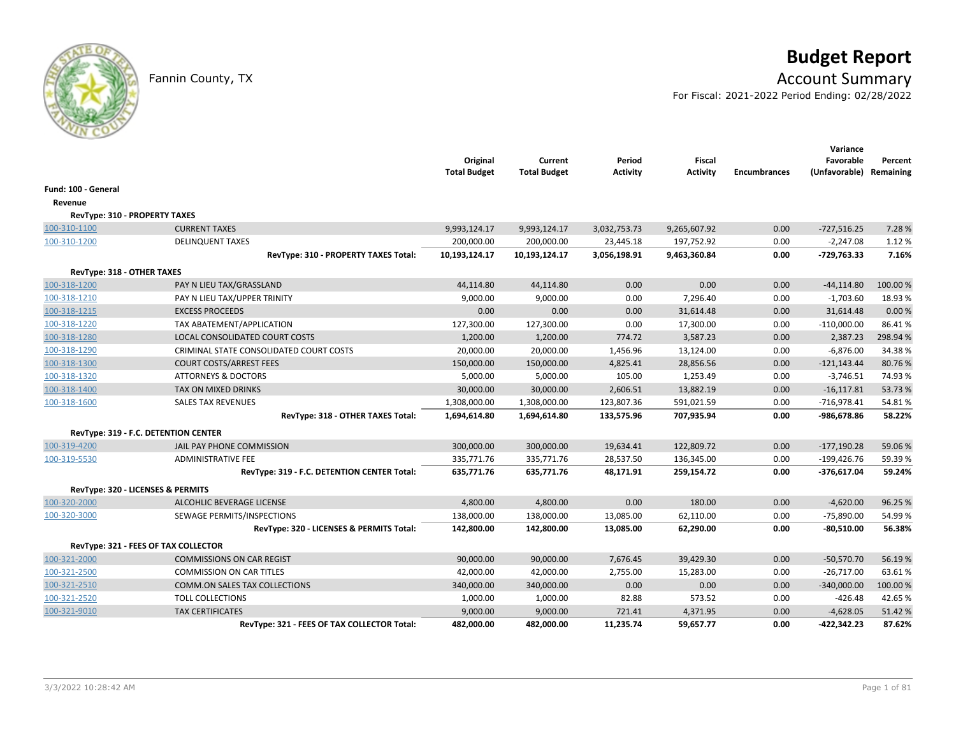# **Budget Report**

## Fannin County, TX **Account Summary**

For Fiscal: 2021-2022 Period Ending: 02/28/2022

|                                   |                                             | Original<br><b>Total Budget</b> | Current<br><b>Total Budget</b> | Period<br><b>Activity</b> | <b>Fiscal</b><br><b>Activity</b> | <b>Encumbrances</b> | Variance<br>Favorable<br>(Unfavorable) Remaining | Percent  |
|-----------------------------------|---------------------------------------------|---------------------------------|--------------------------------|---------------------------|----------------------------------|---------------------|--------------------------------------------------|----------|
| Fund: 100 - General               |                                             |                                 |                                |                           |                                  |                     |                                                  |          |
| Revenue                           |                                             |                                 |                                |                           |                                  |                     |                                                  |          |
| RevType: 310 - PROPERTY TAXES     |                                             |                                 |                                |                           |                                  |                     |                                                  |          |
| 100-310-1100                      | <b>CURRENT TAXES</b>                        | 9,993,124.17                    | 9,993,124.17                   | 3,032,753.73              | 9,265,607.92                     | 0.00                | $-727,516.25$                                    | 7.28 %   |
| 100-310-1200                      | <b>DELINQUENT TAXES</b>                     | 200,000.00                      | 200,000.00                     | 23,445.18                 | 197,752.92                       | 0.00                | $-2,247.08$                                      | 1.12 %   |
|                                   | RevType: 310 - PROPERTY TAXES Total:        | 10,193,124.17                   | 10,193,124.17                  | 3,056,198.91              | 9,463,360.84                     | 0.00                | $-729,763.33$                                    | 7.16%    |
| RevType: 318 - OTHER TAXES        |                                             |                                 |                                |                           |                                  |                     |                                                  |          |
| 100-318-1200                      | PAY N LIEU TAX/GRASSLAND                    | 44,114.80                       | 44,114.80                      | 0.00                      | 0.00                             | 0.00                | $-44, 114.80$                                    | 100.00%  |
| 100-318-1210                      | PAY N LIEU TAX/UPPER TRINITY                | 9,000.00                        | 9,000.00                       | 0.00                      | 7,296.40                         | 0.00                | $-1,703.60$                                      | 18.93%   |
| 100-318-1215                      | <b>EXCESS PROCEEDS</b>                      | 0.00                            | 0.00                           | 0.00                      | 31,614.48                        | 0.00                | 31,614.48                                        | 0.00%    |
| 100-318-1220                      | TAX ABATEMENT/APPLICATION                   | 127,300.00                      | 127,300.00                     | 0.00                      | 17,300.00                        | 0.00                | $-110,000.00$                                    | 86.41%   |
| 100-318-1280                      | LOCAL CONSOLIDATED COURT COSTS              | 1,200.00                        | 1,200.00                       | 774.72                    | 3,587.23                         | 0.00                | 2,387.23                                         | 298.94 % |
| 100-318-1290                      | CRIMINAL STATE CONSOLIDATED COURT COSTS     | 20,000.00                       | 20,000.00                      | 1,456.96                  | 13,124.00                        | 0.00                | $-6,876.00$                                      | 34.38%   |
| 100-318-1300                      | <b>COURT COSTS/ARREST FEES</b>              | 150,000.00                      | 150,000.00                     | 4,825.41                  | 28,856.56                        | 0.00                | $-121,143.44$                                    | 80.76%   |
| 100-318-1320                      | <b>ATTORNEYS &amp; DOCTORS</b>              | 5,000.00                        | 5,000.00                       | 105.00                    | 1,253.49                         | 0.00                | $-3,746.51$                                      | 74.93%   |
| 100-318-1400                      | TAX ON MIXED DRINKS                         | 30,000.00                       | 30,000.00                      | 2,606.51                  | 13,882.19                        | 0.00                | $-16,117.81$                                     | 53.73 %  |
| 100-318-1600                      | <b>SALES TAX REVENUES</b>                   | 1,308,000.00                    | 1,308,000.00                   | 123,807.36                | 591,021.59                       | 0.00                | $-716,978.41$                                    | 54.81%   |
|                                   | RevType: 318 - OTHER TAXES Total:           | 1,694,614.80                    | 1,694,614.80                   | 133,575.96                | 707,935.94                       | 0.00                | -986,678.86                                      | 58.22%   |
|                                   | RevType: 319 - F.C. DETENTION CENTER        |                                 |                                |                           |                                  |                     |                                                  |          |
| 100-319-4200                      | JAIL PAY PHONE COMMISSION                   | 300,000.00                      | 300,000.00                     | 19,634.41                 | 122,809.72                       | 0.00                | $-177,190.28$                                    | 59.06%   |
| 100-319-5530                      | <b>ADMINISTRATIVE FEE</b>                   | 335,771.76                      | 335,771.76                     | 28,537.50                 | 136,345.00                       | 0.00                | $-199,426.76$                                    | 59.39%   |
|                                   | RevType: 319 - F.C. DETENTION CENTER Total: | 635,771.76                      | 635,771.76                     | 48,171.91                 | 259,154.72                       | 0.00                | $-376,617.04$                                    | 59.24%   |
| RevType: 320 - LICENSES & PERMITS |                                             |                                 |                                |                           |                                  |                     |                                                  |          |
| 100-320-2000                      | ALCOHLIC BEVERAGE LICENSE                   | 4,800.00                        | 4,800.00                       | 0.00                      | 180.00                           | 0.00                | $-4,620.00$                                      | 96.25%   |
| 100-320-3000                      | SEWAGE PERMITS/INSPECTIONS                  | 138,000.00                      | 138,000.00                     | 13,085.00                 | 62,110.00                        | 0.00                | $-75,890.00$                                     | 54.99%   |
|                                   | RevType: 320 - LICENSES & PERMITS Total:    | 142,800.00                      | 142,800.00                     | 13,085.00                 | 62,290.00                        | 0.00                | -80,510.00                                       | 56.38%   |
|                                   | RevType: 321 - FEES OF TAX COLLECTOR        |                                 |                                |                           |                                  |                     |                                                  |          |
| 100-321-2000                      | <b>COMMISSIONS ON CAR REGIST</b>            | 90,000.00                       | 90,000.00                      | 7,676.45                  | 39,429.30                        | 0.00                | $-50,570.70$                                     | 56.19%   |
| 100-321-2500                      | <b>COMMISSION ON CAR TITLES</b>             | 42,000.00                       | 42,000.00                      | 2,755.00                  | 15,283.00                        | 0.00                | $-26,717.00$                                     | 63.61%   |
| 100-321-2510                      | COMM.ON SALES TAX COLLECTIONS               | 340,000.00                      | 340,000.00                     | 0.00                      | 0.00                             | 0.00                | $-340,000.00$                                    | 100.00 % |
| 100-321-2520                      | <b>TOLL COLLECTIONS</b>                     | 1,000.00                        | 1,000.00                       | 82.88                     | 573.52                           | 0.00                | -426.48                                          | 42.65%   |
| 100-321-9010                      | <b>TAX CERTIFICATES</b>                     | 9,000.00                        | 9,000.00                       | 721.41                    | 4,371.95                         | 0.00                | $-4,628.05$                                      | 51.42%   |
|                                   | RevType: 321 - FEES OF TAX COLLECTOR Total: | 482,000.00                      | 482,000.00                     | 11,235.74                 | 59,657.77                        | 0.00                | -422,342.23                                      | 87.62%   |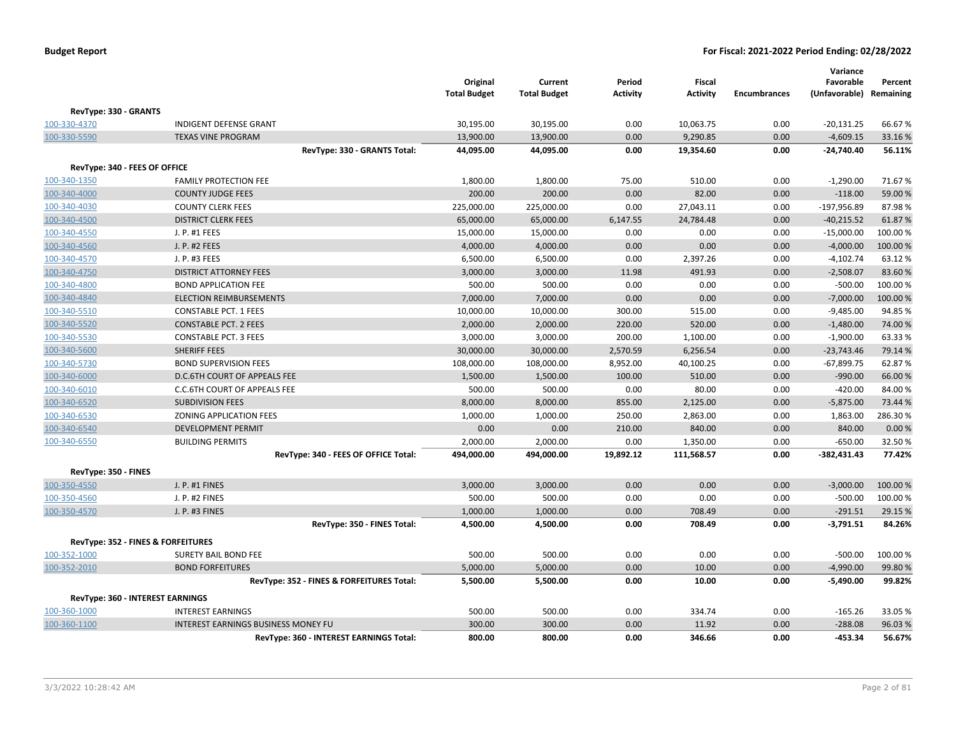|                                    |                                            | Original<br><b>Total Budget</b> | Current<br><b>Total Budget</b> | Period<br><b>Activity</b> | <b>Fiscal</b><br><b>Activity</b> | <b>Encumbrances</b> | Variance<br>Favorable<br>(Unfavorable) Remaining | Percent  |
|------------------------------------|--------------------------------------------|---------------------------------|--------------------------------|---------------------------|----------------------------------|---------------------|--------------------------------------------------|----------|
| RevType: 330 - GRANTS              |                                            |                                 |                                |                           |                                  |                     |                                                  |          |
| 100-330-4370                       | <b>INDIGENT DEFENSE GRANT</b>              | 30,195.00                       | 30,195.00                      | 0.00                      | 10,063.75                        | 0.00                | $-20,131.25$                                     | 66.67%   |
| 100-330-5590                       | <b>TEXAS VINE PROGRAM</b>                  | 13,900.00                       | 13,900.00                      | 0.00                      | 9,290.85                         | 0.00                | $-4,609.15$                                      | 33.16%   |
|                                    | RevType: 330 - GRANTS Total:               | 44,095.00                       | 44,095.00                      | 0.00                      | 19,354.60                        | 0.00                | $-24,740.40$                                     | 56.11%   |
| RevType: 340 - FEES OF OFFICE      |                                            |                                 |                                |                           |                                  |                     |                                                  |          |
| 100-340-1350                       | <b>FAMILY PROTECTION FEE</b>               | 1,800.00                        | 1,800.00                       | 75.00                     | 510.00                           | 0.00                | $-1,290.00$                                      | 71.67%   |
| 100-340-4000                       | <b>COUNTY JUDGE FEES</b>                   | 200.00                          | 200.00                         | 0.00                      | 82.00                            | 0.00                | $-118.00$                                        | 59.00 %  |
| 100-340-4030                       | <b>COUNTY CLERK FEES</b>                   | 225,000.00                      | 225,000.00                     | 0.00                      | 27,043.11                        | 0.00                | $-197,956.89$                                    | 87.98%   |
| 100-340-4500                       | <b>DISTRICT CLERK FEES</b>                 | 65,000.00                       | 65,000.00                      | 6,147.55                  | 24,784.48                        | 0.00                | $-40,215.52$                                     | 61.87%   |
| 100-340-4550                       | J. P. #1 FEES                              | 15,000.00                       | 15,000.00                      | 0.00                      | 0.00                             | 0.00                | $-15,000.00$                                     | 100.00%  |
| 100-340-4560                       | J. P. #2 FEES                              | 4,000.00                        | 4,000.00                       | 0.00                      | 0.00                             | 0.00                | $-4,000.00$                                      | 100.00%  |
| 100-340-4570                       | J. P. #3 FEES                              | 6,500.00                        | 6,500.00                       | 0.00                      | 2,397.26                         | 0.00                | $-4,102.74$                                      | 63.12%   |
| 100-340-4750                       | <b>DISTRICT ATTORNEY FEES</b>              | 3,000.00                        | 3,000.00                       | 11.98                     | 491.93                           | 0.00                | $-2,508.07$                                      | 83.60%   |
| 100-340-4800                       | <b>BOND APPLICATION FEE</b>                | 500.00                          | 500.00                         | 0.00                      | 0.00                             | 0.00                | $-500.00$                                        | 100.00 % |
| 100-340-4840                       | <b>ELECTION REIMBURSEMENTS</b>             | 7,000.00                        | 7,000.00                       | 0.00                      | 0.00                             | 0.00                | $-7,000.00$                                      | 100.00 % |
| 100-340-5510                       | <b>CONSTABLE PCT. 1 FEES</b>               | 10,000.00                       | 10,000.00                      | 300.00                    | 515.00                           | 0.00                | $-9,485.00$                                      | 94.85%   |
| 100-340-5520                       | <b>CONSTABLE PCT. 2 FEES</b>               | 2,000.00                        | 2,000.00                       | 220.00                    | 520.00                           | 0.00                | $-1,480.00$                                      | 74.00 %  |
| 100-340-5530                       | <b>CONSTABLE PCT. 3 FEES</b>               | 3,000.00                        | 3,000.00                       | 200.00                    | 1,100.00                         | 0.00                | $-1,900.00$                                      | 63.33%   |
| 100-340-5600                       | <b>SHERIFF FEES</b>                        | 30,000.00                       | 30,000.00                      | 2,570.59                  | 6,256.54                         | 0.00                | $-23,743.46$                                     | 79.14 %  |
| 100-340-5730                       | <b>BOND SUPERVISION FEES</b>               | 108,000.00                      | 108,000.00                     | 8,952.00                  | 40,100.25                        | 0.00                | $-67,899.75$                                     | 62.87%   |
| 100-340-6000                       | D.C.6TH COURT OF APPEALS FEE               | 1,500.00                        | 1,500.00                       | 100.00                    | 510.00                           | 0.00                | $-990.00$                                        | 66.00 %  |
| 100-340-6010                       | <b>C.C.6TH COURT OF APPEALS FEE</b>        | 500.00                          | 500.00                         | 0.00                      | 80.00                            | 0.00                | $-420.00$                                        | 84.00%   |
| 100-340-6520                       | <b>SUBDIVISION FEES</b>                    | 8,000.00                        | 8,000.00                       | 855.00                    | 2,125.00                         | 0.00                | $-5,875.00$                                      | 73.44 %  |
| 100-340-6530                       | ZONING APPLICATION FEES                    | 1,000.00                        | 1,000.00                       | 250.00                    | 2,863.00                         | 0.00                | 1,863.00                                         | 286.30%  |
| 100-340-6540                       | <b>DEVELOPMENT PERMIT</b>                  | 0.00                            | 0.00                           | 210.00                    | 840.00                           | 0.00                | 840.00                                           | 0.00%    |
| 100-340-6550                       | <b>BUILDING PERMITS</b>                    | 2,000.00                        | 2,000.00                       | 0.00                      | 1,350.00                         | 0.00                | $-650.00$                                        | 32.50%   |
|                                    | RevType: 340 - FEES OF OFFICE Total:       | 494,000.00                      | 494,000.00                     | 19,892.12                 | 111,568.57                       | 0.00                | $-382,431.43$                                    | 77.42%   |
|                                    |                                            |                                 |                                |                           |                                  |                     |                                                  |          |
| RevType: 350 - FINES               |                                            |                                 |                                |                           |                                  |                     |                                                  |          |
| 100-350-4550                       | J. P. #1 FINES                             | 3,000.00                        | 3,000.00                       | 0.00                      | 0.00                             | 0.00                | $-3,000.00$                                      | 100.00 % |
| 100-350-4560                       | J. P. #2 FINES                             | 500.00                          | 500.00                         | 0.00                      | 0.00                             | 0.00                | $-500.00$                                        | 100.00%  |
| 100-350-4570                       | J. P. #3 FINES                             | 1,000.00                        | 1,000.00                       | 0.00                      | 708.49                           | 0.00                | $-291.51$                                        | 29.15 %  |
|                                    | RevType: 350 - FINES Total:                | 4,500.00                        | 4,500.00                       | 0.00                      | 708.49                           | 0.00                | $-3,791.51$                                      | 84.26%   |
| RevType: 352 - FINES & FORFEITURES |                                            |                                 |                                |                           |                                  |                     |                                                  |          |
| 100-352-1000                       | <b>SURETY BAIL BOND FEE</b>                | 500.00                          | 500.00                         | 0.00                      | 0.00                             | 0.00                | $-500.00$                                        | 100.00 % |
| 100-352-2010                       | <b>BOND FORFEITURES</b>                    | 5,000.00                        | 5,000.00                       | 0.00                      | 10.00                            | 0.00                | $-4,990.00$                                      | 99.80%   |
|                                    | RevType: 352 - FINES & FORFEITURES Total:  | 5,500.00                        | 5,500.00                       | 0.00                      | 10.00                            | 0.00                | $-5,490.00$                                      | 99.82%   |
| RevType: 360 - INTEREST EARNINGS   |                                            |                                 |                                |                           |                                  |                     |                                                  |          |
| 100-360-1000                       | <b>INTEREST EARNINGS</b>                   | 500.00                          | 500.00                         | 0.00                      | 334.74                           | 0.00                | $-165.26$                                        | 33.05 %  |
| 100-360-1100                       | <b>INTEREST EARNINGS BUSINESS MONEY FU</b> | 300.00                          | 300.00                         | 0.00                      | 11.92                            | 0.00                | $-288.08$                                        | 96.03%   |
|                                    | RevType: 360 - INTEREST EARNINGS Total:    | 800.00                          | 800.00                         | 0.00                      | 346.66                           | 0.00                | $-453.34$                                        | 56.67%   |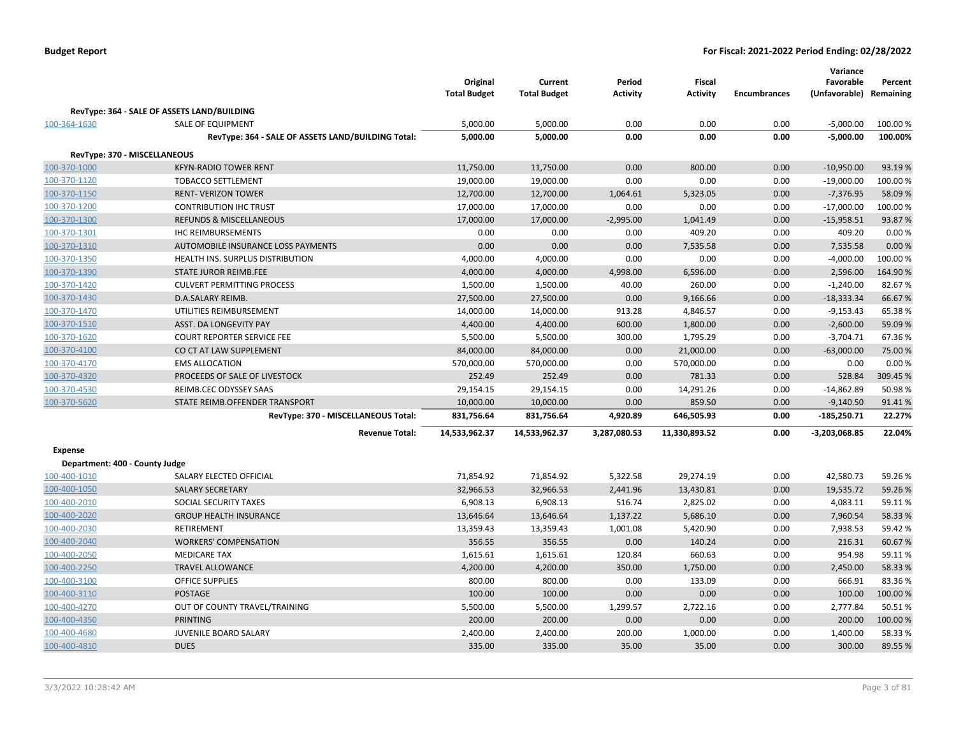| <b>Budget Report</b> |  |
|----------------------|--|
|----------------------|--|

|                                |                                                    | Original<br><b>Total Budget</b> | Current<br><b>Total Budget</b> | Period<br><b>Activity</b> | Fiscal<br><b>Activity</b> | <b>Encumbrances</b> | Variance<br>Favorable<br>(Unfavorable) Remaining | Percent  |
|--------------------------------|----------------------------------------------------|---------------------------------|--------------------------------|---------------------------|---------------------------|---------------------|--------------------------------------------------|----------|
|                                | RevType: 364 - SALE OF ASSETS LAND/BUILDING        |                                 |                                |                           |                           |                     |                                                  |          |
| 100-364-1630                   | SALE OF EQUIPMENT                                  | 5,000.00                        | 5,000.00                       | 0.00                      | 0.00                      | 0.00                | $-5,000.00$                                      | 100.00%  |
|                                | RevType: 364 - SALE OF ASSETS LAND/BUILDING Total: | 5,000.00                        | 5,000.00                       | 0.00                      | 0.00                      | 0.00                | $-5,000.00$                                      | 100.00%  |
| RevType: 370 - MISCELLANEOUS   |                                                    |                                 |                                |                           |                           |                     |                                                  |          |
| 100-370-1000                   | <b>KFYN-RADIO TOWER RENT</b>                       | 11,750.00                       | 11,750.00                      | 0.00                      | 800.00                    | 0.00                | $-10,950.00$                                     | 93.19%   |
| 100-370-1120                   | <b>TOBACCO SETTLEMENT</b>                          | 19,000.00                       | 19,000.00                      | 0.00                      | 0.00                      | 0.00                | $-19,000.00$                                     | 100.00%  |
| 100-370-1150                   | <b>RENT- VERIZON TOWER</b>                         | 12,700.00                       | 12,700.00                      | 1,064.61                  | 5,323.05                  | 0.00                | $-7,376.95$                                      | 58.09%   |
| 100-370-1200                   | <b>CONTRIBUTION IHC TRUST</b>                      | 17,000.00                       | 17,000.00                      | 0.00                      | 0.00                      | 0.00                | $-17,000.00$                                     | 100.00%  |
| 100-370-1300                   | <b>REFUNDS &amp; MISCELLANEOUS</b>                 | 17,000.00                       | 17,000.00                      | $-2,995.00$               | 1,041.49                  | 0.00                | $-15,958.51$                                     | 93.87%   |
| 100-370-1301                   | <b>IHC REIMBURSEMENTS</b>                          | 0.00                            | 0.00                           | 0.00                      | 409.20                    | 0.00                | 409.20                                           | 0.00%    |
| 100-370-1310                   | AUTOMOBILE INSURANCE LOSS PAYMENTS                 | 0.00                            | 0.00                           | 0.00                      | 7,535.58                  | 0.00                | 7,535.58                                         | 0.00%    |
| 100-370-1350                   | HEALTH INS. SURPLUS DISTRIBUTION                   | 4,000.00                        | 4,000.00                       | 0.00                      | 0.00                      | 0.00                | $-4,000.00$                                      | 100.00%  |
| 100-370-1390                   | <b>STATE JUROR REIMB.FEE</b>                       | 4,000.00                        | 4,000.00                       | 4,998.00                  | 6,596.00                  | 0.00                | 2,596.00                                         | 164.90%  |
| 100-370-1420                   | <b>CULVERT PERMITTING PROCESS</b>                  | 1,500.00                        | 1,500.00                       | 40.00                     | 260.00                    | 0.00                | $-1,240.00$                                      | 82.67%   |
| 100-370-1430                   | D.A.SALARY REIMB.                                  | 27,500.00                       | 27,500.00                      | 0.00                      | 9,166.66                  | 0.00                | $-18,333.34$                                     | 66.67%   |
| 100-370-1470                   | UTILITIES REIMBURSEMENT                            | 14,000.00                       | 14,000.00                      | 913.28                    | 4,846.57                  | 0.00                | $-9,153.43$                                      | 65.38%   |
| 100-370-1510                   | <b>ASST. DA LONGEVITY PAY</b>                      | 4,400.00                        | 4,400.00                       | 600.00                    | 1,800.00                  | 0.00                | $-2,600.00$                                      | 59.09%   |
| 100-370-1620                   | <b>COURT REPORTER SERVICE FEE</b>                  | 5,500.00                        | 5,500.00                       | 300.00                    | 1,795.29                  | 0.00                | $-3,704.71$                                      | 67.36%   |
| 100-370-4100                   | CO CT AT LAW SUPPLEMENT                            | 84,000.00                       | 84,000.00                      | 0.00                      | 21,000.00                 | 0.00                | $-63,000.00$                                     | 75.00 %  |
| 100-370-4170                   | <b>EMS ALLOCATION</b>                              | 570,000.00                      | 570,000.00                     | 0.00                      | 570,000.00                | 0.00                | 0.00                                             | 0.00%    |
| 100-370-4320                   | PROCEEDS OF SALE OF LIVESTOCK                      | 252.49                          | 252.49                         | 0.00                      | 781.33                    | 0.00                | 528.84                                           | 309.45 % |
| 100-370-4530                   | REIMB.CEC ODYSSEY SAAS                             | 29,154.15                       | 29,154.15                      | 0.00                      | 14,291.26                 | 0.00                | $-14,862.89$                                     | 50.98%   |
| 100-370-5620                   | STATE REIMB.OFFENDER TRANSPORT                     | 10,000.00                       | 10,000.00                      | 0.00                      | 859.50                    | 0.00                | $-9,140.50$                                      | 91.41%   |
|                                | RevType: 370 - MISCELLANEOUS Total:                | 831,756.64                      | 831,756.64                     | 4,920.89                  | 646,505.93                | 0.00                | $-185,250.71$                                    | 22.27%   |
|                                | <b>Revenue Total:</b>                              | 14,533,962.37                   | 14,533,962.37                  | 3,287,080.53              | 11,330,893.52             | 0.00                | -3,203,068.85                                    | 22.04%   |
| <b>Expense</b>                 |                                                    |                                 |                                |                           |                           |                     |                                                  |          |
| Department: 400 - County Judge |                                                    |                                 |                                |                           |                           |                     |                                                  |          |
| 100-400-1010                   | SALARY ELECTED OFFICIAL                            | 71,854.92                       | 71,854.92                      | 5,322.58                  | 29,274.19                 | 0.00                | 42,580.73                                        | 59.26%   |
| 100-400-1050                   | <b>SALARY SECRETARY</b>                            | 32,966.53                       | 32,966.53                      | 2,441.96                  | 13,430.81                 | 0.00                | 19,535.72                                        | 59.26%   |
| 100-400-2010                   | SOCIAL SECURITY TAXES                              | 6,908.13                        | 6,908.13                       | 516.74                    | 2,825.02                  | 0.00                | 4,083.11                                         | 59.11%   |
| 100-400-2020                   | <b>GROUP HEALTH INSURANCE</b>                      | 13,646.64                       | 13,646.64                      | 1,137.22                  | 5,686.10                  | 0.00                | 7,960.54                                         | 58.33 %  |
| 100-400-2030                   | <b>RETIREMENT</b>                                  | 13,359.43                       | 13,359.43                      | 1,001.08                  | 5,420.90                  | 0.00                | 7,938.53                                         | 59.42%   |
| 100-400-2040                   | <b>WORKERS' COMPENSATION</b>                       | 356.55                          | 356.55                         | 0.00                      | 140.24                    | 0.00                | 216.31                                           | 60.67%   |
| 100-400-2050                   | <b>MEDICARE TAX</b>                                | 1,615.61                        | 1,615.61                       | 120.84                    | 660.63                    | 0.00                | 954.98                                           | 59.11%   |
| 100-400-2250                   | <b>TRAVEL ALLOWANCE</b>                            | 4,200.00                        | 4,200.00                       | 350.00                    | 1,750.00                  | 0.00                | 2,450.00                                         | 58.33%   |
| 100-400-3100                   | <b>OFFICE SUPPLIES</b>                             | 800.00                          | 800.00                         | 0.00                      | 133.09                    | 0.00                | 666.91                                           | 83.36%   |
| 100-400-3110                   | <b>POSTAGE</b>                                     | 100.00                          | 100.00                         | 0.00                      | 0.00                      | 0.00                | 100.00                                           | 100.00 % |
| 100-400-4270                   | OUT OF COUNTY TRAVEL/TRAINING                      | 5,500.00                        | 5,500.00                       | 1,299.57                  | 2,722.16                  | 0.00                | 2,777.84                                         | 50.51%   |
| 100-400-4350                   | <b>PRINTING</b>                                    | 200.00                          | 200.00                         | 0.00                      | 0.00                      | 0.00                | 200.00                                           | 100.00 % |
| 100-400-4680                   | JUVENILE BOARD SALARY                              | 2,400.00                        | 2,400.00                       | 200.00                    | 1,000.00                  | 0.00                | 1,400.00                                         | 58.33%   |
| 100-400-4810                   | <b>DUES</b>                                        | 335.00                          | 335.00                         | 35.00                     | 35.00                     | 0.00                | 300.00                                           | 89.55%   |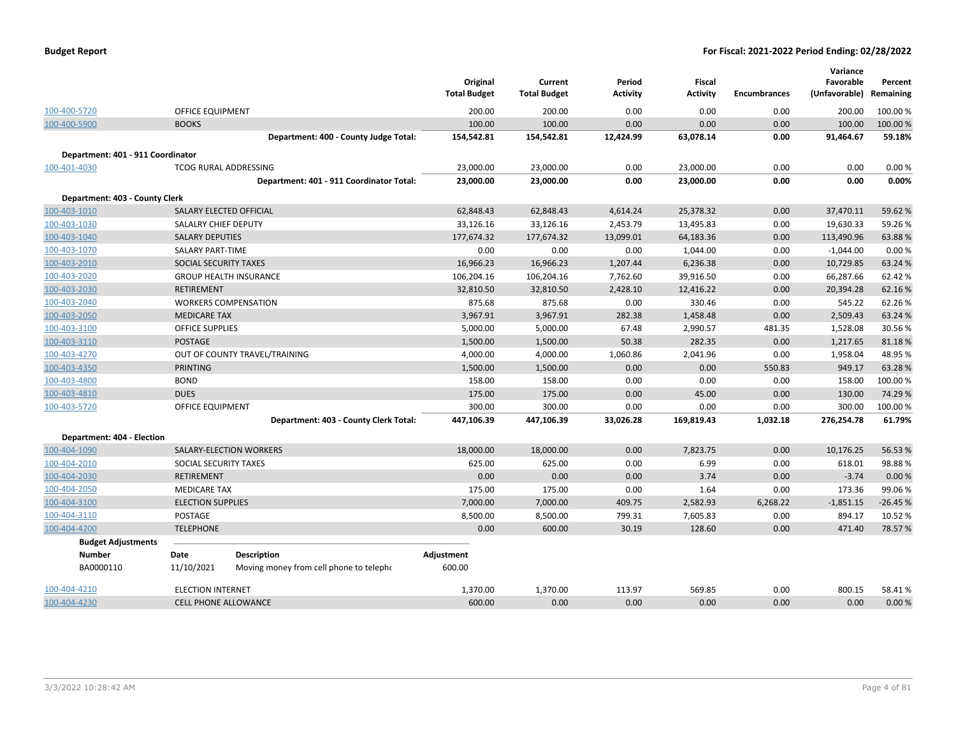| <b>Budget Report</b> |  |
|----------------------|--|
|----------------------|--|

|                                   |                          |                                          | Original<br><b>Total Budget</b> | Current<br><b>Total Budget</b> | Period<br><b>Activity</b> | <b>Fiscal</b><br><b>Activity</b> | <b>Encumbrances</b> | Variance<br>Favorable<br>(Unfavorable) | Percent<br>Remaining |
|-----------------------------------|--------------------------|------------------------------------------|---------------------------------|--------------------------------|---------------------------|----------------------------------|---------------------|----------------------------------------|----------------------|
| 100-400-5720                      | <b>OFFICE EQUIPMENT</b>  |                                          | 200.00                          | 200.00                         | 0.00                      | 0.00                             | 0.00                | 200.00                                 | 100.00%              |
| 100-400-5900                      | <b>BOOKS</b>             |                                          | 100.00                          | 100.00                         | 0.00                      | 0.00                             | 0.00                | 100.00                                 | 100.00%              |
|                                   |                          | Department: 400 - County Judge Total:    | 154,542.81                      | 154,542.81                     | 12,424.99                 | 63,078.14                        | 0.00                | 91,464.67                              | 59.18%               |
| Department: 401 - 911 Coordinator |                          |                                          |                                 |                                |                           |                                  |                     |                                        |                      |
| 100-401-4030                      |                          | <b>TCOG RURAL ADDRESSING</b>             | 23,000.00                       | 23,000.00                      | 0.00                      | 23,000.00                        | 0.00                | 0.00                                   | 0.00%                |
|                                   |                          | Department: 401 - 911 Coordinator Total: | 23,000.00                       | 23,000.00                      | 0.00                      | 23,000.00                        | 0.00                | 0.00                                   | 0.00%                |
| Department: 403 - County Clerk    |                          |                                          |                                 |                                |                           |                                  |                     |                                        |                      |
| 100-403-1010                      |                          | SALARY ELECTED OFFICIAL                  | 62,848.43                       | 62,848.43                      | 4,614.24                  | 25,378.32                        | 0.00                | 37,470.11                              | 59.62%               |
| 100-403-1030                      | SALALRY CHIEF DEPUTY     |                                          | 33,126.16                       | 33,126.16                      | 2,453.79                  | 13,495.83                        | 0.00                | 19,630.33                              | 59.26%               |
| 100-403-1040                      | <b>SALARY DEPUTIES</b>   |                                          | 177,674.32                      | 177,674.32                     | 13,099.01                 | 64,183.36                        | 0.00                | 113,490.96                             | 63.88%               |
| 100-403-1070                      | <b>SALARY PART-TIME</b>  |                                          | 0.00                            | 0.00                           | 0.00                      | 1,044.00                         | 0.00                | $-1,044.00$                            | 0.00%                |
| 100-403-2010                      | SOCIAL SECURITY TAXES    |                                          | 16,966.23                       | 16,966.23                      | 1,207.44                  | 6,236.38                         | 0.00                | 10,729.85                              | 63.24 %              |
| 100-403-2020                      |                          | <b>GROUP HEALTH INSURANCE</b>            | 106,204.16                      | 106,204.16                     | 7,762.60                  | 39,916.50                        | 0.00                | 66,287.66                              | 62.42%               |
| 100-403-2030                      | <b>RETIREMENT</b>        |                                          | 32,810.50                       | 32,810.50                      | 2,428.10                  | 12,416.22                        | 0.00                | 20,394.28                              | 62.16%               |
| 100-403-2040                      |                          | <b>WORKERS COMPENSATION</b>              | 875.68                          | 875.68                         | 0.00                      | 330.46                           | 0.00                | 545.22                                 | 62.26%               |
| 100-403-2050                      | <b>MEDICARE TAX</b>      |                                          | 3,967.91                        | 3,967.91                       | 282.38                    | 1,458.48                         | 0.00                | 2,509.43                               | 63.24 %              |
| 100-403-3100                      | <b>OFFICE SUPPLIES</b>   |                                          | 5,000.00                        | 5,000.00                       | 67.48                     | 2,990.57                         | 481.35              | 1,528.08                               | 30.56%               |
| 100-403-3110                      | <b>POSTAGE</b>           |                                          | 1,500.00                        | 1,500.00                       | 50.38                     | 282.35                           | 0.00                | 1,217.65                               | 81.18%               |
| 100-403-4270                      |                          | OUT OF COUNTY TRAVEL/TRAINING            | 4,000.00                        | 4,000.00                       | 1,060.86                  | 2,041.96                         | 0.00                | 1,958.04                               | 48.95%               |
| 100-403-4350                      | <b>PRINTING</b>          |                                          | 1,500.00                        | 1,500.00                       | 0.00                      | 0.00                             | 550.83              | 949.17                                 | 63.28%               |
| 100-403-4800                      | <b>BOND</b>              |                                          | 158.00                          | 158.00                         | 0.00                      | 0.00                             | 0.00                | 158.00                                 | 100.00%              |
| 100-403-4810                      | <b>DUES</b>              |                                          | 175.00                          | 175.00                         | 0.00                      | 45.00                            | 0.00                | 130.00                                 | 74.29 %              |
| 100-403-5720                      | <b>OFFICE EQUIPMENT</b>  |                                          | 300.00                          | 300.00                         | 0.00                      | 0.00                             | 0.00                | 300.00                                 | 100.00%              |
|                                   |                          | Department: 403 - County Clerk Total:    | 447,106.39                      | 447,106.39                     | 33,026.28                 | 169,819.43                       | 1,032.18            | 276,254.78                             | 61.79%               |
| Department: 404 - Election        |                          |                                          |                                 |                                |                           |                                  |                     |                                        |                      |
| 100-404-1090                      |                          | SALARY-ELECTION WORKERS                  | 18,000.00                       | 18,000.00                      | 0.00                      | 7,823.75                         | 0.00                | 10,176.25                              | 56.53 %              |
| 100-404-2010                      | SOCIAL SECURITY TAXES    |                                          | 625.00                          | 625.00                         | 0.00                      | 6.99                             | 0.00                | 618.01                                 | 98.88%               |
| 100-404-2030                      | <b>RETIREMENT</b>        |                                          | 0.00                            | 0.00                           | 0.00                      | 3.74                             | 0.00                | $-3.74$                                | 0.00%                |
| 100-404-2050                      | <b>MEDICARE TAX</b>      |                                          | 175.00                          | 175.00                         | 0.00                      | 1.64                             | 0.00                | 173.36                                 | 99.06%               |
| 100-404-3100                      | <b>ELECTION SUPPLIES</b> |                                          | 7,000.00                        | 7,000.00                       | 409.75                    | 2,582.93                         | 6,268.22            | $-1,851.15$                            | $-26.45%$            |
| 100-404-3110                      | POSTAGE                  |                                          | 8,500.00                        | 8,500.00                       | 799.31                    | 7,605.83                         | 0.00                | 894.17                                 | 10.52%               |
| 100-404-4200                      | <b>TELEPHONE</b>         |                                          | 0.00                            | 600.00                         | 30.19                     | 128.60                           | 0.00                | 471.40                                 | 78.57%               |
| <b>Budget Adjustments</b>         |                          |                                          |                                 |                                |                           |                                  |                     |                                        |                      |
| <b>Number</b>                     | Date                     | <b>Description</b>                       | Adjustment                      |                                |                           |                                  |                     |                                        |                      |
| BA0000110                         | 11/10/2021               | Moving money from cell phone to telepho  | 600.00                          |                                |                           |                                  |                     |                                        |                      |
| 100-404-4210                      | <b>ELECTION INTERNET</b> |                                          | 1,370.00                        | 1,370.00                       | 113.97                    | 569.85                           | 0.00                | 800.15                                 | 58.41%               |
| 100-404-4230                      |                          | <b>CELL PHONE ALLOWANCE</b>              | 600.00                          | 0.00                           | 0.00                      | 0.00                             | 0.00                | 0.00                                   | 0.00%                |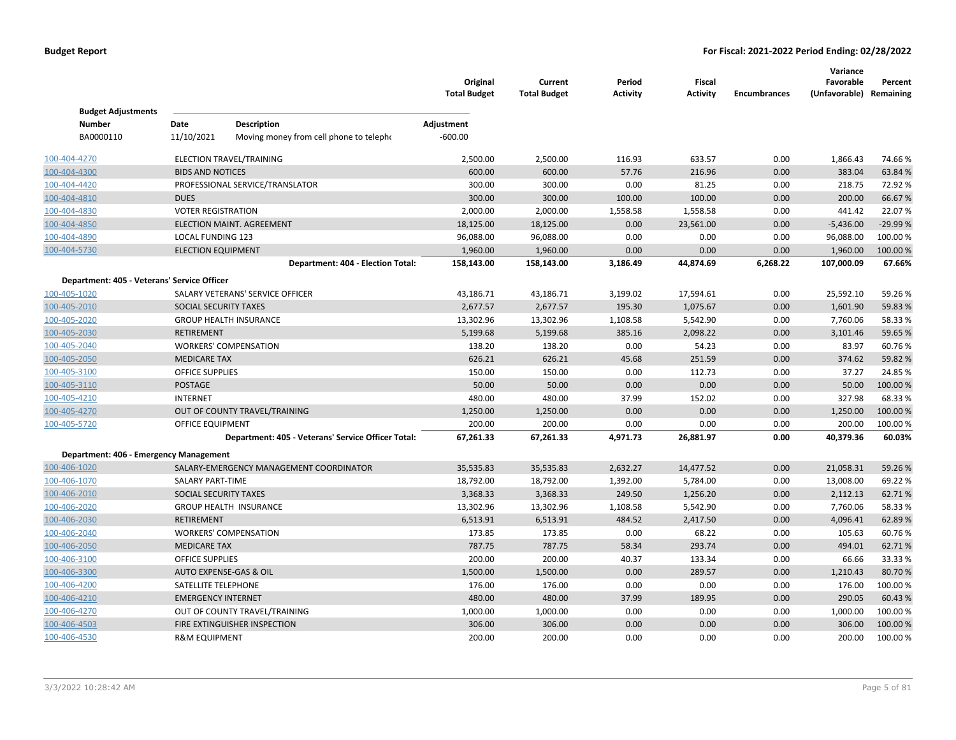|                                             |                           |                                                    | Original<br><b>Total Budget</b> | Current<br><b>Total Budget</b> | Period<br>Activity | <b>Fiscal</b><br><b>Activity</b> | <b>Encumbrances</b> | Variance<br>Favorable<br>(Unfavorable) Remaining | Percent  |
|---------------------------------------------|---------------------------|----------------------------------------------------|---------------------------------|--------------------------------|--------------------|----------------------------------|---------------------|--------------------------------------------------|----------|
| <b>Budget Adjustments</b>                   |                           |                                                    |                                 |                                |                    |                                  |                     |                                                  |          |
| <b>Number</b>                               | Date                      | Description                                        | Adjustment                      |                                |                    |                                  |                     |                                                  |          |
| BA0000110                                   | 11/10/2021                | Moving money from cell phone to telepho            | $-600.00$                       |                                |                    |                                  |                     |                                                  |          |
| 100-404-4270                                |                           | ELECTION TRAVEL/TRAINING                           | 2,500.00                        | 2,500.00                       | 116.93             | 633.57                           | 0.00                | 1,866.43                                         | 74.66%   |
| 100-404-4300                                | <b>BIDS AND NOTICES</b>   |                                                    | 600.00                          | 600.00                         | 57.76              | 216.96                           | 0.00                | 383.04                                           | 63.84 %  |
| 100-404-4420                                |                           | PROFESSIONAL SERVICE/TRANSLATOR                    | 300.00                          | 300.00                         | 0.00               | 81.25                            | 0.00                | 218.75                                           | 72.92%   |
| 100-404-4810                                | <b>DUES</b>               |                                                    | 300.00                          | 300.00                         | 100.00             | 100.00                           | 0.00                | 200.00                                           | 66.67%   |
| 100-404-4830                                | <b>VOTER REGISTRATION</b> |                                                    | 2,000.00                        | 2,000.00                       | 1,558.58           | 1,558.58                         | 0.00                | 441.42                                           | 22.07%   |
| 100-404-4850                                |                           | <b>ELECTION MAINT. AGREEMENT</b>                   | 18,125.00                       | 18,125.00                      | 0.00               | 23,561.00                        | 0.00                | $-5,436.00$                                      | -29.99 % |
| 100-404-4890                                | LOCAL FUNDING 123         |                                                    | 96,088.00                       | 96,088.00                      | 0.00               | 0.00                             | 0.00                | 96,088.00                                        | 100.00%  |
| 100-404-5730                                | <b>ELECTION EQUIPMENT</b> |                                                    | 1,960.00                        | 1,960.00                       | 0.00               | 0.00                             | 0.00                | 1,960.00                                         | 100.00%  |
|                                             |                           | Department: 404 - Election Total:                  | 158,143.00                      | 158,143.00                     | 3,186.49           | 44,874.69                        | 6,268.22            | 107,000.09                                       | 67.66%   |
| Department: 405 - Veterans' Service Officer |                           |                                                    |                                 |                                |                    |                                  |                     |                                                  |          |
| 100-405-1020                                |                           | SALARY VETERANS' SERVICE OFFICER                   | 43,186.71                       | 43,186.71                      | 3,199.02           | 17,594.61                        | 0.00                | 25,592.10                                        | 59.26%   |
| 100-405-2010                                | SOCIAL SECURITY TAXES     |                                                    | 2,677.57                        | 2,677.57                       | 195.30             | 1,075.67                         | 0.00                | 1,601.90                                         | 59.83%   |
| 100-405-2020                                |                           | <b>GROUP HEALTH INSURANCE</b>                      | 13,302.96                       | 13,302.96                      | 1,108.58           | 5,542.90                         | 0.00                | 7,760.06                                         | 58.33%   |
| 100-405-2030                                | <b>RETIREMENT</b>         |                                                    | 5,199.68                        | 5,199.68                       | 385.16             | 2,098.22                         | 0.00                | 3,101.46                                         | 59.65%   |
| 100-405-2040                                |                           | <b>WORKERS' COMPENSATION</b>                       | 138.20                          | 138.20                         | 0.00               | 54.23                            | 0.00                | 83.97                                            | 60.76%   |
| 100-405-2050                                | <b>MEDICARE TAX</b>       |                                                    | 626.21                          | 626.21                         | 45.68              | 251.59                           | 0.00                | 374.62                                           | 59.82%   |
| 100-405-3100                                | <b>OFFICE SUPPLIES</b>    |                                                    | 150.00                          | 150.00                         | 0.00               | 112.73                           | 0.00                | 37.27                                            | 24.85%   |
| 100-405-3110                                | <b>POSTAGE</b>            |                                                    | 50.00                           | 50.00                          | 0.00               | 0.00                             | 0.00                | 50.00                                            | 100.00 % |
| 100-405-4210                                | <b>INTERNET</b>           |                                                    | 480.00                          | 480.00                         | 37.99              | 152.02                           | 0.00                | 327.98                                           | 68.33%   |
| 100-405-4270                                |                           | OUT OF COUNTY TRAVEL/TRAINING                      | 1,250.00                        | 1,250.00                       | 0.00               | 0.00                             | 0.00                | 1,250.00                                         | 100.00 % |
| 100-405-5720                                | OFFICE EQUIPMENT          |                                                    | 200.00                          | 200.00                         | 0.00               | 0.00                             | 0.00                | 200.00                                           | 100.00 % |
|                                             |                           | Department: 405 - Veterans' Service Officer Total: | 67,261.33                       | 67,261.33                      | 4,971.73           | 26,881.97                        | 0.00                | 40,379.36                                        | 60.03%   |
| Department: 406 - Emergency Management      |                           |                                                    |                                 |                                |                    |                                  |                     |                                                  |          |
| 100-406-1020                                |                           | SALARY-EMERGENCY MANAGEMENT COORDINATOR            | 35,535.83                       | 35,535.83                      | 2,632.27           | 14,477.52                        | 0.00                | 21,058.31                                        | 59.26%   |
| 100-406-1070                                | <b>SALARY PART-TIME</b>   |                                                    | 18,792.00                       | 18,792.00                      | 1,392.00           | 5,784.00                         | 0.00                | 13,008.00                                        | 69.22%   |
| 100-406-2010                                | SOCIAL SECURITY TAXES     |                                                    | 3,368.33                        | 3,368.33                       | 249.50             | 1,256.20                         | 0.00                | 2,112.13                                         | 62.71%   |
| 100-406-2020                                |                           | <b>GROUP HEALTH INSURANCE</b>                      | 13,302.96                       | 13,302.96                      | 1,108.58           | 5,542.90                         | 0.00                | 7,760.06                                         | 58.33%   |
| 100-406-2030                                | <b>RETIREMENT</b>         |                                                    | 6,513.91                        | 6,513.91                       | 484.52             | 2,417.50                         | 0.00                | 4,096.41                                         | 62.89%   |
| 100-406-2040                                |                           | <b>WORKERS' COMPENSATION</b>                       | 173.85                          | 173.85                         | 0.00               | 68.22                            | 0.00                | 105.63                                           | 60.76%   |
| 100-406-2050                                | <b>MEDICARE TAX</b>       |                                                    | 787.75                          | 787.75                         | 58.34              | 293.74                           | 0.00                | 494.01                                           | 62.71%   |
| 100-406-3100                                | <b>OFFICE SUPPLIES</b>    |                                                    | 200.00                          | 200.00                         | 40.37              | 133.34                           | 0.00                | 66.66                                            | 33.33 %  |
| 100-406-3300                                |                           | AUTO EXPENSE-GAS & OIL                             | 1,500.00                        | 1,500.00                       | 0.00               | 289.57                           | 0.00                | 1,210.43                                         | 80.70%   |
| 100-406-4200                                | SATELLITE TELEPHONE       |                                                    | 176.00                          | 176.00                         | 0.00               | 0.00                             | 0.00                | 176.00                                           | 100.00%  |
| 100-406-4210                                | <b>EMERGENCY INTERNET</b> |                                                    | 480.00                          | 480.00                         | 37.99              | 189.95                           | 0.00                | 290.05                                           | 60.43%   |
| 100-406-4270                                |                           | OUT OF COUNTY TRAVEL/TRAINING                      | 1,000.00                        | 1,000.00                       | 0.00               | 0.00                             | 0.00                | 1,000.00                                         | 100.00%  |
| 100-406-4503                                |                           | FIRE EXTINGUISHER INSPECTION                       | 306.00                          | 306.00                         | 0.00               | 0.00                             | 0.00                | 306.00                                           | 100.00 % |
| 100-406-4530                                | <b>R&amp;M EQUIPMENT</b>  |                                                    | 200.00                          | 200.00                         | 0.00               | 0.00                             | 0.00                | 200.00                                           | 100.00%  |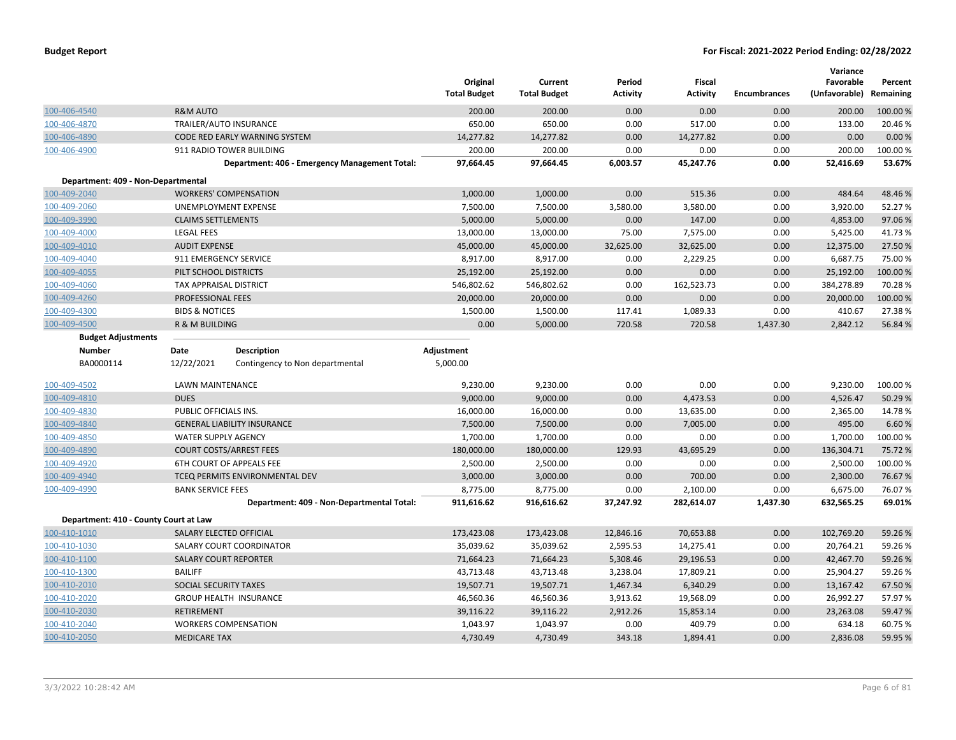|                                       |                              |                                               | Original<br><b>Total Budget</b> | Current<br><b>Total Budget</b> | Period<br><b>Activity</b> | <b>Fiscal</b><br><b>Activity</b> | <b>Encumbrances</b> | Variance<br>Favorable<br>(Unfavorable) | Percent<br>Remaining |
|---------------------------------------|------------------------------|-----------------------------------------------|---------------------------------|--------------------------------|---------------------------|----------------------------------|---------------------|----------------------------------------|----------------------|
| 100-406-4540                          | <b>R&amp;M AUTO</b>          |                                               | 200.00                          | 200.00                         | 0.00                      | 0.00                             | 0.00                | 200.00                                 | 100.00%              |
| 100-406-4870                          | TRAILER/AUTO INSURANCE       |                                               | 650.00                          | 650.00                         | 0.00                      | 517.00                           | 0.00                | 133.00                                 | 20.46%               |
| 100-406-4890                          |                              | CODE RED EARLY WARNING SYSTEM                 | 14,277.82                       | 14,277.82                      | 0.00                      | 14,277.82                        | 0.00                | 0.00                                   | 0.00%                |
| 100-406-4900                          |                              | 911 RADIO TOWER BUILDING                      | 200.00                          | 200.00                         | 0.00                      | 0.00                             | 0.00                | 200.00                                 | 100.00%              |
|                                       |                              | Department: 406 - Emergency Management Total: | 97,664.45                       | 97,664.45                      | 6,003.57                  | 45,247.76                        | 0.00                | 52,416.69                              | 53.67%               |
| Department: 409 - Non-Departmental    |                              |                                               |                                 |                                |                           |                                  |                     |                                        |                      |
| 100-409-2040                          |                              | <b>WORKERS' COMPENSATION</b>                  | 1,000.00                        | 1,000.00                       | 0.00                      | 515.36                           | 0.00                | 484.64                                 | 48.46%               |
| 100-409-2060                          |                              | UNEMPLOYMENT EXPENSE                          | 7,500.00                        | 7,500.00                       | 3,580.00                  | 3,580.00                         | 0.00                | 3,920.00                               | 52.27 %              |
| 100-409-3990                          | <b>CLAIMS SETTLEMENTS</b>    |                                               | 5,000.00                        | 5,000.00                       | 0.00                      | 147.00                           | 0.00                | 4,853.00                               | 97.06%               |
| 100-409-4000                          | <b>LEGAL FEES</b>            |                                               | 13,000.00                       | 13,000.00                      | 75.00                     | 7,575.00                         | 0.00                | 5,425.00                               | 41.73%               |
| 100-409-4010                          | <b>AUDIT EXPENSE</b>         |                                               | 45,000.00                       | 45,000.00                      | 32,625.00                 | 32,625.00                        | 0.00                | 12,375.00                              | 27.50 %              |
| 100-409-4040                          | 911 EMERGENCY SERVICE        |                                               | 8,917.00                        | 8,917.00                       | 0.00                      | 2,229.25                         | 0.00                | 6,687.75                               | 75.00%               |
| 100-409-4055                          | PILT SCHOOL DISTRICTS        |                                               | 25,192.00                       | 25,192.00                      | 0.00                      | 0.00                             | 0.00                | 25,192.00                              | 100.00%              |
| 100-409-4060                          | TAX APPRAISAL DISTRICT       |                                               | 546,802.62                      | 546,802.62                     | 0.00                      | 162,523.73                       | 0.00                | 384,278.89                             | 70.28%               |
| 100-409-4260                          | PROFESSIONAL FEES            |                                               | 20,000.00                       | 20,000.00                      | 0.00                      | 0.00                             | 0.00                | 20,000.00                              | 100.00%              |
| 100-409-4300                          | <b>BIDS &amp; NOTICES</b>    |                                               | 1,500.00                        | 1,500.00                       | 117.41                    | 1,089.33                         | 0.00                | 410.67                                 | 27.38%               |
| 100-409-4500                          | R & M BUILDING               |                                               | 0.00                            | 5,000.00                       | 720.58                    | 720.58                           | 1,437.30            | 2,842.12                               | 56.84 %              |
| <b>Budget Adjustments</b>             |                              |                                               |                                 |                                |                           |                                  |                     |                                        |                      |
| <b>Number</b>                         | Date                         | <b>Description</b>                            | Adjustment                      |                                |                           |                                  |                     |                                        |                      |
| BA0000114                             | 12/22/2021                   | Contingency to Non departmental               | 5,000.00                        |                                |                           |                                  |                     |                                        |                      |
| 100-409-4502                          | LAWN MAINTENANCE             |                                               | 9,230.00                        | 9,230.00                       | 0.00                      | 0.00                             | 0.00                | 9,230.00                               | 100.00%              |
| 100-409-4810                          | <b>DUES</b>                  |                                               | 9,000.00                        | 9,000.00                       | 0.00                      | 4,473.53                         | 0.00                | 4,526.47                               | 50.29 %              |
| 100-409-4830                          | PUBLIC OFFICIALS INS.        |                                               | 16,000.00                       | 16,000.00                      | 0.00                      | 13,635.00                        | 0.00                | 2,365.00                               | 14.78%               |
| 100-409-4840                          |                              | <b>GENERAL LIABILITY INSURANCE</b>            | 7,500.00                        | 7,500.00                       | 0.00                      | 7,005.00                         | 0.00                | 495.00                                 | 6.60%                |
| 100-409-4850                          | <b>WATER SUPPLY AGENCY</b>   |                                               | 1,700.00                        | 1,700.00                       | 0.00                      | 0.00                             | 0.00                | 1,700.00                               | 100.00%              |
| 100-409-4890                          |                              | <b>COURT COSTS/ARREST FEES</b>                | 180,000.00                      | 180,000.00                     | 129.93                    | 43,695.29                        | 0.00                | 136,304.71                             | 75.72%               |
| 100-409-4920                          |                              | 6TH COURT OF APPEALS FEE                      | 2,500.00                        | 2,500.00                       | 0.00                      | 0.00                             | 0.00                | 2,500.00                               | 100.00%              |
| 100-409-4940                          |                              | TCEQ PERMITS ENVIRONMENTAL DEV                | 3,000.00                        | 3,000.00                       | 0.00                      | 700.00                           | 0.00                | 2,300.00                               | 76.67%               |
| 100-409-4990                          | <b>BANK SERVICE FEES</b>     |                                               | 8,775.00                        | 8,775.00                       | 0.00                      | 2,100.00                         | 0.00                | 6,675.00                               | 76.07%               |
|                                       |                              | Department: 409 - Non-Departmental Total:     | 911,616.62                      | 916,616.62                     | 37,247.92                 | 282,614.07                       | 1,437.30            | 632,565.25                             | 69.01%               |
| Department: 410 - County Court at Law |                              |                                               |                                 |                                |                           |                                  |                     |                                        |                      |
| 100-410-1010                          | SALARY ELECTED OFFICIAL      |                                               | 173,423.08                      | 173,423.08                     | 12,846.16                 | 70,653.88                        | 0.00                | 102,769.20                             | 59.26 %              |
| 100-410-1030                          |                              | SALARY COURT COORDINATOR                      | 35,039.62                       | 35,039.62                      | 2,595.53                  | 14,275.41                        | 0.00                | 20,764.21                              | 59.26%               |
| 100-410-1100                          | <b>SALARY COURT REPORTER</b> |                                               | 71,664.23                       | 71,664.23                      | 5,308.46                  | 29,196.53                        | 0.00                | 42,467.70                              | 59.26%               |
| 100-410-1300                          | <b>BAILIFF</b>               |                                               | 43,713.48                       | 43,713.48                      | 3,238.04                  | 17,809.21                        | 0.00                | 25,904.27                              | 59.26%               |
| 100-410-2010                          | SOCIAL SECURITY TAXES        |                                               | 19,507.71                       | 19,507.71                      | 1,467.34                  | 6,340.29                         | 0.00                | 13,167.42                              | 67.50%               |
| 100-410-2020                          |                              | <b>GROUP HEALTH INSURANCE</b>                 | 46,560.36                       | 46,560.36                      | 3,913.62                  | 19,568.09                        | 0.00                | 26,992.27                              | 57.97 %              |
| 100-410-2030                          | <b>RETIREMENT</b>            |                                               | 39,116.22                       | 39,116.22                      | 2,912.26                  | 15,853.14                        | 0.00                | 23,263.08                              | 59.47 %              |
| 100-410-2040                          |                              | <b>WORKERS COMPENSATION</b>                   | 1,043.97                        | 1,043.97                       | 0.00                      | 409.79                           | 0.00                | 634.18                                 | 60.75 %              |
| 100-410-2050                          | <b>MEDICARE TAX</b>          |                                               | 4,730.49                        | 4,730.49                       | 343.18                    | 1,894.41                         | 0.00                | 2,836.08                               | 59.95 %              |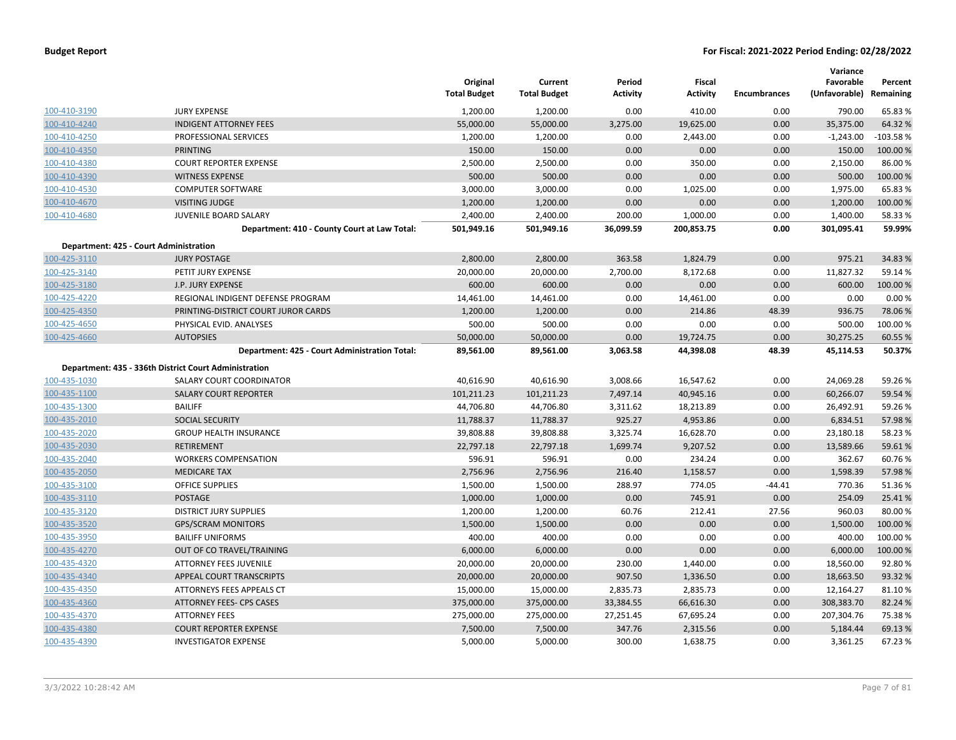|              |                                                       | Original<br><b>Total Budget</b> | Current<br><b>Total Budget</b> | Period<br><b>Activity</b> | Fiscal<br><b>Activity</b> | <b>Encumbrances</b> | Variance<br>Favorable<br>(Unfavorable) Remaining | Percent  |
|--------------|-------------------------------------------------------|---------------------------------|--------------------------------|---------------------------|---------------------------|---------------------|--------------------------------------------------|----------|
| 100-410-3190 | <b>JURY EXPENSE</b>                                   | 1,200.00                        | 1,200.00                       | 0.00                      | 410.00                    | 0.00                | 790.00                                           | 65.83 %  |
| 100-410-4240 | <b>INDIGENT ATTORNEY FEES</b>                         | 55,000.00                       | 55,000.00                      | 3,275.00                  | 19,625.00                 | 0.00                | 35,375.00                                        | 64.32 %  |
| 100-410-4250 | PROFESSIONAL SERVICES                                 | 1,200.00                        | 1,200.00                       | 0.00                      | 2,443.00                  | 0.00                | $-1,243.00$                                      | -103.58% |
| 100-410-4350 | <b>PRINTING</b>                                       | 150.00                          | 150.00                         | 0.00                      | 0.00                      | 0.00                | 150.00                                           | 100.00 % |
| 100-410-4380 | <b>COURT REPORTER EXPENSE</b>                         | 2,500.00                        | 2,500.00                       | 0.00                      | 350.00                    | 0.00                | 2,150.00                                         | 86.00 %  |
| 100-410-4390 | <b>WITNESS EXPENSE</b>                                | 500.00                          | 500.00                         | 0.00                      | 0.00                      | 0.00                | 500.00                                           | 100.00 % |
| 100-410-4530 | <b>COMPUTER SOFTWARE</b>                              | 3,000.00                        | 3,000.00                       | 0.00                      | 1,025.00                  | 0.00                | 1,975.00                                         | 65.83 %  |
| 100-410-4670 | <b>VISITING JUDGE</b>                                 | 1,200.00                        | 1,200.00                       | 0.00                      | 0.00                      | 0.00                | 1,200.00                                         | 100.00 % |
| 100-410-4680 | JUVENILE BOARD SALARY                                 | 2,400.00                        | 2,400.00                       | 200.00                    | 1,000.00                  | 0.00                | 1,400.00                                         | 58.33 %  |
|              | Department: 410 - County Court at Law Total:          | 501,949.16                      | 501,949.16                     | 36,099.59                 | 200,853.75                | 0.00                | 301,095.41                                       | 59.99%   |
|              | Department: 425 - Court Administration                |                                 |                                |                           |                           |                     |                                                  |          |
| 100-425-3110 | <b>JURY POSTAGE</b>                                   | 2,800.00                        | 2,800.00                       | 363.58                    | 1,824.79                  | 0.00                | 975.21                                           | 34.83 %  |
| 100-425-3140 | PETIT JURY EXPENSE                                    | 20,000.00                       | 20,000.00                      | 2,700.00                  | 8,172.68                  | 0.00                | 11,827.32                                        | 59.14 %  |
| 100-425-3180 | J.P. JURY EXPENSE                                     | 600.00                          | 600.00                         | 0.00                      | 0.00                      | 0.00                | 600.00                                           | 100.00 % |
| 100-425-4220 | REGIONAL INDIGENT DEFENSE PROGRAM                     | 14,461.00                       | 14,461.00                      | 0.00                      | 14,461.00                 | 0.00                | 0.00                                             | 0.00%    |
| 100-425-4350 | PRINTING-DISTRICT COURT JUROR CARDS                   | 1,200.00                        | 1,200.00                       | 0.00                      | 214.86                    | 48.39               | 936.75                                           | 78.06%   |
| 100-425-4650 | PHYSICAL EVID. ANALYSES                               | 500.00                          | 500.00                         | 0.00                      | 0.00                      | 0.00                | 500.00                                           | 100.00 % |
| 100-425-4660 | <b>AUTOPSIES</b>                                      | 50,000.00                       | 50,000.00                      | 0.00                      | 19,724.75                 | 0.00                | 30,275.25                                        | 60.55 %  |
|              | Department: 425 - Court Administration Total:         | 89,561.00                       | 89,561.00                      | 3,063.58                  | 44,398.08                 | 48.39               | 45,114.53                                        | 50.37%   |
|              | Department: 435 - 336th District Court Administration |                                 |                                |                           |                           |                     |                                                  |          |
| 100-435-1030 | SALARY COURT COORDINATOR                              | 40,616.90                       | 40,616.90                      | 3,008.66                  | 16,547.62                 | 0.00                | 24,069.28                                        | 59.26 %  |
| 100-435-1100 | <b>SALARY COURT REPORTER</b>                          | 101,211.23                      | 101,211.23                     | 7,497.14                  | 40,945.16                 | 0.00                | 60,266.07                                        | 59.54 %  |
| 100-435-1300 | <b>BAILIFF</b>                                        | 44,706.80                       | 44,706.80                      | 3,311.62                  | 18,213.89                 | 0.00                | 26,492.91                                        | 59.26%   |
| 100-435-2010 | <b>SOCIAL SECURITY</b>                                | 11,788.37                       | 11,788.37                      | 925.27                    | 4,953.86                  | 0.00                | 6,834.51                                         | 57.98 %  |
| 100-435-2020 | <b>GROUP HEALTH INSURANCE</b>                         | 39,808.88                       | 39,808.88                      | 3,325.74                  | 16,628.70                 | 0.00                | 23,180.18                                        | 58.23 %  |
| 100-435-2030 | <b>RETIREMENT</b>                                     | 22,797.18                       | 22,797.18                      | 1,699.74                  | 9,207.52                  | 0.00                | 13,589.66                                        | 59.61%   |
| 100-435-2040 | <b>WORKERS COMPENSATION</b>                           | 596.91                          | 596.91                         | 0.00                      | 234.24                    | 0.00                | 362.67                                           | 60.76%   |
| 100-435-2050 | <b>MEDICARE TAX</b>                                   | 2,756.96                        | 2,756.96                       | 216.40                    | 1,158.57                  | 0.00                | 1,598.39                                         | 57.98%   |
| 100-435-3100 | <b>OFFICE SUPPLIES</b>                                | 1,500.00                        | 1,500.00                       | 288.97                    | 774.05                    | $-44.41$            | 770.36                                           | 51.36%   |
| 100-435-3110 | <b>POSTAGE</b>                                        | 1,000.00                        | 1,000.00                       | 0.00                      | 745.91                    | 0.00                | 254.09                                           | 25.41%   |
| 100-435-3120 | <b>DISTRICT JURY SUPPLIES</b>                         | 1,200.00                        | 1,200.00                       | 60.76                     | 212.41                    | 27.56               | 960.03                                           | 80.00 %  |
| 100-435-3520 | <b>GPS/SCRAM MONITORS</b>                             | 1,500.00                        | 1,500.00                       | 0.00                      | 0.00                      | 0.00                | 1,500.00                                         | 100.00 % |
| 100-435-3950 | <b>BAILIFF UNIFORMS</b>                               | 400.00                          | 400.00                         | 0.00                      | 0.00                      | 0.00                | 400.00                                           | 100.00 % |
| 100-435-4270 | OUT OF CO TRAVEL/TRAINING                             | 6,000.00                        | 6,000.00                       | 0.00                      | 0.00                      | 0.00                | 6,000.00                                         | 100.00 % |
| 100-435-4320 | ATTORNEY FEES JUVENILE                                | 20,000.00                       | 20,000.00                      | 230.00                    | 1,440.00                  | 0.00                | 18,560.00                                        | 92.80%   |
| 100-435-4340 | APPEAL COURT TRANSCRIPTS                              | 20,000.00                       | 20,000.00                      | 907.50                    | 1,336.50                  | 0.00                | 18,663.50                                        | 93.32 %  |
| 100-435-4350 | ATTORNEYS FEES APPEALS CT                             | 15,000.00                       | 15,000.00                      | 2,835.73                  | 2,835.73                  | 0.00                | 12,164.27                                        | 81.10%   |
| 100-435-4360 | <b>ATTORNEY FEES- CPS CASES</b>                       | 375,000.00                      | 375,000.00                     | 33,384.55                 | 66,616.30                 | 0.00                | 308,383.70                                       | 82.24 %  |
| 100-435-4370 | <b>ATTORNEY FEES</b>                                  | 275,000.00                      | 275,000.00                     | 27,251.45                 | 67,695.24                 | 0.00                | 207,304.76                                       | 75.38%   |
| 100-435-4380 | <b>COURT REPORTER EXPENSE</b>                         | 7,500.00                        | 7,500.00                       | 347.76                    | 2,315.56                  | 0.00                | 5,184.44                                         | 69.13 %  |
| 100-435-4390 | <b>INVESTIGATOR EXPENSE</b>                           | 5,000.00                        | 5,000.00                       | 300.00                    | 1,638.75                  | 0.00                | 3,361.25                                         | 67.23 %  |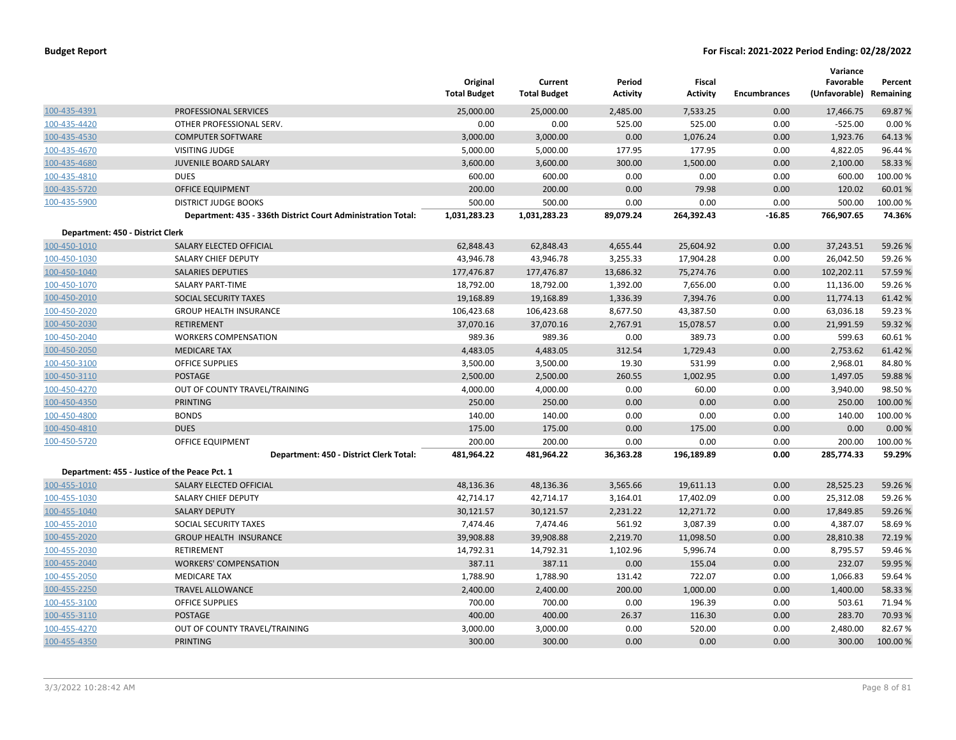|                                  |                                                              | Original<br><b>Total Budget</b> | Current<br><b>Total Budget</b> | Period<br><b>Activity</b> | <b>Fiscal</b><br><b>Activity</b> | <b>Encumbrances</b> | Variance<br>Favorable<br>(Unfavorable) | Percent<br>Remaining |
|----------------------------------|--------------------------------------------------------------|---------------------------------|--------------------------------|---------------------------|----------------------------------|---------------------|----------------------------------------|----------------------|
| 100-435-4391                     | PROFESSIONAL SERVICES                                        | 25,000.00                       | 25,000.00                      | 2,485.00                  | 7,533.25                         | 0.00                | 17,466.75                              | 69.87 %              |
| 100-435-4420                     | OTHER PROFESSIONAL SERV.                                     | 0.00                            | 0.00                           | 525.00                    | 525.00                           | 0.00                | $-525.00$                              | 0.00%                |
| 100-435-4530                     | <b>COMPUTER SOFTWARE</b>                                     | 3,000.00                        | 3,000.00                       | 0.00                      | 1,076.24                         | 0.00                | 1,923.76                               | 64.13%               |
| 100-435-4670                     | <b>VISITING JUDGE</b>                                        | 5,000.00                        | 5,000.00                       | 177.95                    | 177.95                           | 0.00                | 4,822.05                               | 96.44 %              |
| 100-435-4680                     | <b>JUVENILE BOARD SALARY</b>                                 | 3,600.00                        | 3,600.00                       | 300.00                    | 1,500.00                         | 0.00                | 2,100.00                               | 58.33 %              |
| 100-435-4810                     | <b>DUES</b>                                                  | 600.00                          | 600.00                         | 0.00                      | 0.00                             | 0.00                | 600.00                                 | 100.00%              |
| 100-435-5720                     | <b>OFFICE EQUIPMENT</b>                                      | 200.00                          | 200.00                         | 0.00                      | 79.98                            | 0.00                | 120.02                                 | 60.01%               |
| 100-435-5900                     | <b>DISTRICT JUDGE BOOKS</b>                                  | 500.00                          | 500.00                         | 0.00                      | 0.00                             | 0.00                | 500.00                                 | 100.00%              |
|                                  | Department: 435 - 336th District Court Administration Total: | 1,031,283.23                    | 1,031,283.23                   | 89,079.24                 | 264,392.43                       | $-16.85$            | 766,907.65                             | 74.36%               |
| Department: 450 - District Clerk |                                                              |                                 |                                |                           |                                  |                     |                                        |                      |
| 100-450-1010                     | SALARY ELECTED OFFICIAL                                      | 62,848.43                       | 62,848.43                      | 4,655.44                  | 25,604.92                        | 0.00                | 37,243.51                              | 59.26%               |
| 100-450-1030                     | SALARY CHIEF DEPUTY                                          | 43,946.78                       | 43,946.78                      | 3,255.33                  | 17,904.28                        | 0.00                | 26,042.50                              | 59.26%               |
| 100-450-1040                     | <b>SALARIES DEPUTIES</b>                                     | 177,476.87                      | 177,476.87                     | 13,686.32                 | 75,274.76                        | 0.00                | 102,202.11                             | 57.59 %              |
| 100-450-1070                     | <b>SALARY PART-TIME</b>                                      | 18,792.00                       | 18,792.00                      | 1,392.00                  | 7,656.00                         | 0.00                | 11,136.00                              | 59.26%               |
| 100-450-2010                     | SOCIAL SECURITY TAXES                                        | 19,168.89                       | 19,168.89                      | 1,336.39                  | 7,394.76                         | 0.00                | 11,774.13                              | 61.42%               |
| 100-450-2020                     | <b>GROUP HEALTH INSURANCE</b>                                | 106,423.68                      | 106,423.68                     | 8,677.50                  | 43,387.50                        | 0.00                | 63,036.18                              | 59.23 %              |
| 100-450-2030                     | <b>RETIREMENT</b>                                            | 37,070.16                       | 37,070.16                      | 2,767.91                  | 15,078.57                        | 0.00                | 21,991.59                              | 59.32 %              |
| 100-450-2040                     | <b>WORKERS COMPENSATION</b>                                  | 989.36                          | 989.36                         | 0.00                      | 389.73                           | 0.00                | 599.63                                 | 60.61%               |
| 100-450-2050                     | <b>MEDICARE TAX</b>                                          | 4,483.05                        | 4,483.05                       | 312.54                    | 1,729.43                         | 0.00                | 2,753.62                               | 61.42%               |
| 100-450-3100                     | <b>OFFICE SUPPLIES</b>                                       | 3,500.00                        | 3,500.00                       | 19.30                     | 531.99                           | 0.00                | 2,968.01                               | 84.80%               |
| 100-450-3110                     | <b>POSTAGE</b>                                               | 2,500.00                        | 2,500.00                       | 260.55                    | 1,002.95                         | 0.00                | 1,497.05                               | 59.88%               |
| 100-450-4270                     | OUT OF COUNTY TRAVEL/TRAINING                                | 4,000.00                        | 4,000.00                       | 0.00                      | 60.00                            | 0.00                | 3,940.00                               | 98.50%               |
| 100-450-4350                     | <b>PRINTING</b>                                              | 250.00                          | 250.00                         | 0.00                      | 0.00                             | 0.00                | 250.00                                 | 100.00 %             |
| 100-450-4800                     | <b>BONDS</b>                                                 | 140.00                          | 140.00                         | 0.00                      | 0.00                             | 0.00                | 140.00                                 | 100.00%              |
| 100-450-4810                     | <b>DUES</b>                                                  | 175.00                          | 175.00                         | 0.00                      | 175.00                           | 0.00                | 0.00                                   | 0.00 %               |
| 100-450-5720                     | <b>OFFICE EQUIPMENT</b>                                      | 200.00                          | 200.00                         | 0.00                      | 0.00                             | 0.00                | 200.00                                 | 100.00 %             |
|                                  | Department: 450 - District Clerk Total:                      | 481,964.22                      | 481,964.22                     | 36,363.28                 | 196,189.89                       | 0.00                | 285,774.33                             | 59.29%               |
|                                  | Department: 455 - Justice of the Peace Pct. 1                |                                 |                                |                           |                                  |                     |                                        |                      |
| 100-455-1010                     | SALARY ELECTED OFFICIAL                                      | 48,136.36                       | 48,136.36                      | 3,565.66                  | 19,611.13                        | 0.00                | 28,525.23                              | 59.26%               |
| 100-455-1030                     | <b>SALARY CHIEF DEPUTY</b>                                   | 42,714.17                       | 42,714.17                      | 3,164.01                  | 17,402.09                        | 0.00                | 25,312.08                              | 59.26%               |
| 100-455-1040                     | <b>SALARY DEPUTY</b>                                         | 30,121.57                       | 30,121.57                      | 2,231.22                  | 12,271.72                        | 0.00                | 17,849.85                              | 59.26%               |
| 100-455-2010                     | SOCIAL SECURITY TAXES                                        | 7,474.46                        | 7,474.46                       | 561.92                    | 3,087.39                         | 0.00                | 4,387.07                               | 58.69%               |
| 100-455-2020                     | <b>GROUP HEALTH INSURANCE</b>                                | 39,908.88                       | 39,908.88                      | 2,219.70                  | 11,098.50                        | 0.00                | 28,810.38                              | 72.19 %              |
| 100-455-2030                     | <b>RETIREMENT</b>                                            | 14,792.31                       | 14,792.31                      | 1,102.96                  | 5,996.74                         | 0.00                | 8,795.57                               | 59.46%               |
| 100-455-2040                     | <b>WORKERS' COMPENSATION</b>                                 | 387.11                          | 387.11                         | 0.00                      | 155.04                           | 0.00                | 232.07                                 | 59.95 %              |
| 100-455-2050                     | <b>MEDICARE TAX</b>                                          | 1,788.90                        | 1,788.90                       | 131.42                    | 722.07                           | 0.00                | 1,066.83                               | 59.64 %              |
| 100-455-2250                     | <b>TRAVEL ALLOWANCE</b>                                      | 2,400.00                        | 2,400.00                       | 200.00                    | 1,000.00                         | 0.00                | 1,400.00                               | 58.33 %              |
| 100-455-3100                     | <b>OFFICE SUPPLIES</b>                                       | 700.00                          | 700.00                         | 0.00                      | 196.39                           | 0.00                | 503.61                                 | 71.94 %              |
| 100-455-3110                     | <b>POSTAGE</b>                                               | 400.00                          | 400.00                         | 26.37                     | 116.30                           | 0.00                | 283.70                                 | 70.93 %              |
| 100-455-4270                     | OUT OF COUNTY TRAVEL/TRAINING                                | 3,000.00                        | 3,000.00                       | 0.00                      | 520.00                           | 0.00                | 2,480.00                               | 82.67%               |
| 100-455-4350                     | <b>PRINTING</b>                                              | 300.00                          | 300.00                         | 0.00                      | 0.00                             | 0.00                | 300.00                                 | 100.00%              |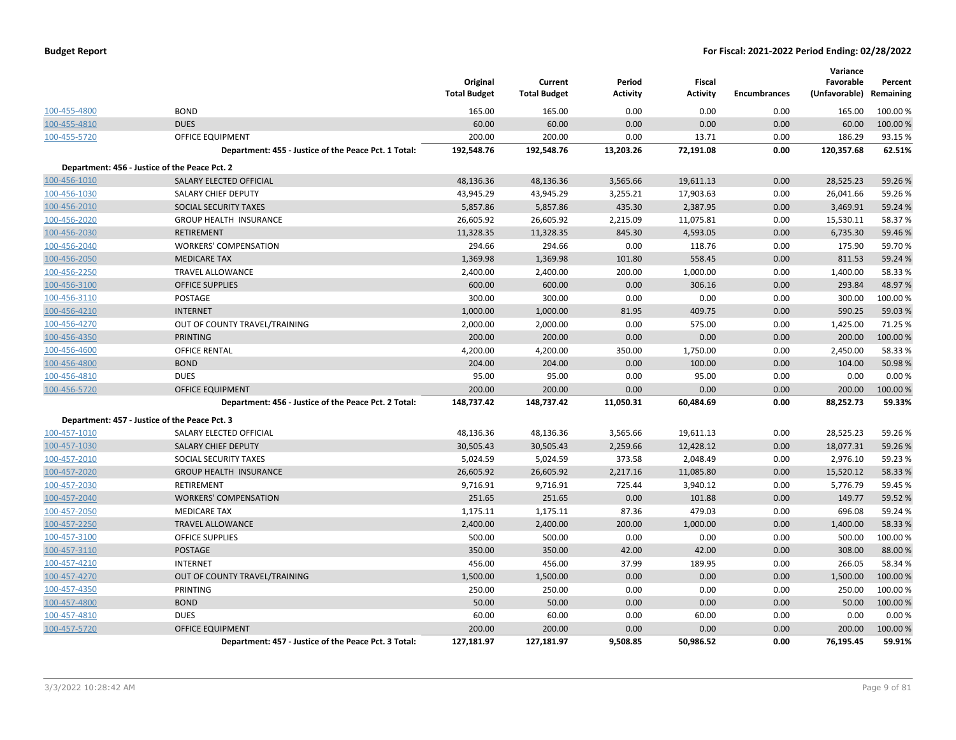|              |                                                      | Original<br><b>Total Budget</b> | Current<br><b>Total Budget</b> | Period<br><b>Activity</b> | <b>Fiscal</b><br><b>Activity</b> | <b>Encumbrances</b> | Variance<br>Favorable<br>(Unfavorable) | Percent<br>Remaining |
|--------------|------------------------------------------------------|---------------------------------|--------------------------------|---------------------------|----------------------------------|---------------------|----------------------------------------|----------------------|
| 100-455-4800 | <b>BOND</b>                                          | 165.00                          | 165.00                         | 0.00                      | 0.00                             | 0.00                | 165.00                                 | 100.00 %             |
| 100-455-4810 | <b>DUES</b>                                          | 60.00                           | 60.00                          | 0.00                      | 0.00                             | 0.00                | 60.00                                  | 100.00%              |
| 100-455-5720 | <b>OFFICE EQUIPMENT</b>                              | 200.00                          | 200.00                         | 0.00                      | 13.71                            | 0.00                | 186.29                                 | 93.15%               |
|              | Department: 455 - Justice of the Peace Pct. 1 Total: | 192,548.76                      | 192,548.76                     | 13,203.26                 | 72,191.08                        | 0.00                | 120,357.68                             | 62.51%               |
|              | Department: 456 - Justice of the Peace Pct. 2        |                                 |                                |                           |                                  |                     |                                        |                      |
| 100-456-1010 | SALARY ELECTED OFFICIAL                              | 48,136.36                       | 48,136.36                      | 3,565.66                  | 19,611.13                        | 0.00                | 28,525.23                              | 59.26%               |
| 100-456-1030 | SALARY CHIEF DEPUTY                                  | 43,945.29                       | 43,945.29                      | 3,255.21                  | 17,903.63                        | 0.00                | 26,041.66                              | 59.26%               |
| 100-456-2010 | SOCIAL SECURITY TAXES                                | 5,857.86                        | 5,857.86                       | 435.30                    | 2,387.95                         | 0.00                | 3,469.91                               | 59.24 %              |
| 100-456-2020 | <b>GROUP HEALTH INSURANCE</b>                        | 26,605.92                       | 26,605.92                      | 2,215.09                  | 11,075.81                        | 0.00                | 15,530.11                              | 58.37%               |
| 100-456-2030 | <b>RETIREMENT</b>                                    | 11,328.35                       | 11,328.35                      | 845.30                    | 4,593.05                         | 0.00                | 6,735.30                               | 59.46%               |
| 100-456-2040 | <b>WORKERS' COMPENSATION</b>                         | 294.66                          | 294.66                         | 0.00                      | 118.76                           | 0.00                | 175.90                                 | 59.70%               |
| 100-456-2050 | <b>MEDICARE TAX</b>                                  | 1,369.98                        | 1,369.98                       | 101.80                    | 558.45                           | 0.00                | 811.53                                 | 59.24 %              |
| 100-456-2250 | <b>TRAVEL ALLOWANCE</b>                              | 2,400.00                        | 2,400.00                       | 200.00                    | 1,000.00                         | 0.00                | 1,400.00                               | 58.33%               |
| 100-456-3100 | <b>OFFICE SUPPLIES</b>                               | 600.00                          | 600.00                         | 0.00                      | 306.16                           | 0.00                | 293.84                                 | 48.97%               |
| 100-456-3110 | POSTAGE                                              | 300.00                          | 300.00                         | 0.00                      | 0.00                             | 0.00                | 300.00                                 | 100.00%              |
| 100-456-4210 | <b>INTERNET</b>                                      | 1,000.00                        | 1,000.00                       | 81.95                     | 409.75                           | 0.00                | 590.25                                 | 59.03%               |
| 100-456-4270 | OUT OF COUNTY TRAVEL/TRAINING                        | 2,000.00                        | 2,000.00                       | 0.00                      | 575.00                           | 0.00                | 1,425.00                               | 71.25 %              |
| 100-456-4350 | <b>PRINTING</b>                                      | 200.00                          | 200.00                         | 0.00                      | 0.00                             | 0.00                | 200.00                                 | 100.00%              |
| 100-456-4600 | OFFICE RENTAL                                        | 4,200.00                        | 4,200.00                       | 350.00                    | 1,750.00                         | 0.00                | 2,450.00                               | 58.33%               |
| 100-456-4800 | <b>BOND</b>                                          | 204.00                          | 204.00                         | 0.00                      | 100.00                           | 0.00                | 104.00                                 | 50.98%               |
| 100-456-4810 | <b>DUES</b>                                          | 95.00                           | 95.00                          | 0.00                      | 95.00                            | 0.00                | 0.00                                   | 0.00%                |
| 100-456-5720 | <b>OFFICE EQUIPMENT</b>                              | 200.00                          | 200.00                         | 0.00                      | 0.00                             | 0.00                | 200.00                                 | 100.00%              |
|              | Department: 456 - Justice of the Peace Pct. 2 Total: | 148,737.42                      | 148,737.42                     | 11,050.31                 | 60,484.69                        | 0.00                | 88,252.73                              | 59.33%               |
|              | Department: 457 - Justice of the Peace Pct. 3        |                                 |                                |                           |                                  |                     |                                        |                      |
| 100-457-1010 | SALARY ELECTED OFFICIAL                              | 48,136.36                       | 48,136.36                      | 3,565.66                  | 19,611.13                        | 0.00                | 28,525.23                              | 59.26%               |
| 100-457-1030 | <b>SALARY CHIEF DEPUTY</b>                           | 30,505.43                       | 30,505.43                      | 2,259.66                  | 12,428.12                        | 0.00                | 18,077.31                              | 59.26%               |
| 100-457-2010 | SOCIAL SECURITY TAXES                                | 5,024.59                        | 5,024.59                       | 373.58                    | 2,048.49                         | 0.00                | 2,976.10                               | 59.23 %              |
| 100-457-2020 | <b>GROUP HEALTH INSURANCE</b>                        | 26,605.92                       | 26,605.92                      | 2,217.16                  | 11,085.80                        | 0.00                | 15,520.12                              | 58.33%               |
| 100-457-2030 | RETIREMENT                                           | 9,716.91                        | 9,716.91                       | 725.44                    | 3,940.12                         | 0.00                | 5,776.79                               | 59.45 %              |
| 100-457-2040 | <b>WORKERS' COMPENSATION</b>                         | 251.65                          | 251.65                         | 0.00                      | 101.88                           | 0.00                | 149.77                                 | 59.52 %              |
| 100-457-2050 | <b>MEDICARE TAX</b>                                  | 1,175.11                        | 1,175.11                       | 87.36                     | 479.03                           | 0.00                | 696.08                                 | 59.24 %              |
| 100-457-2250 | <b>TRAVEL ALLOWANCE</b>                              | 2,400.00                        | 2,400.00                       | 200.00                    | 1,000.00                         | 0.00                | 1,400.00                               | 58.33%               |
| 100-457-3100 | OFFICE SUPPLIES                                      | 500.00                          | 500.00                         | 0.00                      | 0.00                             | 0.00                | 500.00                                 | 100.00%              |
| 100-457-3110 | <b>POSTAGE</b>                                       | 350.00                          | 350.00                         | 42.00                     | 42.00                            | 0.00                | 308.00                                 | 88.00 %              |
| 100-457-4210 | <b>INTERNET</b>                                      | 456.00                          | 456.00                         | 37.99                     | 189.95                           | 0.00                | 266.05                                 | 58.34 %              |
| 100-457-4270 | OUT OF COUNTY TRAVEL/TRAINING                        | 1,500.00                        | 1,500.00                       | 0.00                      | 0.00                             | 0.00                | 1,500.00                               | 100.00 %             |
| 100-457-4350 | PRINTING                                             | 250.00                          | 250.00                         | 0.00                      | 0.00                             | 0.00                | 250.00                                 | 100.00 %             |
| 100-457-4800 | <b>BOND</b>                                          | 50.00                           | 50.00                          | 0.00                      | 0.00                             | 0.00                | 50.00                                  | 100.00 %             |
| 100-457-4810 | <b>DUES</b>                                          | 60.00                           | 60.00                          | 0.00                      | 60.00                            | 0.00                | 0.00                                   | 0.00%                |
| 100-457-5720 | <b>OFFICE EQUIPMENT</b>                              | 200.00                          | 200.00                         | 0.00                      | 0.00                             | 0.00                | 200.00                                 | 100.00%              |
|              | Department: 457 - Justice of the Peace Pct. 3 Total: | 127,181.97                      | 127,181.97                     | 9,508.85                  | 50,986.52                        | 0.00                | 76,195.45                              | 59.91%               |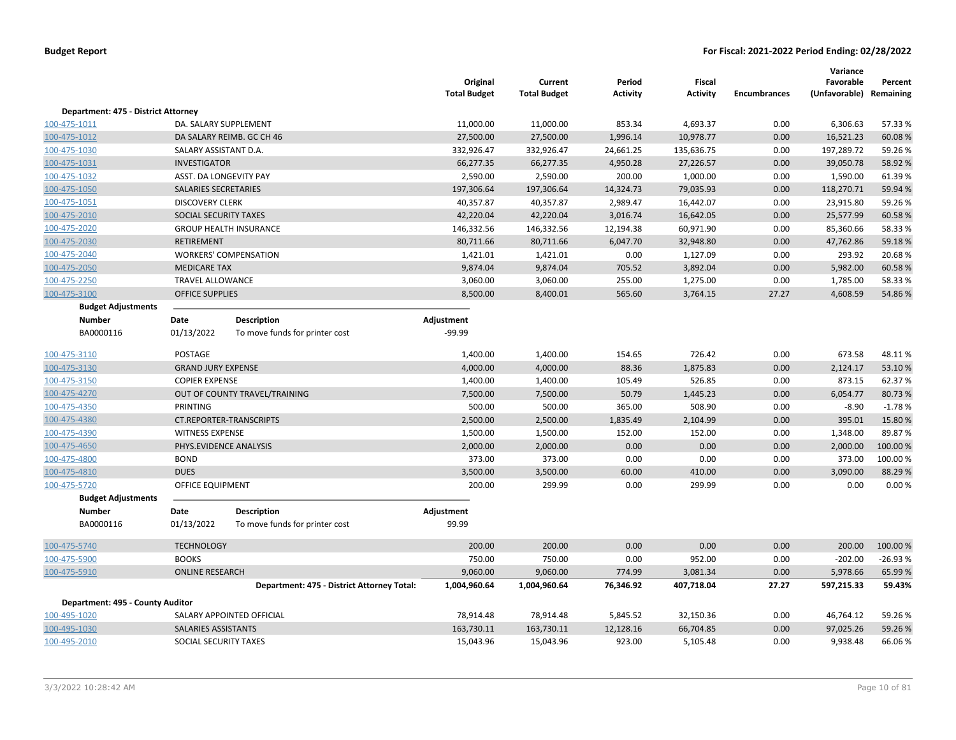|                                     |                              |                                            | Original<br><b>Total Budget</b> | Current<br><b>Total Budget</b> | Period<br><b>Activity</b> | <b>Fiscal</b><br><b>Activity</b> | <b>Encumbrances</b> | Variance<br>Favorable<br>(Unfavorable) | Percent<br>Remaining |
|-------------------------------------|------------------------------|--------------------------------------------|---------------------------------|--------------------------------|---------------------------|----------------------------------|---------------------|----------------------------------------|----------------------|
| Department: 475 - District Attorney |                              |                                            |                                 |                                |                           |                                  |                     |                                        |                      |
| 100-475-1011                        | DA. SALARY SUPPLEMENT        |                                            | 11,000.00                       | 11,000.00                      | 853.34                    | 4,693.37                         | 0.00                | 6,306.63                               | 57.33 %              |
| 100-475-1012                        |                              | DA SALARY REIMB. GC CH 46                  | 27,500.00                       | 27,500.00                      | 1,996.14                  | 10,978.77                        | 0.00                | 16,521.23                              | 60.08%               |
| 100-475-1030                        | SALARY ASSISTANT D.A.        |                                            | 332,926.47                      | 332,926.47                     | 24,661.25                 | 135,636.75                       | 0.00                | 197,289.72                             | 59.26%               |
| 100-475-1031                        | INVESTIGATOR                 |                                            | 66,277.35                       | 66,277.35                      | 4,950.28                  | 27,226.57                        | 0.00                | 39,050.78                              | 58.92 %              |
| 100-475-1032                        | ASST. DA LONGEVITY PAY       |                                            | 2,590.00                        | 2,590.00                       | 200.00                    | 1,000.00                         | 0.00                | 1,590.00                               | 61.39%               |
| 100-475-1050                        | SALARIES SECRETARIES         |                                            | 197,306.64                      | 197,306.64                     | 14,324.73                 | 79,035.93                        | 0.00                | 118,270.71                             | 59.94 %              |
| 100-475-1051                        | <b>DISCOVERY CLERK</b>       |                                            | 40,357.87                       | 40,357.87                      | 2,989.47                  | 16,442.07                        | 0.00                | 23,915.80                              | 59.26%               |
| 100-475-2010                        | <b>SOCIAL SECURITY TAXES</b> |                                            | 42,220.04                       | 42,220.04                      | 3,016.74                  | 16,642.05                        | 0.00                | 25,577.99                              | 60.58%               |
| 100-475-2020                        |                              | <b>GROUP HEALTH INSURANCE</b>              | 146,332.56                      | 146,332.56                     | 12,194.38                 | 60,971.90                        | 0.00                | 85,360.66                              | 58.33%               |
| 100-475-2030                        | <b>RETIREMENT</b>            |                                            | 80,711.66                       | 80,711.66                      | 6,047.70                  | 32,948.80                        | 0.00                | 47,762.86                              | 59.18%               |
| 100-475-2040                        |                              | <b>WORKERS' COMPENSATION</b>               | 1,421.01                        | 1,421.01                       | 0.00                      | 1,127.09                         | 0.00                | 293.92                                 | 20.68%               |
| 100-475-2050                        | <b>MEDICARE TAX</b>          |                                            | 9,874.04                        | 9,874.04                       | 705.52                    | 3,892.04                         | 0.00                | 5,982.00                               | 60.58%               |
| 100-475-2250                        | <b>TRAVEL ALLOWANCE</b>      |                                            | 3,060.00                        | 3,060.00                       | 255.00                    | 1,275.00                         | 0.00                | 1,785.00                               | 58.33%               |
| 100-475-3100                        | <b>OFFICE SUPPLIES</b>       |                                            | 8,500.00                        | 8,400.01                       | 565.60                    | 3,764.15                         | 27.27               | 4,608.59                               | 54.86%               |
| <b>Budget Adjustments</b>           |                              |                                            |                                 |                                |                           |                                  |                     |                                        |                      |
| <b>Number</b>                       | Date                         | <b>Description</b>                         | Adjustment                      |                                |                           |                                  |                     |                                        |                      |
| BA0000116                           | 01/13/2022                   | To move funds for printer cost             | $-99.99$                        |                                |                           |                                  |                     |                                        |                      |
| 100-475-3110                        | <b>POSTAGE</b>               |                                            | 1,400.00                        | 1,400.00                       | 154.65                    | 726.42                           | 0.00                | 673.58                                 | 48.11%               |
| 100-475-3130                        | <b>GRAND JURY EXPENSE</b>    |                                            | 4,000.00                        | 4,000.00                       | 88.36                     | 1,875.83                         | 0.00                | 2,124.17                               | 53.10%               |
| 100-475-3150                        | <b>COPIER EXPENSE</b>        |                                            | 1,400.00                        | 1,400.00                       | 105.49                    | 526.85                           | 0.00                | 873.15                                 | 62.37%               |
| 100-475-4270                        |                              | OUT OF COUNTY TRAVEL/TRAINING              | 7,500.00                        | 7,500.00                       | 50.79                     | 1,445.23                         | 0.00                | 6,054.77                               | 80.73%               |
| 100-475-4350                        | PRINTING                     |                                            | 500.00                          | 500.00                         | 365.00                    | 508.90                           | 0.00                | $-8.90$                                | $-1.78%$             |
| 100-475-4380                        |                              | <b>CT.REPORTER-TRANSCRIPTS</b>             | 2,500.00                        | 2,500.00                       | 1,835.49                  | 2,104.99                         | 0.00                | 395.01                                 | 15.80%               |
| 100-475-4390                        | <b>WITNESS EXPENSE</b>       |                                            | 1,500.00                        | 1,500.00                       | 152.00                    | 152.00                           | 0.00                | 1,348.00                               | 89.87%               |
| 100-475-4650                        | PHYS.EVIDENCE ANALYSIS       |                                            | 2,000.00                        | 2,000.00                       | 0.00                      | 0.00                             | 0.00                | 2,000.00                               | 100.00%              |
| 100-475-4800                        | <b>BOND</b>                  |                                            | 373.00                          | 373.00                         | 0.00                      | 0.00                             | 0.00                | 373.00                                 | 100.00%              |
| 100-475-4810                        | <b>DUES</b>                  |                                            | 3,500.00                        | 3,500.00                       | 60.00                     | 410.00                           | 0.00                | 3,090.00                               | 88.29%               |
| 100-475-5720                        | <b>OFFICE EQUIPMENT</b>      |                                            | 200.00                          | 299.99                         | 0.00                      | 299.99                           | 0.00                | 0.00                                   | 0.00%                |
| <b>Budget Adjustments</b>           |                              |                                            |                                 |                                |                           |                                  |                     |                                        |                      |
| <b>Number</b>                       | Date                         | <b>Description</b>                         | Adjustment                      |                                |                           |                                  |                     |                                        |                      |
| BA0000116                           | 01/13/2022                   | To move funds for printer cost             | 99.99                           |                                |                           |                                  |                     |                                        |                      |
| 100-475-5740                        | <b>TECHNOLOGY</b>            |                                            | 200.00                          | 200.00                         | 0.00                      | 0.00                             | 0.00                | 200.00                                 | 100.00 %             |
| 100-475-5900                        | <b>BOOKS</b>                 |                                            | 750.00                          | 750.00                         | 0.00                      | 952.00                           | 0.00                | $-202.00$                              | $-26.93%$            |
| 100-475-5910                        | <b>ONLINE RESEARCH</b>       |                                            | 9,060.00                        | 9,060.00                       | 774.99                    | 3,081.34                         | 0.00                | 5,978.66                               | 65.99%               |
|                                     |                              | Department: 475 - District Attorney Total: | 1,004,960.64                    | 1,004,960.64                   | 76,346.92                 | 407,718.04                       | 27.27               | 597,215.33                             | 59.43%               |
| Department: 495 - County Auditor    |                              |                                            |                                 |                                |                           |                                  |                     |                                        |                      |
| 100-495-1020                        |                              | SALARY APPOINTED OFFICIAL                  | 78,914.48                       | 78,914.48                      | 5,845.52                  | 32,150.36                        | 0.00                | 46,764.12                              | 59.26%               |
| 100-495-1030                        | SALARIES ASSISTANTS          |                                            | 163,730.11                      | 163,730.11                     | 12,128.16                 | 66,704.85                        | 0.00                | 97,025.26                              | 59.26%               |
| 100-495-2010                        | SOCIAL SECURITY TAXES        |                                            | 15,043.96                       | 15,043.96                      | 923.00                    | 5,105.48                         | 0.00                | 9,938.48                               | 66.06%               |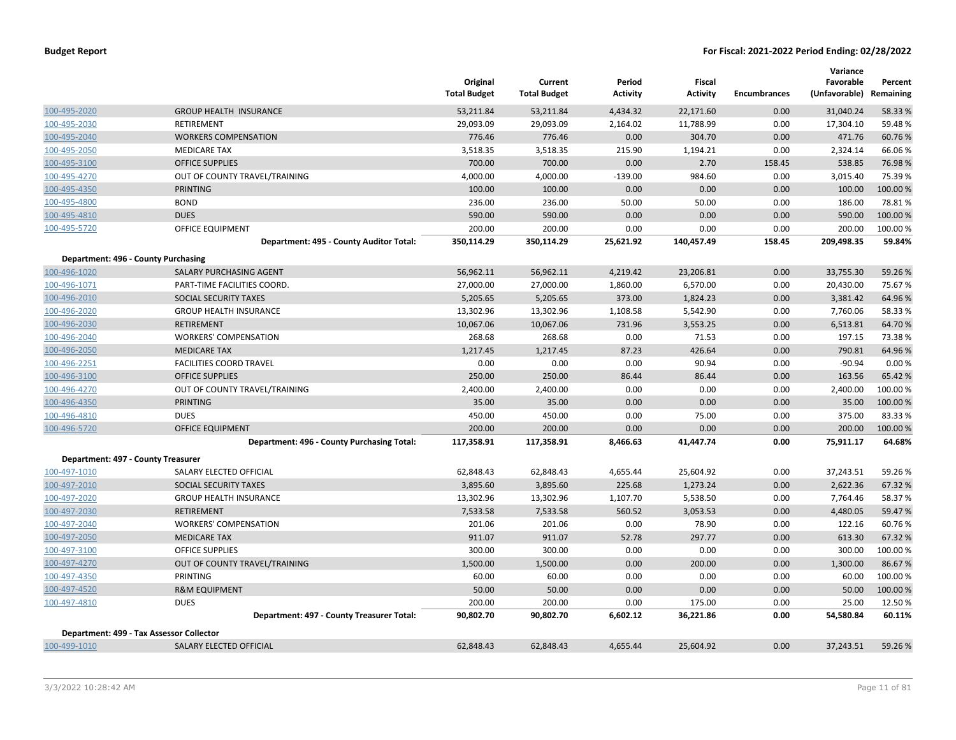|                                     |                                            | Original<br><b>Total Budget</b> | Current<br><b>Total Budget</b> | Period<br><b>Activity</b> | Fiscal<br><b>Activity</b> | <b>Encumbrances</b> | Variance<br>Favorable<br>(Unfavorable) | Percent<br>Remaining |
|-------------------------------------|--------------------------------------------|---------------------------------|--------------------------------|---------------------------|---------------------------|---------------------|----------------------------------------|----------------------|
| 100-495-2020                        | <b>GROUP HEALTH INSURANCE</b>              | 53,211.84                       | 53,211.84                      | 4,434.32                  | 22,171.60                 | 0.00                | 31,040.24                              | 58.33 %              |
| 100-495-2030                        | <b>RETIREMENT</b>                          | 29,093.09                       | 29,093.09                      | 2,164.02                  | 11,788.99                 | 0.00                | 17,304.10                              | 59.48%               |
| 100-495-2040                        | <b>WORKERS COMPENSATION</b>                | 776.46                          | 776.46                         | 0.00                      | 304.70                    | 0.00                | 471.76                                 | 60.76%               |
| 100-495-2050                        | <b>MEDICARE TAX</b>                        | 3,518.35                        | 3,518.35                       | 215.90                    | 1,194.21                  | 0.00                | 2,324.14                               | 66.06%               |
| 100-495-3100                        | <b>OFFICE SUPPLIES</b>                     | 700.00                          | 700.00                         | 0.00                      | 2.70                      | 158.45              | 538.85                                 | 76.98%               |
| 100-495-4270                        | OUT OF COUNTY TRAVEL/TRAINING              | 4,000.00                        | 4,000.00                       | $-139.00$                 | 984.60                    | 0.00                | 3,015.40                               | 75.39%               |
| 100-495-4350                        | PRINTING                                   | 100.00                          | 100.00                         | 0.00                      | 0.00                      | 0.00                | 100.00                                 | 100.00 %             |
| 100-495-4800                        | <b>BOND</b>                                | 236.00                          | 236.00                         | 50.00                     | 50.00                     | 0.00                | 186.00                                 | 78.81%               |
| 100-495-4810                        | <b>DUES</b>                                | 590.00                          | 590.00                         | 0.00                      | 0.00                      | 0.00                | 590.00                                 | 100.00%              |
| 100-495-5720                        | <b>OFFICE EQUIPMENT</b>                    | 200.00                          | 200.00                         | 0.00                      | 0.00                      | 0.00                | 200.00                                 | 100.00%              |
|                                     | Department: 495 - County Auditor Total:    | 350,114.29                      | 350,114.29                     | 25,621.92                 | 140,457.49                | 158.45              | 209,498.35                             | 59.84%               |
| Department: 496 - County Purchasing |                                            |                                 |                                |                           |                           |                     |                                        |                      |
| 100-496-1020                        | SALARY PURCHASING AGENT                    | 56,962.11                       | 56,962.11                      | 4,219.42                  | 23,206.81                 | 0.00                | 33,755.30                              | 59.26 %              |
| 100-496-1071                        | PART-TIME FACILITIES COORD.                | 27,000.00                       | 27,000.00                      | 1,860.00                  | 6,570.00                  | 0.00                | 20,430.00                              | 75.67%               |
| 100-496-2010                        | <b>SOCIAL SECURITY TAXES</b>               | 5,205.65                        | 5,205.65                       | 373.00                    | 1,824.23                  | 0.00                | 3,381.42                               | 64.96%               |
| 100-496-2020                        | <b>GROUP HEALTH INSURANCE</b>              | 13,302.96                       | 13,302.96                      | 1,108.58                  | 5,542.90                  | 0.00                | 7,760.06                               | 58.33%               |
| 100-496-2030                        | <b>RETIREMENT</b>                          | 10,067.06                       | 10,067.06                      | 731.96                    | 3,553.25                  | 0.00                | 6,513.81                               | 64.70%               |
| 100-496-2040                        | <b>WORKERS' COMPENSATION</b>               | 268.68                          | 268.68                         | 0.00                      | 71.53                     | 0.00                | 197.15                                 | 73.38%               |
| 100-496-2050                        | <b>MEDICARE TAX</b>                        | 1,217.45                        | 1,217.45                       | 87.23                     | 426.64                    | 0.00                | 790.81                                 | 64.96%               |
| 100-496-2251                        | <b>FACILITIES COORD TRAVEL</b>             | 0.00                            | 0.00                           | 0.00                      | 90.94                     | 0.00                | $-90.94$                               | 0.00%                |
| 100-496-3100                        | <b>OFFICE SUPPLIES</b>                     | 250.00                          | 250.00                         | 86.44                     | 86.44                     | 0.00                | 163.56                                 | 65.42 %              |
| 100-496-4270                        | OUT OF COUNTY TRAVEL/TRAINING              | 2,400.00                        | 2,400.00                       | 0.00                      | 0.00                      | 0.00                | 2,400.00                               | 100.00%              |
| 100-496-4350                        | PRINTING                                   | 35.00                           | 35.00                          | 0.00                      | 0.00                      | 0.00                | 35.00                                  | 100.00%              |
| 100-496-4810                        | <b>DUES</b>                                | 450.00                          | 450.00                         | 0.00                      | 75.00                     | 0.00                | 375.00                                 | 83.33%               |
| 100-496-5720                        | <b>OFFICE EQUIPMENT</b>                    | 200.00                          | 200.00                         | 0.00                      | 0.00                      | 0.00                | 200.00                                 | 100.00 %             |
|                                     | Department: 496 - County Purchasing Total: | 117,358.91                      | 117,358.91                     | 8,466.63                  | 41,447.74                 | 0.00                | 75,911.17                              | 64.68%               |
| Department: 497 - County Treasurer  |                                            |                                 |                                |                           |                           |                     |                                        |                      |
| 100-497-1010                        | SALARY ELECTED OFFICIAL                    | 62,848.43                       | 62,848.43                      | 4,655.44                  | 25,604.92                 | 0.00                | 37,243.51                              | 59.26%               |
| 100-497-2010                        | <b>SOCIAL SECURITY TAXES</b>               | 3,895.60                        | 3,895.60                       | 225.68                    | 1,273.24                  | 0.00                | 2,622.36                               | 67.32 %              |
| 100-497-2020                        | <b>GROUP HEALTH INSURANCE</b>              | 13,302.96                       | 13,302.96                      | 1,107.70                  | 5,538.50                  | 0.00                | 7,764.46                               | 58.37%               |
| 100-497-2030                        | <b>RETIREMENT</b>                          | 7,533.58                        | 7,533.58                       | 560.52                    | 3,053.53                  | 0.00                | 4,480.05                               | 59.47%               |
| 100-497-2040                        | <b>WORKERS' COMPENSATION</b>               | 201.06                          | 201.06                         | 0.00                      | 78.90                     | 0.00                | 122.16                                 | 60.76%               |
| 100-497-2050                        | <b>MEDICARE TAX</b>                        | 911.07                          | 911.07                         | 52.78                     | 297.77                    | 0.00                | 613.30                                 | 67.32 %              |
| 100-497-3100                        | <b>OFFICE SUPPLIES</b>                     | 300.00                          | 300.00                         | 0.00                      | 0.00                      | 0.00                | 300.00                                 | 100.00 %             |
| 100-497-4270                        | OUT OF COUNTY TRAVEL/TRAINING              | 1,500.00                        | 1,500.00                       | 0.00                      | 200.00                    | 0.00                | 1,300.00                               | 86.67%               |
| 100-497-4350                        | PRINTING                                   | 60.00                           | 60.00                          | 0.00                      | 0.00                      | 0.00                | 60.00                                  | 100.00%              |
| 100-497-4520                        | <b>R&amp;M EQUIPMENT</b>                   | 50.00                           | 50.00                          | 0.00                      | 0.00                      | 0.00                | 50.00                                  | 100.00 %             |
| 100-497-4810                        | <b>DUES</b>                                | 200.00                          | 200.00                         | 0.00                      | 175.00                    | 0.00                | 25.00                                  | 12.50%               |
|                                     | Department: 497 - County Treasurer Total:  | 90,802.70                       | 90,802.70                      | 6,602.12                  | 36,221.86                 | 0.00                | 54,580.84                              | 60.11%               |
|                                     | Department: 499 - Tax Assessor Collector   |                                 |                                |                           |                           |                     |                                        |                      |
| 100-499-1010                        | SALARY ELECTED OFFICIAL                    | 62.848.43                       | 62,848.43                      | 4,655.44                  | 25.604.92                 | 0.00                | 37,243.51                              | 59.26 %              |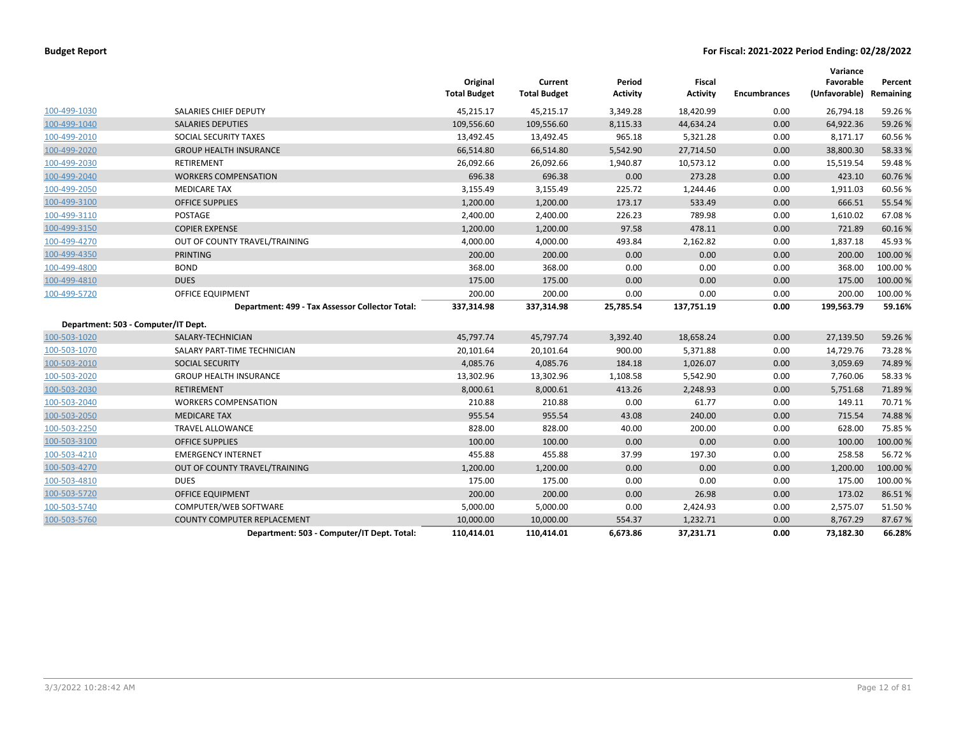|              |                                                 | Original<br><b>Total Budget</b> | Current<br><b>Total Budget</b> | Period<br><b>Activity</b> | <b>Fiscal</b><br><b>Activity</b> | <b>Encumbrances</b> | Variance<br>Favorable<br>(Unfavorable) | Percent<br>Remaining |
|--------------|-------------------------------------------------|---------------------------------|--------------------------------|---------------------------|----------------------------------|---------------------|----------------------------------------|----------------------|
| 100-499-1030 | SALARIES CHIEF DEPUTY                           | 45,215.17                       | 45,215.17                      | 3,349.28                  | 18,420.99                        | 0.00                | 26,794.18                              | 59.26%               |
| 100-499-1040 | <b>SALARIES DEPUTIES</b>                        | 109,556.60                      | 109,556.60                     | 8,115.33                  | 44,634.24                        | 0.00                | 64,922.36                              | 59.26%               |
| 100-499-2010 | SOCIAL SECURITY TAXES                           | 13,492.45                       | 13,492.45                      | 965.18                    | 5,321.28                         | 0.00                | 8,171.17                               | 60.56%               |
| 100-499-2020 | <b>GROUP HEALTH INSURANCE</b>                   | 66,514.80                       | 66,514.80                      | 5,542.90                  | 27,714.50                        | 0.00                | 38,800.30                              | 58.33%               |
| 100-499-2030 | <b>RETIREMENT</b>                               | 26,092.66                       | 26,092.66                      | 1,940.87                  | 10,573.12                        | 0.00                | 15,519.54                              | 59.48%               |
| 100-499-2040 | <b>WORKERS COMPENSATION</b>                     | 696.38                          | 696.38                         | 0.00                      | 273.28                           | 0.00                | 423.10                                 | 60.76%               |
| 100-499-2050 | <b>MEDICARE TAX</b>                             | 3,155.49                        | 3,155.49                       | 225.72                    | 1,244.46                         | 0.00                | 1,911.03                               | 60.56%               |
| 100-499-3100 | <b>OFFICE SUPPLIES</b>                          | 1,200.00                        | 1,200.00                       | 173.17                    | 533.49                           | 0.00                | 666.51                                 | 55.54 %              |
| 100-499-3110 | <b>POSTAGE</b>                                  | 2,400.00                        | 2,400.00                       | 226.23                    | 789.98                           | 0.00                | 1,610.02                               | 67.08%               |
| 100-499-3150 | <b>COPIER EXPENSE</b>                           | 1,200.00                        | 1,200.00                       | 97.58                     | 478.11                           | 0.00                | 721.89                                 | 60.16%               |
| 100-499-4270 | OUT OF COUNTY TRAVEL/TRAINING                   | 4,000.00                        | 4,000.00                       | 493.84                    | 2,162.82                         | 0.00                | 1,837.18                               | 45.93%               |
| 100-499-4350 | <b>PRINTING</b>                                 | 200.00                          | 200.00                         | 0.00                      | 0.00                             | 0.00                | 200.00                                 | 100.00 %             |
| 100-499-4800 | <b>BOND</b>                                     | 368.00                          | 368.00                         | 0.00                      | 0.00                             | 0.00                | 368.00                                 | 100.00%              |
| 100-499-4810 | <b>DUES</b>                                     | 175.00                          | 175.00                         | 0.00                      | 0.00                             | 0.00                | 175.00                                 | 100.00 %             |
| 100-499-5720 | OFFICE EQUIPMENT                                | 200.00                          | 200.00                         | 0.00                      | 0.00                             | 0.00                | 200.00                                 | 100.00%              |
|              | Department: 499 - Tax Assessor Collector Total: | 337,314.98                      | 337,314.98                     | 25,785.54                 | 137,751.19                       | 0.00                | 199,563.79                             | 59.16%               |
|              | Department: 503 - Computer/IT Dept.             |                                 |                                |                           |                                  |                     |                                        |                      |
| 100-503-1020 | SALARY-TECHNICIAN                               | 45,797.74                       | 45,797.74                      | 3,392.40                  | 18,658.24                        | 0.00                | 27,139.50                              | 59.26%               |
| 100-503-1070 | SALARY PART-TIME TECHNICIAN                     | 20,101.64                       | 20,101.64                      | 900.00                    | 5,371.88                         | 0.00                | 14,729.76                              | 73.28%               |
| 100-503-2010 | <b>SOCIAL SECURITY</b>                          | 4,085.76                        | 4,085.76                       | 184.18                    | 1,026.07                         | 0.00                | 3,059.69                               | 74.89%               |
| 100-503-2020 | <b>GROUP HEALTH INSURANCE</b>                   | 13,302.96                       | 13,302.96                      | 1,108.58                  | 5,542.90                         | 0.00                | 7,760.06                               | 58.33%               |
| 100-503-2030 | <b>RETIREMENT</b>                               | 8,000.61                        | 8,000.61                       | 413.26                    | 2,248.93                         | 0.00                | 5,751.68                               | 71.89%               |
| 100-503-2040 | <b>WORKERS COMPENSATION</b>                     | 210.88                          | 210.88                         | 0.00                      | 61.77                            | 0.00                | 149.11                                 | 70.71%               |
| 100-503-2050 | <b>MEDICARE TAX</b>                             | 955.54                          | 955.54                         | 43.08                     | 240.00                           | 0.00                | 715.54                                 | 74.88%               |
| 100-503-2250 | <b>TRAVEL ALLOWANCE</b>                         | 828.00                          | 828.00                         | 40.00                     | 200.00                           | 0.00                | 628.00                                 | 75.85%               |
| 100-503-3100 | <b>OFFICE SUPPLIES</b>                          | 100.00                          | 100.00                         | 0.00                      | 0.00                             | 0.00                | 100.00                                 | 100.00%              |
| 100-503-4210 | <b>EMERGENCY INTERNET</b>                       | 455.88                          | 455.88                         | 37.99                     | 197.30                           | 0.00                | 258.58                                 | 56.72%               |
| 100-503-4270 | OUT OF COUNTY TRAVEL/TRAINING                   | 1,200.00                        | 1,200.00                       | 0.00                      | 0.00                             | 0.00                | 1,200.00                               | 100.00 %             |
| 100-503-4810 | <b>DUES</b>                                     | 175.00                          | 175.00                         | 0.00                      | 0.00                             | 0.00                | 175.00                                 | 100.00%              |
| 100-503-5720 | <b>OFFICE EQUIPMENT</b>                         | 200.00                          | 200.00                         | 0.00                      | 26.98                            | 0.00                | 173.02                                 | 86.51%               |
| 100-503-5740 | COMPUTER/WEB SOFTWARE                           | 5,000.00                        | 5,000.00                       | 0.00                      | 2,424.93                         | 0.00                | 2,575.07                               | 51.50%               |
| 100-503-5760 | <b>COUNTY COMPUTER REPLACEMENT</b>              | 10,000.00                       | 10,000.00                      | 554.37                    | 1,232.71                         | 0.00                | 8,767.29                               | 87.67%               |
|              | Department: 503 - Computer/IT Dept. Total:      | 110,414.01                      | 110,414.01                     | 6,673.86                  | 37,231.71                        | 0.00                | 73,182.30                              | 66.28%               |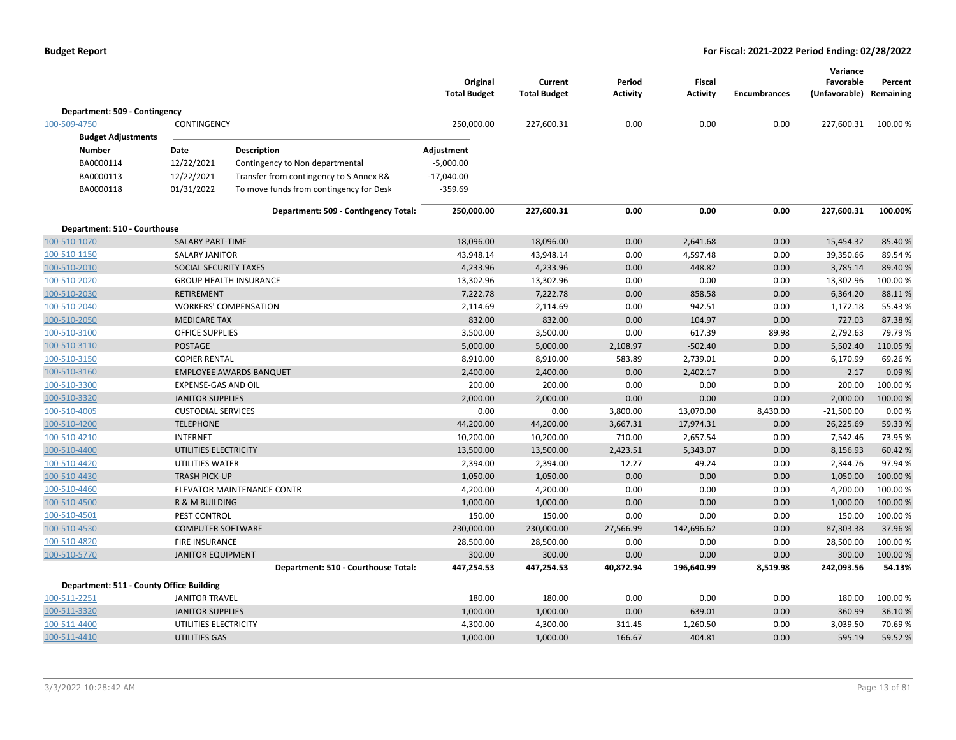|                                          |                           |                                          | Original<br><b>Total Budget</b> | Current<br><b>Total Budget</b> | Period<br>Activity | <b>Fiscal</b><br><b>Activity</b> | <b>Encumbrances</b> | Variance<br>Favorable<br>(Unfavorable) Remaining | Percent  |
|------------------------------------------|---------------------------|------------------------------------------|---------------------------------|--------------------------------|--------------------|----------------------------------|---------------------|--------------------------------------------------|----------|
| Department: 509 - Contingency            |                           |                                          |                                 |                                |                    |                                  |                     |                                                  |          |
| 100-509-4750                             | CONTINGENCY               |                                          | 250,000.00                      | 227,600.31                     | 0.00               | 0.00                             | 0.00                | 227,600.31                                       | 100.00%  |
| <b>Budget Adjustments</b>                |                           |                                          |                                 |                                |                    |                                  |                     |                                                  |          |
| <b>Number</b>                            | Date                      | <b>Description</b>                       | Adjustment                      |                                |                    |                                  |                     |                                                  |          |
| BA0000114                                | 12/22/2021                | Contingency to Non departmental          | $-5,000.00$                     |                                |                    |                                  |                     |                                                  |          |
| BA0000113                                | 12/22/2021                | Transfer from contingency to S Annex R&I | $-17,040.00$                    |                                |                    |                                  |                     |                                                  |          |
| BA0000118                                | 01/31/2022                | To move funds from contingency for Desk  | $-359.69$                       |                                |                    |                                  |                     |                                                  |          |
|                                          |                           | Department: 509 - Contingency Total:     | 250,000.00                      | 227,600.31                     | 0.00               | 0.00                             | 0.00                | 227,600.31                                       | 100.00%  |
| Department: 510 - Courthouse             |                           |                                          |                                 |                                |                    |                                  |                     |                                                  |          |
| 100-510-1070                             | <b>SALARY PART-TIME</b>   |                                          | 18,096.00                       | 18,096.00                      | 0.00               | 2,641.68                         | 0.00                | 15,454.32                                        | 85.40%   |
| 100-510-1150                             | <b>SALARY JANITOR</b>     |                                          | 43,948.14                       | 43,948.14                      | 0.00               | 4,597.48                         | 0.00                | 39,350.66                                        | 89.54 %  |
| 100-510-2010                             | SOCIAL SECURITY TAXES     |                                          | 4,233.96                        | 4,233.96                       | 0.00               | 448.82                           | 0.00                | 3,785.14                                         | 89.40%   |
| 100-510-2020                             |                           | <b>GROUP HEALTH INSURANCE</b>            | 13,302.96                       | 13,302.96                      | 0.00               | 0.00                             | 0.00                | 13,302.96                                        | 100.00%  |
| 100-510-2030                             | <b>RETIREMENT</b>         |                                          | 7,222.78                        | 7,222.78                       | 0.00               | 858.58                           | 0.00                | 6,364.20                                         | 88.11%   |
| 100-510-2040                             |                           | <b>WORKERS' COMPENSATION</b>             | 2,114.69                        | 2,114.69                       | 0.00               | 942.51                           | 0.00                | 1,172.18                                         | 55.43 %  |
| 100-510-2050                             | <b>MEDICARE TAX</b>       |                                          | 832.00                          | 832.00                         | 0.00               | 104.97                           | 0.00                | 727.03                                           | 87.38%   |
| 100-510-3100                             | <b>OFFICE SUPPLIES</b>    |                                          | 3,500.00                        | 3,500.00                       | 0.00               | 617.39                           | 89.98               | 2,792.63                                         | 79.79%   |
| 100-510-3110                             | <b>POSTAGE</b>            |                                          | 5,000.00                        | 5,000.00                       | 2,108.97           | $-502.40$                        | 0.00                | 5,502.40                                         | 110.05 % |
| 100-510-3150                             | <b>COPIER RENTAL</b>      |                                          | 8,910.00                        | 8,910.00                       | 583.89             | 2,739.01                         | 0.00                | 6,170.99                                         | 69.26%   |
| 100-510-3160                             |                           | <b>EMPLOYEE AWARDS BANQUET</b>           | 2,400.00                        | 2,400.00                       | 0.00               | 2,402.17                         | 0.00                | $-2.17$                                          | $-0.09%$ |
| 100-510-3300                             | EXPENSE-GAS AND OIL       |                                          | 200.00                          | 200.00                         | 0.00               | 0.00                             | 0.00                | 200.00                                           | 100.00%  |
| 100-510-3320                             | <b>JANITOR SUPPLIES</b>   |                                          | 2,000.00                        | 2,000.00                       | 0.00               | 0.00                             | 0.00                | 2,000.00                                         | 100.00 % |
| 100-510-4005                             | <b>CUSTODIAL SERVICES</b> |                                          | 0.00                            | 0.00                           | 3,800.00           | 13,070.00                        | 8,430.00            | $-21,500.00$                                     | 0.00%    |
| 100-510-4200                             | <b>TELEPHONE</b>          |                                          | 44,200.00                       | 44,200.00                      | 3,667.31           | 17,974.31                        | 0.00                | 26,225.69                                        | 59.33 %  |
| 100-510-4210                             | <b>INTERNET</b>           |                                          | 10,200.00                       | 10,200.00                      | 710.00             | 2,657.54                         | 0.00                | 7,542.46                                         | 73.95%   |
| 100-510-4400                             | UTILITIES ELECTRICITY     |                                          | 13,500.00                       | 13,500.00                      | 2,423.51           | 5,343.07                         | 0.00                | 8,156.93                                         | 60.42%   |
| 100-510-4420                             | UTILITIES WATER           |                                          | 2,394.00                        | 2,394.00                       | 12.27              | 49.24                            | 0.00                | 2,344.76                                         | 97.94%   |
| 100-510-4430                             | <b>TRASH PICK-UP</b>      |                                          | 1,050.00                        | 1,050.00                       | 0.00               | 0.00                             | 0.00                | 1,050.00                                         | 100.00 % |
| 100-510-4460                             |                           | ELEVATOR MAINTENANCE CONTR               | 4,200.00                        | 4,200.00                       | 0.00               | 0.00                             | 0.00                | 4,200.00                                         | 100.00%  |
| 100-510-4500                             | <b>R &amp; M BUILDING</b> |                                          | 1,000.00                        | 1,000.00                       | 0.00               | 0.00                             | 0.00                | 1,000.00                                         | 100.00 % |
| 100-510-4501                             | PEST CONTROL              |                                          | 150.00                          | 150.00                         | 0.00               | 0.00                             | 0.00                | 150.00                                           | 100.00%  |
| 100-510-4530                             | <b>COMPUTER SOFTWARE</b>  |                                          | 230,000.00                      | 230,000.00                     | 27,566.99          | 142,696.62                       | 0.00                | 87,303.38                                        | 37.96 %  |
| 100-510-4820                             | <b>FIRE INSURANCE</b>     |                                          | 28,500.00                       | 28,500.00                      | 0.00               | 0.00                             | 0.00                | 28,500.00                                        | 100.00%  |
| 100-510-5770                             | <b>JANITOR EQUIPMENT</b>  |                                          | 300.00                          | 300.00                         | 0.00               | 0.00                             | 0.00                | 300.00                                           | 100.00 % |
|                                          |                           | Department: 510 - Courthouse Total:      | 447,254.53                      | 447,254.53                     | 40,872.94          | 196,640.99                       | 8,519.98            | 242,093.56                                       | 54.13%   |
| Department: 511 - County Office Building |                           |                                          |                                 |                                |                    |                                  |                     |                                                  |          |
| 100-511-2251                             | <b>JANITOR TRAVEL</b>     |                                          | 180.00                          | 180.00                         | 0.00               | 0.00                             | 0.00                | 180.00                                           | 100.00 % |
| 100-511-3320                             | <b>JANITOR SUPPLIES</b>   |                                          | 1,000.00                        | 1,000.00                       | 0.00               | 639.01                           | 0.00                | 360.99                                           | 36.10%   |
| 100-511-4400                             | UTILITIES ELECTRICITY     |                                          | 4,300.00                        | 4,300.00                       | 311.45             | 1,260.50                         | 0.00                | 3,039.50                                         | 70.69%   |
| 100-511-4410                             | <b>UTILITIES GAS</b>      |                                          | 1,000.00                        | 1,000.00                       | 166.67             | 404.81                           | 0.00                | 595.19                                           | 59.52%   |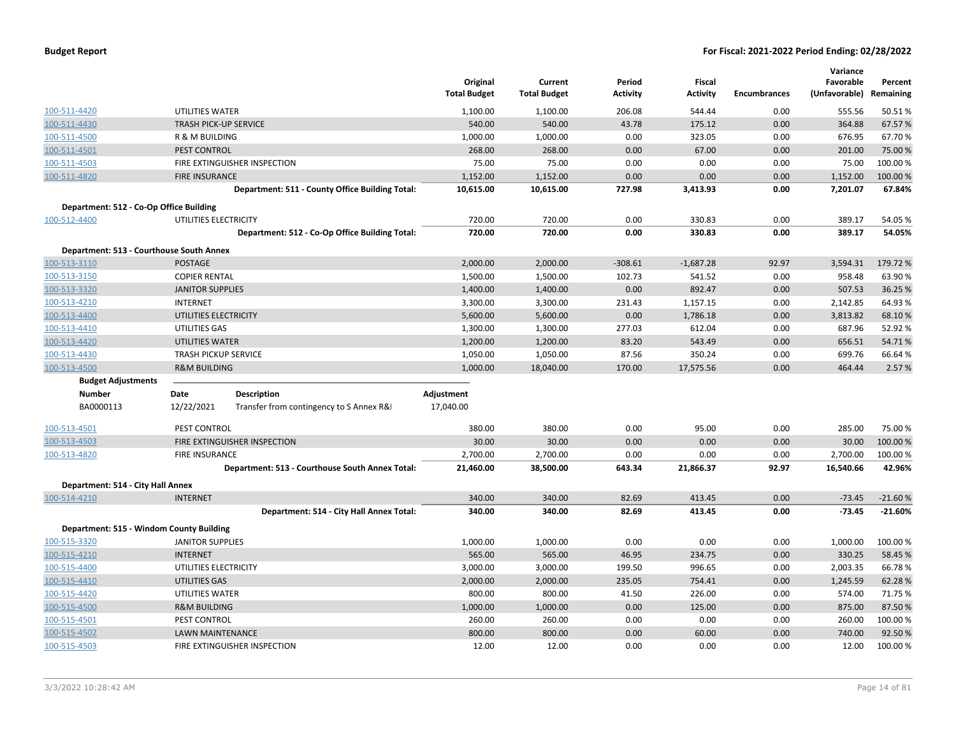|                                          |                              |                                                 | Original<br><b>Total Budget</b> | Current<br><b>Total Budget</b> | Period<br>Activity | Fiscal<br><b>Activity</b> | <b>Encumbrances</b> | Variance<br>Favorable<br>(Unfavorable) | Percent<br>Remaining |
|------------------------------------------|------------------------------|-------------------------------------------------|---------------------------------|--------------------------------|--------------------|---------------------------|---------------------|----------------------------------------|----------------------|
| 100-511-4420                             | UTILITIES WATER              |                                                 | 1,100.00                        | 1,100.00                       | 206.08             | 544.44                    | 0.00                | 555.56                                 | 50.51%               |
| 100-511-4430                             | <b>TRASH PICK-UP SERVICE</b> |                                                 | 540.00                          | 540.00                         | 43.78              | 175.12                    | 0.00                | 364.88                                 | 67.57 %              |
| 100-511-4500                             | R & M BUILDING               |                                                 | 1,000.00                        | 1,000.00                       | 0.00               | 323.05                    | 0.00                | 676.95                                 | 67.70%               |
| 100-511-4501                             | PEST CONTROL                 |                                                 | 268.00                          | 268.00                         | 0.00               | 67.00                     | 0.00                | 201.00                                 | 75.00 %              |
| 100-511-4503                             |                              | FIRE EXTINGUISHER INSPECTION                    | 75.00                           | 75.00                          | 0.00               | 0.00                      | 0.00                | 75.00                                  | 100.00%              |
| 100-511-4820                             | <b>FIRE INSURANCE</b>        |                                                 | 1,152.00                        | 1,152.00                       | 0.00               | 0.00                      | 0.00                | 1,152.00                               | 100.00%              |
|                                          |                              | Department: 511 - County Office Building Total: | 10,615.00                       | 10,615.00                      | 727.98             | 3,413.93                  | 0.00                | 7,201.07                               | 67.84%               |
| Department: 512 - Co-Op Office Building  |                              |                                                 |                                 |                                |                    |                           |                     |                                        |                      |
| 100-512-4400                             | UTILITIES ELECTRICITY        |                                                 | 720.00                          | 720.00                         | 0.00               | 330.83                    | 0.00                | 389.17                                 | 54.05 %              |
|                                          |                              | Department: 512 - Co-Op Office Building Total:  | 720.00                          | 720.00                         | 0.00               | 330.83                    | 0.00                | 389.17                                 | 54.05%               |
| Department: 513 - Courthouse South Annex |                              |                                                 |                                 |                                |                    |                           |                     |                                        |                      |
| 100-513-3110                             | <b>POSTAGE</b>               |                                                 | 2,000.00                        | 2,000.00                       | $-308.61$          | $-1,687.28$               | 92.97               | 3,594.31                               | 179.72%              |
| 100-513-3150                             | <b>COPIER RENTAL</b>         |                                                 | 1,500.00                        | 1,500.00                       | 102.73             | 541.52                    | 0.00                | 958.48                                 | 63.90%               |
| 100-513-3320                             | <b>JANITOR SUPPLIES</b>      |                                                 | 1,400.00                        | 1,400.00                       | 0.00               | 892.47                    | 0.00                | 507.53                                 | 36.25 %              |
| 100-513-4210                             | <b>INTERNET</b>              |                                                 | 3,300.00                        | 3,300.00                       | 231.43             | 1,157.15                  | 0.00                | 2,142.85                               | 64.93%               |
| 100-513-4400                             | UTILITIES ELECTRICITY        |                                                 | 5,600.00                        | 5,600.00                       | 0.00               | 1,786.18                  | 0.00                | 3,813.82                               | 68.10%               |
| 100-513-4410                             | UTILITIES GAS                |                                                 | 1,300.00                        | 1,300.00                       | 277.03             | 612.04                    | 0.00                | 687.96                                 | 52.92 %              |
| 100-513-4420                             | <b>UTILITIES WATER</b>       |                                                 | 1,200.00                        | 1,200.00                       | 83.20              | 543.49                    | 0.00                | 656.51                                 | 54.71%               |
| 100-513-4430                             | <b>TRASH PICKUP SERVICE</b>  |                                                 | 1,050.00                        | 1,050.00                       | 87.56              | 350.24                    | 0.00                | 699.76                                 | 66.64 %              |
| 100-513-4500                             | <b>R&amp;M BUILDING</b>      |                                                 | 1,000.00                        | 18,040.00                      | 170.00             | 17,575.56                 | 0.00                | 464.44                                 | 2.57%                |
| <b>Budget Adjustments</b>                |                              |                                                 |                                 |                                |                    |                           |                     |                                        |                      |
| <b>Number</b>                            | Date                         | <b>Description</b>                              | Adjustment                      |                                |                    |                           |                     |                                        |                      |
| BA0000113                                | 12/22/2021                   | Transfer from contingency to S Annex R&I        | 17,040.00                       |                                |                    |                           |                     |                                        |                      |
| 100-513-4501                             | PEST CONTROL                 |                                                 | 380.00                          | 380.00                         | 0.00               | 95.00                     | 0.00                | 285.00                                 | 75.00%               |
| 100-513-4503                             |                              | FIRE EXTINGUISHER INSPECTION                    | 30.00                           | 30.00                          | 0.00               | 0.00                      | 0.00                | 30.00                                  | 100.00%              |
| 100-513-4820                             | <b>FIRE INSURANCE</b>        |                                                 | 2,700.00                        | 2,700.00                       | 0.00               | 0.00                      | 0.00                | 2,700.00                               | 100.00%              |
|                                          |                              | Department: 513 - Courthouse South Annex Total: | 21,460.00                       | 38,500.00                      | 643.34             | 21,866.37                 | 92.97               | 16,540.66                              | 42.96%               |
| Department: 514 - City Hall Annex        |                              |                                                 |                                 |                                |                    |                           |                     |                                        |                      |
| 100-514-4210                             | <b>INTERNET</b>              |                                                 | 340.00                          | 340.00                         | 82.69              | 413.45                    | 0.00                | $-73.45$                               | $-21.60%$            |
|                                          |                              | Department: 514 - City Hall Annex Total:        | 340.00                          | 340.00                         | 82.69              | 413.45                    | 0.00                | $-73.45$                               | $-21.60%$            |
| Department: 515 - Windom County Building |                              |                                                 |                                 |                                |                    |                           |                     |                                        |                      |
| 100-515-3320                             | <b>JANITOR SUPPLIES</b>      |                                                 | 1,000.00                        | 1,000.00                       | 0.00               | 0.00                      | 0.00                | 1,000.00                               | 100.00%              |
| 100-515-4210                             | <b>INTERNET</b>              |                                                 | 565.00                          | 565.00                         | 46.95              | 234.75                    | 0.00                | 330.25                                 | 58.45 %              |
| 100-515-4400                             | UTILITIES ELECTRICITY        |                                                 | 3,000.00                        | 3,000.00                       | 199.50             | 996.65                    | 0.00                | 2,003.35                               | 66.78%               |
| 100-515-4410                             | UTILITIES GAS                |                                                 | 2,000.00                        | 2,000.00                       | 235.05             | 754.41                    | 0.00                | 1,245.59                               | 62.28%               |
| 100-515-4420                             | UTILITIES WATER              |                                                 | 800.00                          | 800.00                         | 41.50              | 226.00                    | 0.00                | 574.00                                 | 71.75 %              |
| 100-515-4500                             | <b>R&amp;M BUILDING</b>      |                                                 | 1,000.00                        | 1,000.00                       | 0.00               | 125.00                    | 0.00                | 875.00                                 | 87.50%               |
| 100-515-4501                             | PEST CONTROL                 |                                                 | 260.00                          | 260.00                         | 0.00               | 0.00                      | 0.00                | 260.00                                 | 100.00%              |
| 100-515-4502                             | <b>LAWN MAINTENANCE</b>      |                                                 | 800.00                          | 800.00                         | 0.00               | 60.00                     | 0.00                | 740.00                                 | 92.50%               |
| 100-515-4503                             |                              | FIRE EXTINGUISHER INSPECTION                    | 12.00                           | 12.00                          | 0.00               | 0.00                      | 0.00                | 12.00                                  | 100.00 %             |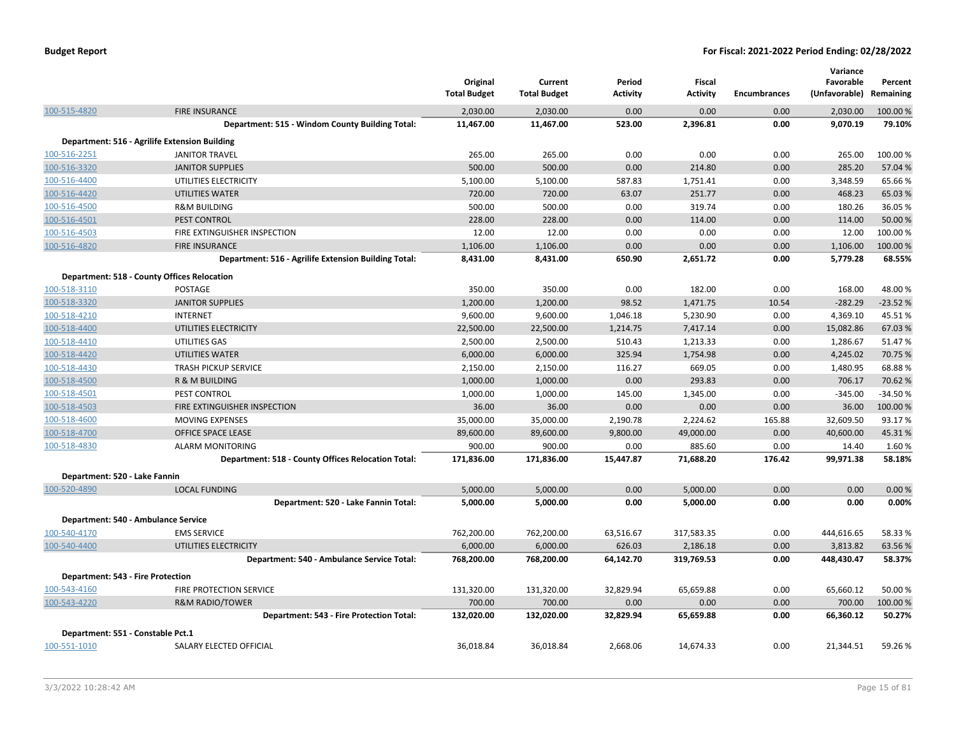|                                   |                                                      | Original<br><b>Total Budget</b> | Current<br><b>Total Budget</b> | Period<br><b>Activity</b> | Fiscal<br><b>Activity</b> | <b>Encumbrances</b> | Variance<br>Favorable<br>(Unfavorable) | Percent<br>Remaining |
|-----------------------------------|------------------------------------------------------|---------------------------------|--------------------------------|---------------------------|---------------------------|---------------------|----------------------------------------|----------------------|
| 100-515-4820                      | <b>FIRE INSURANCE</b>                                | 2,030.00                        | 2,030.00                       | 0.00                      | 0.00                      | 0.00                | 2,030.00                               | 100.00%              |
|                                   | Department: 515 - Windom County Building Total:      | 11,467.00                       | 11,467.00                      | 523.00                    | 2,396.81                  | 0.00                | 9,070.19                               | 79.10%               |
|                                   | Department: 516 - Agrilife Extension Building        |                                 |                                |                           |                           |                     |                                        |                      |
| 100-516-2251                      | <b>JANITOR TRAVEL</b>                                | 265.00                          | 265.00                         | 0.00                      | 0.00                      | 0.00                | 265.00                                 | 100.00 %             |
| 100-516-3320                      | <b>JANITOR SUPPLIES</b>                              | 500.00                          | 500.00                         | 0.00                      | 214.80                    | 0.00                | 285.20                                 | 57.04 %              |
| 100-516-4400                      | UTILITIES ELECTRICITY                                | 5,100.00                        | 5,100.00                       | 587.83                    | 1,751.41                  | 0.00                | 3,348.59                               | 65.66%               |
| 100-516-4420                      | UTILITIES WATER                                      | 720.00                          | 720.00                         | 63.07                     | 251.77                    | 0.00                | 468.23                                 | 65.03 %              |
| 100-516-4500                      | <b>R&amp;M BUILDING</b>                              | 500.00                          | 500.00                         | 0.00                      | 319.74                    | 0.00                | 180.26                                 | 36.05 %              |
| 100-516-4501                      | PEST CONTROL                                         | 228.00                          | 228.00                         | 0.00                      | 114.00                    | 0.00                | 114.00                                 | 50.00 %              |
| 100-516-4503                      | FIRE EXTINGUISHER INSPECTION                         | 12.00                           | 12.00                          | 0.00                      | 0.00                      | 0.00                | 12.00                                  | 100.00%              |
| 100-516-4820                      | <b>FIRE INSURANCE</b>                                | 1,106.00                        | 1,106.00                       | 0.00                      | 0.00                      | 0.00                | 1,106.00                               | 100.00 %             |
|                                   | Department: 516 - Agrilife Extension Building Total: | 8,431.00                        | 8,431.00                       | 650.90                    | 2,651.72                  | 0.00                | 5,779.28                               | 68.55%               |
|                                   | <b>Department: 518 - County Offices Relocation</b>   |                                 |                                |                           |                           |                     |                                        |                      |
| 100-518-3110                      | POSTAGE                                              | 350.00                          | 350.00                         | 0.00                      | 182.00                    | 0.00                | 168.00                                 | 48.00%               |
| 100-518-3320                      | <b>JANITOR SUPPLIES</b>                              | 1,200.00                        | 1,200.00                       | 98.52                     | 1,471.75                  | 10.54               | $-282.29$                              | $-23.52%$            |
| 100-518-4210                      | INTERNET                                             | 9,600.00                        | 9,600.00                       | 1,046.18                  | 5,230.90                  | 0.00                | 4,369.10                               | 45.51%               |
| 100-518-4400                      | UTILITIES ELECTRICITY                                | 22,500.00                       | 22,500.00                      | 1,214.75                  | 7,417.14                  | 0.00                | 15,082.86                              | 67.03%               |
| 100-518-4410                      | UTILITIES GAS                                        | 2,500.00                        | 2,500.00                       | 510.43                    | 1,213.33                  | 0.00                | 1,286.67                               | 51.47%               |
| 100-518-4420                      | <b>UTILITIES WATER</b>                               | 6,000.00                        | 6,000.00                       | 325.94                    | 1,754.98                  | 0.00                | 4,245.02                               | 70.75%               |
| 100-518-4430                      | TRASH PICKUP SERVICE                                 | 2,150.00                        | 2,150.00                       | 116.27                    | 669.05                    | 0.00                | 1,480.95                               | 68.88%               |
| 100-518-4500                      | R & M BUILDING                                       | 1,000.00                        | 1,000.00                       | 0.00                      | 293.83                    | 0.00                | 706.17                                 | 70.62 %              |
| 100-518-4501                      | PEST CONTROL                                         | 1,000.00                        | 1,000.00                       | 145.00                    | 1,345.00                  | 0.00                | $-345.00$                              | $-34.50%$            |
| 100-518-4503                      | FIRE EXTINGUISHER INSPECTION                         | 36.00                           | 36.00                          | 0.00                      | 0.00                      | 0.00                | 36.00                                  | 100.00%              |
| 100-518-4600                      | <b>MOVING EXPENSES</b>                               | 35,000.00                       | 35,000.00                      | 2,190.78                  | 2,224.62                  | 165.88              | 32,609.50                              | 93.17%               |
| 100-518-4700                      | OFFICE SPACE LEASE                                   | 89,600.00                       | 89,600.00                      | 9,800.00                  | 49,000.00                 | 0.00                | 40,600.00                              | 45.31%               |
| 100-518-4830                      | <b>ALARM MONITORING</b>                              | 900.00                          | 900.00                         | 0.00                      | 885.60                    | 0.00                | 14.40                                  | 1.60%                |
|                                   | Department: 518 - County Offices Relocation Total:   | 171,836.00                      | 171,836.00                     | 15,447.87                 | 71,688.20                 | 176.42              | 99,971.38                              | 58.18%               |
| Department: 520 - Lake Fannin     |                                                      |                                 |                                |                           |                           |                     |                                        |                      |
| 100-520-4890                      | <b>LOCAL FUNDING</b>                                 | 5,000.00                        | 5,000.00                       | 0.00                      | 5,000.00                  | 0.00                | 0.00                                   | 0.00%                |
|                                   | Department: 520 - Lake Fannin Total:                 | 5,000.00                        | 5,000.00                       | 0.00                      | 5,000.00                  | 0.00                | 0.00                                   | 0.00%                |
|                                   | Department: 540 - Ambulance Service                  |                                 |                                |                           |                           |                     |                                        |                      |
| 100-540-4170                      | <b>EMS SERVICE</b>                                   | 762,200.00                      | 762,200.00                     | 63,516.67                 | 317,583.35                | 0.00                | 444,616.65                             | 58.33%               |
| 100-540-4400                      | UTILITIES ELECTRICITY                                | 6,000.00                        | 6,000.00                       | 626.03                    | 2,186.18                  | 0.00                | 3,813.82                               | 63.56%               |
|                                   | Department: 540 - Ambulance Service Total:           | 768,200.00                      | 768,200.00                     | 64,142.70                 | 319,769.53                | 0.00                | 448,430.47                             | 58.37%               |
|                                   |                                                      |                                 |                                |                           |                           |                     |                                        |                      |
| Department: 543 - Fire Protection |                                                      |                                 |                                |                           |                           |                     |                                        |                      |
| 100-543-4160                      | FIRE PROTECTION SERVICE                              | 131,320.00                      | 131,320.00                     | 32,829.94                 | 65,659.88                 | 0.00                | 65,660.12                              | 50.00 %              |
| 100-543-4220                      | <b>R&amp;M RADIO/TOWER</b>                           | 700.00                          | 700.00                         | 0.00                      | 0.00                      | 0.00                | 700.00                                 | 100.00 %             |
|                                   | Department: 543 - Fire Protection Total:             | 132,020.00                      | 132,020.00                     | 32,829.94                 | 65,659.88                 | 0.00                | 66,360.12                              | 50.27%               |
| Department: 551 - Constable Pct.1 |                                                      |                                 |                                |                           |                           |                     |                                        |                      |
| 100-551-1010                      | SALARY ELECTED OFFICIAL                              | 36,018.84                       | 36,018.84                      | 2,668.06                  | 14,674.33                 | 0.00                | 21,344.51                              | 59.26%               |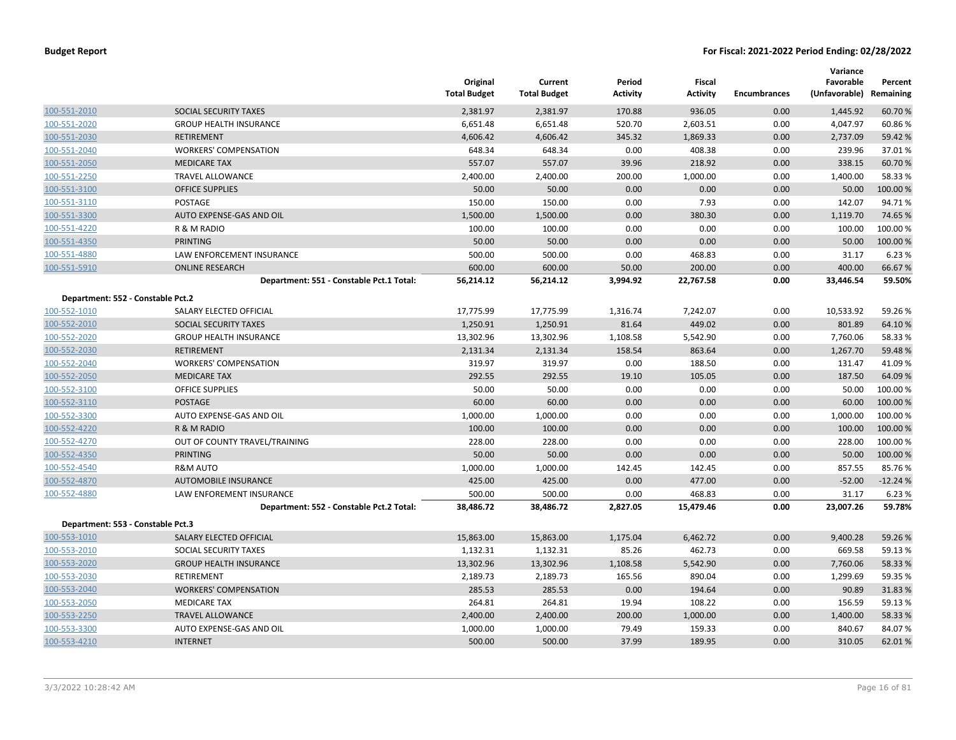|                                   |                                          | Original<br><b>Total Budget</b> | Current<br><b>Total Budget</b> | Period<br><b>Activity</b> | <b>Fiscal</b><br><b>Activity</b> | Encumbrances | Variance<br>Favorable<br>(Unfavorable) | Percent<br>Remaining |
|-----------------------------------|------------------------------------------|---------------------------------|--------------------------------|---------------------------|----------------------------------|--------------|----------------------------------------|----------------------|
| 100-551-2010                      | SOCIAL SECURITY TAXES                    | 2,381.97                        | 2,381.97                       | 170.88                    | 936.05                           | 0.00         | 1,445.92                               | 60.70%               |
| 100-551-2020                      | <b>GROUP HEALTH INSURANCE</b>            | 6,651.48                        | 6,651.48                       | 520.70                    | 2,603.51                         | 0.00         | 4,047.97                               | 60.86%               |
| 100-551-2030                      | <b>RETIREMENT</b>                        | 4,606.42                        | 4,606.42                       | 345.32                    | 1,869.33                         | 0.00         | 2,737.09                               | 59.42 %              |
| 100-551-2040                      | <b>WORKERS' COMPENSATION</b>             | 648.34                          | 648.34                         | 0.00                      | 408.38                           | 0.00         | 239.96                                 | 37.01%               |
| 100-551-2050                      | <b>MEDICARE TAX</b>                      | 557.07                          | 557.07                         | 39.96                     | 218.92                           | 0.00         | 338.15                                 | 60.70%               |
| 100-551-2250                      | <b>TRAVEL ALLOWANCE</b>                  | 2,400.00                        | 2,400.00                       | 200.00                    | 1,000.00                         | 0.00         | 1,400.00                               | 58.33 %              |
| 100-551-3100                      | <b>OFFICE SUPPLIES</b>                   | 50.00                           | 50.00                          | 0.00                      | 0.00                             | 0.00         | 50.00                                  | 100.00%              |
| 100-551-3110                      | POSTAGE                                  | 150.00                          | 150.00                         | 0.00                      | 7.93                             | 0.00         | 142.07                                 | 94.71%               |
| 100-551-3300                      | AUTO EXPENSE-GAS AND OIL                 | 1,500.00                        | 1,500.00                       | 0.00                      | 380.30                           | 0.00         | 1,119.70                               | 74.65 %              |
| 100-551-4220                      | R & M RADIO                              | 100.00                          | 100.00                         | 0.00                      | 0.00                             | 0.00         | 100.00                                 | 100.00%              |
| 100-551-4350                      | <b>PRINTING</b>                          | 50.00                           | 50.00                          | 0.00                      | 0.00                             | 0.00         | 50.00                                  | 100.00%              |
| 100-551-4880                      | LAW ENFORCEMENT INSURANCE                | 500.00                          | 500.00                         | 0.00                      | 468.83                           | 0.00         | 31.17                                  | 6.23 %               |
| 100-551-5910                      | <b>ONLINE RESEARCH</b>                   | 600.00                          | 600.00                         | 50.00                     | 200.00                           | 0.00         | 400.00                                 | 66.67%               |
|                                   | Department: 551 - Constable Pct.1 Total: | 56,214.12                       | 56,214.12                      | 3,994.92                  | 22,767.58                        | 0.00         | 33,446.54                              | 59.50%               |
| Department: 552 - Constable Pct.2 |                                          |                                 |                                |                           |                                  |              |                                        |                      |
| 100-552-1010                      | SALARY ELECTED OFFICIAL                  | 17,775.99                       | 17,775.99                      | 1,316.74                  | 7,242.07                         | 0.00         | 10,533.92                              | 59.26%               |
| 100-552-2010                      | SOCIAL SECURITY TAXES                    | 1,250.91                        | 1,250.91                       | 81.64                     | 449.02                           | 0.00         | 801.89                                 | 64.10%               |
| 100-552-2020                      | <b>GROUP HEALTH INSURANCE</b>            | 13,302.96                       | 13,302.96                      | 1,108.58                  | 5,542.90                         | 0.00         | 7,760.06                               | 58.33 %              |
| 100-552-2030                      | <b>RETIREMENT</b>                        | 2,131.34                        | 2,131.34                       | 158.54                    | 863.64                           | 0.00         | 1,267.70                               | 59.48%               |
| 100-552-2040                      | <b>WORKERS' COMPENSATION</b>             | 319.97                          | 319.97                         | 0.00                      | 188.50                           | 0.00         | 131.47                                 | 41.09%               |
| 100-552-2050                      | <b>MEDICARE TAX</b>                      | 292.55                          | 292.55                         | 19.10                     | 105.05                           | 0.00         | 187.50                                 | 64.09%               |
| 100-552-3100                      | <b>OFFICE SUPPLIES</b>                   | 50.00                           | 50.00                          | 0.00                      | 0.00                             | 0.00         | 50.00                                  | 100.00%              |
| 100-552-3110                      | <b>POSTAGE</b>                           | 60.00                           | 60.00                          | 0.00                      | 0.00                             | 0.00         | 60.00                                  | 100.00 %             |
| 100-552-3300                      | AUTO EXPENSE-GAS AND OIL                 | 1,000.00                        | 1,000.00                       | 0.00                      | 0.00                             | 0.00         | 1,000.00                               | 100.00%              |
| 100-552-4220                      | R & M RADIO                              | 100.00                          | 100.00                         | 0.00                      | 0.00                             | 0.00         | 100.00                                 | 100.00%              |
| 100-552-4270                      | OUT OF COUNTY TRAVEL/TRAINING            | 228.00                          | 228.00                         | 0.00                      | 0.00                             | 0.00         | 228.00                                 | 100.00%              |
| 100-552-4350                      | <b>PRINTING</b>                          | 50.00                           | 50.00                          | 0.00                      | 0.00                             | 0.00         | 50.00                                  | 100.00 %             |
| 100-552-4540                      | R&M AUTO                                 | 1,000.00                        | 1,000.00                       | 142.45                    | 142.45                           | 0.00         | 857.55                                 | 85.76%               |
| 100-552-4870                      | <b>AUTOMOBILE INSURANCE</b>              | 425.00                          | 425.00                         | 0.00                      | 477.00                           | 0.00         | $-52.00$                               | $-12.24%$            |
| 100-552-4880                      | LAW ENFOREMENT INSURANCE                 | 500.00                          | 500.00                         | 0.00                      | 468.83                           | 0.00         | 31.17                                  | 6.23 %               |
|                                   | Department: 552 - Constable Pct.2 Total: | 38,486.72                       | 38,486.72                      | 2,827.05                  | 15,479.46                        | 0.00         | 23,007.26                              | 59.78%               |
| Department: 553 - Constable Pct.3 |                                          |                                 |                                |                           |                                  |              |                                        |                      |
| 100-553-1010                      | SALARY ELECTED OFFICIAL                  | 15,863.00                       | 15,863.00                      | 1,175.04                  | 6,462.72                         | 0.00         | 9,400.28                               | 59.26 %              |
| 100-553-2010                      | SOCIAL SECURITY TAXES                    | 1,132.31                        | 1,132.31                       | 85.26                     | 462.73                           | 0.00         | 669.58                                 | 59.13%               |
| 100-553-2020                      | <b>GROUP HEALTH INSURANCE</b>            | 13,302.96                       | 13,302.96                      | 1,108.58                  | 5,542.90                         | 0.00         | 7,760.06                               | 58.33 %              |
| 100-553-2030                      | RETIREMENT                               | 2,189.73                        | 2,189.73                       | 165.56                    | 890.04                           | 0.00         | 1,299.69                               | 59.35 %              |
| 100-553-2040                      | <b>WORKERS' COMPENSATION</b>             | 285.53                          | 285.53                         | 0.00                      | 194.64                           | 0.00         | 90.89                                  | 31.83%               |
| 100-553-2050                      | <b>MEDICARE TAX</b>                      | 264.81                          | 264.81                         | 19.94                     | 108.22                           | 0.00         | 156.59                                 | 59.13 %              |
| 100-553-2250                      | <b>TRAVEL ALLOWANCE</b>                  | 2,400.00                        | 2,400.00                       | 200.00                    | 1,000.00                         | 0.00         | 1,400.00                               | 58.33 %              |
| 100-553-3300                      | AUTO EXPENSE-GAS AND OIL                 | 1,000.00                        | 1,000.00                       | 79.49                     | 159.33                           | 0.00         | 840.67                                 | 84.07%               |
| 100-553-4210                      | <b>INTERNET</b>                          | 500.00                          | 500.00                         | 37.99                     | 189.95                           | 0.00         | 310.05                                 | 62.01%               |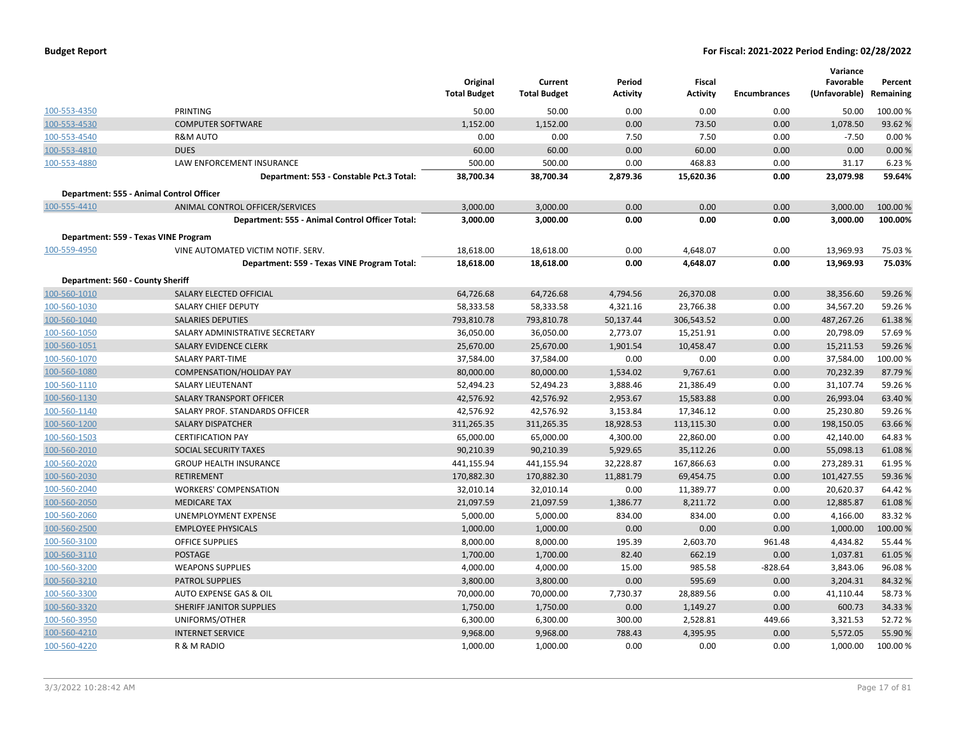| <b>Budget Report</b> |  |  |
|----------------------|--|--|
|----------------------|--|--|

|                                      |                                                 |                                 |                                |                           |                                  |                     | Variance                   |                      |
|--------------------------------------|-------------------------------------------------|---------------------------------|--------------------------------|---------------------------|----------------------------------|---------------------|----------------------------|----------------------|
|                                      |                                                 | Original<br><b>Total Budget</b> | Current<br><b>Total Budget</b> | Period<br><b>Activity</b> | <b>Fiscal</b><br><b>Activity</b> | <b>Encumbrances</b> | Favorable<br>(Unfavorable) | Percent<br>Remaining |
|                                      |                                                 |                                 |                                |                           |                                  |                     |                            |                      |
| 100-553-4350                         | <b>PRINTING</b>                                 | 50.00                           | 50.00                          | 0.00                      | 0.00                             | 0.00                | 50.00                      | 100.00%              |
| 100-553-4530                         | <b>COMPUTER SOFTWARE</b>                        | 1,152.00                        | 1,152.00                       | 0.00                      | 73.50                            | 0.00                | 1,078.50                   | 93.62%               |
| 100-553-4540                         | <b>R&amp;M AUTO</b>                             | 0.00                            | 0.00                           | 7.50                      | 7.50                             | 0.00                | $-7.50$                    | 0.00%                |
| 100-553-4810                         | <b>DUES</b>                                     | 60.00                           | 60.00                          | 0.00                      | 60.00                            | 0.00                | 0.00                       | 0.00%                |
| 100-553-4880                         | LAW ENFORCEMENT INSURANCE                       | 500.00                          | 500.00                         | 0.00                      | 468.83                           | 0.00                | 31.17                      | 6.23%                |
|                                      | Department: 553 - Constable Pct.3 Total:        | 38,700.34                       | 38,700.34                      | 2,879.36                  | 15,620.36                        | 0.00                | 23,079.98                  | 59.64%               |
|                                      | Department: 555 - Animal Control Officer        |                                 |                                |                           |                                  |                     |                            |                      |
| 100-555-4410                         | ANIMAL CONTROL OFFICER/SERVICES                 | 3,000.00                        | 3,000.00                       | 0.00                      | 0.00                             | 0.00                | 3,000.00                   | 100.00 %             |
|                                      | Department: 555 - Animal Control Officer Total: | 3,000.00                        | 3,000.00                       | 0.00                      | 0.00                             | 0.00                | 3,000.00                   | 100.00%              |
| Department: 559 - Texas VINE Program |                                                 |                                 |                                |                           |                                  |                     |                            |                      |
| 100-559-4950                         | VINE AUTOMATED VICTIM NOTIF. SERV.              | 18,618.00                       | 18,618.00                      | 0.00                      | 4,648.07                         | 0.00                | 13,969.93                  | 75.03%               |
|                                      | Department: 559 - Texas VINE Program Total:     | 18,618.00                       | 18,618.00                      | 0.00                      | 4,648.07                         | 0.00                | 13,969.93                  | 75.03%               |
| Department: 560 - County Sheriff     |                                                 |                                 |                                |                           |                                  |                     |                            |                      |
| 100-560-1010                         | SALARY ELECTED OFFICIAL                         | 64,726.68                       | 64,726.68                      | 4,794.56                  | 26,370.08                        | 0.00                | 38,356.60                  | 59.26%               |
| 100-560-1030                         | <b>SALARY CHIEF DEPUTY</b>                      | 58,333.58                       | 58,333.58                      | 4,321.16                  | 23,766.38                        | 0.00                | 34,567.20                  | 59.26%               |
| 100-560-1040                         | <b>SALARIES DEPUTIES</b>                        | 793,810.78                      | 793,810.78                     | 50,137.44                 | 306,543.52                       | 0.00                | 487,267.26                 | 61.38%               |
| 100-560-1050                         | SALARY ADMINISTRATIVE SECRETARY                 | 36,050.00                       | 36,050.00                      | 2,773.07                  | 15,251.91                        | 0.00                | 20,798.09                  | 57.69%               |
| 100-560-1051                         | SALARY EVIDENCE CLERK                           | 25,670.00                       | 25,670.00                      | 1,901.54                  | 10,458.47                        | 0.00                | 15,211.53                  | 59.26%               |
| 100-560-1070                         | SALARY PART-TIME                                | 37,584.00                       | 37,584.00                      | 0.00                      | 0.00                             | 0.00                | 37,584.00                  | 100.00%              |
| 100-560-1080                         | <b>COMPENSATION/HOLIDAY PAY</b>                 | 80,000.00                       | 80,000.00                      | 1,534.02                  | 9,767.61                         | 0.00                | 70,232.39                  | 87.79%               |
| 100-560-1110                         | <b>SALARY LIEUTENANT</b>                        | 52,494.23                       | 52,494.23                      | 3,888.46                  | 21,386.49                        | 0.00                | 31,107.74                  | 59.26%               |
| 100-560-1130                         | SALARY TRANSPORT OFFICER                        | 42,576.92                       | 42,576.92                      | 2,953.67                  | 15,583.88                        | 0.00                | 26,993.04                  | 63.40%               |
| 100-560-1140                         | SALARY PROF. STANDARDS OFFICER                  | 42,576.92                       | 42,576.92                      | 3,153.84                  | 17,346.12                        | 0.00                | 25,230.80                  | 59.26%               |
| 100-560-1200                         | <b>SALARY DISPATCHER</b>                        | 311,265.35                      | 311,265.35                     | 18,928.53                 | 113,115.30                       | 0.00                | 198,150.05                 | 63.66%               |
| 100-560-1503                         | <b>CERTIFICATION PAY</b>                        | 65,000.00                       | 65,000.00                      | 4,300.00                  | 22,860.00                        | 0.00                | 42,140.00                  | 64.83%               |
| 100-560-2010                         | <b>SOCIAL SECURITY TAXES</b>                    | 90,210.39                       | 90,210.39                      | 5,929.65                  | 35,112.26                        | 0.00                | 55,098.13                  | 61.08%               |
| 100-560-2020                         | <b>GROUP HEALTH INSURANCE</b>                   | 441,155.94                      | 441,155.94                     | 32,228.87                 | 167,866.63                       | 0.00                | 273,289.31                 | 61.95%               |
| 100-560-2030                         | <b>RETIREMENT</b>                               | 170,882.30                      | 170,882.30                     | 11,881.79                 | 69,454.75                        | 0.00                | 101,427.55                 | 59.36 %              |
| 100-560-2040                         | <b>WORKERS' COMPENSATION</b>                    | 32,010.14                       | 32,010.14                      | 0.00                      | 11,389.77                        | 0.00                | 20,620.37                  | 64.42%               |
| 100-560-2050                         | <b>MEDICARE TAX</b>                             | 21,097.59                       | 21,097.59                      | 1,386.77                  | 8,211.72                         | 0.00                | 12,885.87                  | 61.08%               |
| 100-560-2060                         | UNEMPLOYMENT EXPENSE                            | 5,000.00                        | 5,000.00                       | 834.00                    | 834.00                           | 0.00                | 4,166.00                   | 83.32%               |
| 100-560-2500                         | <b>EMPLOYEE PHYSICALS</b>                       | 1,000.00                        | 1,000.00                       | 0.00                      | 0.00                             | 0.00                | 1,000.00                   | 100.00 %             |
| 100-560-3100                         | OFFICE SUPPLIES                                 | 8,000.00                        | 8,000.00                       | 195.39                    | 2,603.70                         | 961.48              | 4,434.82                   | 55.44 %              |
| 100-560-3110                         | <b>POSTAGE</b>                                  | 1,700.00                        | 1,700.00                       | 82.40                     | 662.19                           | 0.00                | 1,037.81                   | 61.05%               |
| 100-560-3200                         | <b>WEAPONS SUPPLIES</b>                         | 4,000.00                        | 4,000.00                       | 15.00                     | 985.58                           | $-828.64$           | 3,843.06                   | 96.08%               |
| 100-560-3210                         | <b>PATROL SUPPLIES</b>                          | 3,800.00                        | 3,800.00                       | 0.00                      | 595.69                           | 0.00                | 3,204.31                   | 84.32%               |
| 100-560-3300                         | AUTO EXPENSE GAS & OIL                          | 70,000.00                       | 70,000.00                      | 7,730.37                  | 28,889.56                        | 0.00                | 41,110.44                  | 58.73%               |
| 100-560-3320                         | SHERIFF JANITOR SUPPLIES                        | 1,750.00                        | 1,750.00                       | 0.00                      | 1,149.27                         | 0.00                | 600.73                     | 34.33 %              |
| 100-560-3950                         | UNIFORMS/OTHER                                  | 6,300.00                        | 6,300.00                       | 300.00                    | 2,528.81                         | 449.66              | 3,321.53                   | 52.72%               |
| 100-560-4210                         | <b>INTERNET SERVICE</b>                         | 9,968.00                        | 9,968.00                       | 788.43                    | 4,395.95                         | 0.00                | 5,572.05                   | 55.90 %              |
| 100-560-4220                         | R & M RADIO                                     | 1,000.00                        | 1,000.00                       | 0.00                      | 0.00                             | 0.00                | 1,000.00                   | 100.00 %             |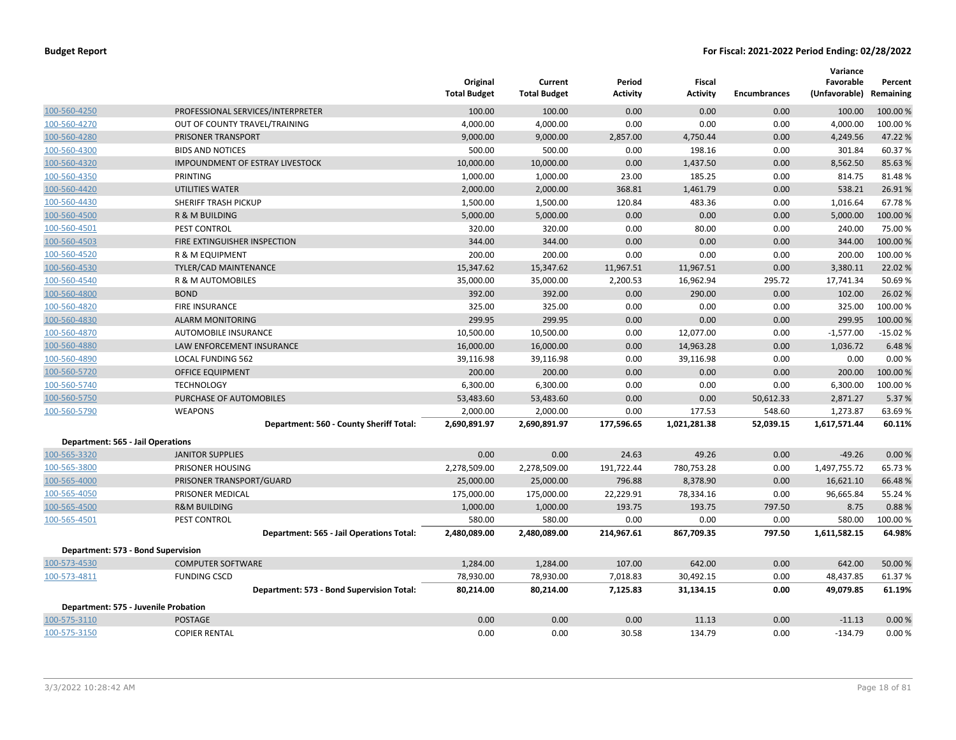|                                          |                                           | Original<br><b>Total Budget</b> | Current<br><b>Total Budget</b> | Period<br><b>Activity</b> | Fiscal<br><b>Activity</b> | <b>Encumbrances</b> | Variance<br>Favorable<br>(Unfavorable) | Percent<br>Remaining |
|------------------------------------------|-------------------------------------------|---------------------------------|--------------------------------|---------------------------|---------------------------|---------------------|----------------------------------------|----------------------|
| 100-560-4250                             | PROFESSIONAL SERVICES/INTERPRETER         | 100.00                          | 100.00                         | 0.00                      | 0.00                      | 0.00                | 100.00                                 | 100.00%              |
| 100-560-4270                             | OUT OF COUNTY TRAVEL/TRAINING             | 4,000.00                        | 4,000.00                       | 0.00                      | 0.00                      | 0.00                | 4,000.00                               | 100.00%              |
| 100-560-4280                             | <b>PRISONER TRANSPORT</b>                 | 9,000.00                        | 9,000.00                       | 2,857.00                  | 4,750.44                  | 0.00                | 4,249.56                               | 47.22 %              |
| 100-560-4300                             | <b>BIDS AND NOTICES</b>                   | 500.00                          | 500.00                         | 0.00                      | 198.16                    | 0.00                | 301.84                                 | 60.37%               |
| 100-560-4320                             | <b>IMPOUNDMENT OF ESTRAY LIVESTOCK</b>    | 10,000.00                       | 10,000.00                      | 0.00                      | 1,437.50                  | 0.00                | 8,562.50                               | 85.63%               |
| 100-560-4350                             | PRINTING                                  | 1,000.00                        | 1,000.00                       | 23.00                     | 185.25                    | 0.00                | 814.75                                 | 81.48%               |
| 100-560-4420                             | <b>UTILITIES WATER</b>                    | 2,000.00                        | 2,000.00                       | 368.81                    | 1,461.79                  | 0.00                | 538.21                                 | 26.91%               |
| 100-560-4430                             | SHERIFF TRASH PICKUP                      | 1,500.00                        | 1,500.00                       | 120.84                    | 483.36                    | 0.00                | 1,016.64                               | 67.78%               |
| 100-560-4500                             | R & M BUILDING                            | 5,000.00                        | 5,000.00                       | 0.00                      | 0.00                      | 0.00                | 5,000.00                               | 100.00%              |
| 100-560-4501                             | PEST CONTROL                              | 320.00                          | 320.00                         | 0.00                      | 80.00                     | 0.00                | 240.00                                 | 75.00 %              |
| 100-560-4503                             | FIRE EXTINGUISHER INSPECTION              | 344.00                          | 344.00                         | 0.00                      | 0.00                      | 0.00                | 344.00                                 | 100.00 %             |
| 100-560-4520                             | <b>R &amp; M EQUIPMENT</b>                | 200.00                          | 200.00                         | 0.00                      | 0.00                      | 0.00                | 200.00                                 | 100.00%              |
| 100-560-4530                             | TYLER/CAD MAINTENANCE                     | 15,347.62                       | 15,347.62                      | 11,967.51                 | 11,967.51                 | 0.00                | 3,380.11                               | 22.02 %              |
| 100-560-4540                             | R & M AUTOMOBILES                         | 35,000.00                       | 35,000.00                      | 2,200.53                  | 16,962.94                 | 295.72              | 17,741.34                              | 50.69%               |
| 100-560-4800                             | <b>BOND</b>                               | 392.00                          | 392.00                         | 0.00                      | 290.00                    | 0.00                | 102.00                                 | 26.02 %              |
| 100-560-4820                             | <b>FIRE INSURANCE</b>                     | 325.00                          | 325.00                         | 0.00                      | 0.00                      | 0.00                | 325.00                                 | 100.00%              |
| 100-560-4830                             | <b>ALARM MONITORING</b>                   | 299.95                          | 299.95                         | 0.00                      | 0.00                      | 0.00                | 299.95                                 | 100.00%              |
| 100-560-4870                             | <b>AUTOMOBILE INSURANCE</b>               | 10,500.00                       | 10,500.00                      | 0.00                      | 12,077.00                 | 0.00                | $-1,577.00$                            | $-15.02%$            |
| 100-560-4880                             | LAW ENFORCEMENT INSURANCE                 | 16,000.00                       | 16,000.00                      | 0.00                      | 14,963.28                 | 0.00                | 1,036.72                               | 6.48%                |
| 100-560-4890                             | <b>LOCAL FUNDING 562</b>                  | 39,116.98                       | 39,116.98                      | 0.00                      | 39,116.98                 | 0.00                | 0.00                                   | 0.00%                |
| 100-560-5720                             | OFFICE EQUIPMENT                          | 200.00                          | 200.00                         | 0.00                      | 0.00                      | 0.00                | 200.00                                 | 100.00%              |
| 100-560-5740                             | <b>TECHNOLOGY</b>                         | 6,300.00                        | 6,300.00                       | 0.00                      | 0.00                      | 0.00                | 6,300.00                               | 100.00%              |
| 100-560-5750                             | PURCHASE OF AUTOMOBILES                   | 53,483.60                       | 53,483.60                      | 0.00                      | 0.00                      | 50,612.33           | 2,871.27                               | 5.37 %               |
| 100-560-5790                             | <b>WEAPONS</b>                            | 2,000.00                        | 2,000.00                       | 0.00                      | 177.53                    | 548.60              | 1,273.87                               | 63.69%               |
|                                          | Department: 560 - County Sheriff Total:   | 2,690,891.97                    | 2,690,891.97                   | 177,596.65                | 1,021,281.38              | 52,039.15           | 1,617,571.44                           | 60.11%               |
| <b>Department: 565 - Jail Operations</b> |                                           |                                 |                                |                           |                           |                     |                                        |                      |
| 100-565-3320                             | <b>JANITOR SUPPLIES</b>                   | 0.00                            | 0.00                           | 24.63                     | 49.26                     | 0.00                | $-49.26$                               | 0.00%                |
| 100-565-3800                             | PRISONER HOUSING                          | 2,278,509.00                    | 2,278,509.00                   | 191,722.44                | 780,753.28                | 0.00                | 1,497,755.72                           | 65.73%               |
| 100-565-4000                             | PRISONER TRANSPORT/GUARD                  | 25,000.00                       | 25,000.00                      | 796.88                    | 8,378.90                  | 0.00                | 16,621.10                              | 66.48%               |
| 100-565-4050                             | PRISONER MEDICAL                          | 175,000.00                      | 175,000.00                     | 22,229.91                 | 78,334.16                 | 0.00                | 96,665.84                              | 55.24 %              |
| 100-565-4500                             | <b>R&amp;M BUILDING</b>                   | 1,000.00                        | 1,000.00                       | 193.75                    | 193.75                    | 797.50              | 8.75                                   | 0.88%                |
| 100-565-4501                             | PEST CONTROL                              | 580.00                          | 580.00                         | 0.00                      | 0.00                      | 0.00                | 580.00                                 | 100.00%              |
|                                          | Department: 565 - Jail Operations Total:  | 2,480,089.00                    | 2,480,089.00                   | 214,967.61                | 867,709.35                | 797.50              | 1,611,582.15                           | 64.98%               |
| Department: 573 - Bond Supervision       |                                           |                                 |                                |                           |                           |                     |                                        |                      |
| 100-573-4530                             | <b>COMPUTER SOFTWARE</b>                  | 1,284.00                        | 1,284.00                       | 107.00                    | 642.00                    | 0.00                | 642.00                                 | 50.00 %              |
| 100-573-4811                             | <b>FUNDING CSCD</b>                       | 78,930.00                       | 78,930.00                      | 7,018.83                  | 30,492.15                 | 0.00                | 48,437.85                              | 61.37%               |
|                                          | Department: 573 - Bond Supervision Total: | 80,214.00                       | 80,214.00                      | 7,125.83                  | 31,134.15                 | 0.00                | 49,079.85                              | 61.19%               |
| Department: 575 - Juvenile Probation     |                                           |                                 |                                |                           |                           |                     |                                        |                      |
| 100-575-3110                             | <b>POSTAGE</b>                            | 0.00                            | 0.00                           | 0.00                      | 11.13                     | 0.00                | $-11.13$                               | 0.00%                |
| 100-575-3150                             | <b>COPIER RENTAL</b>                      | 0.00                            | 0.00                           | 30.58                     | 134.79                    | 0.00                | $-134.79$                              | 0.00%                |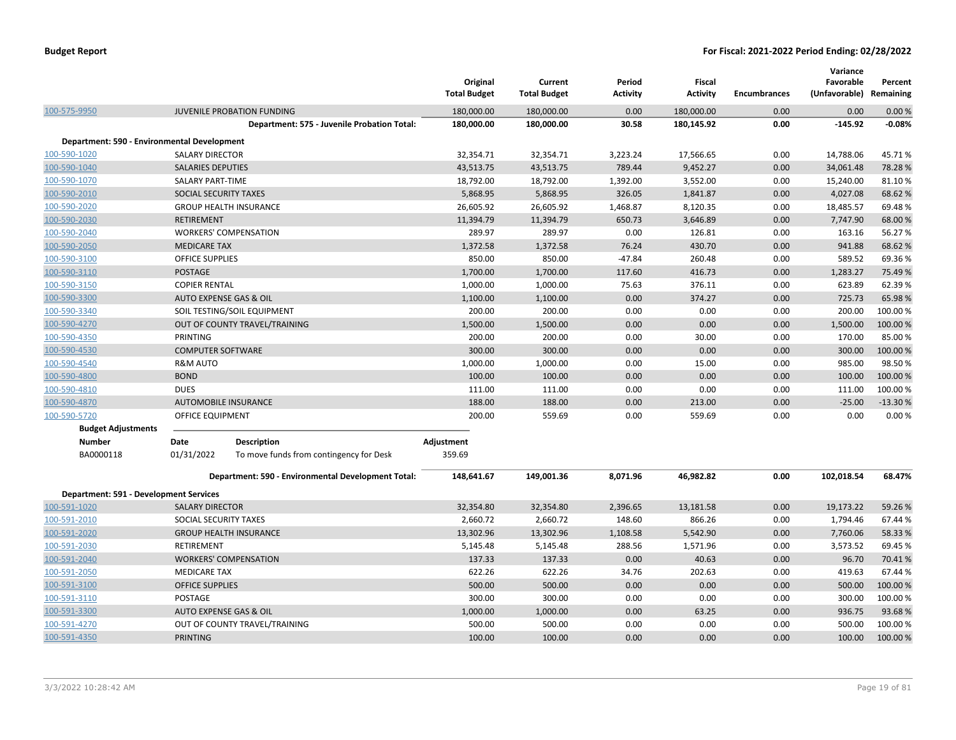|                                               |                          |                                                    | Original<br><b>Total Budget</b> | Current<br><b>Total Budget</b> | Period<br><b>Activity</b> | <b>Fiscal</b><br><b>Activity</b> | <b>Encumbrances</b> | Variance<br>Favorable<br>(Unfavorable) Remaining | Percent   |
|-----------------------------------------------|--------------------------|----------------------------------------------------|---------------------------------|--------------------------------|---------------------------|----------------------------------|---------------------|--------------------------------------------------|-----------|
| 100-575-9950                                  |                          | JUVENILE PROBATION FUNDING                         | 180,000.00                      | 180,000.00                     | 0.00                      | 180,000.00                       | 0.00                | 0.00                                             | 0.00%     |
|                                               |                          | Department: 575 - Juvenile Probation Total:        | 180,000.00                      | 180,000.00                     | 30.58                     | 180,145.92                       | 0.00                | $-145.92$                                        | $-0.08%$  |
| Department: 590 - Environmental Development   |                          |                                                    |                                 |                                |                           |                                  |                     |                                                  |           |
| 100-590-1020                                  | <b>SALARY DIRECTOR</b>   |                                                    | 32,354.71                       | 32,354.71                      | 3,223.24                  | 17,566.65                        | 0.00                | 14,788.06                                        | 45.71%    |
| 100-590-1040                                  | <b>SALARIES DEPUTIES</b> |                                                    | 43,513.75                       | 43,513.75                      | 789.44                    | 9,452.27                         | 0.00                | 34,061.48                                        | 78.28%    |
| 100-590-1070                                  | <b>SALARY PART-TIME</b>  |                                                    | 18,792.00                       | 18,792.00                      | 1,392.00                  | 3,552.00                         | 0.00                | 15,240.00                                        | 81.10%    |
| 100-590-2010                                  | SOCIAL SECURITY TAXES    |                                                    | 5,868.95                        | 5,868.95                       | 326.05                    | 1,841.87                         | 0.00                | 4,027.08                                         | 68.62%    |
| 100-590-2020                                  |                          | <b>GROUP HEALTH INSURANCE</b>                      | 26,605.92                       | 26,605.92                      | 1,468.87                  | 8,120.35                         | 0.00                | 18,485.57                                        | 69.48%    |
| 100-590-2030                                  | <b>RETIREMENT</b>        |                                                    | 11,394.79                       | 11,394.79                      | 650.73                    | 3,646.89                         | 0.00                | 7,747.90                                         | 68.00%    |
| 100-590-2040                                  |                          | <b>WORKERS' COMPENSATION</b>                       | 289.97                          | 289.97                         | 0.00                      | 126.81                           | 0.00                | 163.16                                           | 56.27%    |
| 100-590-2050                                  | <b>MEDICARE TAX</b>      |                                                    | 1,372.58                        | 1,372.58                       | 76.24                     | 430.70                           | 0.00                | 941.88                                           | 68.62%    |
| 100-590-3100                                  | <b>OFFICE SUPPLIES</b>   |                                                    | 850.00                          | 850.00                         | $-47.84$                  | 260.48                           | 0.00                | 589.52                                           | 69.36%    |
| 100-590-3110                                  | <b>POSTAGE</b>           |                                                    | 1,700.00                        | 1,700.00                       | 117.60                    | 416.73                           | 0.00                | 1,283.27                                         | 75.49%    |
| 100-590-3150                                  | <b>COPIER RENTAL</b>     |                                                    | 1,000.00                        | 1,000.00                       | 75.63                     | 376.11                           | 0.00                | 623.89                                           | 62.39%    |
| 100-590-3300                                  |                          | AUTO EXPENSE GAS & OIL                             | 1,100.00                        | 1,100.00                       | 0.00                      | 374.27                           | 0.00                | 725.73                                           | 65.98%    |
| 100-590-3340                                  |                          | SOIL TESTING/SOIL EQUIPMENT                        | 200.00                          | 200.00                         | 0.00                      | 0.00                             | 0.00                | 200.00                                           | 100.00%   |
| 100-590-4270                                  |                          | OUT OF COUNTY TRAVEL/TRAINING                      | 1,500.00                        | 1,500.00                       | 0.00                      | 0.00                             | 0.00                | 1,500.00                                         | 100.00%   |
| 100-590-4350                                  | PRINTING                 |                                                    | 200.00                          | 200.00                         | 0.00                      | 30.00                            | 0.00                | 170.00                                           | 85.00%    |
| 100-590-4530                                  | <b>COMPUTER SOFTWARE</b> |                                                    | 300.00                          | 300.00                         | 0.00                      | 0.00                             | 0.00                | 300.00                                           | 100.00%   |
| 100-590-4540                                  | <b>R&amp;M AUTO</b>      |                                                    | 1,000.00                        | 1,000.00                       | 0.00                      | 15.00                            | 0.00                | 985.00                                           | 98.50%    |
| 100-590-4800                                  | <b>BOND</b>              |                                                    | 100.00                          | 100.00                         | 0.00                      | 0.00                             | 0.00                | 100.00                                           | 100.00 %  |
| 100-590-4810                                  | <b>DUES</b>              |                                                    | 111.00                          | 111.00                         | 0.00                      | 0.00                             | 0.00                | 111.00                                           | 100.00%   |
| 100-590-4870                                  |                          | <b>AUTOMOBILE INSURANCE</b>                        | 188.00                          | 188.00                         | 0.00                      | 213.00                           | 0.00                | $-25.00$                                         | $-13.30%$ |
| 100-590-5720                                  | OFFICE EQUIPMENT         |                                                    | 200.00                          | 559.69                         | 0.00                      | 559.69                           | 0.00                | 0.00                                             | 0.00%     |
| <b>Budget Adjustments</b>                     |                          |                                                    |                                 |                                |                           |                                  |                     |                                                  |           |
| Number                                        | Date                     | <b>Description</b>                                 | Adjustment                      |                                |                           |                                  |                     |                                                  |           |
| BA0000118                                     | 01/31/2022               | To move funds from contingency for Desk            | 359.69                          |                                |                           |                                  |                     |                                                  |           |
|                                               |                          | Department: 590 - Environmental Development Total: | 148,641.67                      | 149,001.36                     | 8,071.96                  | 46,982.82                        | 0.00                | 102,018.54                                       | 68.47%    |
| <b>Department: 591 - Development Services</b> |                          |                                                    |                                 |                                |                           |                                  |                     |                                                  |           |
| 100-591-1020                                  | <b>SALARY DIRECTOR</b>   |                                                    | 32,354.80                       | 32,354.80                      | 2,396.65                  | 13,181.58                        | 0.00                | 19,173.22                                        | 59.26%    |
| 100-591-2010                                  | SOCIAL SECURITY TAXES    |                                                    | 2,660.72                        | 2,660.72                       | 148.60                    | 866.26                           | 0.00                | 1,794.46                                         | 67.44 %   |
| 100-591-2020                                  |                          | <b>GROUP HEALTH INSURANCE</b>                      | 13,302.96                       | 13,302.96                      | 1,108.58                  | 5,542.90                         | 0.00                | 7,760.06                                         | 58.33%    |
| 100-591-2030                                  | <b>RETIREMENT</b>        |                                                    | 5,145.48                        | 5,145.48                       | 288.56                    | 1,571.96                         | 0.00                | 3,573.52                                         | 69.45%    |
| 100-591-2040                                  |                          | <b>WORKERS' COMPENSATION</b>                       | 137.33                          | 137.33                         | 0.00                      | 40.63                            | 0.00                | 96.70                                            | 70.41%    |
| 100-591-2050                                  | <b>MEDICARE TAX</b>      |                                                    | 622.26                          | 622.26                         | 34.76                     | 202.63                           | 0.00                | 419.63                                           | 67.44%    |
| 100-591-3100                                  | <b>OFFICE SUPPLIES</b>   |                                                    | 500.00                          | 500.00                         | 0.00                      | 0.00                             | 0.00                | 500.00                                           | 100.00%   |
| 100-591-3110                                  | POSTAGE                  |                                                    | 300.00                          | 300.00                         | 0.00                      | 0.00                             | 0.00                | 300.00                                           | 100.00%   |
| 100-591-3300                                  |                          | AUTO EXPENSE GAS & OIL                             | 1,000.00                        | 1,000.00                       | 0.00                      | 63.25                            | 0.00                | 936.75                                           | 93.68%    |
| 100-591-4270                                  |                          | OUT OF COUNTY TRAVEL/TRAINING                      | 500.00                          | 500.00                         | 0.00                      | 0.00                             | 0.00                | 500.00                                           | 100.00%   |
| 100-591-4350                                  | <b>PRINTING</b>          |                                                    | 100.00                          | 100.00                         | 0.00                      | 0.00                             | 0.00                | 100.00                                           | 100.00 %  |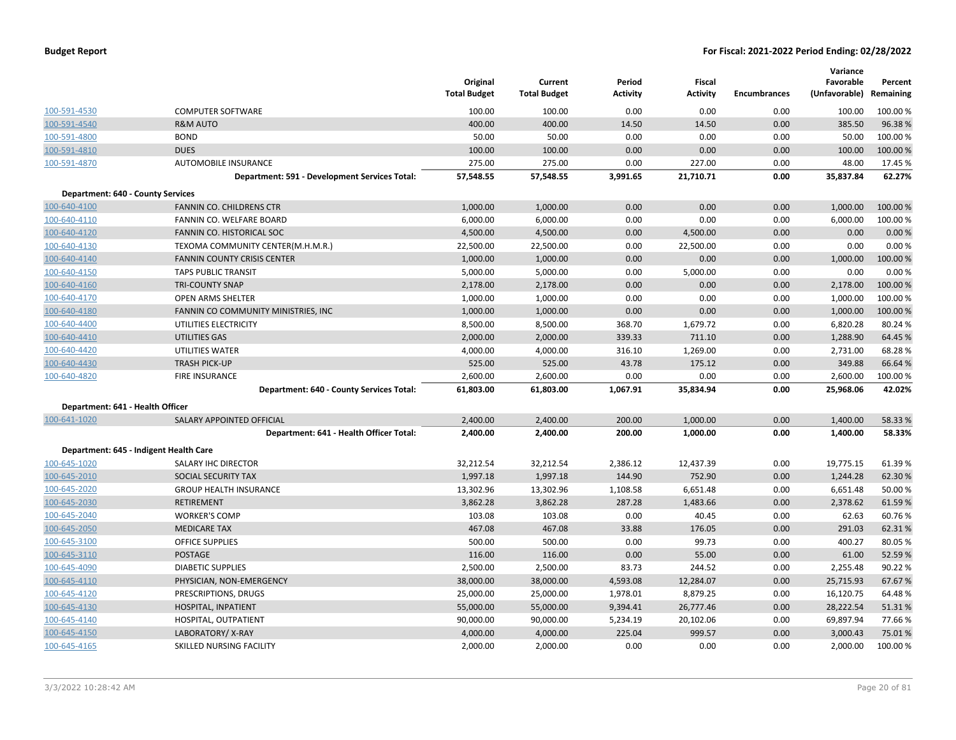|                                          |                                               | Original<br><b>Total Budget</b> | Current<br><b>Total Budget</b> | Period<br><b>Activity</b> | Fiscal<br><b>Activity</b> | <b>Encumbrances</b> | Variance<br>Favorable<br>(Unfavorable) Remaining | Percent  |
|------------------------------------------|-----------------------------------------------|---------------------------------|--------------------------------|---------------------------|---------------------------|---------------------|--------------------------------------------------|----------|
| 100-591-4530                             | <b>COMPUTER SOFTWARE</b>                      | 100.00                          | 100.00                         | 0.00                      | 0.00                      | 0.00                | 100.00                                           | 100.00 % |
| 100-591-4540                             | <b>R&amp;M AUTO</b>                           | 400.00                          | 400.00                         | 14.50                     | 14.50                     | 0.00                | 385.50                                           | 96.38%   |
| 100-591-4800                             | <b>BOND</b>                                   | 50.00                           | 50.00                          | 0.00                      | 0.00                      | 0.00                | 50.00                                            | 100.00 % |
| 100-591-4810                             | <b>DUES</b>                                   | 100.00                          | 100.00                         | 0.00                      | 0.00                      | 0.00                | 100.00                                           | 100.00 % |
| 100-591-4870                             | AUTOMOBILE INSURANCE                          | 275.00                          | 275.00                         | 0.00                      | 227.00                    | 0.00                | 48.00                                            | 17.45 %  |
|                                          | Department: 591 - Development Services Total: | 57,548.55                       | 57,548.55                      | 3,991.65                  | 21,710.71                 | 0.00                | 35,837.84                                        | 62.27%   |
| <b>Department: 640 - County Services</b> |                                               |                                 |                                |                           |                           |                     |                                                  |          |
| 100-640-4100                             | FANNIN CO. CHILDRENS CTR                      | 1,000.00                        | 1,000.00                       | 0.00                      | 0.00                      | 0.00                | 1,000.00                                         | 100.00 % |
| 100-640-4110                             | FANNIN CO. WELFARE BOARD                      | 6,000.00                        | 6,000.00                       | 0.00                      | 0.00                      | 0.00                | 6,000.00                                         | 100.00 % |
| 100-640-4120                             | FANNIN CO. HISTORICAL SOC                     | 4,500.00                        | 4,500.00                       | 0.00                      | 4,500.00                  | 0.00                | 0.00                                             | 0.00%    |
| 100-640-4130                             | TEXOMA COMMUNITY CENTER(M.H.M.R.)             | 22,500.00                       | 22,500.00                      | 0.00                      | 22,500.00                 | 0.00                | 0.00                                             | 0.00%    |
| 100-640-4140                             | <b>FANNIN COUNTY CRISIS CENTER</b>            | 1,000.00                        | 1,000.00                       | 0.00                      | 0.00                      | 0.00                | 1,000.00                                         | 100.00 % |
| 100-640-4150                             | <b>TAPS PUBLIC TRANSIT</b>                    | 5,000.00                        | 5,000.00                       | 0.00                      | 5,000.00                  | 0.00                | 0.00                                             | 0.00%    |
| 100-640-4160                             | <b>TRI-COUNTY SNAP</b>                        | 2,178.00                        | 2,178.00                       | 0.00                      | 0.00                      | 0.00                | 2,178.00                                         | 100.00 % |
| 100-640-4170                             | OPEN ARMS SHELTER                             | 1,000.00                        | 1,000.00                       | 0.00                      | 0.00                      | 0.00                | 1,000.00                                         | 100.00 % |
| 100-640-4180                             | FANNIN CO COMMUNITY MINISTRIES, INC           | 1,000.00                        | 1,000.00                       | 0.00                      | 0.00                      | 0.00                | 1,000.00                                         | 100.00 % |
| 100-640-4400                             | UTILITIES ELECTRICITY                         | 8,500.00                        | 8,500.00                       | 368.70                    | 1,679.72                  | 0.00                | 6,820.28                                         | 80.24 %  |
| 100-640-4410                             | UTILITIES GAS                                 | 2,000.00                        | 2,000.00                       | 339.33                    | 711.10                    | 0.00                | 1,288.90                                         | 64.45 %  |
| 100-640-4420                             | UTILITIES WATER                               | 4,000.00                        | 4,000.00                       | 316.10                    | 1,269.00                  | 0.00                | 2,731.00                                         | 68.28%   |
| 100-640-4430                             | <b>TRASH PICK-UP</b>                          | 525.00                          | 525.00                         | 43.78                     | 175.12                    | 0.00                | 349.88                                           | 66.64 %  |
| 100-640-4820                             | <b>FIRE INSURANCE</b>                         | 2,600.00                        | 2,600.00                       | 0.00                      | 0.00                      | 0.00                | 2,600.00                                         | 100.00 % |
|                                          | Department: 640 - County Services Total:      | 61,803.00                       | 61,803.00                      | 1,067.91                  | 35,834.94                 | 0.00                | 25,968.06                                        | 42.02%   |
| Department: 641 - Health Officer         |                                               |                                 |                                |                           |                           |                     |                                                  |          |
| 100-641-1020                             | SALARY APPOINTED OFFICIAL                     | 2,400.00                        | 2,400.00                       | 200.00                    | 1,000.00                  | 0.00                | 1,400.00                                         | 58.33 %  |
|                                          | Department: 641 - Health Officer Total:       | 2,400.00                        | 2,400.00                       | 200.00                    | 1,000.00                  | 0.00                | 1,400.00                                         | 58.33%   |
|                                          | Department: 645 - Indigent Health Care        |                                 |                                |                           |                           |                     |                                                  |          |
| 100-645-1020                             | SALARY IHC DIRECTOR                           | 32,212.54                       | 32,212.54                      | 2,386.12                  | 12,437.39                 | 0.00                | 19,775.15                                        | 61.39%   |
| 100-645-2010                             | SOCIAL SECURITY TAX                           | 1,997.18                        | 1,997.18                       | 144.90                    | 752.90                    | 0.00                | 1,244.28                                         | 62.30%   |
| 100-645-2020                             | <b>GROUP HEALTH INSURANCE</b>                 | 13,302.96                       | 13,302.96                      | 1,108.58                  | 6,651.48                  | 0.00                | 6,651.48                                         | 50.00 %  |
| 100-645-2030                             | <b>RETIREMENT</b>                             | 3,862.28                        | 3,862.28                       | 287.28                    | 1,483.66                  | 0.00                | 2,378.62                                         | 61.59%   |
| 100-645-2040                             | <b>WORKER'S COMP</b>                          | 103.08                          | 103.08                         | 0.00                      | 40.45                     | 0.00                | 62.63                                            | 60.76%   |
| 100-645-2050                             | <b>MEDICARE TAX</b>                           | 467.08                          | 467.08                         | 33.88                     | 176.05                    | 0.00                | 291.03                                           | 62.31%   |
| 100-645-3100                             | <b>OFFICE SUPPLIES</b>                        | 500.00                          | 500.00                         | 0.00                      | 99.73                     | 0.00                | 400.27                                           | 80.05 %  |
| 100-645-3110                             | <b>POSTAGE</b>                                | 116.00                          | 116.00                         | 0.00                      | 55.00                     | 0.00                | 61.00                                            | 52.59%   |
| 100-645-4090                             | <b>DIABETIC SUPPLIES</b>                      | 2,500.00                        | 2,500.00                       | 83.73                     | 244.52                    | 0.00                | 2,255.48                                         | 90.22 %  |
| 100-645-4110                             | PHYSICIAN, NON-EMERGENCY                      | 38,000.00                       | 38,000.00                      | 4,593.08                  | 12,284.07                 | 0.00                | 25,715.93                                        | 67.67%   |
| 100-645-4120                             | PRESCRIPTIONS, DRUGS                          | 25,000.00                       | 25,000.00                      | 1,978.01                  | 8,879.25                  | 0.00                | 16,120.75                                        | 64.48%   |
| 100-645-4130                             | HOSPITAL, INPATIENT                           | 55,000.00                       | 55,000.00                      | 9,394.41                  | 26,777.46                 | 0.00                | 28,222.54                                        | 51.31%   |
| 100-645-4140                             | HOSPITAL, OUTPATIENT                          | 90,000.00                       | 90,000.00                      | 5,234.19                  | 20,102.06                 | 0.00                | 69,897.94                                        | 77.66%   |
| 100-645-4150                             | LABORATORY/X-RAY                              | 4,000.00                        | 4,000.00                       | 225.04                    | 999.57                    | 0.00                | 3,000.43                                         | 75.01%   |
| 100-645-4165                             | SKILLED NURSING FACILITY                      | 2,000.00                        | 2,000.00                       | 0.00                      | 0.00                      | 0.00                | 2,000.00                                         | 100.00%  |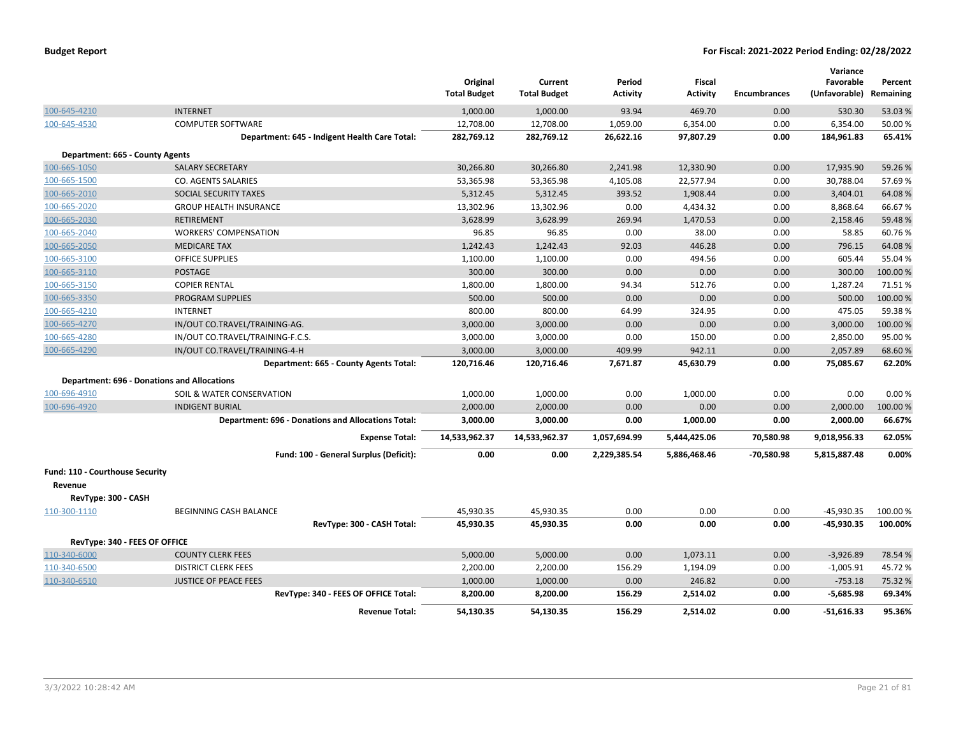|                                 |                                                           | Original<br><b>Total Budget</b> | Current<br><b>Total Budget</b> | Period<br><b>Activity</b> | Fiscal<br><b>Activity</b> | <b>Encumbrances</b> | Variance<br>Favorable<br>(Unfavorable) Remaining | Percent  |
|---------------------------------|-----------------------------------------------------------|---------------------------------|--------------------------------|---------------------------|---------------------------|---------------------|--------------------------------------------------|----------|
| 100-645-4210                    | <b>INTERNET</b>                                           | 1,000.00                        | 1,000.00                       | 93.94                     | 469.70                    | 0.00                | 530.30                                           | 53.03 %  |
| 100-645-4530                    | <b>COMPUTER SOFTWARE</b>                                  | 12,708.00                       | 12,708.00                      | 1,059.00                  | 6,354.00                  | 0.00                | 6,354.00                                         | 50.00 %  |
|                                 | Department: 645 - Indigent Health Care Total:             | 282,769.12                      | 282,769.12                     | 26,622.16                 | 97,807.29                 | 0.00                | 184,961.83                                       | 65.41%   |
| Department: 665 - County Agents |                                                           |                                 |                                |                           |                           |                     |                                                  |          |
| 100-665-1050                    | <b>SALARY SECRETARY</b>                                   | 30,266.80                       | 30,266.80                      | 2,241.98                  | 12,330.90                 | 0.00                | 17,935.90                                        | 59.26%   |
| 100-665-1500                    | CO. AGENTS SALARIES                                       | 53,365.98                       | 53,365.98                      | 4,105.08                  | 22,577.94                 | 0.00                | 30,788.04                                        | 57.69%   |
| 100-665-2010                    | SOCIAL SECURITY TAXES                                     | 5,312.45                        | 5,312.45                       | 393.52                    | 1,908.44                  | 0.00                | 3,404.01                                         | 64.08%   |
| 100-665-2020                    | <b>GROUP HEALTH INSURANCE</b>                             | 13,302.96                       | 13,302.96                      | 0.00                      | 4,434.32                  | 0.00                | 8,868.64                                         | 66.67%   |
| 100-665-2030                    | RETIREMENT                                                | 3,628.99                        | 3,628.99                       | 269.94                    | 1,470.53                  | 0.00                | 2,158.46                                         | 59.48%   |
| 100-665-2040                    | <b>WORKERS' COMPENSATION</b>                              | 96.85                           | 96.85                          | 0.00                      | 38.00                     | 0.00                | 58.85                                            | 60.76%   |
| 100-665-2050                    | <b>MEDICARE TAX</b>                                       | 1,242.43                        | 1,242.43                       | 92.03                     | 446.28                    | 0.00                | 796.15                                           | 64.08%   |
| 100-665-3100                    | <b>OFFICE SUPPLIES</b>                                    | 1,100.00                        | 1,100.00                       | 0.00                      | 494.56                    | 0.00                | 605.44                                           | 55.04 %  |
| 100-665-3110                    | <b>POSTAGE</b>                                            | 300.00                          | 300.00                         | 0.00                      | 0.00                      | 0.00                | 300.00                                           | 100.00 % |
| 100-665-3150                    | <b>COPIER RENTAL</b>                                      | 1,800.00                        | 1,800.00                       | 94.34                     | 512.76                    | 0.00                | 1,287.24                                         | 71.51%   |
| 100-665-3350                    | <b>PROGRAM SUPPLIES</b>                                   | 500.00                          | 500.00                         | 0.00                      | 0.00                      | 0.00                | 500.00                                           | 100.00 % |
| 100-665-4210                    | <b>INTERNET</b>                                           | 800.00                          | 800.00                         | 64.99                     | 324.95                    | 0.00                | 475.05                                           | 59.38%   |
| 100-665-4270                    | IN/OUT CO.TRAVEL/TRAINING-AG.                             | 3,000.00                        | 3,000.00                       | 0.00                      | 0.00                      | 0.00                | 3,000.00                                         | 100.00 % |
| 100-665-4280                    | IN/OUT CO.TRAVEL/TRAINING-F.C.S.                          | 3,000.00                        | 3,000.00                       | 0.00                      | 150.00                    | 0.00                | 2,850.00                                         | 95.00 %  |
| 100-665-4290                    | IN/OUT CO.TRAVEL/TRAINING-4-H                             | 3,000.00                        | 3,000.00                       | 409.99                    | 942.11                    | 0.00                | 2,057.89                                         | 68.60%   |
|                                 | Department: 665 - County Agents Total:                    | 120,716.46                      | 120,716.46                     | 7,671.87                  | 45,630.79                 | 0.00                | 75,085.67                                        | 62.20%   |
|                                 | <b>Department: 696 - Donations and Allocations</b>        |                                 |                                |                           |                           |                     |                                                  |          |
| 100-696-4910                    | SOIL & WATER CONSERVATION                                 | 1,000.00                        | 1,000.00                       | 0.00                      | 1,000.00                  | 0.00                | 0.00                                             | 0.00%    |
| 100-696-4920                    | <b>INDIGENT BURIAL</b>                                    | 2,000.00                        | 2,000.00                       | 0.00                      | 0.00                      | 0.00                | 2,000.00                                         | 100.00%  |
|                                 | <b>Department: 696 - Donations and Allocations Total:</b> | 3,000.00                        | 3,000.00                       | 0.00                      | 1,000.00                  | 0.00                | 2,000.00                                         | 66.67%   |
|                                 | <b>Expense Total:</b>                                     | 14,533,962.37                   | 14,533,962.37                  | 1,057,694.99              | 5,444,425.06              | 70,580.98           | 9,018,956.33                                     | 62.05%   |
|                                 | Fund: 100 - General Surplus (Deficit):                    | 0.00                            | 0.00                           | 2,229,385.54              | 5,886,468.46              | $-70,580.98$        | 5,815,887.48                                     | 0.00%    |
| Fund: 110 - Courthouse Security |                                                           |                                 |                                |                           |                           |                     |                                                  |          |
| Revenue                         |                                                           |                                 |                                |                           |                           |                     |                                                  |          |
| RevType: 300 - CASH             |                                                           |                                 |                                |                           |                           |                     |                                                  |          |
| 110-300-1110                    | BEGINNING CASH BALANCE                                    | 45,930.35                       | 45,930.35                      | 0.00                      | 0.00                      | 0.00                | -45,930.35                                       | 100.00%  |
|                                 | RevType: 300 - CASH Total:                                | 45,930.35                       | 45,930.35                      | 0.00                      | 0.00                      | 0.00                | $-45,930.35$                                     | 100.00%  |
| RevType: 340 - FEES OF OFFICE   |                                                           |                                 |                                |                           |                           |                     |                                                  |          |
| 110-340-6000                    | <b>COUNTY CLERK FEES</b>                                  | 5,000.00                        | 5,000.00                       | 0.00                      | 1.073.11                  | 0.00                | $-3,926.89$                                      | 78.54 %  |
| 110-340-6500                    | <b>DISTRICT CLERK FEES</b>                                | 2,200.00                        | 2,200.00                       | 156.29                    | 1,194.09                  | 0.00                | $-1,005.91$                                      | 45.72%   |
| 110-340-6510                    | <b>JUSTICE OF PEACE FEES</b>                              | 1,000.00                        | 1,000.00                       | 0.00                      | 246.82                    | 0.00                | $-753.18$                                        | 75.32 %  |
|                                 | RevType: 340 - FEES OF OFFICE Total:                      | 8,200.00                        | 8,200.00                       | 156.29                    | 2,514.02                  | 0.00                | $-5,685.98$                                      | 69.34%   |
|                                 | <b>Revenue Total:</b>                                     | 54,130.35                       | 54,130.35                      | 156.29                    | 2,514.02                  | 0.00                | $-51.616.33$                                     | 95.36%   |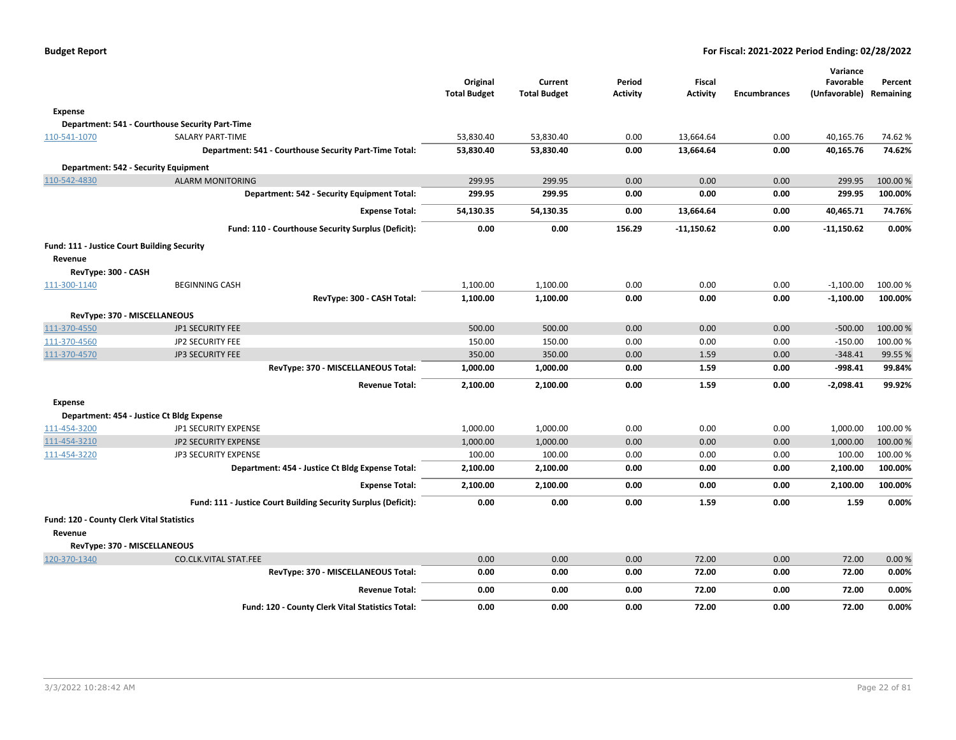|                                             |                                                                |                                 |                                |                           |                           |                     | Variance                             |          |
|---------------------------------------------|----------------------------------------------------------------|---------------------------------|--------------------------------|---------------------------|---------------------------|---------------------|--------------------------------------|----------|
|                                             |                                                                | Original<br><b>Total Budget</b> | Current<br><b>Total Budget</b> | Period<br><b>Activity</b> | Fiscal<br><b>Activity</b> | <b>Encumbrances</b> | Favorable<br>(Unfavorable) Remaining | Percent  |
|                                             |                                                                |                                 |                                |                           |                           |                     |                                      |          |
| <b>Expense</b>                              |                                                                |                                 |                                |                           |                           |                     |                                      |          |
|                                             | Department: 541 - Courthouse Security Part-Time                |                                 |                                |                           |                           |                     |                                      |          |
| 110-541-1070                                | SALARY PART-TIME                                               | 53,830.40                       | 53,830.40                      | 0.00                      | 13,664.64                 | 0.00                | 40,165.76                            | 74.62%   |
|                                             | Department: 541 - Courthouse Security Part-Time Total:         | 53,830.40                       | 53,830.40                      | 0.00                      | 13,664.64                 | 0.00                | 40,165.76                            | 74.62%   |
| Department: 542 - Security Equipment        |                                                                |                                 |                                |                           |                           |                     |                                      |          |
| 110-542-4830                                | <b>ALARM MONITORING</b>                                        | 299.95                          | 299.95                         | 0.00                      | 0.00                      | 0.00                | 299.95                               | 100.00%  |
|                                             | Department: 542 - Security Equipment Total:                    | 299.95                          | 299.95                         | 0.00                      | 0.00                      | 0.00                | 299.95                               | 100.00%  |
|                                             | <b>Expense Total:</b>                                          | 54,130.35                       | 54,130.35                      | 0.00                      | 13,664.64                 | 0.00                | 40,465.71                            | 74.76%   |
|                                             | Fund: 110 - Courthouse Security Surplus (Deficit):             | 0.00                            | 0.00                           | 156.29                    | $-11,150.62$              | 0.00                | $-11,150.62$                         | 0.00%    |
| Fund: 111 - Justice Court Building Security |                                                                |                                 |                                |                           |                           |                     |                                      |          |
| Revenue<br>RevType: 300 - CASH              |                                                                |                                 |                                |                           |                           |                     |                                      |          |
| 111-300-1140                                | <b>BEGINNING CASH</b>                                          | 1,100.00                        | 1,100.00                       | 0.00                      | 0.00                      | 0.00                | $-1,100.00$                          | 100.00 % |
|                                             | RevType: 300 - CASH Total:                                     | 1,100.00                        | 1,100.00                       | 0.00                      | 0.00                      | 0.00                | $-1,100.00$                          | 100.00%  |
|                                             |                                                                |                                 |                                |                           |                           |                     |                                      |          |
| RevType: 370 - MISCELLANEOUS                |                                                                |                                 |                                |                           |                           |                     |                                      |          |
| 111-370-4550                                | JP1 SECURITY FEE                                               | 500.00                          | 500.00                         | 0.00                      | 0.00                      | 0.00                | $-500.00$                            | 100.00%  |
| 111-370-4560                                | JP2 SECURITY FEE                                               | 150.00                          | 150.00                         | 0.00                      | 0.00                      | 0.00                | $-150.00$                            | 100.00%  |
| 111-370-4570                                | JP3 SECURITY FEE                                               | 350.00                          | 350.00                         | 0.00                      | 1.59                      | 0.00                | $-348.41$                            | 99.55 %  |
|                                             | RevType: 370 - MISCELLANEOUS Total:                            | 1,000.00                        | 1,000.00                       | 0.00                      | 1.59                      | 0.00                | $-998.41$                            | 99.84%   |
|                                             | <b>Revenue Total:</b>                                          | 2,100.00                        | 2,100.00                       | 0.00                      | 1.59                      | 0.00                | $-2,098.41$                          | 99.92%   |
| <b>Expense</b>                              |                                                                |                                 |                                |                           |                           |                     |                                      |          |
|                                             | Department: 454 - Justice Ct Bldg Expense                      |                                 |                                |                           |                           |                     |                                      |          |
| 111-454-3200                                | JP1 SECURITY EXPENSE                                           | 1,000.00                        | 1,000.00                       | 0.00                      | 0.00                      | 0.00                | 1,000.00                             | 100.00%  |
| 111-454-3210                                | JP2 SECURITY EXPENSE                                           | 1,000.00                        | 1,000.00                       | 0.00                      | 0.00                      | 0.00                | 1,000.00                             | 100.00 % |
| 111-454-3220                                | JP3 SECURITY EXPENSE                                           | 100.00                          | 100.00                         | 0.00                      | 0.00                      | 0.00                | 100.00                               | 100.00 % |
|                                             | Department: 454 - Justice Ct Bldg Expense Total:               | 2,100.00                        | 2,100.00                       | 0.00                      | 0.00                      | 0.00                | 2,100.00                             | 100.00%  |
|                                             | <b>Expense Total:</b>                                          | 2,100.00                        | 2,100.00                       | 0.00                      | 0.00                      | 0.00                | 2,100.00                             | 100.00%  |
|                                             | Fund: 111 - Justice Court Building Security Surplus (Deficit): | 0.00                            | 0.00                           | 0.00                      | 1.59                      | 0.00                | 1.59                                 | 0.00%    |
| Fund: 120 - County Clerk Vital Statistics   |                                                                |                                 |                                |                           |                           |                     |                                      |          |
| Revenue                                     |                                                                |                                 |                                |                           |                           |                     |                                      |          |
| RevType: 370 - MISCELLANEOUS                |                                                                |                                 |                                |                           |                           |                     |                                      |          |
| 120-370-1340                                | <b>CO.CLK.VITAL STAT.FEE</b>                                   | 0.00                            | 0.00                           | 0.00                      | 72.00                     | 0.00                | 72.00                                | 0.00%    |
|                                             | RevType: 370 - MISCELLANEOUS Total:                            | 0.00                            | 0.00                           | 0.00                      | 72.00                     | 0.00                | 72.00                                | 0.00%    |
|                                             | <b>Revenue Total:</b>                                          | 0.00                            | 0.00                           | 0.00                      | 72.00                     | 0.00                | 72.00                                | 0.00%    |
|                                             | Fund: 120 - County Clerk Vital Statistics Total:               | 0.00                            | 0.00                           | 0.00                      | 72.00                     | 0.00                | 72.00                                | 0.00%    |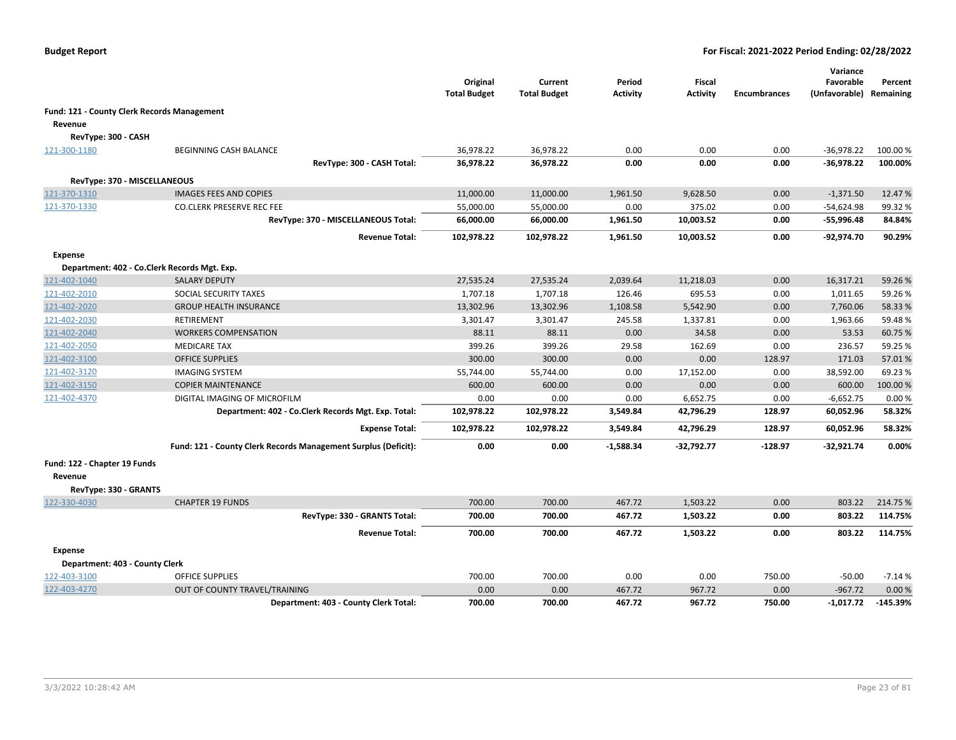|                                |                                                                | Original<br><b>Total Budget</b> | Current<br><b>Total Budget</b> | Period<br><b>Activity</b> | Fiscal<br><b>Activity</b> | <b>Encumbrances</b> | Variance<br>Favorable<br>(Unfavorable) Remaining | Percent    |
|--------------------------------|----------------------------------------------------------------|---------------------------------|--------------------------------|---------------------------|---------------------------|---------------------|--------------------------------------------------|------------|
|                                | Fund: 121 - County Clerk Records Management                    |                                 |                                |                           |                           |                     |                                                  |            |
| Revenue                        |                                                                |                                 |                                |                           |                           |                     |                                                  |            |
| RevType: 300 - CASH            |                                                                |                                 |                                |                           |                           |                     |                                                  |            |
| 121-300-1180                   | BEGINNING CASH BALANCE                                         | 36,978.22                       | 36,978.22                      | 0.00                      | 0.00                      | 0.00                | $-36,978.22$                                     | 100.00%    |
|                                | RevType: 300 - CASH Total:                                     | 36,978.22                       | 36,978.22                      | 0.00                      | 0.00                      | 0.00                | $-36,978.22$                                     | 100.00%    |
| RevType: 370 - MISCELLANEOUS   |                                                                |                                 |                                |                           |                           |                     |                                                  |            |
| 121-370-1310                   | <b>IMAGES FEES AND COPIES</b>                                  | 11,000.00                       | 11,000.00                      | 1,961.50                  | 9,628.50                  | 0.00                | $-1,371.50$                                      | 12.47%     |
| 121-370-1330                   | <b>CO.CLERK PRESERVE REC FEE</b>                               | 55,000.00                       | 55,000.00                      | 0.00                      | 375.02                    | 0.00                | $-54,624.98$                                     | 99.32%     |
|                                | RevType: 370 - MISCELLANEOUS Total:                            | 66,000.00                       | 66,000.00                      | 1,961.50                  | 10,003.52                 | 0.00                | $-55,996.48$                                     | 84.84%     |
|                                | <b>Revenue Total:</b>                                          | 102,978.22                      | 102,978.22                     | 1,961.50                  | 10,003.52                 | 0.00                | $-92,974.70$                                     | 90.29%     |
| <b>Expense</b>                 |                                                                |                                 |                                |                           |                           |                     |                                                  |            |
|                                | Department: 402 - Co.Clerk Records Mgt. Exp.                   |                                 |                                |                           |                           |                     |                                                  |            |
| 121-402-1040                   | <b>SALARY DEPUTY</b>                                           | 27,535.24                       | 27,535.24                      | 2,039.64                  | 11,218.03                 | 0.00                | 16,317.21                                        | 59.26%     |
| 121-402-2010                   | SOCIAL SECURITY TAXES                                          | 1,707.18                        | 1,707.18                       | 126.46                    | 695.53                    | 0.00                | 1,011.65                                         | 59.26%     |
| 121-402-2020                   | <b>GROUP HEALTH INSURANCE</b>                                  | 13,302.96                       | 13,302.96                      | 1,108.58                  | 5,542.90                  | 0.00                | 7,760.06                                         | 58.33%     |
| 121-402-2030                   | RETIREMENT                                                     | 3,301.47                        | 3,301.47                       | 245.58                    | 1,337.81                  | 0.00                | 1,963.66                                         | 59.48%     |
| 121-402-2040                   | <b>WORKERS COMPENSATION</b>                                    | 88.11                           | 88.11                          | 0.00                      | 34.58                     | 0.00                | 53.53                                            | 60.75 %    |
| 121-402-2050                   | <b>MEDICARE TAX</b>                                            | 399.26                          | 399.26                         | 29.58                     | 162.69                    | 0.00                | 236.57                                           | 59.25 %    |
| 121-402-3100                   | <b>OFFICE SUPPLIES</b>                                         | 300.00                          | 300.00                         | 0.00                      | 0.00                      | 128.97              | 171.03                                           | 57.01%     |
| 121-402-3120                   | <b>IMAGING SYSTEM</b>                                          | 55,744.00                       | 55,744.00                      | 0.00                      | 17,152.00                 | 0.00                | 38,592.00                                        | 69.23%     |
| 121-402-3150                   | <b>COPIER MAINTENANCE</b>                                      | 600.00                          | 600.00                         | 0.00                      | 0.00                      | 0.00                | 600.00                                           | 100.00%    |
| 121-402-4370                   | DIGITAL IMAGING OF MICROFILM                                   | 0.00                            | 0.00                           | 0.00                      | 6,652.75                  | 0.00                | $-6,652.75$                                      | 0.00%      |
|                                | Department: 402 - Co.Clerk Records Mgt. Exp. Total:            | 102,978.22                      | 102,978.22                     | 3,549.84                  | 42,796.29                 | 128.97              | 60,052.96                                        | 58.32%     |
|                                | <b>Expense Total:</b>                                          | 102,978.22                      | 102,978.22                     | 3,549.84                  | 42,796.29                 | 128.97              | 60,052.96                                        | 58.32%     |
|                                | Fund: 121 - County Clerk Records Management Surplus (Deficit): | 0.00                            | 0.00                           | $-1,588.34$               | -32,792.77                | $-128.97$           | $-32,921.74$                                     | 0.00%      |
| Fund: 122 - Chapter 19 Funds   |                                                                |                                 |                                |                           |                           |                     |                                                  |            |
| Revenue                        |                                                                |                                 |                                |                           |                           |                     |                                                  |            |
| RevType: 330 - GRANTS          |                                                                |                                 |                                |                           |                           |                     |                                                  |            |
| 122-330-4030                   | <b>CHAPTER 19 FUNDS</b>                                        | 700.00                          | 700.00                         | 467.72                    | 1,503.22                  | 0.00                | 803.22                                           | 214.75 %   |
|                                | RevType: 330 - GRANTS Total:                                   | 700.00                          | 700.00                         | 467.72                    | 1,503.22                  | 0.00                | 803.22                                           | 114.75%    |
|                                | <b>Revenue Total:</b>                                          | 700.00                          | 700.00                         | 467.72                    | 1,503.22                  | 0.00                | 803.22                                           | 114.75%    |
| <b>Expense</b>                 |                                                                |                                 |                                |                           |                           |                     |                                                  |            |
| Department: 403 - County Clerk |                                                                |                                 |                                |                           |                           |                     |                                                  |            |
| 122-403-3100                   | <b>OFFICE SUPPLIES</b>                                         | 700.00                          | 700.00                         | 0.00                      | 0.00                      | 750.00              | $-50.00$                                         | $-7.14%$   |
| 122-403-4270                   | OUT OF COUNTY TRAVEL/TRAINING                                  | 0.00                            | 0.00                           | 467.72                    | 967.72                    | 0.00                | $-967.72$                                        | 0.00%      |
|                                | Department: 403 - County Clerk Total:                          | 700.00                          | 700.00                         | 467.72                    | 967.72                    | 750.00              | -1,017.72                                        | $-145.39%$ |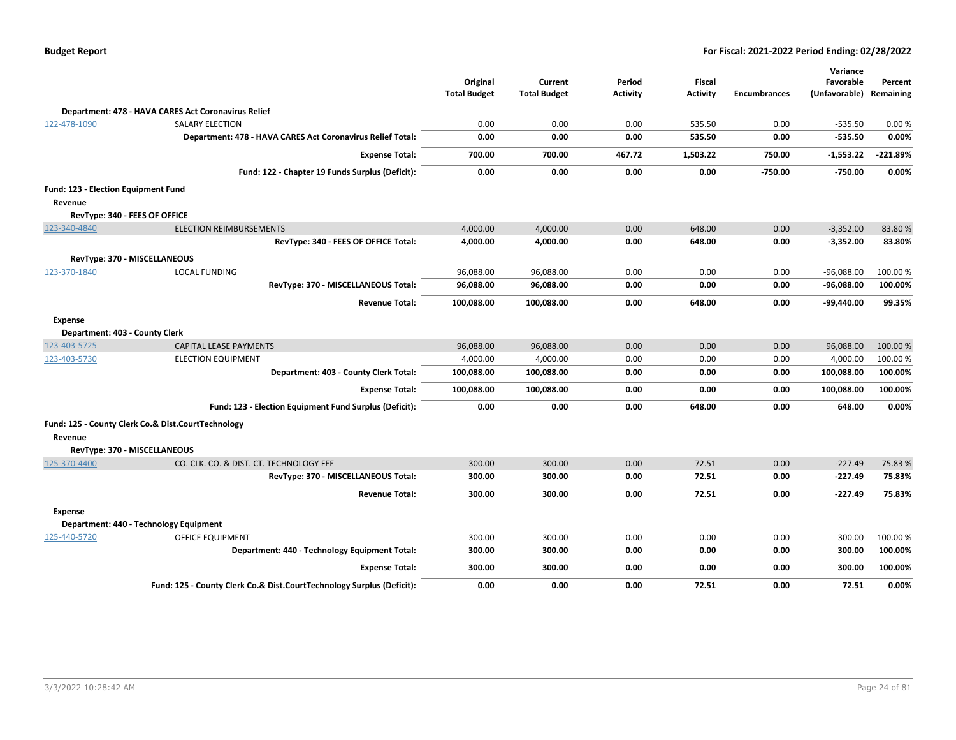| <b>Budget Report</b> |  |
|----------------------|--|
|----------------------|--|

|                                     |                                                                       |                     |                     |                 |                 |                     | Variance                |            |
|-------------------------------------|-----------------------------------------------------------------------|---------------------|---------------------|-----------------|-----------------|---------------------|-------------------------|------------|
|                                     |                                                                       | Original            | Current             | Period          | <b>Fiscal</b>   |                     | Favorable               | Percent    |
|                                     |                                                                       | <b>Total Budget</b> | <b>Total Budget</b> | <b>Activity</b> | <b>Activity</b> | <b>Encumbrances</b> | (Unfavorable) Remaining |            |
|                                     | Department: 478 - HAVA CARES Act Coronavirus Relief                   |                     |                     |                 |                 |                     |                         |            |
| 122-478-1090                        | <b>SALARY ELECTION</b>                                                | 0.00                | 0.00                | 0.00            | 535.50          | 0.00                | $-535.50$               | 0.00%      |
|                                     | Department: 478 - HAVA CARES Act Coronavirus Relief Total:            | 0.00                | 0.00                | 0.00            | 535.50          | 0.00                | $-535.50$               | 0.00%      |
|                                     | <b>Expense Total:</b>                                                 | 700.00              | 700.00              | 467.72          | 1,503.22        | 750.00              | $-1,553.22$             | $-221.89%$ |
|                                     | Fund: 122 - Chapter 19 Funds Surplus (Deficit):                       | 0.00                | 0.00                | 0.00            | 0.00            | $-750.00$           | -750.00                 | 0.00%      |
| Fund: 123 - Election Equipment Fund |                                                                       |                     |                     |                 |                 |                     |                         |            |
| Revenue                             |                                                                       |                     |                     |                 |                 |                     |                         |            |
|                                     | RevType: 340 - FEES OF OFFICE                                         |                     |                     |                 |                 |                     |                         |            |
| 123-340-4840                        | <b>ELECTION REIMBURSEMENTS</b>                                        | 4,000.00            | 4,000.00            | 0.00            | 648.00          | 0.00                | $-3,352.00$             | 83.80%     |
|                                     | RevType: 340 - FEES OF OFFICE Total:                                  | 4,000.00            | 4,000.00            | 0.00            | 648.00          | 0.00                | $-3,352.00$             | 83.80%     |
|                                     | RevType: 370 - MISCELLANEOUS                                          |                     |                     |                 |                 |                     |                         |            |
| 123-370-1840                        | <b>LOCAL FUNDING</b>                                                  | 96,088.00           | 96,088.00           | 0.00            | 0.00            | 0.00                | $-96,088.00$            | 100.00%    |
|                                     | RevType: 370 - MISCELLANEOUS Total:                                   | 96,088.00           | 96,088.00           | 0.00            | 0.00            | 0.00                | $-96,088.00$            | 100.00%    |
|                                     | <b>Revenue Total:</b>                                                 | 100,088.00          | 100,088.00          | 0.00            | 648.00          | 0.00                | -99,440.00              | 99.35%     |
| <b>Expense</b>                      |                                                                       |                     |                     |                 |                 |                     |                         |            |
| Department: 403 - County Clerk      |                                                                       |                     |                     |                 |                 |                     |                         |            |
| 123-403-5725                        | CAPITAL LEASE PAYMENTS                                                | 96,088.00           | 96,088.00           | 0.00            | 0.00            | 0.00                | 96,088.00               | 100.00%    |
| 123-403-5730                        | <b>ELECTION EQUIPMENT</b>                                             | 4,000.00            | 4,000.00            | 0.00            | 0.00            | 0.00                | 4,000.00                | 100.00%    |
|                                     | Department: 403 - County Clerk Total:                                 | 100,088.00          | 100,088.00          | 0.00            | 0.00            | 0.00                | 100,088.00              | 100.00%    |
|                                     | <b>Expense Total:</b>                                                 | 100,088.00          | 100,088.00          | 0.00            | 0.00            | 0.00                | 100,088.00              | 100.00%    |
|                                     | Fund: 123 - Election Equipment Fund Surplus (Deficit):                | 0.00                | 0.00                | 0.00            | 648.00          | 0.00                | 648.00                  | 0.00%      |
|                                     | Fund: 125 - County Clerk Co.& Dist.CourtTechnology                    |                     |                     |                 |                 |                     |                         |            |
| Revenue                             |                                                                       |                     |                     |                 |                 |                     |                         |            |
|                                     | RevType: 370 - MISCELLANEOUS                                          |                     |                     |                 |                 |                     |                         |            |
| 125-370-4400                        | CO. CLK. CO. & DIST. CT. TECHNOLOGY FEE                               | 300.00              | 300.00              | 0.00            | 72.51           | 0.00                | $-227.49$               | 75.83%     |
|                                     | RevType: 370 - MISCELLANEOUS Total:                                   | 300.00              | 300.00              | 0.00            | 72.51           | 0.00                | $-227.49$               | 75.83%     |
|                                     | <b>Revenue Total:</b>                                                 | 300.00              | 300.00              | 0.00            | 72.51           | 0.00                | $-227.49$               | 75.83%     |
| Expense                             |                                                                       |                     |                     |                 |                 |                     |                         |            |
|                                     | Department: 440 - Technology Equipment                                |                     |                     |                 |                 |                     |                         |            |
| 125-440-5720                        | OFFICE EQUIPMENT                                                      | 300.00              | 300.00              | 0.00            | 0.00            | 0.00                | 300.00                  | 100.00 %   |
|                                     | Department: 440 - Technology Equipment Total:                         | 300.00              | 300.00              | 0.00            | 0.00            | 0.00                | 300.00                  | 100.00%    |
|                                     | <b>Expense Total:</b>                                                 | 300.00              | 300.00              | 0.00            | 0.00            | 0.00                | 300.00                  | 100.00%    |
|                                     | Fund: 125 - County Clerk Co.& Dist.CourtTechnology Surplus (Deficit): | 0.00                | 0.00                | 0.00            | 72.51           | 0.00                | 72.51                   | 0.00%      |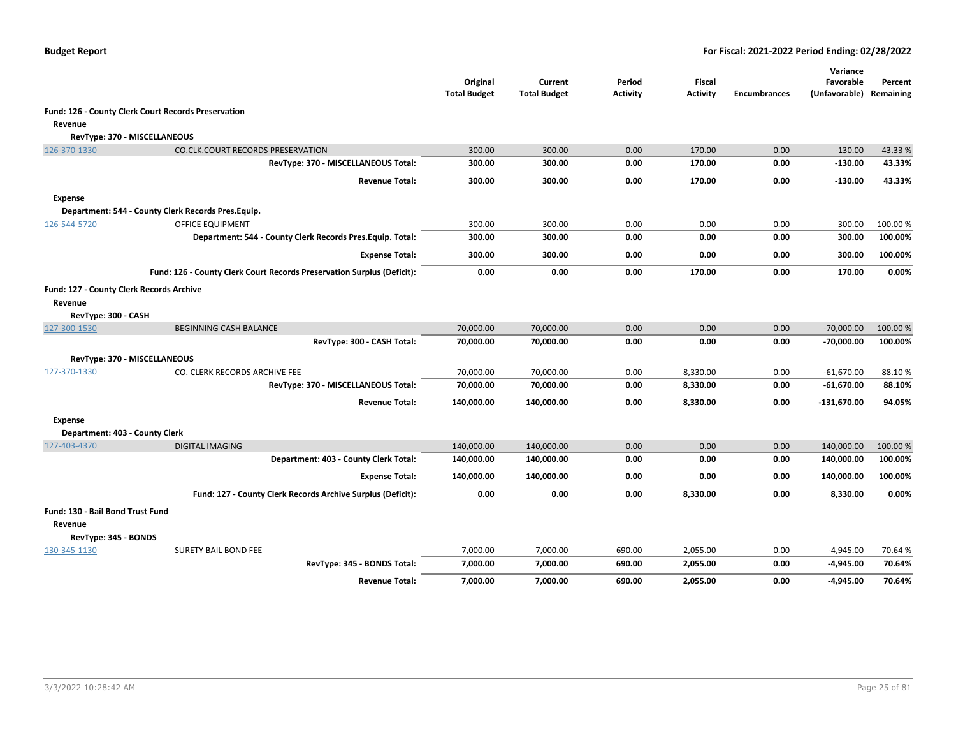|                                  |                                                                        | Original<br><b>Total Budget</b> | Current<br><b>Total Budget</b> | Period<br><b>Activity</b> | Fiscal<br><b>Activity</b> | <b>Encumbrances</b> | Variance<br>Favorable<br>(Unfavorable) Remaining | Percent  |
|----------------------------------|------------------------------------------------------------------------|---------------------------------|--------------------------------|---------------------------|---------------------------|---------------------|--------------------------------------------------|----------|
|                                  | Fund: 126 - County Clerk Court Records Preservation                    |                                 |                                |                           |                           |                     |                                                  |          |
| Revenue                          |                                                                        |                                 |                                |                           |                           |                     |                                                  |          |
|                                  | RevType: 370 - MISCELLANEOUS                                           |                                 |                                |                           |                           |                     |                                                  |          |
| 126-370-1330                     | <b>CO.CLK.COURT RECORDS PRESERVATION</b>                               | 300.00                          | 300.00                         | 0.00                      | 170.00                    | 0.00                | $-130.00$                                        | 43.33%   |
|                                  | RevType: 370 - MISCELLANEOUS Total:                                    | 300.00                          | 300.00                         | 0.00                      | 170.00                    | 0.00                | $-130.00$                                        | 43.33%   |
|                                  | <b>Revenue Total:</b>                                                  | 300.00                          | 300.00                         | 0.00                      | 170.00                    | 0.00                | $-130.00$                                        | 43.33%   |
| <b>Expense</b>                   |                                                                        |                                 |                                |                           |                           |                     |                                                  |          |
|                                  | Department: 544 - County Clerk Records Pres. Equip.                    |                                 |                                |                           |                           |                     |                                                  |          |
| 126-544-5720                     | <b>OFFICE EQUIPMENT</b>                                                | 300.00                          | 300.00                         | 0.00                      | 0.00                      | 0.00                | 300.00                                           | 100.00 % |
|                                  | Department: 544 - County Clerk Records Pres. Equip. Total:             | 300.00                          | 300.00                         | 0.00                      | 0.00                      | 0.00                | 300.00                                           | 100.00%  |
|                                  | <b>Expense Total:</b>                                                  | 300.00                          | 300.00                         | 0.00                      | 0.00                      | 0.00                | 300.00                                           | 100.00%  |
|                                  | Fund: 126 - County Clerk Court Records Preservation Surplus (Deficit): | 0.00                            | 0.00                           | 0.00                      | 170.00                    | 0.00                | 170.00                                           | 0.00%    |
|                                  | Fund: 127 - County Clerk Records Archive                               |                                 |                                |                           |                           |                     |                                                  |          |
| Revenue                          |                                                                        |                                 |                                |                           |                           |                     |                                                  |          |
| RevType: 300 - CASH              |                                                                        |                                 |                                |                           |                           |                     |                                                  |          |
| 127-300-1530                     | <b>BEGINNING CASH BALANCE</b>                                          | 70,000.00                       | 70,000.00                      | 0.00                      | 0.00                      | 0.00                | $-70,000.00$                                     | 100.00 % |
|                                  | RevType: 300 - CASH Total:                                             | 70,000.00                       | 70,000.00                      | 0.00                      | 0.00                      | 0.00                | $-70,000.00$                                     | 100.00%  |
|                                  | RevType: 370 - MISCELLANEOUS                                           |                                 |                                |                           |                           |                     |                                                  |          |
| 127-370-1330                     | CO. CLERK RECORDS ARCHIVE FEE                                          | 70,000.00                       | 70,000.00                      | 0.00                      | 8,330.00                  | 0.00                | $-61,670.00$                                     | 88.10%   |
|                                  | RevType: 370 - MISCELLANEOUS Total:                                    | 70,000.00                       | 70,000.00                      | 0.00                      | 8,330.00                  | 0.00                | $-61,670.00$                                     | 88.10%   |
|                                  | <b>Revenue Total:</b>                                                  | 140,000.00                      | 140,000.00                     | 0.00                      | 8,330.00                  | 0.00                | $-131,670.00$                                    | 94.05%   |
| <b>Expense</b>                   |                                                                        |                                 |                                |                           |                           |                     |                                                  |          |
|                                  | Department: 403 - County Clerk                                         |                                 |                                |                           |                           |                     |                                                  |          |
| 127-403-4370                     | <b>DIGITAL IMAGING</b>                                                 | 140,000.00                      | 140,000.00                     | 0.00                      | 0.00                      | 0.00                | 140,000.00                                       | 100.00 % |
|                                  | Department: 403 - County Clerk Total:                                  | 140,000.00                      | 140,000.00                     | 0.00                      | 0.00                      | 0.00                | 140,000.00                                       | 100.00%  |
|                                  | <b>Expense Total:</b>                                                  | 140,000.00                      | 140,000.00                     | 0.00                      | 0.00                      | 0.00                | 140,000.00                                       | 100.00%  |
|                                  | Fund: 127 - County Clerk Records Archive Surplus (Deficit):            | 0.00                            | 0.00                           | 0.00                      | 8,330.00                  | 0.00                | 8,330.00                                         | 0.00%    |
| Fund: 130 - Bail Bond Trust Fund |                                                                        |                                 |                                |                           |                           |                     |                                                  |          |
| Revenue                          |                                                                        |                                 |                                |                           |                           |                     |                                                  |          |
| RevType: 345 - BONDS             |                                                                        |                                 |                                |                           |                           |                     |                                                  |          |
| 130-345-1130                     | SURETY BAIL BOND FEE                                                   | 7,000.00                        | 7,000.00                       | 690.00                    | 2,055.00                  | 0.00                | $-4,945.00$                                      | 70.64%   |
|                                  | RevType: 345 - BONDS Total:                                            | 7,000.00                        | 7,000.00                       | 690.00                    | 2,055.00                  | 0.00                | $-4,945.00$                                      | 70.64%   |
|                                  | <b>Revenue Total:</b>                                                  | 7,000.00                        | 7,000.00                       | 690.00                    | 2,055.00                  | 0.00                | $-4,945.00$                                      | 70.64%   |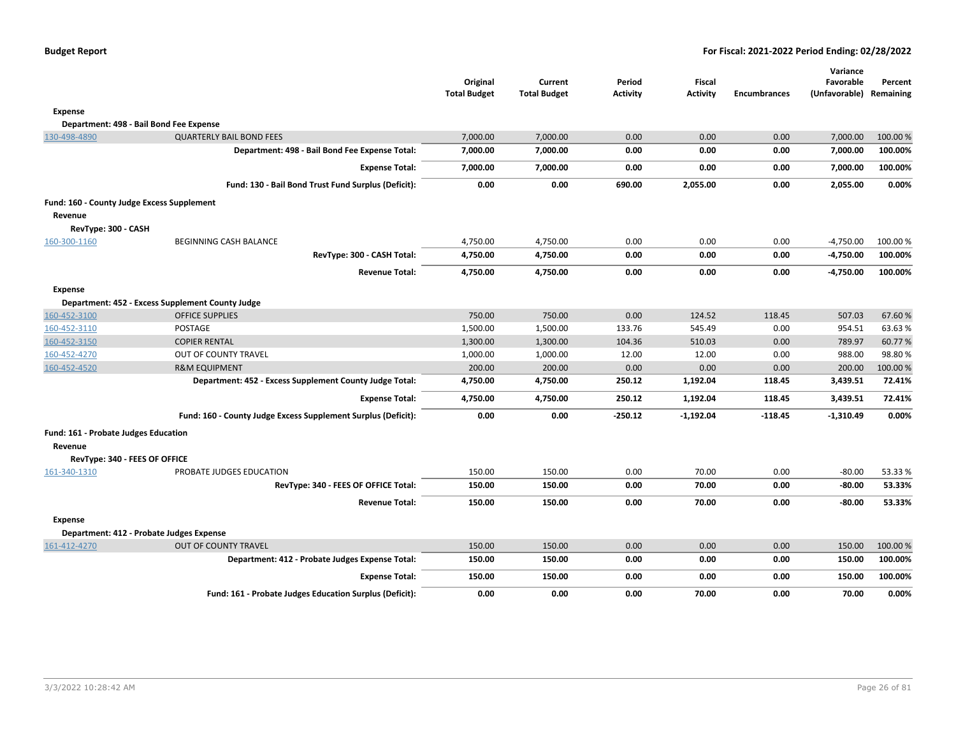|                                            |                                                               | Original<br><b>Total Budget</b> | Current<br><b>Total Budget</b> | Period<br><b>Activity</b> | <b>Fiscal</b><br><b>Activity</b> | <b>Encumbrances</b> | Variance<br>Favorable<br>(Unfavorable) Remaining | Percent  |
|--------------------------------------------|---------------------------------------------------------------|---------------------------------|--------------------------------|---------------------------|----------------------------------|---------------------|--------------------------------------------------|----------|
| <b>Expense</b>                             |                                                               |                                 |                                |                           |                                  |                     |                                                  |          |
|                                            | Department: 498 - Bail Bond Fee Expense                       |                                 |                                |                           |                                  |                     |                                                  |          |
| 130-498-4890                               | <b>QUARTERLY BAIL BOND FEES</b>                               | 7,000.00                        | 7,000.00                       | 0.00                      | 0.00                             | 0.00                | 7,000.00                                         | 100.00 % |
|                                            | Department: 498 - Bail Bond Fee Expense Total:                | 7,000.00                        | 7,000.00                       | 0.00                      | 0.00                             | 0.00                | 7,000.00                                         | 100.00%  |
|                                            | <b>Expense Total:</b>                                         | 7,000.00                        | 7,000.00                       | 0.00                      | 0.00                             | 0.00                | 7,000.00                                         | 100.00%  |
|                                            | Fund: 130 - Bail Bond Trust Fund Surplus (Deficit):           | 0.00                            | 0.00                           | 690.00                    | 2,055.00                         | 0.00                | 2,055.00                                         | 0.00%    |
| Fund: 160 - County Judge Excess Supplement |                                                               |                                 |                                |                           |                                  |                     |                                                  |          |
| Revenue                                    |                                                               |                                 |                                |                           |                                  |                     |                                                  |          |
| RevType: 300 - CASH                        |                                                               |                                 |                                |                           |                                  |                     |                                                  |          |
| 160-300-1160                               | BEGINNING CASH BALANCE                                        | 4,750.00                        | 4,750.00                       | 0.00                      | 0.00                             | 0.00                | $-4,750.00$                                      | 100.00 % |
|                                            | RevType: 300 - CASH Total:                                    | 4,750.00                        | 4,750.00                       | 0.00                      | 0.00                             | 0.00                | $-4,750.00$                                      | 100.00%  |
|                                            | <b>Revenue Total:</b>                                         | 4,750.00                        | 4,750.00                       | 0.00                      | 0.00                             | 0.00                | $-4,750.00$                                      | 100.00%  |
| <b>Expense</b>                             |                                                               |                                 |                                |                           |                                  |                     |                                                  |          |
|                                            | Department: 452 - Excess Supplement County Judge              |                                 |                                |                           |                                  |                     |                                                  |          |
| 160-452-3100                               | <b>OFFICE SUPPLIES</b>                                        | 750.00                          | 750.00                         | 0.00                      | 124.52                           | 118.45              | 507.03                                           | 67.60%   |
| 160-452-3110                               | <b>POSTAGE</b>                                                | 1,500.00                        | 1,500.00                       | 133.76                    | 545.49                           | 0.00                | 954.51                                           | 63.63%   |
| 160-452-3150                               | <b>COPIER RENTAL</b>                                          | 1,300.00                        | 1,300.00                       | 104.36                    | 510.03                           | 0.00                | 789.97                                           | 60.77%   |
| 160-452-4270                               | <b>OUT OF COUNTY TRAVEL</b>                                   | 1,000.00                        | 1,000.00                       | 12.00                     | 12.00                            | 0.00                | 988.00                                           | 98.80%   |
| 160-452-4520                               | <b>R&amp;M EQUIPMENT</b>                                      | 200.00                          | 200.00                         | 0.00                      | 0.00                             | 0.00                | 200.00                                           | 100.00%  |
|                                            | Department: 452 - Excess Supplement County Judge Total:       | 4,750.00                        | 4,750.00                       | 250.12                    | 1,192.04                         | 118.45              | 3,439.51                                         | 72.41%   |
|                                            | <b>Expense Total:</b>                                         | 4,750.00                        | 4,750.00                       | 250.12                    | 1,192.04                         | 118.45              | 3,439.51                                         | 72.41%   |
|                                            | Fund: 160 - County Judge Excess Supplement Surplus (Deficit): | 0.00                            | 0.00                           | $-250.12$                 | $-1,192.04$                      | $-118.45$           | $-1,310.49$                                      | 0.00%    |
| Fund: 161 - Probate Judges Education       |                                                               |                                 |                                |                           |                                  |                     |                                                  |          |
| Revenue                                    |                                                               |                                 |                                |                           |                                  |                     |                                                  |          |
| RevType: 340 - FEES OF OFFICE              |                                                               |                                 |                                |                           |                                  |                     |                                                  |          |
| 161-340-1310                               | PROBATE JUDGES EDUCATION                                      | 150.00                          | 150.00                         | 0.00                      | 70.00                            | 0.00                | $-80.00$                                         | 53.33%   |
|                                            | RevType: 340 - FEES OF OFFICE Total:                          | 150.00                          | 150.00                         | 0.00                      | 70.00                            | 0.00                | $-80.00$                                         | 53.33%   |
|                                            | <b>Revenue Total:</b>                                         | 150.00                          | 150.00                         | 0.00                      | 70.00                            | 0.00                | $-80.00$                                         | 53.33%   |
| <b>Expense</b>                             |                                                               |                                 |                                |                           |                                  |                     |                                                  |          |
|                                            | Department: 412 - Probate Judges Expense                      |                                 |                                |                           |                                  |                     |                                                  |          |
| 161-412-4270                               | <b>OUT OF COUNTY TRAVEL</b>                                   | 150.00                          | 150.00                         | 0.00                      | 0.00                             | 0.00                | 150.00                                           | 100.00%  |
|                                            | Department: 412 - Probate Judges Expense Total:               | 150.00                          | 150.00                         | 0.00                      | 0.00                             | 0.00                | 150.00                                           | 100.00%  |
|                                            | <b>Expense Total:</b>                                         | 150.00                          | 150.00                         | 0.00                      | 0.00                             | 0.00                | 150.00                                           | 100.00%  |
|                                            | Fund: 161 - Probate Judges Education Surplus (Deficit):       | 0.00                            | 0.00                           | 0.00                      | 70.00                            | 0.00                | 70.00                                            | 0.00%    |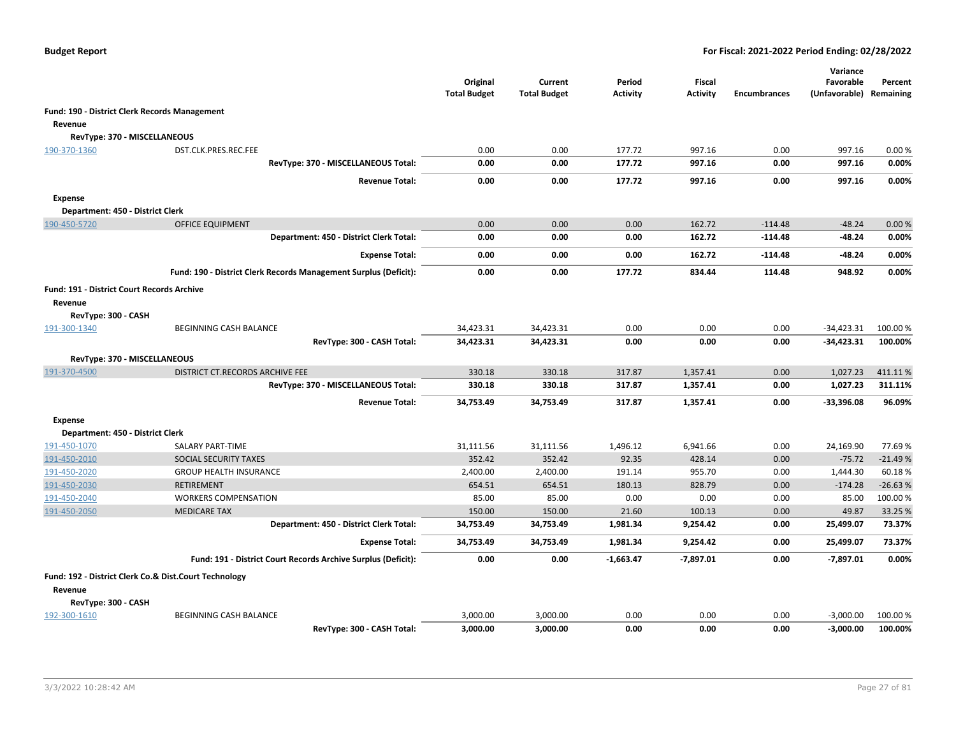|                                                   |                                                                  | Original<br><b>Total Budget</b> | Current<br><b>Total Budget</b> | Period<br><b>Activity</b> | <b>Fiscal</b><br><b>Activity</b> | <b>Encumbrances</b> | Variance<br>Favorable<br>(Unfavorable) Remaining | Percent   |
|---------------------------------------------------|------------------------------------------------------------------|---------------------------------|--------------------------------|---------------------------|----------------------------------|---------------------|--------------------------------------------------|-----------|
|                                                   | Fund: 190 - District Clerk Records Management                    |                                 |                                |                           |                                  |                     |                                                  |           |
| Revenue                                           |                                                                  |                                 |                                |                           |                                  |                     |                                                  |           |
| RevType: 370 - MISCELLANEOUS                      |                                                                  |                                 |                                |                           |                                  |                     |                                                  |           |
| 190-370-1360                                      | DST.CLK.PRES.REC.FEE                                             | 0.00                            | 0.00                           | 177.72                    | 997.16                           | 0.00                | 997.16                                           | 0.00%     |
|                                                   | RevType: 370 - MISCELLANEOUS Total:                              | 0.00                            | 0.00                           | 177.72                    | 997.16                           | 0.00                | 997.16                                           | 0.00%     |
|                                                   | <b>Revenue Total:</b>                                            | 0.00                            | 0.00                           | 177.72                    | 997.16                           | 0.00                | 997.16                                           | 0.00%     |
| <b>Expense</b>                                    |                                                                  |                                 |                                |                           |                                  |                     |                                                  |           |
| Department: 450 - District Clerk                  |                                                                  |                                 |                                |                           |                                  |                     |                                                  |           |
| 190-450-5720                                      | <b>OFFICE EQUIPMENT</b>                                          | 0.00                            | 0.00                           | 0.00                      | 162.72                           | $-114.48$           | $-48.24$                                         | 0.00%     |
|                                                   | Department: 450 - District Clerk Total:                          | 0.00                            | 0.00                           | 0.00                      | 162.72                           | $-114.48$           | -48.24                                           | 0.00%     |
|                                                   | <b>Expense Total:</b>                                            | 0.00                            | 0.00                           | 0.00                      | 162.72                           | $-114.48$           | $-48.24$                                         | 0.00%     |
|                                                   | Fund: 190 - District Clerk Records Management Surplus (Deficit): | 0.00                            | 0.00                           | 177.72                    | 834.44                           | 114.48              | 948.92                                           | 0.00%     |
| <b>Fund: 191 - District Court Records Archive</b> |                                                                  |                                 |                                |                           |                                  |                     |                                                  |           |
| Revenue                                           |                                                                  |                                 |                                |                           |                                  |                     |                                                  |           |
| RevType: 300 - CASH                               |                                                                  |                                 |                                |                           |                                  |                     |                                                  |           |
| 191-300-1340                                      | BEGINNING CASH BALANCE                                           | 34,423.31                       | 34,423.31                      | 0.00                      | 0.00                             | 0.00                | $-34,423.31$                                     | 100.00 %  |
|                                                   | RevType: 300 - CASH Total:                                       | 34,423.31                       | 34,423.31                      | 0.00                      | 0.00                             | 0.00                | $-34,423.31$                                     | 100.00%   |
| RevType: 370 - MISCELLANEOUS                      |                                                                  |                                 |                                |                           |                                  |                     |                                                  |           |
| 191-370-4500                                      | DISTRICT CT.RECORDS ARCHIVE FEE                                  | 330.18                          | 330.18                         | 317.87                    | 1,357.41                         | 0.00                | 1,027.23                                         | 411.11%   |
|                                                   | RevType: 370 - MISCELLANEOUS Total:                              | 330.18                          | 330.18                         | 317.87                    | 1,357.41                         | 0.00                | 1,027.23                                         | 311.11%   |
|                                                   | <b>Revenue Total:</b>                                            | 34,753.49                       | 34,753.49                      | 317.87                    | 1,357.41                         | 0.00                | $-33,396.08$                                     | 96.09%    |
| <b>Expense</b>                                    |                                                                  |                                 |                                |                           |                                  |                     |                                                  |           |
| Department: 450 - District Clerk                  |                                                                  |                                 |                                |                           |                                  |                     |                                                  |           |
| 191-450-1070                                      | SALARY PART-TIME                                                 | 31,111.56                       | 31,111.56                      | 1,496.12                  | 6,941.66                         | 0.00                | 24,169.90                                        | 77.69%    |
| 191-450-2010                                      | SOCIAL SECURITY TAXES                                            | 352.42                          | 352.42                         | 92.35                     | 428.14                           | 0.00                | $-75.72$                                         | $-21.49%$ |
| 191-450-2020                                      | <b>GROUP HEALTH INSURANCE</b>                                    | 2,400.00                        | 2,400.00                       | 191.14                    | 955.70                           | 0.00                | 1,444.30                                         | 60.18%    |
| 191-450-2030                                      | <b>RETIREMENT</b>                                                | 654.51                          | 654.51                         | 180.13                    | 828.79                           | 0.00                | $-174.28$                                        | $-26.63%$ |
| 191-450-2040                                      | <b>WORKERS COMPENSATION</b>                                      | 85.00                           | 85.00                          | 0.00                      | 0.00                             | 0.00                | 85.00                                            | 100.00%   |
| 191-450-2050                                      | <b>MEDICARE TAX</b>                                              | 150.00                          | 150.00                         | 21.60                     | 100.13                           | 0.00                | 49.87                                            | 33.25 %   |
|                                                   | Department: 450 - District Clerk Total:                          | 34,753.49                       | 34,753.49                      | 1,981.34                  | 9,254.42                         | 0.00                | 25,499.07                                        | 73.37%    |
|                                                   | <b>Expense Total:</b>                                            | 34,753.49                       | 34,753.49                      | 1,981.34                  | 9,254.42                         | 0.00                | 25,499.07                                        | 73.37%    |
|                                                   | Fund: 191 - District Court Records Archive Surplus (Deficit):    | 0.00                            | 0.00                           | $-1,663.47$               | $-7,897.01$                      | 0.00                | $-7,897.01$                                      | 0.00%     |
|                                                   | Fund: 192 - District Clerk Co.& Dist.Court Technology            |                                 |                                |                           |                                  |                     |                                                  |           |
| Revenue                                           |                                                                  |                                 |                                |                           |                                  |                     |                                                  |           |
| RevType: 300 - CASH                               |                                                                  |                                 |                                |                           |                                  |                     |                                                  |           |
| 192-300-1610                                      | BEGINNING CASH BALANCE                                           | 3,000.00                        | 3,000.00                       | 0.00                      | 0.00                             | 0.00                | $-3,000.00$                                      | 100.00 %  |
|                                                   | RevType: 300 - CASH Total:                                       | 3,000.00                        | 3,000.00                       | 0.00                      | 0.00                             | 0.00                | $-3,000.00$                                      | 100.00%   |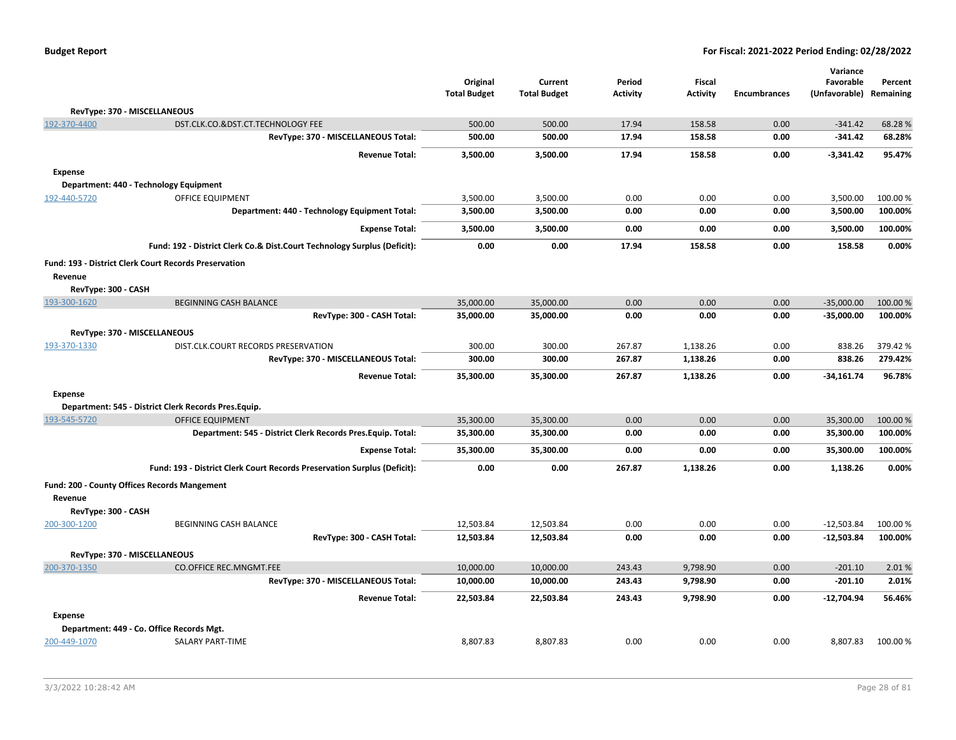|                     |                                                                          | Original<br><b>Total Budget</b> | Current<br><b>Total Budget</b> | Period<br><b>Activity</b> | Fiscal<br><b>Activity</b> | <b>Encumbrances</b> | Variance<br>Favorable<br>(Unfavorable) | Percent<br>Remaining |
|---------------------|--------------------------------------------------------------------------|---------------------------------|--------------------------------|---------------------------|---------------------------|---------------------|----------------------------------------|----------------------|
|                     | RevType: 370 - MISCELLANEOUS                                             |                                 |                                |                           |                           |                     |                                        |                      |
| 192-370-4400        | DST.CLK.CO.&DST.CT.TECHNOLOGY FEE                                        | 500.00                          | 500.00                         | 17.94                     | 158.58                    | 0.00                | $-341.42$                              | 68.28%               |
|                     | RevType: 370 - MISCELLANEOUS Total:                                      | 500.00                          | 500.00                         | 17.94                     | 158.58                    | 0.00                | $-341.42$                              | 68.28%               |
|                     | <b>Revenue Total:</b>                                                    | 3,500.00                        | 3,500.00                       | 17.94                     | 158.58                    | 0.00                | $-3,341.42$                            | 95.47%               |
| <b>Expense</b>      |                                                                          |                                 |                                |                           |                           |                     |                                        |                      |
|                     | Department: 440 - Technology Equipment                                   |                                 |                                |                           |                           |                     |                                        |                      |
| 192-440-5720        | <b>OFFICE EQUIPMENT</b>                                                  | 3,500.00                        | 3,500.00                       | 0.00                      | 0.00                      | 0.00                | 3,500.00                               | 100.00%              |
|                     | Department: 440 - Technology Equipment Total:                            | 3,500.00                        | 3,500.00                       | 0.00                      | 0.00                      | 0.00                | 3,500.00                               | 100.00%              |
|                     | <b>Expense Total:</b>                                                    | 3,500.00                        | 3,500.00                       | 0.00                      | 0.00                      | 0.00                | 3,500.00                               | 100.00%              |
|                     | Fund: 192 - District Clerk Co.& Dist.Court Technology Surplus (Deficit): | 0.00                            | 0.00                           | 17.94                     | 158.58                    | 0.00                | 158.58                                 | 0.00%                |
|                     | Fund: 193 - District Clerk Court Records Preservation                    |                                 |                                |                           |                           |                     |                                        |                      |
| Revenue             |                                                                          |                                 |                                |                           |                           |                     |                                        |                      |
| RevType: 300 - CASH |                                                                          |                                 |                                |                           |                           |                     |                                        |                      |
| 193-300-1620        | <b>BEGINNING CASH BALANCE</b>                                            | 35,000.00                       | 35,000.00                      | 0.00                      | 0.00                      | 0.00                | $-35,000.00$                           | 100.00 %             |
|                     | RevType: 300 - CASH Total:                                               | 35,000.00                       | 35,000.00                      | 0.00                      | 0.00                      | 0.00                | $-35,000.00$                           | 100.00%              |
|                     | RevType: 370 - MISCELLANEOUS                                             |                                 |                                |                           |                           |                     |                                        |                      |
| 193-370-1330        | DIST.CLK.COURT RECORDS PRESERVATION                                      | 300.00                          | 300.00                         | 267.87                    | 1,138.26                  | 0.00                | 838.26                                 | 379.42%              |
|                     | RevType: 370 - MISCELLANEOUS Total:                                      | 300.00                          | 300.00                         | 267.87                    | 1,138.26                  | 0.00                | 838.26                                 | 279.42%              |
|                     | <b>Revenue Total:</b>                                                    | 35,300.00                       | 35,300.00                      | 267.87                    | 1,138.26                  | 0.00                | $-34,161.74$                           | 96.78%               |
| <b>Expense</b>      |                                                                          |                                 |                                |                           |                           |                     |                                        |                      |
|                     | Department: 545 - District Clerk Records Pres.Equip.                     |                                 |                                |                           |                           |                     |                                        |                      |
| 193-545-5720        | <b>OFFICE EQUIPMENT</b>                                                  | 35,300.00                       | 35,300.00                      | 0.00                      | 0.00                      | 0.00                | 35,300.00                              | 100.00%              |
|                     | Department: 545 - District Clerk Records Pres. Equip. Total:             | 35,300.00                       | 35,300.00                      | 0.00                      | 0.00                      | 0.00                | 35,300.00                              | 100.00%              |
|                     | <b>Expense Total:</b>                                                    | 35,300.00                       | 35,300.00                      | 0.00                      | 0.00                      | 0.00                | 35,300.00                              | 100.00%              |
|                     | Fund: 193 - District Clerk Court Records Preservation Surplus (Deficit): | 0.00                            | 0.00                           | 267.87                    | 1,138.26                  | 0.00                | 1,138.26                               | 0.00%                |
| Revenue             | Fund: 200 - County Offices Records Mangement                             |                                 |                                |                           |                           |                     |                                        |                      |
| RevType: 300 - CASH |                                                                          |                                 |                                |                           |                           |                     |                                        |                      |
| 200-300-1200        | BEGINNING CASH BALANCE                                                   | 12,503.84                       | 12,503.84                      | 0.00                      | 0.00                      | 0.00                | $-12,503.84$                           | 100.00%              |
|                     | RevType: 300 - CASH Total:                                               | 12,503.84                       | 12,503.84                      | 0.00                      | 0.00                      | 0.00                | $-12,503.84$                           | 100.00%              |
|                     | RevType: 370 - MISCELLANEOUS                                             |                                 |                                |                           |                           |                     |                                        |                      |
| 200-370-1350        | <b>CO.OFFICE REC.MNGMT.FEE</b>                                           | 10,000.00                       | 10,000.00                      | 243.43                    | 9,798.90                  | 0.00                | $-201.10$                              | 2.01%                |
|                     | RevType: 370 - MISCELLANEOUS Total:                                      | 10,000.00                       | 10,000.00                      | 243.43                    | 9,798.90                  | 0.00                | $-201.10$                              | 2.01%                |
|                     | <b>Revenue Total:</b>                                                    | 22,503.84                       | 22,503.84                      | 243.43                    | 9,798.90                  | 0.00                | $-12,704.94$                           | 56.46%               |
| <b>Expense</b>      |                                                                          |                                 |                                |                           |                           |                     |                                        |                      |
|                     | Department: 449 - Co. Office Records Mgt.                                |                                 |                                |                           |                           |                     |                                        |                      |
| 200-449-1070        | SALARY PART-TIME                                                         | 8,807.83                        | 8,807.83                       | 0.00                      | 0.00                      | 0.00                | 8,807.83                               | 100.00%              |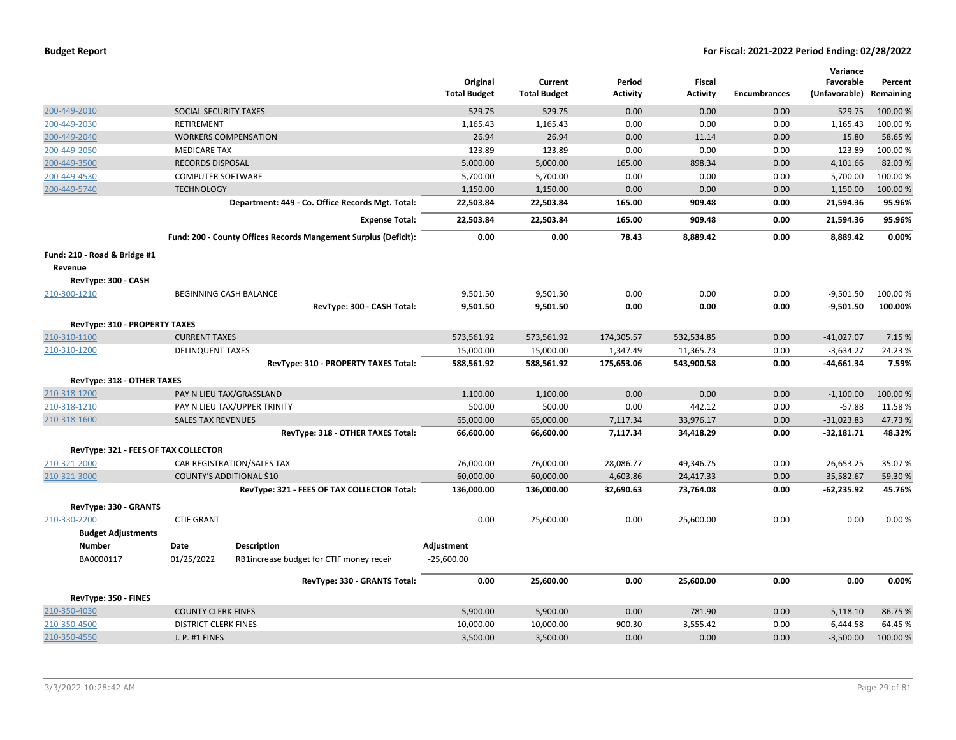|                                      |                                                                 | Original<br><b>Total Budget</b> | Current<br><b>Total Budget</b> | Period<br><b>Activity</b> | Fiscal<br><b>Activity</b> | <b>Encumbrances</b> | Variance<br>Favorable<br>(Unfavorable) Remaining | Percent  |
|--------------------------------------|-----------------------------------------------------------------|---------------------------------|--------------------------------|---------------------------|---------------------------|---------------------|--------------------------------------------------|----------|
| 200-449-2010                         | SOCIAL SECURITY TAXES                                           | 529.75                          | 529.75                         | 0.00                      | 0.00                      | 0.00                | 529.75                                           | 100.00%  |
| 200-449-2030                         | <b>RETIREMENT</b>                                               | 1,165.43                        | 1,165.43                       | 0.00                      | 0.00                      | 0.00                | 1,165.43                                         | 100.00%  |
| 200-449-2040                         | <b>WORKERS COMPENSATION</b>                                     | 26.94                           | 26.94                          | 0.00                      | 11.14                     | 0.00                | 15.80                                            | 58.65%   |
| 200-449-2050                         | <b>MEDICARE TAX</b>                                             | 123.89                          | 123.89                         | 0.00                      | 0.00                      | 0.00                | 123.89                                           | 100.00 % |
| 200-449-3500                         | <b>RECORDS DISPOSAL</b>                                         | 5,000.00                        | 5,000.00                       | 165.00                    | 898.34                    | 0.00                | 4,101.66                                         | 82.03%   |
| 200-449-4530                         | <b>COMPUTER SOFTWARE</b>                                        | 5,700.00                        | 5,700.00                       | 0.00                      | 0.00                      | 0.00                | 5,700.00                                         | 100.00%  |
| 200-449-5740                         | <b>TECHNOLOGY</b>                                               | 1,150.00                        | 1,150.00                       | 0.00                      | 0.00                      | 0.00                | 1,150.00                                         | 100.00 % |
|                                      | Department: 449 - Co. Office Records Mgt. Total:                | 22,503.84                       | 22,503.84                      | 165.00                    | 909.48                    | 0.00                | 21,594.36                                        | 95.96%   |
|                                      | <b>Expense Total:</b>                                           | 22,503.84                       | 22,503.84                      | 165.00                    | 909.48                    | 0.00                | 21,594.36                                        | 95.96%   |
|                                      | Fund: 200 - County Offices Records Mangement Surplus (Deficit): | 0.00                            | 0.00                           | 78.43                     | 8,889.42                  | 0.00                | 8,889.42                                         | 0.00%    |
| Fund: 210 - Road & Bridge #1         |                                                                 |                                 |                                |                           |                           |                     |                                                  |          |
| Revenue                              |                                                                 |                                 |                                |                           |                           |                     |                                                  |          |
| RevType: 300 - CASH                  |                                                                 |                                 |                                |                           |                           |                     |                                                  |          |
| 210-300-1210                         | BEGINNING CASH BALANCE                                          | 9,501.50                        | 9,501.50                       | 0.00                      | 0.00                      | 0.00                | $-9,501.50$                                      | 100.00%  |
|                                      | RevType: 300 - CASH Total:                                      | 9,501.50                        | 9,501.50                       | 0.00                      | 0.00                      | 0.00                | $-9,501.50$                                      | 100.00%  |
| <b>RevType: 310 - PROPERTY TAXES</b> |                                                                 |                                 |                                |                           |                           |                     |                                                  |          |
| 210-310-1100                         | <b>CURRENT TAXES</b>                                            | 573,561.92                      | 573,561.92                     | 174,305.57                | 532,534.85                | 0.00                | $-41,027.07$                                     | 7.15 %   |
| 210-310-1200                         | <b>DELINQUENT TAXES</b>                                         | 15,000.00                       | 15,000.00                      | 1,347.49                  | 11,365.73                 | 0.00                | $-3,634.27$                                      | 24.23%   |
|                                      | RevType: 310 - PROPERTY TAXES Total:                            | 588,561.92                      | 588,561.92                     | 175,653.06                | 543,900.58                | 0.00                | $-44,661.34$                                     | 7.59%    |
| RevType: 318 - OTHER TAXES           |                                                                 |                                 |                                |                           |                           |                     |                                                  |          |
| 210-318-1200                         | PAY N LIEU TAX/GRASSLAND                                        | 1,100.00                        | 1,100.00                       | 0.00                      | 0.00                      | 0.00                | $-1,100.00$                                      | 100.00%  |
| 210-318-1210                         | PAY N LIEU TAX/UPPER TRINITY                                    | 500.00                          | 500.00                         | 0.00                      | 442.12                    | 0.00                | $-57.88$                                         | 11.58%   |
| 210-318-1600                         | <b>SALES TAX REVENUES</b>                                       | 65,000.00                       | 65,000.00                      | 7,117.34                  | 33,976.17                 | 0.00                | $-31,023.83$                                     | 47.73%   |
|                                      | RevType: 318 - OTHER TAXES Total:                               | 66,600.00                       | 66,600.00                      | 7,117.34                  | 34,418.29                 | 0.00                | $-32,181.71$                                     | 48.32%   |
|                                      |                                                                 |                                 |                                |                           |                           |                     |                                                  |          |
| RevType: 321 - FEES OF TAX COLLECTOR |                                                                 |                                 |                                |                           |                           |                     |                                                  |          |
| 210-321-2000                         | CAR REGISTRATION/SALES TAX                                      | 76,000.00                       | 76,000.00                      | 28,086.77                 | 49,346.75                 | 0.00                | $-26,653.25$                                     | 35.07%   |
| 210-321-3000                         | COUNTY'S ADDITIONAL \$10                                        | 60,000.00                       | 60,000.00                      | 4,603.86                  | 24,417.33                 | 0.00                | $-35,582.67$                                     | 59.30 %  |
|                                      | RevType: 321 - FEES OF TAX COLLECTOR Total:                     | 136,000.00                      | 136,000.00                     | 32,690.63                 | 73,764.08                 | 0.00                | $-62,235.92$                                     | 45.76%   |
| RevType: 330 - GRANTS                |                                                                 |                                 |                                |                           |                           |                     |                                                  |          |
| 210-330-2200                         | <b>CTIF GRANT</b>                                               | 0.00                            | 25,600.00                      | 0.00                      | 25,600.00                 | 0.00                | 0.00                                             | 0.00%    |
| <b>Budget Adjustments</b>            |                                                                 |                                 |                                |                           |                           |                     |                                                  |          |
| <b>Number</b>                        | Date<br><b>Description</b>                                      | Adjustment                      |                                |                           |                           |                     |                                                  |          |
| BA0000117                            | 01/25/2022<br>RB1increase budget for CTIF money receiv          | $-25,600.00$                    |                                |                           |                           |                     |                                                  |          |
|                                      | RevType: 330 - GRANTS Total:                                    | 0.00                            | 25,600.00                      | 0.00                      | 25,600.00                 | 0.00                | 0.00                                             | 0.00%    |
| RevType: 350 - FINES                 |                                                                 |                                 |                                |                           |                           |                     |                                                  |          |
| 210-350-4030                         | <b>COUNTY CLERK FINES</b>                                       | 5,900.00                        | 5,900.00                       | 0.00                      | 781.90                    | 0.00                | $-5,118.10$                                      | 86.75%   |
| 210-350-4500                         | <b>DISTRICT CLERK FINES</b>                                     | 10,000.00                       | 10,000.00                      | 900.30                    | 3,555.42                  | 0.00                | $-6,444.58$                                      | 64.45 %  |
| 210-350-4550                         | J. P. #1 FINES                                                  | 3,500.00                        | 3,500.00                       | 0.00                      | 0.00                      | 0.00                | $-3,500.00$                                      | 100.00 % |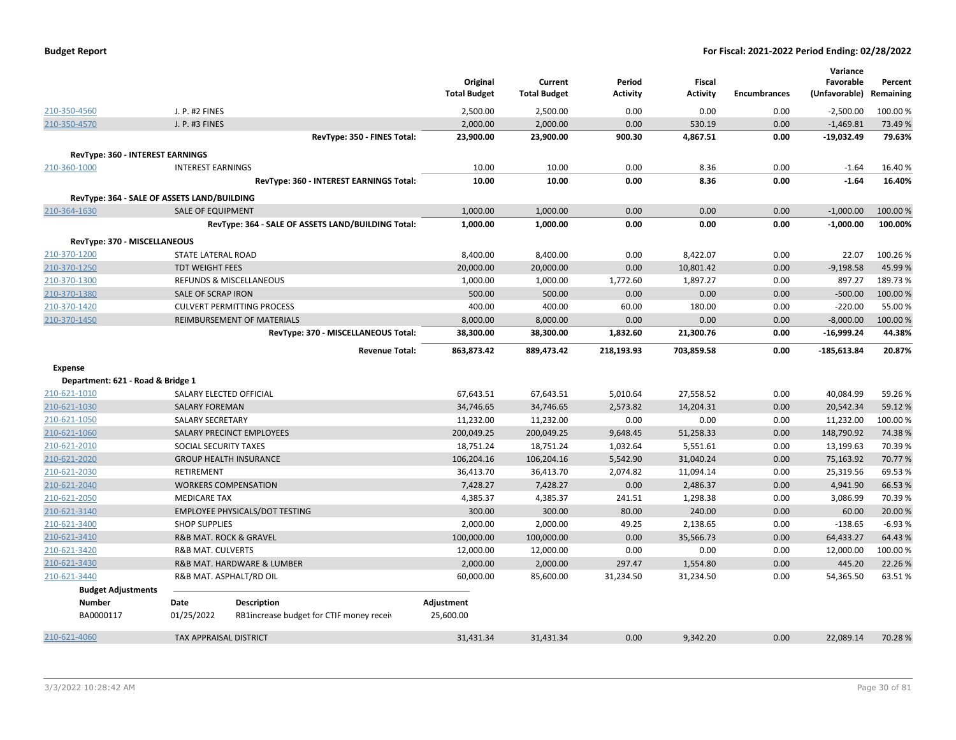| <b>Budget Report</b> |  |
|----------------------|--|
|----------------------|--|

|                                             |                               |                                                    |                     |                     |            |                 |                     | Variance      |           |
|---------------------------------------------|-------------------------------|----------------------------------------------------|---------------------|---------------------|------------|-----------------|---------------------|---------------|-----------|
|                                             |                               |                                                    | Original            | Current             | Period     | <b>Fiscal</b>   |                     | Favorable     | Percent   |
|                                             |                               |                                                    | <b>Total Budget</b> | <b>Total Budget</b> | Activity   | <b>Activity</b> | <b>Encumbrances</b> | (Unfavorable) | Remaining |
| 210-350-4560                                | J. P. #2 FINES                |                                                    | 2,500.00            | 2,500.00            | 0.00       | 0.00            | 0.00                | $-2,500.00$   | 100.00%   |
| 210-350-4570                                | J. P. #3 FINES                |                                                    | 2,000.00            | 2,000.00            | 0.00       | 530.19          | 0.00                | $-1,469.81$   | 73.49 %   |
|                                             |                               | RevType: 350 - FINES Total:                        | 23,900.00           | 23,900.00           | 900.30     | 4,867.51        | 0.00                | $-19,032.49$  | 79.63%    |
| <b>RevType: 360 - INTEREST EARNINGS</b>     |                               |                                                    |                     |                     |            |                 |                     |               |           |
| 210-360-1000                                | <b>INTEREST EARNINGS</b>      |                                                    | 10.00               | 10.00               | 0.00       | 8.36            | 0.00                | $-1.64$       | 16.40%    |
|                                             |                               | RevType: 360 - INTEREST EARNINGS Total:            | 10.00               | 10.00               | 0.00       | 8.36            | 0.00                | $-1.64$       | 16.40%    |
| RevType: 364 - SALE OF ASSETS LAND/BUILDING |                               |                                                    |                     |                     |            |                 |                     |               |           |
| 210-364-1630                                | <b>SALE OF EQUIPMENT</b>      |                                                    | 1,000.00            | 1,000.00            | 0.00       | 0.00            | 0.00                | $-1,000.00$   | 100.00%   |
|                                             |                               | RevType: 364 - SALE OF ASSETS LAND/BUILDING Total: | 1,000.00            | 1,000.00            | 0.00       | 0.00            | 0.00                | $-1,000.00$   | 100.00%   |
|                                             |                               |                                                    |                     |                     |            |                 |                     |               |           |
| RevType: 370 - MISCELLANEOUS                |                               |                                                    |                     |                     |            |                 |                     |               |           |
| 210-370-1200                                | STATE LATERAL ROAD            |                                                    | 8,400.00            | 8,400.00            | 0.00       | 8,422.07        | 0.00                | 22.07         | 100.26%   |
| 210-370-1250                                | <b>TDT WEIGHT FEES</b>        |                                                    | 20,000.00           | 20,000.00           | 0.00       | 10,801.42       | 0.00                | $-9,198.58$   | 45.99%    |
| 210-370-1300                                |                               | REFUNDS & MISCELLANEOUS                            | 1,000.00            | 1,000.00            | 1,772.60   | 1,897.27        | 0.00                | 897.27        | 189.73%   |
| 210-370-1380                                | SALE OF SCRAP IRON            |                                                    | 500.00              | 500.00              | 0.00       | 0.00            | 0.00                | $-500.00$     | 100.00%   |
| 210-370-1420                                |                               | <b>CULVERT PERMITTING PROCESS</b>                  | 400.00              | 400.00              | 60.00      | 180.00          | 0.00                | $-220.00$     | 55.00 %   |
| 210-370-1450                                |                               | REIMBURSEMENT OF MATERIALS                         | 8,000.00            | 8,000.00            | 0.00       | 0.00            | 0.00                | $-8,000.00$   | 100.00%   |
|                                             |                               | RevType: 370 - MISCELLANEOUS Total:                | 38,300.00           | 38,300.00           | 1,832.60   | 21,300.76       | 0.00                | $-16,999.24$  | 44.38%    |
|                                             |                               | <b>Revenue Total:</b>                              | 863,873.42          | 889,473.42          | 218,193.93 | 703,859.58      | 0.00                | -185,613.84   | 20.87%    |
| <b>Expense</b>                              |                               |                                                    |                     |                     |            |                 |                     |               |           |
| Department: 621 - Road & Bridge 1           |                               |                                                    |                     |                     |            |                 |                     |               |           |
| 210-621-1010                                |                               | SALARY ELECTED OFFICIAL                            | 67,643.51           | 67,643.51           | 5,010.64   | 27,558.52       | 0.00                | 40,084.99     | 59.26%    |
| 210-621-1030                                | <b>SALARY FOREMAN</b>         |                                                    | 34,746.65           | 34,746.65           | 2,573.82   | 14,204.31       | 0.00                | 20,542.34     | 59.12 %   |
| 210-621-1050                                | <b>SALARY SECRETARY</b>       |                                                    | 11,232.00           | 11,232.00           | 0.00       | 0.00            | 0.00                | 11,232.00     | 100.00%   |
| 210-621-1060                                |                               | SALARY PRECINCT EMPLOYEES                          | 200,049.25          | 200,049.25          | 9,648.45   | 51,258.33       | 0.00                | 148,790.92    | 74.38%    |
| 210-621-2010                                | SOCIAL SECURITY TAXES         |                                                    | 18,751.24           | 18,751.24           | 1,032.64   | 5,551.61        | 0.00                | 13,199.63     | 70.39%    |
| 210-621-2020                                |                               | <b>GROUP HEALTH INSURANCE</b>                      | 106,204.16          | 106,204.16          | 5,542.90   | 31,040.24       | 0.00                | 75,163.92     | 70.77 %   |
| 210-621-2030                                | <b>RETIREMENT</b>             |                                                    | 36,413.70           | 36,413.70           | 2,074.82   | 11,094.14       | 0.00                | 25,319.56     | 69.53%    |
| 210-621-2040                                |                               | <b>WORKERS COMPENSATION</b>                        | 7,428.27            | 7,428.27            | 0.00       | 2,486.37        | 0.00                | 4,941.90      | 66.53 %   |
| 210-621-2050                                | <b>MEDICARE TAX</b>           |                                                    | 4,385.37            | 4,385.37            | 241.51     | 1,298.38        | 0.00                | 3,086.99      | 70.39%    |
| 210-621-3140                                |                               | <b>EMPLOYEE PHYSICALS/DOT TESTING</b>              | 300.00              | 300.00              | 80.00      | 240.00          | 0.00                | 60.00         | 20.00 %   |
| 210-621-3400                                | <b>SHOP SUPPLIES</b>          |                                                    | 2,000.00            | 2,000.00            | 49.25      | 2,138.65        | 0.00                | $-138.65$     | $-6.93%$  |
| 210-621-3410                                |                               | R&B MAT. ROCK & GRAVEL                             | 100,000.00          | 100,000.00          | 0.00       | 35,566.73       | 0.00                | 64,433.27     | 64.43%    |
| 210-621-3420                                | <b>R&amp;B MAT. CULVERTS</b>  |                                                    | 12,000.00           | 12,000.00           | 0.00       | 0.00            | 0.00                | 12,000.00     | 100.00%   |
| 210-621-3430                                |                               | R&B MAT. HARDWARE & LUMBER                         | 2,000.00            | 2,000.00            | 297.47     | 1,554.80        | 0.00                | 445.20        | 22.26%    |
| 210-621-3440                                |                               | R&B MAT. ASPHALT/RD OIL                            | 60,000.00           | 85,600.00           | 31,234.50  | 31,234.50       | 0.00                | 54,365.50     | 63.51%    |
| <b>Budget Adjustments</b>                   |                               |                                                    |                     |                     |            |                 |                     |               |           |
| Number                                      | Date                          | <b>Description</b>                                 | Adjustment          |                     |            |                 |                     |               |           |
| BA0000117                                   | 01/25/2022                    | RB1increase budget for CTIF money receiv           | 25,600.00           |                     |            |                 |                     |               |           |
|                                             |                               |                                                    |                     |                     |            |                 |                     |               |           |
| 210-621-4060                                | <b>TAX APPRAISAL DISTRICT</b> |                                                    | 31,431.34           | 31,431.34           | 0.00       | 9,342.20        | 0.00                | 22,089.14     | 70.28%    |
|                                             |                               |                                                    |                     |                     |            |                 |                     |               |           |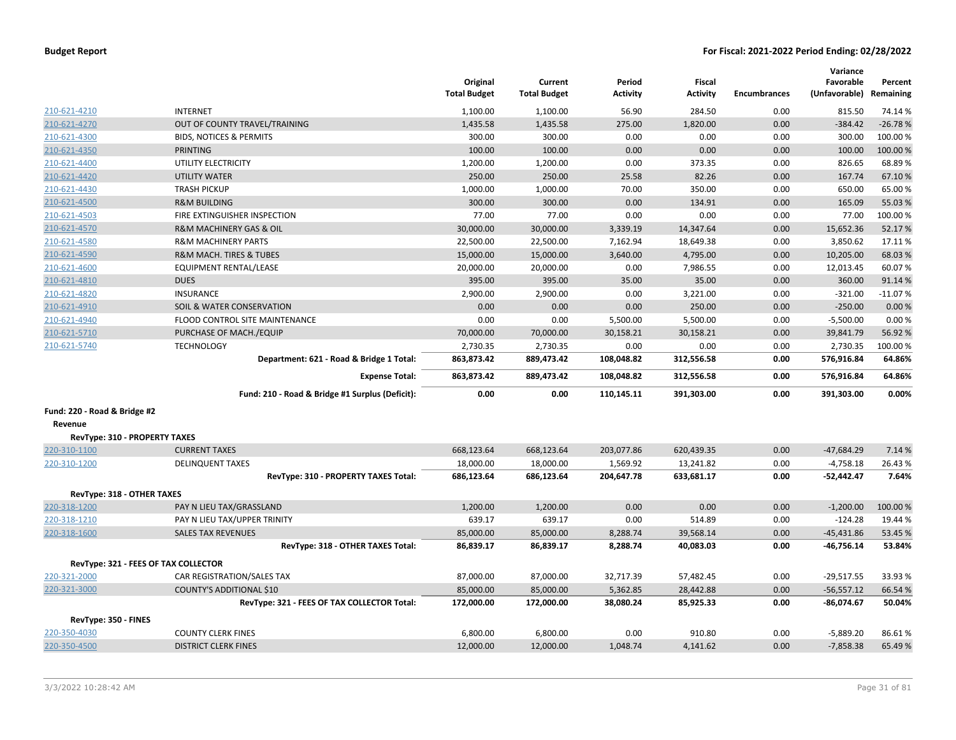| <b>Budget Report</b> |  |
|----------------------|--|
|----------------------|--|

|                                      |                                                 | Original            | Current               | Period          | <b>Fiscal</b>   |                     | Variance<br>Favorable   | Percent   |
|--------------------------------------|-------------------------------------------------|---------------------|-----------------------|-----------------|-----------------|---------------------|-------------------------|-----------|
|                                      |                                                 | <b>Total Budget</b> | <b>Total Budget</b>   | <b>Activity</b> | <b>Activity</b> | <b>Encumbrances</b> | (Unfavorable) Remaining |           |
| 210-621-4210                         | <b>INTERNET</b>                                 | 1,100.00            | 1,100.00              | 56.90           | 284.50          | 0.00                | 815.50                  | 74.14 %   |
| 210-621-4270                         | OUT OF COUNTY TRAVEL/TRAINING                   | 1,435.58            | 1,435.58              | 275.00          | 1,820.00        | 0.00                | $-384.42$               | $-26.78%$ |
| 210-621-4300                         | <b>BIDS, NOTICES &amp; PERMITS</b>              | 300.00              | 300.00                | 0.00            | 0.00            | 0.00                | 300.00                  | 100.00%   |
| 210-621-4350                         | <b>PRINTING</b>                                 | 100.00              | 100.00                | 0.00            | 0.00            | 0.00                | 100.00                  | 100.00 %  |
| 210-621-4400                         | UTILITY ELECTRICITY                             | 1,200.00            | 1,200.00              | 0.00            | 373.35          | 0.00                | 826.65                  | 68.89%    |
| 210-621-4420                         | <b>UTILITY WATER</b>                            | 250.00              | 250.00                | 25.58           | 82.26           | 0.00                | 167.74                  | 67.10%    |
| 210-621-4430                         | <b>TRASH PICKUP</b>                             | 1,000.00            | 1,000.00              | 70.00           | 350.00          | 0.00                | 650.00                  | 65.00%    |
| 210-621-4500                         | <b>R&amp;M BUILDING</b>                         | 300.00              | 300.00                | 0.00            | 134.91          | 0.00                | 165.09                  | 55.03%    |
| 210-621-4503                         | FIRE EXTINGUISHER INSPECTION                    | 77.00               | 77.00                 | 0.00            | 0.00            | 0.00                | 77.00                   | 100.00%   |
| 210-621-4570                         | <b>R&amp;M MACHINERY GAS &amp; OIL</b>          | 30,000.00           | 30,000.00             | 3,339.19        | 14,347.64       | 0.00                | 15,652.36               | 52.17%    |
| 210-621-4580                         | <b>R&amp;M MACHINERY PARTS</b>                  | 22,500.00           | 22,500.00             | 7,162.94        | 18,649.38       | 0.00                | 3,850.62                | 17.11%    |
| 210-621-4590                         | <b>R&amp;M MACH. TIRES &amp; TUBES</b>          | 15,000.00           | 15,000.00             | 3,640.00        | 4,795.00        | 0.00                | 10,205.00               | 68.03%    |
| 210-621-4600                         | <b>EQUIPMENT RENTAL/LEASE</b>                   | 20,000.00           | 20,000.00             | 0.00            | 7,986.55        | 0.00                | 12,013.45               | 60.07%    |
| 210-621-4810                         | <b>DUES</b>                                     | 395.00              | 395.00                | 35.00           | 35.00           | 0.00                | 360.00                  | 91.14%    |
| 210-621-4820                         | <b>INSURANCE</b>                                | 2,900.00            | 2,900.00              | 0.00            | 3,221.00        | 0.00                | $-321.00$               | $-11.07%$ |
| 210-621-4910                         | <b>SOIL &amp; WATER CONSERVATION</b>            | 0.00                | 0.00                  | 0.00            | 250.00          | 0.00                | $-250.00$               | 0.00%     |
| 210-621-4940                         | FLOOD CONTROL SITE MAINTENANCE                  | 0.00                | 0.00                  | 5,500.00        | 5,500.00        | 0.00                | $-5,500.00$             | 0.00%     |
| 210-621-5710                         | PURCHASE OF MACH./EQUIP                         | 70,000.00           | 70,000.00             | 30,158.21       | 30,158.21       | 0.00                | 39,841.79               | 56.92%    |
| 210-621-5740                         | <b>TECHNOLOGY</b>                               | 2,730.35            | 2,730.35              | 0.00            | 0.00            | 0.00                | 2,730.35                | 100.00%   |
|                                      | Department: 621 - Road & Bridge 1 Total:        | 863,873.42          | 889,473.42            | 108,048.82      | 312,556.58      | 0.00                | 576,916.84              | 64.86%    |
|                                      | <b>Expense Total:</b>                           | 863,873.42          | 889,473.42            | 108,048.82      | 312,556.58      | 0.00                | 576,916.84              | 64.86%    |
|                                      | Fund: 210 - Road & Bridge #1 Surplus (Deficit): | 0.00                | 0.00                  | 110,145.11      | 391,303.00      | 0.00                | 391,303.00              | 0.00%     |
| Fund: 220 - Road & Bridge #2         |                                                 |                     |                       |                 |                 |                     |                         |           |
| Revenue                              |                                                 |                     |                       |                 |                 |                     |                         |           |
| RevType: 310 - PROPERTY TAXES        |                                                 |                     |                       |                 |                 |                     |                         |           |
| 220-310-1100                         | <b>CURRENT TAXES</b>                            | 668,123.64          | 668,123.64            | 203,077.86      | 620,439.35      | 0.00                | $-47.684.29$            | 7.14 %    |
| 220-310-1200                         | <b>DELINQUENT TAXES</b>                         | 18,000.00           | 18,000.00             | 1,569.92        | 13,241.82       | 0.00                | $-4,758.18$             | 26.43%    |
|                                      | RevType: 310 - PROPERTY TAXES Total:            | 686,123.64          | 686,123.64            | 204,647.78      | 633,681.17      | 0.00                | -52,442.47              | 7.64%     |
| RevType: 318 - OTHER TAXES           |                                                 |                     |                       |                 |                 |                     |                         |           |
| 220-318-1200                         | PAY N LIEU TAX/GRASSLAND                        | 1,200.00            | 1,200.00              | 0.00            | 0.00            | 0.00                | $-1,200.00$             | 100.00%   |
| 220-318-1210                         | PAY N LIEU TAX/UPPER TRINITY                    | 639.17              | 639.17                | 0.00            | 514.89          | 0.00                | $-124.28$               | 19.44 %   |
| 220-318-1600                         | <b>SALES TAX REVENUES</b>                       | 85,000.00           | 85,000.00             | 8,288.74        | 39,568.14       | 0.00                | $-45,431.86$            | 53.45 %   |
|                                      | RevType: 318 - OTHER TAXES Total:               | 86,839.17           | 86,839.17             | 8,288.74        | 40,083.03       | 0.00                | -46,756.14              | 53.84%    |
| RevType: 321 - FEES OF TAX COLLECTOR |                                                 |                     |                       |                 |                 |                     |                         |           |
| 220-321-2000                         | CAR REGISTRATION/SALES TAX                      | 87,000.00           | 87,000.00             | 32,717.39       | 57,482.45       | 0.00                | $-29,517.55$            | 33.93 %   |
| 220-321-3000                         | <b>COUNTY'S ADDITIONAL \$10</b>                 | 85,000.00           | 85,000.00             | 5,362.85        | 28,442.88       | 0.00                | $-56,557.12$            | 66.54 %   |
|                                      | RevType: 321 - FEES OF TAX COLLECTOR Total:     | 172,000.00          | 172,000.00            | 38,080.24       | 85,925.33       | 0.00                | $-86,074.67$            | 50.04%    |
| RevType: 350 - FINES                 |                                                 |                     |                       |                 |                 |                     |                         |           |
| 220-350-4030                         | <b>COUNTY CLERK FINES</b>                       |                     |                       |                 | 910.80          | 0.00                | $-5,889.20$             | 86.61%    |
|                                      |                                                 | 6,800.00            | 6,800.00<br>12,000.00 | 0.00            |                 | 0.00                |                         | 65.49%    |
| 220-350-4500                         | <b>DISTRICT CLERK FINES</b>                     | 12,000.00           |                       | 1,048.74        | 4,141.62        |                     | $-7,858.38$             |           |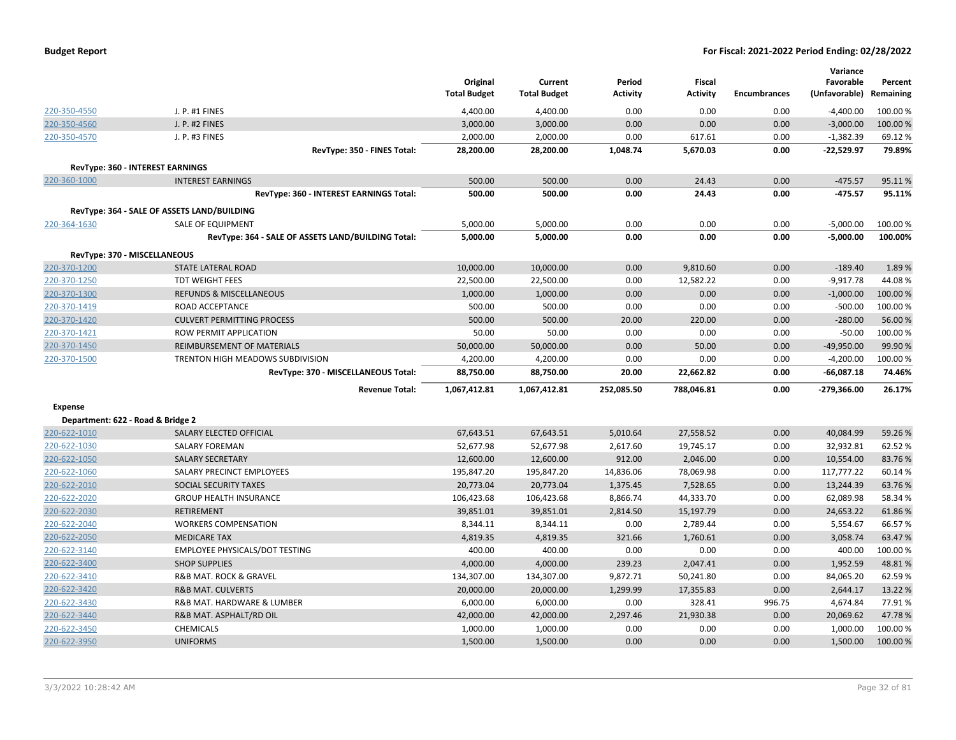| <b>Budget Report</b> |  |
|----------------------|--|
|----------------------|--|

|                                   |                                                    | Original<br><b>Total Budget</b> | Current<br><b>Total Budget</b> | Period<br><b>Activity</b> | <b>Fiscal</b><br><b>Activity</b> | <b>Encumbrances</b> | Variance<br>Favorable<br>(Unfavorable) | Percent<br>Remaining |
|-----------------------------------|----------------------------------------------------|---------------------------------|--------------------------------|---------------------------|----------------------------------|---------------------|----------------------------------------|----------------------|
| 220-350-4550                      | J. P. #1 FINES                                     | 4,400.00                        | 4,400.00                       | 0.00                      | 0.00                             | 0.00                | $-4,400.00$                            | 100.00 %             |
| 220-350-4560                      | J. P. #2 FINES                                     | 3,000.00                        | 3,000.00                       | 0.00                      | 0.00                             | 0.00                | $-3,000.00$                            | 100.00%              |
| 220-350-4570                      | J. P. #3 FINES                                     | 2,000.00                        | 2,000.00                       | 0.00                      | 617.61                           | 0.00                | $-1,382.39$                            | 69.12%               |
|                                   | RevType: 350 - FINES Total:                        | 28,200.00                       | 28,200.00                      | 1,048.74                  | 5,670.03                         | 0.00                | $-22,529.97$                           | 79.89%               |
|                                   | RevType: 360 - INTEREST EARNINGS                   |                                 |                                |                           |                                  |                     |                                        |                      |
| 220-360-1000                      | <b>INTEREST EARNINGS</b>                           | 500.00                          | 500.00                         | 0.00                      | 24.43                            | 0.00                | $-475.57$                              | 95.11%               |
|                                   | RevType: 360 - INTEREST EARNINGS Total:            | 500.00                          | 500.00                         | 0.00                      | 24.43                            | 0.00                | -475.57                                | 95.11%               |
|                                   |                                                    |                                 |                                |                           |                                  |                     |                                        |                      |
|                                   | RevType: 364 - SALE OF ASSETS LAND/BUILDING        |                                 |                                |                           |                                  |                     |                                        |                      |
| 220-364-1630                      | <b>SALE OF EQUIPMENT</b>                           | 5,000.00                        | 5,000.00                       | 0.00                      | 0.00                             | 0.00                | $-5,000.00$                            | 100.00%              |
|                                   | RevType: 364 - SALE OF ASSETS LAND/BUILDING Total: | 5,000.00                        | 5,000.00                       | 0.00                      | 0.00                             | 0.00                | $-5,000.00$                            | 100.00%              |
|                                   | RevType: 370 - MISCELLANEOUS                       |                                 |                                |                           |                                  |                     |                                        |                      |
| 220-370-1200                      | STATE LATERAL ROAD                                 | 10,000.00                       | 10,000.00                      | 0.00                      | 9,810.60                         | 0.00                | $-189.40$                              | 1.89%                |
| 220-370-1250                      | <b>TDT WEIGHT FEES</b>                             | 22,500.00                       | 22,500.00                      | 0.00                      | 12,582.22                        | 0.00                | $-9,917.78$                            | 44.08%               |
| 220-370-1300                      | <b>REFUNDS &amp; MISCELLANEOUS</b>                 | 1,000.00                        | 1,000.00                       | 0.00                      | 0.00                             | 0.00                | $-1,000.00$                            | 100.00 %             |
| 220-370-1419                      | ROAD ACCEPTANCE                                    | 500.00                          | 500.00                         | 0.00                      | 0.00                             | 0.00                | $-500.00$                              | 100.00%              |
| 220-370-1420                      | <b>CULVERT PERMITTING PROCESS</b>                  | 500.00                          | 500.00                         | 20.00                     | 220.00                           | 0.00                | $-280.00$                              | 56.00 %              |
| 220-370-1421                      | ROW PERMIT APPLICATION                             | 50.00                           | 50.00                          | 0.00                      | 0.00                             | 0.00                | $-50.00$                               | 100.00%              |
| 220-370-1450                      | REIMBURSEMENT OF MATERIALS                         | 50,000.00                       | 50,000.00                      | 0.00                      | 50.00                            | 0.00                | $-49,950.00$                           | 99.90%               |
| 220-370-1500                      | TRENTON HIGH MEADOWS SUBDIVISION                   | 4,200.00                        | 4,200.00                       | 0.00                      | 0.00                             | 0.00                | $-4,200.00$                            | 100.00%              |
|                                   | RevType: 370 - MISCELLANEOUS Total:                | 88,750.00                       | 88,750.00                      | 20.00                     | 22,662.82                        | 0.00                | $-66,087.18$                           | 74.46%               |
|                                   | <b>Revenue Total:</b>                              | 1,067,412.81                    | 1,067,412.81                   | 252,085.50                | 788,046.81                       | 0.00                | $-279,366.00$                          | 26.17%               |
| <b>Expense</b>                    |                                                    |                                 |                                |                           |                                  |                     |                                        |                      |
| Department: 622 - Road & Bridge 2 |                                                    |                                 |                                |                           |                                  |                     |                                        |                      |
| 220-622-1010                      | SALARY ELECTED OFFICIAL                            | 67,643.51                       | 67,643.51                      | 5,010.64                  | 27,558.52                        | 0.00                | 40,084.99                              | 59.26%               |
| 220-622-1030                      | <b>SALARY FOREMAN</b>                              | 52,677.98                       | 52,677.98                      | 2,617.60                  | 19,745.17                        | 0.00                | 32,932.81                              | 62.52%               |
| 220-622-1050                      | <b>SALARY SECRETARY</b>                            | 12,600.00                       | 12,600.00                      | 912.00                    | 2,046.00                         | 0.00                | 10,554.00                              | 83.76%               |
| 220-622-1060                      | SALARY PRECINCT EMPLOYEES                          | 195,847.20                      | 195,847.20                     | 14,836.06                 | 78,069.98                        | 0.00                | 117,777.22                             | 60.14%               |
| 220-622-2010                      | SOCIAL SECURITY TAXES                              | 20,773.04                       | 20,773.04                      | 1,375.45                  | 7,528.65                         | 0.00                | 13,244.39                              | 63.76%               |
| 220-622-2020                      | <b>GROUP HEALTH INSURANCE</b>                      | 106,423.68                      | 106,423.68                     | 8,866.74                  | 44,333.70                        | 0.00                | 62,089.98                              | 58.34 %              |
| 220-622-2030                      | <b>RETIREMENT</b>                                  | 39,851.01                       | 39,851.01                      | 2,814.50                  | 15,197.79                        | 0.00                | 24,653.22                              | 61.86%               |
| 220-622-2040                      | <b>WORKERS COMPENSATION</b>                        | 8,344.11                        | 8,344.11                       | 0.00                      | 2,789.44                         | 0.00                | 5,554.67                               | 66.57%               |
| 220-622-2050                      | <b>MEDICARE TAX</b>                                | 4,819.35                        | 4,819.35                       | 321.66                    | 1,760.61                         | 0.00                | 3,058.74                               | 63.47%               |
| 220-622-3140                      | <b>EMPLOYEE PHYSICALS/DOT TESTING</b>              | 400.00                          | 400.00                         | 0.00                      | 0.00                             | 0.00                | 400.00                                 | 100.00%              |
| 220-622-3400                      | <b>SHOP SUPPLIES</b>                               | 4,000.00                        | 4,000.00                       | 239.23                    | 2,047.41                         | 0.00                | 1,952.59                               | 48.81%               |
| 220-622-3410                      | <b>R&amp;B MAT. ROCK &amp; GRAVEL</b>              | 134,307.00                      | 134,307.00                     | 9,872.71                  | 50,241.80                        | 0.00                | 84,065.20                              | 62.59%               |
| 220-622-3420                      | <b>R&amp;B MAT. CULVERTS</b>                       | 20,000.00                       | 20,000.00                      | 1,299.99                  | 17,355.83                        | 0.00                | 2,644.17                               | 13.22 %              |
| 220-622-3430                      | R&B MAT. HARDWARE & LUMBER                         | 6,000.00                        | 6,000.00                       | 0.00                      | 328.41                           | 996.75              | 4,674.84                               | 77.91%               |
| 220-622-3440                      | R&B MAT. ASPHALT/RD OIL                            | 42,000.00                       | 42,000.00                      | 2,297.46                  | 21,930.38                        | 0.00                | 20,069.62                              | 47.78%               |
| 220-622-3450                      | <b>CHEMICALS</b>                                   | 1,000.00                        | 1,000.00                       | 0.00                      | 0.00                             | 0.00                | 1,000.00                               | 100.00%              |
| 220-622-3950                      | <b>UNIFORMS</b>                                    | 1,500.00                        | 1,500.00                       | 0.00                      | 0.00                             | 0.00                | 1,500.00                               | 100.00 %             |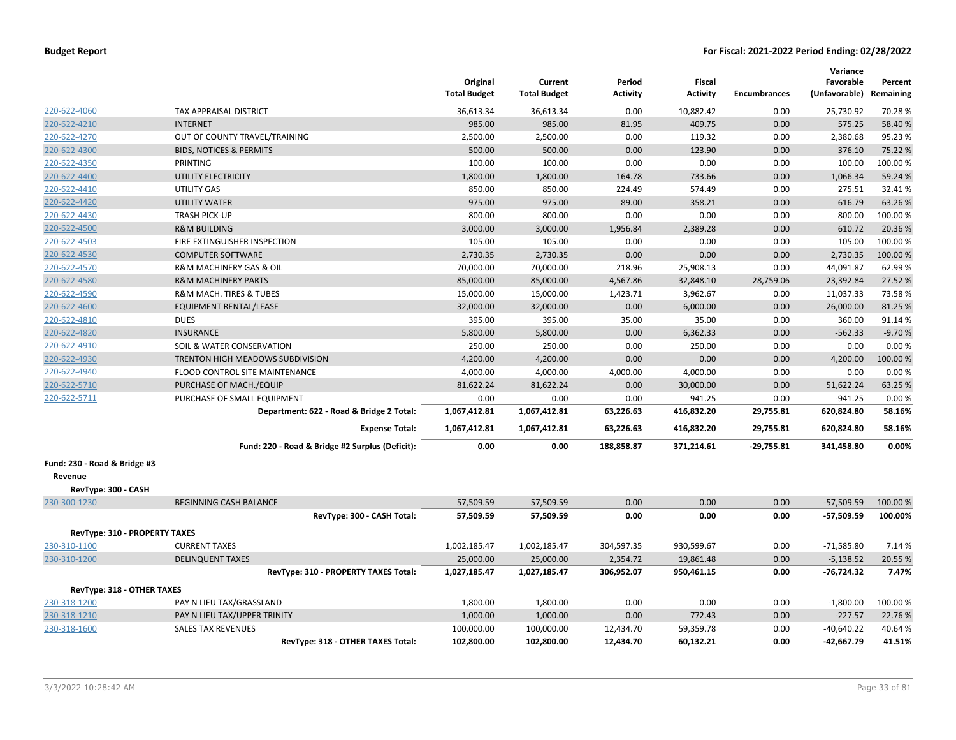|                                         |                                                 | Original<br><b>Total Budget</b> | Current<br><b>Total Budget</b> | Period<br>Activity | <b>Fiscal</b><br><b>Activity</b> | <b>Encumbrances</b> | Variance<br>Favorable<br>(Unfavorable) Remaining | Percent  |
|-----------------------------------------|-------------------------------------------------|---------------------------------|--------------------------------|--------------------|----------------------------------|---------------------|--------------------------------------------------|----------|
| 220-622-4060                            | TAX APPRAISAL DISTRICT                          | 36,613.34                       | 36,613.34                      | 0.00               | 10,882.42                        | 0.00                | 25,730.92                                        | 70.28%   |
| 220-622-4210                            | <b>INTERNET</b>                                 | 985.00                          | 985.00                         | 81.95              | 409.75                           | 0.00                | 575.25                                           | 58.40%   |
| 220-622-4270                            | OUT OF COUNTY TRAVEL/TRAINING                   | 2,500.00                        | 2,500.00                       | 0.00               | 119.32                           | 0.00                | 2,380.68                                         | 95.23%   |
| 220-622-4300                            | <b>BIDS, NOTICES &amp; PERMITS</b>              | 500.00                          | 500.00                         | 0.00               | 123.90                           | 0.00                | 376.10                                           | 75.22 %  |
| 220-622-4350                            | PRINTING                                        | 100.00                          | 100.00                         | 0.00               | 0.00                             | 0.00                | 100.00                                           | 100.00%  |
| 220-622-4400                            | UTILITY ELECTRICITY                             | 1,800.00                        | 1,800.00                       | 164.78             | 733.66                           | 0.00                | 1,066.34                                         | 59.24 %  |
| 220-622-4410                            | <b>UTILITY GAS</b>                              | 850.00                          | 850.00                         | 224.49             | 574.49                           | 0.00                | 275.51                                           | 32.41%   |
| 220-622-4420                            | <b>UTILITY WATER</b>                            | 975.00                          | 975.00                         | 89.00              | 358.21                           | 0.00                | 616.79                                           | 63.26%   |
| 220-622-4430                            | <b>TRASH PICK-UP</b>                            | 800.00                          | 800.00                         | 0.00               | 0.00                             | 0.00                | 800.00                                           | 100.00 % |
| 220-622-4500                            | <b>R&amp;M BUILDING</b>                         | 3,000.00                        | 3,000.00                       | 1,956.84           | 2,389.28                         | 0.00                | 610.72                                           | 20.36%   |
| 220-622-4503                            | FIRE EXTINGUISHER INSPECTION                    | 105.00                          | 105.00                         | 0.00               | 0.00                             | 0.00                | 105.00                                           | 100.00%  |
| 220-622-4530                            | <b>COMPUTER SOFTWARE</b>                        | 2,730.35                        | 2,730.35                       | 0.00               | 0.00                             | 0.00                | 2,730.35                                         | 100.00 % |
| 220-622-4570                            | R&M MACHINERY GAS & OIL                         | 70,000.00                       | 70,000.00                      | 218.96             | 25,908.13                        | 0.00                | 44,091.87                                        | 62.99%   |
| 220-622-4580                            | <b>R&amp;M MACHINERY PARTS</b>                  | 85,000.00                       | 85,000.00                      | 4,567.86           | 32,848.10                        | 28,759.06           | 23,392.84                                        | 27.52%   |
| 220-622-4590                            | R&M MACH. TIRES & TUBES                         | 15,000.00                       | 15,000.00                      | 1,423.71           | 3,962.67                         | 0.00                | 11,037.33                                        | 73.58%   |
| 220-622-4600                            | <b>EQUIPMENT RENTAL/LEASE</b>                   | 32,000.00                       | 32,000.00                      | 0.00               | 6,000.00                         | 0.00                | 26,000.00                                        | 81.25 %  |
| 220-622-4810                            | <b>DUES</b>                                     | 395.00                          | 395.00                         | 35.00              | 35.00                            | 0.00                | 360.00                                           | 91.14%   |
| 220-622-4820                            | <b>INSURANCE</b>                                | 5,800.00                        | 5,800.00                       | 0.00               | 6,362.33                         | 0.00                | $-562.33$                                        | $-9.70%$ |
| 220-622-4910                            | SOIL & WATER CONSERVATION                       | 250.00                          | 250.00                         | 0.00               | 250.00                           | 0.00                | 0.00                                             | 0.00%    |
| 220-622-4930                            | TRENTON HIGH MEADOWS SUBDIVISION                | 4,200.00                        | 4,200.00                       | 0.00               | 0.00                             | 0.00                | 4,200.00                                         | 100.00%  |
| 220-622-4940                            | FLOOD CONTROL SITE MAINTENANCE                  | 4,000.00                        | 4,000.00                       | 4,000.00           | 4,000.00                         | 0.00                | 0.00                                             | 0.00%    |
| 220-622-5710                            | PURCHASE OF MACH./EQUIP                         | 81,622.24                       | 81,622.24                      | 0.00               | 30,000.00                        | 0.00                | 51,622.24                                        | 63.25 %  |
| 220-622-5711                            | PURCHASE OF SMALL EQUIPMENT                     | 0.00                            | 0.00                           | 0.00               | 941.25                           | 0.00                | $-941.25$                                        | 0.00%    |
|                                         | Department: 622 - Road & Bridge 2 Total:        | 1,067,412.81                    | 1,067,412.81                   | 63,226.63          | 416,832.20                       | 29,755.81           | 620,824.80                                       | 58.16%   |
|                                         | <b>Expense Total:</b>                           | 1,067,412.81                    | 1,067,412.81                   | 63,226.63          | 416,832.20                       | 29,755.81           | 620,824.80                                       | 58.16%   |
|                                         | Fund: 220 - Road & Bridge #2 Surplus (Deficit): | 0.00                            | 0.00                           | 188,858.87         | 371,214.61                       | -29,755.81          | 341,458.80                                       | 0.00%    |
| Fund: 230 - Road & Bridge #3<br>Revenue |                                                 |                                 |                                |                    |                                  |                     |                                                  |          |
| RevType: 300 - CASH                     |                                                 |                                 |                                |                    |                                  |                     |                                                  |          |
| 230-300-1230                            | <b>BEGINNING CASH BALANCE</b>                   | 57,509.59                       | 57,509.59                      | 0.00               | 0.00                             | 0.00                | $-57,509.59$                                     | 100.00 % |
|                                         | RevType: 300 - CASH Total:                      | 57,509.59                       | 57,509.59                      | 0.00               | 0.00                             | 0.00                | -57,509.59                                       | 100.00%  |
| RevType: 310 - PROPERTY TAXES           |                                                 |                                 |                                |                    |                                  |                     |                                                  |          |
| 230-310-1100                            | <b>CURRENT TAXES</b>                            | 1,002,185.47                    | 1,002,185.47                   | 304,597.35         | 930,599.67                       | 0.00                | $-71,585.80$                                     | 7.14 %   |
| 230-310-1200                            | <b>DELINQUENT TAXES</b>                         | 25,000.00                       | 25,000.00                      | 2,354.72           | 19,861.48                        | 0.00                | $-5,138.52$                                      | 20.55 %  |
|                                         | RevType: 310 - PROPERTY TAXES Total:            | 1,027,185.47                    | 1,027,185.47                   | 306,952.07         | 950,461.15                       | 0.00                | $-76,724.32$                                     | 7.47%    |
| RevType: 318 - OTHER TAXES              |                                                 |                                 |                                |                    |                                  |                     |                                                  |          |
| 230-318-1200                            | PAY N LIEU TAX/GRASSLAND                        | 1,800.00                        | 1,800.00                       | 0.00               | 0.00                             | 0.00                | $-1,800.00$                                      | 100.00 % |
| 230-318-1210                            | PAY N LIEU TAX/UPPER TRINITY                    | 1,000.00                        | 1,000.00                       | 0.00               | 772.43                           | 0.00                | $-227.57$                                        | 22.76%   |
| 230-318-1600                            | <b>SALES TAX REVENUES</b>                       | 100,000.00                      | 100,000.00                     | 12,434.70          | 59,359.78                        | 0.00                | $-40,640.22$                                     | 40.64%   |
|                                         | RevType: 318 - OTHER TAXES Total:               | 102,800.00                      | 102,800.00                     | 12,434.70          | 60,132.21                        | 0.00                | $-42,667.79$                                     | 41.51%   |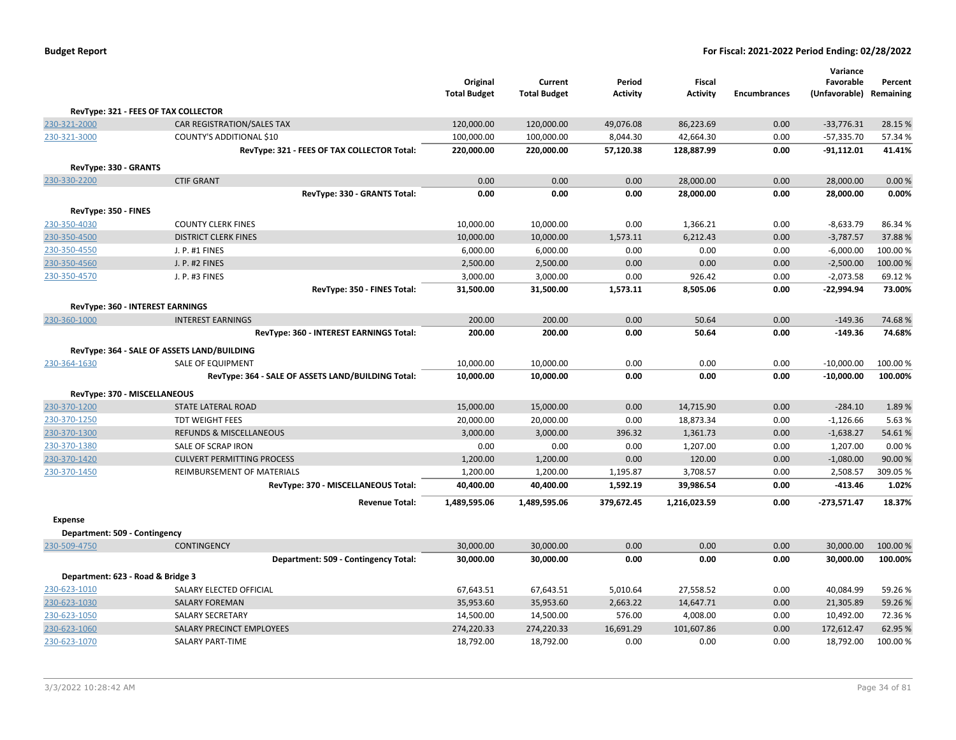| <b>Budget Report</b> |  |
|----------------------|--|
|----------------------|--|

|                                   |                                                    | Original<br><b>Total Budget</b> | Current<br><b>Total Budget</b> | Period<br><b>Activity</b> | Fiscal<br><b>Activity</b> | <b>Encumbrances</b> | Variance<br>Favorable<br>(Unfavorable) Remaining | Percent  |
|-----------------------------------|----------------------------------------------------|---------------------------------|--------------------------------|---------------------------|---------------------------|---------------------|--------------------------------------------------|----------|
|                                   | RevType: 321 - FEES OF TAX COLLECTOR               |                                 |                                |                           |                           |                     |                                                  |          |
| 230-321-2000                      | CAR REGISTRATION/SALES TAX                         | 120,000.00                      | 120,000.00                     | 49,076.08                 | 86,223.69                 | 0.00                | $-33,776.31$                                     | 28.15 %  |
| 230-321-3000                      | <b>COUNTY'S ADDITIONAL \$10</b>                    | 100,000.00                      | 100,000.00                     | 8,044.30                  | 42,664.30                 | 0.00                | $-57,335.70$                                     | 57.34 %  |
|                                   | RevType: 321 - FEES OF TAX COLLECTOR Total:        | 220,000.00                      | 220,000.00                     | 57,120.38                 | 128,887.99                | 0.00                | $-91,112.01$                                     | 41.41%   |
| RevType: 330 - GRANTS             |                                                    |                                 |                                |                           |                           |                     |                                                  |          |
| 230-330-2200                      | <b>CTIF GRANT</b>                                  | 0.00                            | 0.00                           | 0.00                      | 28,000.00                 | 0.00                | 28,000.00                                        | 0.00%    |
|                                   | RevType: 330 - GRANTS Total:                       | 0.00                            | 0.00                           | 0.00                      | 28,000.00                 | 0.00                | 28,000.00                                        | 0.00%    |
| RevType: 350 - FINES              |                                                    |                                 |                                |                           |                           |                     |                                                  |          |
| 230-350-4030                      | <b>COUNTY CLERK FINES</b>                          | 10,000.00                       | 10,000.00                      | 0.00                      | 1,366.21                  | 0.00                | $-8,633.79$                                      | 86.34%   |
| 230-350-4500                      | <b>DISTRICT CLERK FINES</b>                        | 10,000.00                       | 10,000.00                      | 1,573.11                  | 6,212.43                  | 0.00                | $-3,787.57$                                      | 37.88%   |
| 230-350-4550                      | J. P. #1 FINES                                     | 6,000.00                        | 6,000.00                       | 0.00                      | 0.00                      | 0.00                | $-6,000.00$                                      | 100.00%  |
| 230-350-4560                      | J. P. #2 FINES                                     | 2,500.00                        | 2,500.00                       | 0.00                      | 0.00                      | 0.00                | $-2,500.00$                                      | 100.00%  |
| 230-350-4570                      | J. P. #3 FINES                                     | 3,000.00                        | 3,000.00                       | 0.00                      | 926.42                    | 0.00                | $-2,073.58$                                      | 69.12%   |
|                                   | RevType: 350 - FINES Total:                        | 31,500.00                       | 31,500.00                      | 1,573.11                  | 8,505.06                  | 0.00                | -22,994.94                                       | 73.00%   |
| RevType: 360 - INTEREST EARNINGS  |                                                    |                                 |                                |                           |                           |                     |                                                  |          |
| 230-360-1000                      | <b>INTEREST EARNINGS</b>                           | 200.00                          | 200.00                         | 0.00                      | 50.64                     | 0.00                | $-149.36$                                        | 74.68%   |
|                                   | RevType: 360 - INTEREST EARNINGS Total:            | 200.00                          | 200.00                         | 0.00                      | 50.64                     | 0.00                | $-149.36$                                        | 74.68%   |
|                                   | RevType: 364 - SALE OF ASSETS LAND/BUILDING        |                                 |                                |                           |                           |                     |                                                  |          |
| 230-364-1630                      | SALE OF EQUIPMENT                                  | 10,000.00                       | 10,000.00                      | 0.00                      | 0.00                      | 0.00                | $-10,000.00$                                     | 100.00 % |
|                                   | RevType: 364 - SALE OF ASSETS LAND/BUILDING Total: | 10,000.00                       | 10,000.00                      | 0.00                      | 0.00                      | 0.00                | $-10,000.00$                                     | 100.00%  |
| RevType: 370 - MISCELLANEOUS      |                                                    |                                 |                                |                           |                           |                     |                                                  |          |
| 230-370-1200                      | <b>STATE LATERAL ROAD</b>                          | 15,000.00                       | 15,000.00                      | 0.00                      | 14,715.90                 | 0.00                | $-284.10$                                        | 1.89%    |
| 230-370-1250                      | <b>TDT WEIGHT FEES</b>                             | 20,000.00                       | 20,000.00                      | 0.00                      | 18,873.34                 | 0.00                | $-1,126.66$                                      | 5.63%    |
| 230-370-1300                      | <b>REFUNDS &amp; MISCELLANEOUS</b>                 | 3,000.00                        | 3,000.00                       | 396.32                    | 1,361.73                  | 0.00                | $-1,638.27$                                      | 54.61%   |
| 230-370-1380                      | SALE OF SCRAP IRON                                 | 0.00                            | 0.00                           | 0.00                      | 1,207.00                  | 0.00                | 1,207.00                                         | 0.00%    |
| 230-370-1420                      | <b>CULVERT PERMITTING PROCESS</b>                  | 1,200.00                        | 1,200.00                       | 0.00                      | 120.00                    | 0.00                | $-1,080.00$                                      | 90.00%   |
| 230-370-1450                      | REIMBURSEMENT OF MATERIALS                         | 1,200.00                        | 1,200.00                       | 1,195.87                  | 3,708.57                  | 0.00                | 2,508.57                                         | 309.05 % |
|                                   | RevType: 370 - MISCELLANEOUS Total:                | 40,400.00                       | 40,400.00                      | 1,592.19                  | 39,986.54                 | 0.00                | $-413.46$                                        | 1.02%    |
|                                   | <b>Revenue Total:</b>                              | 1,489,595.06                    | 1,489,595.06                   | 379,672.45                | 1,216,023.59              | 0.00                | $-273,571.47$                                    | 18.37%   |
| <b>Expense</b>                    |                                                    |                                 |                                |                           |                           |                     |                                                  |          |
| Department: 509 - Contingency     |                                                    |                                 |                                |                           |                           |                     |                                                  |          |
| 230-509-4750                      | <b>CONTINGENCY</b>                                 | 30,000.00                       | 30,000.00                      | 0.00                      | 0.00                      | 0.00                | 30,000.00                                        | 100.00 % |
|                                   | Department: 509 - Contingency Total:               | 30,000.00                       | 30,000.00                      | 0.00                      | 0.00                      | 0.00                | 30,000.00                                        | 100.00%  |
| Department: 623 - Road & Bridge 3 |                                                    |                                 |                                |                           |                           |                     |                                                  |          |
| 230-623-1010                      | SALARY ELECTED OFFICIAL                            | 67,643.51                       | 67,643.51                      | 5,010.64                  | 27,558.52                 | 0.00                | 40,084.99                                        | 59.26%   |
| 230-623-1030                      | <b>SALARY FOREMAN</b>                              | 35,953.60                       | 35,953.60                      | 2,663.22                  | 14,647.71                 | 0.00                | 21,305.89                                        | 59.26%   |
| 230-623-1050                      | <b>SALARY SECRETARY</b>                            | 14,500.00                       | 14,500.00                      | 576.00                    | 4,008.00                  | 0.00                | 10,492.00                                        | 72.36%   |
| 230-623-1060                      | SALARY PRECINCT EMPLOYEES                          | 274,220.33                      | 274,220.33                     | 16,691.29                 | 101,607.86                | 0.00                | 172,612.47                                       | 62.95%   |
| 230-623-1070                      | <b>SALARY PART-TIME</b>                            | 18,792.00                       | 18,792.00                      | 0.00                      | 0.00                      | 0.00                | 18,792.00                                        | 100.00 % |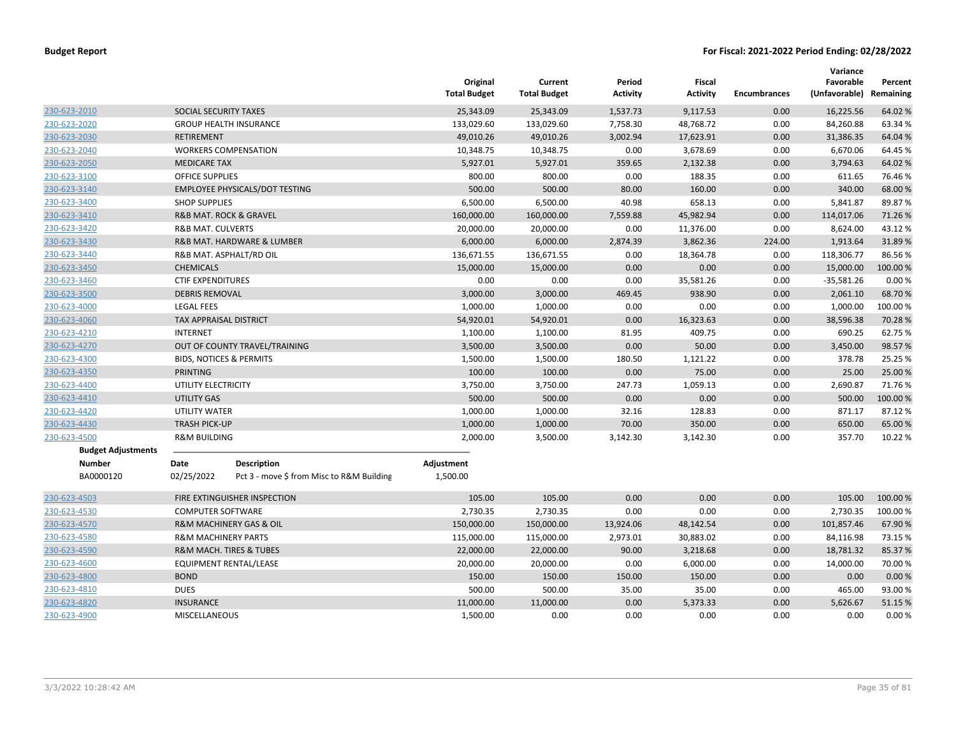|                           |                                    |                                           | Original<br><b>Total Budget</b> | Current<br><b>Total Budget</b> | Period<br>Activity | Fiscal<br><b>Activity</b> | <b>Encumbrances</b> | Variance<br>Favorable<br>(Unfavorable) | Percent<br>Remaining |
|---------------------------|------------------------------------|-------------------------------------------|---------------------------------|--------------------------------|--------------------|---------------------------|---------------------|----------------------------------------|----------------------|
| 230-623-2010              | SOCIAL SECURITY TAXES              |                                           | 25,343.09                       | 25,343.09                      | 1,537.73           | 9,117.53                  | 0.00                | 16,225.56                              | 64.02 %              |
| 230-623-2020              |                                    | <b>GROUP HEALTH INSURANCE</b>             | 133,029.60                      | 133,029.60                     | 7,758.30           | 48,768.72                 | 0.00                | 84,260.88                              | 63.34 %              |
| 230-623-2030              | <b>RETIREMENT</b>                  |                                           | 49,010.26                       | 49,010.26                      | 3,002.94           | 17,623.91                 | 0.00                | 31,386.35                              | 64.04 %              |
| 230-623-2040              |                                    | <b>WORKERS COMPENSATION</b>               | 10,348.75                       | 10,348.75                      | 0.00               | 3,678.69                  | 0.00                | 6,670.06                               | 64.45 %              |
| 230-623-2050              | <b>MEDICARE TAX</b>                |                                           | 5,927.01                        | 5,927.01                       | 359.65             | 2,132.38                  | 0.00                | 3,794.63                               | 64.02 %              |
| 230-623-3100              | <b>OFFICE SUPPLIES</b>             |                                           | 800.00                          | 800.00                         | 0.00               | 188.35                    | 0.00                | 611.65                                 | 76.46%               |
| 230-623-3140              |                                    | <b>EMPLOYEE PHYSICALS/DOT TESTING</b>     | 500.00                          | 500.00                         | 80.00              | 160.00                    | 0.00                | 340.00                                 | 68.00 %              |
| 230-623-3400              | <b>SHOP SUPPLIES</b>               |                                           | 6,500.00                        | 6,500.00                       | 40.98              | 658.13                    | 0.00                | 5,841.87                               | 89.87%               |
| 230-623-3410              |                                    | <b>R&amp;B MAT. ROCK &amp; GRAVEL</b>     | 160,000.00                      | 160,000.00                     | 7,559.88           | 45,982.94                 | 0.00                | 114,017.06                             | 71.26%               |
| 230-623-3420              | <b>R&amp;B MAT. CULVERTS</b>       |                                           | 20,000.00                       | 20,000.00                      | 0.00               | 11,376.00                 | 0.00                | 8,624.00                               | 43.12%               |
| 230-623-3430              |                                    | R&B MAT. HARDWARE & LUMBER                | 6,000.00                        | 6,000.00                       | 2,874.39           | 3,862.36                  | 224.00              | 1,913.64                               | 31.89%               |
| 230-623-3440              |                                    | R&B MAT. ASPHALT/RD OIL                   | 136,671.55                      | 136,671.55                     | 0.00               | 18,364.78                 | 0.00                | 118,306.77                             | 86.56%               |
| 230-623-3450              | <b>CHEMICALS</b>                   |                                           | 15,000.00                       | 15,000.00                      | 0.00               | 0.00                      | 0.00                | 15,000.00                              | 100.00%              |
| 230-623-3460              | <b>CTIF EXPENDITURES</b>           |                                           | 0.00                            | 0.00                           | 0.00               | 35,581.26                 | 0.00                | $-35,581.26$                           | 0.00%                |
| 230-623-3500              | <b>DEBRIS REMOVAL</b>              |                                           | 3,000.00                        | 3,000.00                       | 469.45             | 938.90                    | 0.00                | 2,061.10                               | 68.70%               |
| 230-623-4000              | <b>LEGAL FEES</b>                  |                                           | 1,000.00                        | 1,000.00                       | 0.00               | 0.00                      | 0.00                | 1,000.00                               | 100.00%              |
| 230-623-4060              | TAX APPRAISAL DISTRICT             |                                           | 54,920.01                       | 54,920.01                      | 0.00               | 16,323.63                 | 0.00                | 38,596.38                              | 70.28%               |
| 230-623-4210              | <b>INTERNET</b>                    |                                           | 1,100.00                        | 1,100.00                       | 81.95              | 409.75                    | 0.00                | 690.25                                 | 62.75 %              |
| 230-623-4270              |                                    | OUT OF COUNTY TRAVEL/TRAINING             | 3,500.00                        | 3,500.00                       | 0.00               | 50.00                     | 0.00                | 3,450.00                               | 98.57%               |
| 230-623-4300              | <b>BIDS, NOTICES &amp; PERMITS</b> |                                           | 1,500.00                        | 1,500.00                       | 180.50             | 1,121.22                  | 0.00                | 378.78                                 | 25.25 %              |
| 230-623-4350              | <b>PRINTING</b>                    |                                           | 100.00                          | 100.00                         | 0.00               | 75.00                     | 0.00                | 25.00                                  | 25.00 %              |
| 230-623-4400              | UTILITY ELECTRICITY                |                                           | 3,750.00                        | 3,750.00                       | 247.73             | 1,059.13                  | 0.00                | 2,690.87                               | 71.76%               |
| 230-623-4410              | <b>UTILITY GAS</b>                 |                                           | 500.00                          | 500.00                         | 0.00               | 0.00                      | 0.00                | 500.00                                 | 100.00%              |
| 230-623-4420              | UTILITY WATER                      |                                           | 1,000.00                        | 1,000.00                       | 32.16              | 128.83                    | 0.00                | 871.17                                 | 87.12%               |
| 230-623-4430              | <b>TRASH PICK-UP</b>               |                                           | 1,000.00                        | 1,000.00                       | 70.00              | 350.00                    | 0.00                | 650.00                                 | 65.00 %              |
| 230-623-4500              | <b>R&amp;M BUILDING</b>            |                                           | 2,000.00                        | 3,500.00                       | 3,142.30           | 3,142.30                  | 0.00                | 357.70                                 | 10.22 %              |
| <b>Budget Adjustments</b> |                                    |                                           |                                 |                                |                    |                           |                     |                                        |                      |
| <b>Number</b>             | Date                               | <b>Description</b>                        | Adjustment                      |                                |                    |                           |                     |                                        |                      |
| BA0000120                 | 02/25/2022                         | Pct 3 - move \$ from Misc to R&M Building | 1,500.00                        |                                |                    |                           |                     |                                        |                      |
| 230-623-4503              |                                    | FIRE EXTINGUISHER INSPECTION              | 105.00                          | 105.00                         | 0.00               | 0.00                      | 0.00                | 105.00                                 | 100.00 %             |
| 230-623-4530              | <b>COMPUTER SOFTWARE</b>           |                                           | 2,730.35                        | 2,730.35                       | 0.00               | 0.00                      | 0.00                | 2,730.35                               | 100.00%              |
| 230-623-4570              |                                    | <b>R&amp;M MACHINERY GAS &amp; OIL</b>    | 150,000.00                      | 150,000.00                     | 13,924.06          | 48,142.54                 | 0.00                | 101,857.46                             | 67.90%               |
| 230-623-4580              | <b>R&amp;M MACHINERY PARTS</b>     |                                           | 115,000.00                      | 115,000.00                     | 2,973.01           | 30,883.02                 | 0.00                | 84,116.98                              | 73.15 %              |
| 230-623-4590              |                                    | <b>R&amp;M MACH. TIRES &amp; TUBES</b>    | 22,000.00                       | 22,000.00                      | 90.00              | 3,218.68                  | 0.00                | 18,781.32                              | 85.37%               |
| 230-623-4600              |                                    | EQUIPMENT RENTAL/LEASE                    | 20,000.00                       | 20,000.00                      | 0.00               | 6,000.00                  | 0.00                | 14,000.00                              | 70.00 %              |
| 230-623-4800              | <b>BOND</b>                        |                                           | 150.00                          | 150.00                         | 150.00             | 150.00                    | 0.00                | 0.00                                   | 0.00%                |
| 230-623-4810              | <b>DUES</b>                        |                                           | 500.00                          | 500.00                         | 35.00              | 35.00                     | 0.00                | 465.00                                 | 93.00%               |
| 230-623-4820              | <b>INSURANCE</b>                   |                                           | 11,000.00                       | 11,000.00                      | 0.00               | 5,373.33                  | 0.00                | 5,626.67                               | 51.15 %              |
| 230-623-4900              | <b>MISCELLANEOUS</b>               |                                           | 1,500.00                        | 0.00                           | 0.00               | 0.00                      | 0.00                | 0.00                                   | 0.00%                |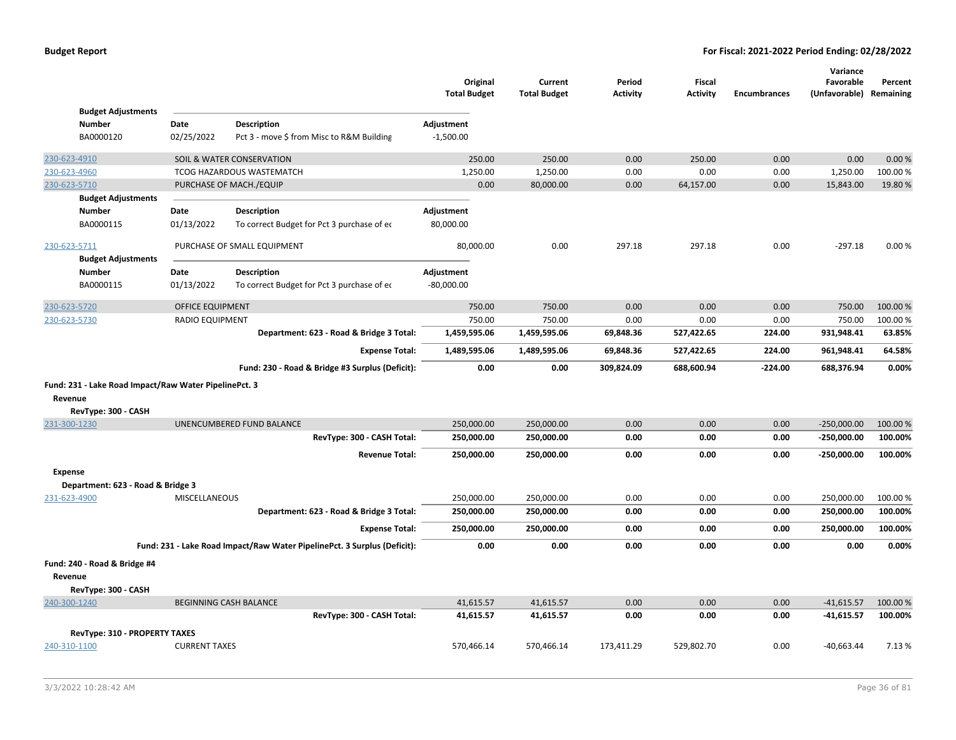|                |                                                       |                         |                                                                          | Original<br><b>Total Budget</b> | Current<br><b>Total Budget</b> | Period<br><b>Activity</b> | <b>Fiscal</b><br><b>Activity</b> | <b>Encumbrances</b> | Variance<br>Favorable<br>(Unfavorable) Remaining | Percent  |
|----------------|-------------------------------------------------------|-------------------------|--------------------------------------------------------------------------|---------------------------------|--------------------------------|---------------------------|----------------------------------|---------------------|--------------------------------------------------|----------|
|                | <b>Budget Adjustments</b>                             |                         |                                                                          |                                 |                                |                           |                                  |                     |                                                  |          |
|                | <b>Number</b>                                         | Date                    | <b>Description</b>                                                       | Adjustment                      |                                |                           |                                  |                     |                                                  |          |
|                | BA0000120                                             | 02/25/2022              | Pct 3 - move \$ from Misc to R&M Building                                | $-1,500.00$                     |                                |                           |                                  |                     |                                                  |          |
| 230-623-4910   |                                                       |                         | SOIL & WATER CONSERVATION                                                | 250.00                          | 250.00                         | 0.00                      | 250.00                           | 0.00                | 0.00                                             | 0.00%    |
| 230-623-4960   |                                                       |                         | <b>TCOG HAZARDOUS WASTEMATCH</b>                                         | 1,250.00                        | 1,250.00                       | 0.00                      | 0.00                             | 0.00                | 1,250.00                                         | 100.00%  |
| 230-623-5710   |                                                       |                         | PURCHASE OF MACH./EQUIP                                                  | 0.00                            | 80,000.00                      | 0.00                      | 64,157.00                        | 0.00                | 15,843.00                                        | 19.80%   |
|                | <b>Budget Adjustments</b>                             |                         |                                                                          |                                 |                                |                           |                                  |                     |                                                  |          |
| <b>Number</b>  |                                                       | Date                    | <b>Description</b>                                                       | Adjustment                      |                                |                           |                                  |                     |                                                  |          |
|                | BA0000115                                             | 01/13/2022              | To correct Budget for Pct 3 purchase of ec                               | 80,000.00                       |                                |                           |                                  |                     |                                                  |          |
| 230-623-5711   |                                                       |                         | PURCHASE OF SMALL EQUIPMENT                                              | 80,000.00                       | 0.00                           | 297.18                    | 297.18                           | 0.00                | $-297.18$                                        | 0.00%    |
|                | <b>Budget Adjustments</b>                             |                         |                                                                          |                                 |                                |                           |                                  |                     |                                                  |          |
| <b>Number</b>  |                                                       | Date                    | <b>Description</b>                                                       | Adjustment                      |                                |                           |                                  |                     |                                                  |          |
|                | BA0000115                                             | 01/13/2022              | To correct Budget for Pct 3 purchase of ec                               | $-80,000.00$                    |                                |                           |                                  |                     |                                                  |          |
| 230-623-5720   |                                                       | <b>OFFICE EQUIPMENT</b> |                                                                          | 750.00                          | 750.00                         | 0.00                      | 0.00                             | 0.00                | 750.00                                           | 100.00%  |
| 230-623-5730   |                                                       | RADIO EQUIPMENT         |                                                                          | 750.00                          | 750.00                         | 0.00                      | 0.00                             | 0.00                | 750.00                                           | 100.00 % |
|                |                                                       |                         | Department: 623 - Road & Bridge 3 Total:                                 | 1,459,595.06                    | 1,459,595.06                   | 69,848.36                 | 527,422.65                       | 224.00              | 931,948.41                                       | 63.85%   |
|                |                                                       |                         | <b>Expense Total:</b>                                                    | 1,489,595.06                    | 1,489,595.06                   | 69,848.36                 | 527,422.65                       | 224.00              | 961,948.41                                       | 64.58%   |
|                |                                                       |                         | Fund: 230 - Road & Bridge #3 Surplus (Deficit):                          | 0.00                            | 0.00                           | 309,824.09                | 688,600.94                       | $-224.00$           | 688,376.94                                       | 0.00%    |
|                | Fund: 231 - Lake Road Impact/Raw Water PipelinePct. 3 |                         |                                                                          |                                 |                                |                           |                                  |                     |                                                  |          |
| Revenue        |                                                       |                         |                                                                          |                                 |                                |                           |                                  |                     |                                                  |          |
|                | RevType: 300 - CASH                                   |                         |                                                                          |                                 |                                |                           |                                  |                     |                                                  |          |
| 231-300-1230   |                                                       |                         | UNENCUMBERED FUND BALANCE                                                | 250,000.00                      | 250,000.00                     | 0.00                      | 0.00                             | 0.00                | $-250,000.00$                                    | 100.00%  |
|                |                                                       |                         | RevType: 300 - CASH Total:                                               | 250,000.00                      | 250,000.00                     | 0.00                      | 0.00                             | 0.00                | $-250,000.00$                                    | 100.00%  |
|                |                                                       |                         | <b>Revenue Total:</b>                                                    | 250,000.00                      | 250,000.00                     | 0.00                      | 0.00                             | 0.00                | $-250,000.00$                                    | 100.00%  |
| <b>Expense</b> |                                                       |                         |                                                                          |                                 |                                |                           |                                  |                     |                                                  |          |
|                | Department: 623 - Road & Bridge 3                     |                         |                                                                          |                                 |                                |                           |                                  |                     |                                                  |          |
| 231-623-4900   |                                                       | MISCELLANEOUS           |                                                                          | 250,000.00                      | 250,000.00                     | 0.00                      | 0.00                             | 0.00                | 250,000.00                                       | 100.00%  |
|                |                                                       |                         | Department: 623 - Road & Bridge 3 Total:                                 | 250,000.00                      | 250,000.00                     | 0.00                      | 0.00                             | 0.00                | 250,000.00                                       | 100.00%  |
|                |                                                       |                         | <b>Expense Total:</b>                                                    | 250,000.00                      | 250,000.00                     | 0.00                      | 0.00                             | 0.00                | 250,000.00                                       | 100.00%  |
|                |                                                       |                         | Fund: 231 - Lake Road Impact/Raw Water PipelinePct. 3 Surplus (Deficit): | 0.00                            | 0.00                           | 0.00                      | 0.00                             | 0.00                | 0.00                                             | 0.00%    |
|                | Fund: 240 - Road & Bridge #4                          |                         |                                                                          |                                 |                                |                           |                                  |                     |                                                  |          |
| Revenue        |                                                       |                         |                                                                          |                                 |                                |                           |                                  |                     |                                                  |          |
|                | RevType: 300 - CASH                                   |                         |                                                                          |                                 |                                |                           |                                  |                     |                                                  |          |
| 240-300-1240   |                                                       |                         | BEGINNING CASH BALANCE                                                   | 41,615.57                       | 41,615.57                      | 0.00                      | 0.00                             | 0.00                | $-41,615.57$                                     | 100.00 % |
|                |                                                       |                         | RevType: 300 - CASH Total:                                               | 41,615.57                       | 41,615.57                      | 0.00                      | 0.00                             | 0.00                | $-41,615.57$                                     | 100.00%  |
|                | RevType: 310 - PROPERTY TAXES                         |                         |                                                                          |                                 |                                |                           |                                  |                     |                                                  |          |
| 240-310-1100   |                                                       | <b>CURRENT TAXES</b>    |                                                                          | 570,466.14                      | 570,466.14                     | 173,411.29                | 529,802.70                       | 0.00                | $-40,663.44$                                     | 7.13 %   |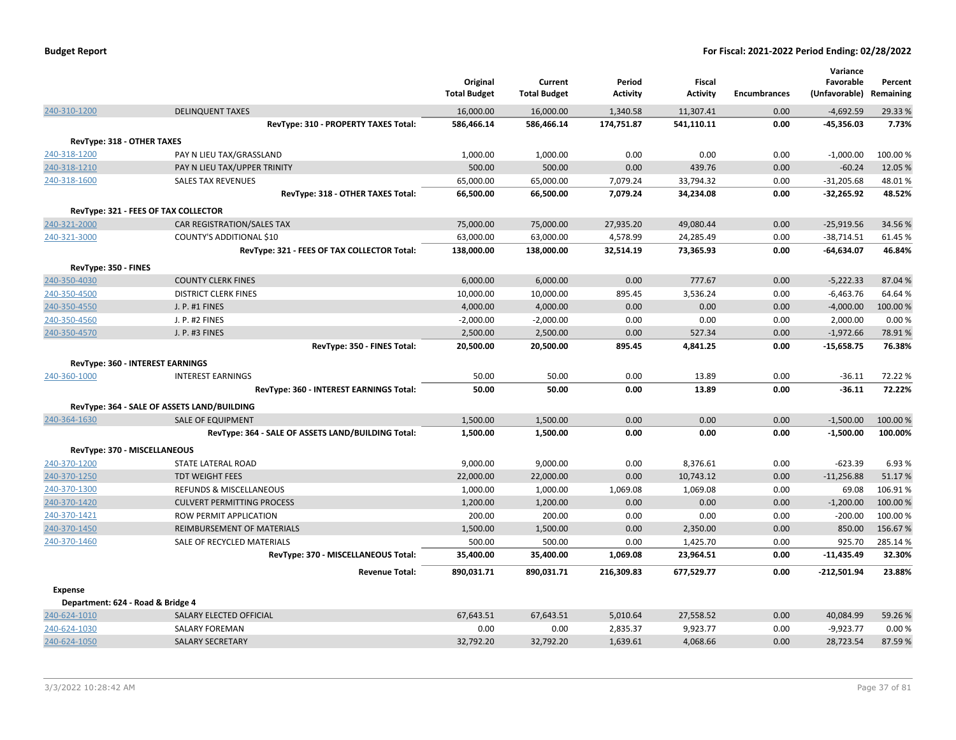|                                                   |                                                                         | Original<br><b>Total Budget</b> | Current<br><b>Total Budget</b> | Period<br><b>Activity</b> | <b>Fiscal</b><br><b>Activity</b> | <b>Encumbrances</b> | Variance<br>Favorable<br>(Unfavorable) | Percent<br>Remaining |
|---------------------------------------------------|-------------------------------------------------------------------------|---------------------------------|--------------------------------|---------------------------|----------------------------------|---------------------|----------------------------------------|----------------------|
| 240-310-1200                                      | <b>DELINQUENT TAXES</b>                                                 | 16,000.00                       | 16,000.00                      | 1,340.58                  | 11,307.41                        | 0.00                | $-4,692.59$                            | 29.33 %              |
|                                                   | RevType: 310 - PROPERTY TAXES Total:                                    | 586,466.14                      | 586,466.14                     | 174,751.87                | 541,110.11                       | 0.00                | $-45,356.03$                           | 7.73%                |
| RevType: 318 - OTHER TAXES                        |                                                                         |                                 |                                |                           |                                  |                     |                                        |                      |
| 240-318-1200                                      | PAY N LIEU TAX/GRASSLAND                                                | 1,000.00                        | 1,000.00                       | 0.00                      | 0.00                             | 0.00                | $-1,000.00$                            | 100.00 %             |
| 240-318-1210                                      | PAY N LIEU TAX/UPPER TRINITY                                            | 500.00                          | 500.00                         | 0.00                      | 439.76                           | 0.00                | $-60.24$                               | 12.05 %              |
| 240-318-1600                                      | <b>SALES TAX REVENUES</b>                                               | 65,000.00                       | 65,000.00                      | 7,079.24                  | 33,794.32                        | 0.00                | $-31,205.68$                           | 48.01%               |
|                                                   | RevType: 318 - OTHER TAXES Total:                                       | 66,500.00                       | 66,500.00                      | 7,079.24                  | 34,234.08                        | 0.00                | $-32,265.92$                           | 48.52%               |
|                                                   | RevType: 321 - FEES OF TAX COLLECTOR                                    |                                 |                                |                           |                                  |                     |                                        |                      |
| 240-321-2000                                      | CAR REGISTRATION/SALES TAX                                              | 75,000.00                       | 75,000.00                      | 27,935.20                 | 49,080.44                        | 0.00                | $-25,919.56$                           | 34.56%               |
| 240-321-3000                                      | COUNTY'S ADDITIONAL \$10                                                | 63,000.00                       | 63,000.00                      | 4,578.99                  | 24,285.49                        | 0.00                | $-38,714.51$                           | 61.45%               |
|                                                   | RevType: 321 - FEES OF TAX COLLECTOR Total:                             | 138,000.00                      | 138,000.00                     | 32,514.19                 | 73,365.93                        | 0.00                | $-64,634.07$                           | 46.84%               |
| RevType: 350 - FINES                              |                                                                         |                                 |                                |                           |                                  |                     |                                        |                      |
| 240-350-4030                                      | <b>COUNTY CLERK FINES</b>                                               | 6,000.00                        | 6,000.00                       | 0.00                      | 777.67                           | 0.00                | $-5,222.33$                            | 87.04%               |
| 240-350-4500                                      | <b>DISTRICT CLERK FINES</b>                                             | 10,000.00                       | 10,000.00                      | 895.45                    | 3,536.24                         | 0.00                | $-6,463.76$                            | 64.64%               |
| 240-350-4550                                      | J. P. #1 FINES                                                          | 4,000.00                        | 4,000.00                       | 0.00                      | 0.00                             | 0.00                | $-4,000.00$                            | 100.00%              |
| 240-350-4560                                      | J. P. #2 FINES                                                          | $-2,000.00$                     | $-2,000.00$                    | 0.00                      | 0.00                             | 0.00                | 2,000.00                               | 0.00%                |
| 240-350-4570                                      | J. P. #3 FINES                                                          | 2,500.00                        | 2,500.00                       | 0.00                      | 527.34                           | 0.00                | $-1,972.66$                            | 78.91%               |
|                                                   | RevType: 350 - FINES Total:                                             | 20,500.00                       | 20,500.00                      | 895.45                    | 4,841.25                         | 0.00                | $-15,658.75$                           | 76.38%               |
|                                                   | RevType: 360 - INTEREST EARNINGS                                        |                                 |                                |                           |                                  |                     |                                        |                      |
| 240-360-1000                                      | <b>INTEREST EARNINGS</b>                                                | 50.00                           | 50.00                          | 0.00                      | 13.89                            | 0.00                | $-36.11$                               | 72.22 %              |
|                                                   | RevType: 360 - INTEREST EARNINGS Total:                                 | 50.00                           | 50.00                          | 0.00                      | 13.89                            | 0.00                | $-36.11$                               | 72.22%               |
|                                                   |                                                                         |                                 |                                |                           |                                  |                     |                                        |                      |
| 240-364-1630                                      | RevType: 364 - SALE OF ASSETS LAND/BUILDING<br><b>SALE OF EQUIPMENT</b> | 1,500.00                        | 1,500.00                       | 0.00                      | 0.00                             | 0.00                | $-1,500.00$                            | 100.00 %             |
|                                                   | RevType: 364 - SALE OF ASSETS LAND/BUILDING Total:                      | 1,500.00                        | 1,500.00                       | 0.00                      | 0.00                             | 0.00                | $-1,500.00$                            | 100.00%              |
|                                                   |                                                                         |                                 |                                |                           |                                  |                     |                                        |                      |
| RevType: 370 - MISCELLANEOUS                      |                                                                         |                                 |                                |                           |                                  |                     |                                        |                      |
| 240-370-1200                                      | STATE LATERAL ROAD                                                      | 9,000.00                        | 9,000.00                       | 0.00                      | 8,376.61                         | 0.00                | $-623.39$                              | 6.93%                |
| 240-370-1250                                      | <b>TDT WEIGHT FEES</b><br>REFUNDS & MISCELLANEOUS                       | 22,000.00                       | 22,000.00                      | 0.00                      | 10,743.12                        | 0.00<br>0.00        | $-11,256.88$<br>69.08                  | 51.17%<br>106.91%    |
| 240-370-1300                                      |                                                                         | 1,000.00                        | 1,000.00<br>1,200.00           | 1,069.08                  | 1,069.08<br>0.00                 |                     | $-1,200.00$                            | 100.00%              |
| 240-370-1420                                      | <b>CULVERT PERMITTING PROCESS</b>                                       | 1,200.00                        |                                | 0.00                      |                                  | 0.00                |                                        | 100.00%              |
| 240-370-1421<br>240-370-1450                      | ROW PERMIT APPLICATION<br><b>REIMBURSEMENT OF MATERIALS</b>             | 200.00<br>1,500.00              | 200.00<br>1,500.00             | 0.00<br>0.00              | 0.00<br>2,350.00                 | 0.00<br>0.00        | $-200.00$<br>850.00                    | 156.67%              |
| 240-370-1460                                      | SALE OF RECYCLED MATERIALS                                              | 500.00                          | 500.00                         | 0.00                      | 1,425.70                         | 0.00                | 925.70                                 | 285.14%              |
|                                                   | RevType: 370 - MISCELLANEOUS Total:                                     | 35,400.00                       | 35,400.00                      | 1,069.08                  | 23,964.51                        | 0.00                | $-11,435.49$                           | 32.30%               |
|                                                   | <b>Revenue Total:</b>                                                   | 890,031.71                      | 890,031.71                     | 216,309.83                | 677,529.77                       | 0.00                | $-212,501.94$                          | 23.88%               |
|                                                   |                                                                         |                                 |                                |                           |                                  |                     |                                        |                      |
| <b>Expense</b>                                    |                                                                         |                                 |                                |                           |                                  |                     |                                        |                      |
| Department: 624 - Road & Bridge 4<br>240-624-1010 |                                                                         |                                 |                                |                           |                                  | 0.00                |                                        |                      |
| 240-624-1030                                      | SALARY ELECTED OFFICIAL<br><b>SALARY FOREMAN</b>                        | 67,643.51<br>0.00               | 67,643.51<br>0.00              | 5,010.64<br>2,835.37      | 27,558.52<br>9,923.77            | 0.00                | 40,084.99<br>$-9,923.77$               | 59.26 %<br>0.00%     |
| 240-624-1050                                      | <b>SALARY SECRETARY</b>                                                 | 32,792.20                       | 32,792.20                      | 1,639.61                  | 4,068.66                         | 0.00                | 28,723.54                              | 87.59%               |
|                                                   |                                                                         |                                 |                                |                           |                                  |                     |                                        |                      |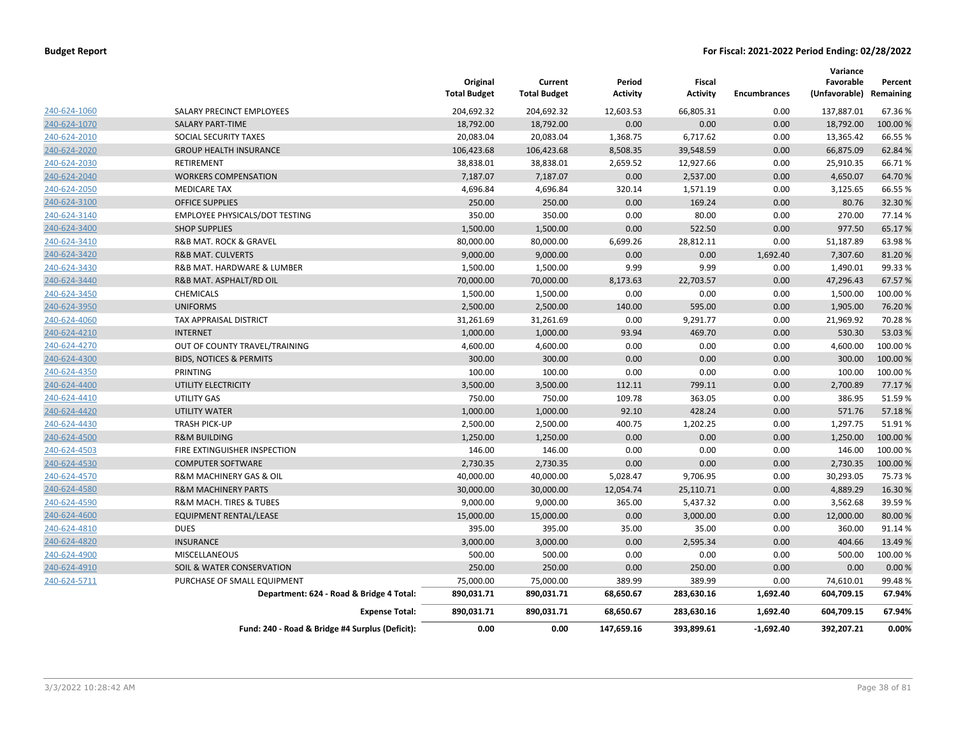|                     |                                                 | Original<br><b>Total Budget</b> | Current<br><b>Total Budget</b> | Period<br><b>Activity</b> | Fiscal<br><b>Activity</b> | <b>Encumbrances</b> | Variance<br>Favorable<br>(Unfavorable) Remaining | Percent  |
|---------------------|-------------------------------------------------|---------------------------------|--------------------------------|---------------------------|---------------------------|---------------------|--------------------------------------------------|----------|
| 240-624-1060        | SALARY PRECINCT EMPLOYEES                       | 204,692.32                      | 204,692.32                     | 12,603.53                 | 66,805.31                 | 0.00                | 137,887.01                                       | 67.36%   |
| 240-624-1070        | <b>SALARY PART-TIME</b>                         | 18,792.00                       | 18,792.00                      | 0.00                      | 0.00                      | 0.00                | 18,792.00                                        | 100.00 % |
| 240-624-2010        | SOCIAL SECURITY TAXES                           | 20,083.04                       | 20,083.04                      | 1,368.75                  | 6,717.62                  | 0.00                | 13,365.42                                        | 66.55%   |
| 240-624-2020        | <b>GROUP HEALTH INSURANCE</b>                   | 106,423.68                      | 106,423.68                     | 8,508.35                  | 39,548.59                 | 0.00                | 66,875.09                                        | 62.84%   |
| 240-624-2030        | <b>RETIREMENT</b>                               | 38,838.01                       | 38,838.01                      | 2,659.52                  | 12,927.66                 | 0.00                | 25,910.35                                        | 66.71%   |
| 240-624-2040        | <b>WORKERS COMPENSATION</b>                     | 7,187.07                        | 7,187.07                       | 0.00                      | 2,537.00                  | 0.00                | 4,650.07                                         | 64.70%   |
| 240-624-2050        | <b>MEDICARE TAX</b>                             | 4,696.84                        | 4,696.84                       | 320.14                    | 1,571.19                  | 0.00                | 3,125.65                                         | 66.55%   |
| 240-624-3100        | <b>OFFICE SUPPLIES</b>                          | 250.00                          | 250.00                         | 0.00                      | 169.24                    | 0.00                | 80.76                                            | 32.30%   |
| 240-624-3140        | EMPLOYEE PHYSICALS/DOT TESTING                  | 350.00                          | 350.00                         | 0.00                      | 80.00                     | 0.00                | 270.00                                           | 77.14%   |
| 240-624-3400        | <b>SHOP SUPPLIES</b>                            | 1,500.00                        | 1,500.00                       | 0.00                      | 522.50                    | 0.00                | 977.50                                           | 65.17%   |
| 240-624-3410        | R&B MAT. ROCK & GRAVEL                          | 80,000.00                       | 80,000.00                      | 6,699.26                  | 28,812.11                 | 0.00                | 51,187.89                                        | 63.98%   |
| 240-624-3420        | <b>R&amp;B MAT. CULVERTS</b>                    | 9,000.00                        | 9,000.00                       | 0.00                      | 0.00                      | 1,692.40            | 7,307.60                                         | 81.20%   |
| 240-624-3430        | R&B MAT. HARDWARE & LUMBER                      | 1,500.00                        | 1,500.00                       | 9.99                      | 9.99                      | 0.00                | 1,490.01                                         | 99.33%   |
| 240-624-3440        | R&B MAT. ASPHALT/RD OIL                         | 70,000.00                       | 70,000.00                      | 8,173.63                  | 22,703.57                 | 0.00                | 47,296.43                                        | 67.57%   |
| 240-624-3450        | CHEMICALS                                       | 1,500.00                        | 1,500.00                       | 0.00                      | 0.00                      | 0.00                | 1,500.00                                         | 100.00%  |
| 240-624-3950        | <b>UNIFORMS</b>                                 | 2,500.00                        | 2,500.00                       | 140.00                    | 595.00                    | 0.00                | 1,905.00                                         | 76.20%   |
| 240-624-4060        | TAX APPRAISAL DISTRICT                          | 31,261.69                       | 31,261.69                      | 0.00                      | 9,291.77                  | 0.00                | 21,969.92                                        | 70.28%   |
| 240-624-4210        | <b>INTERNET</b>                                 | 1,000.00                        | 1,000.00                       | 93.94                     | 469.70                    | 0.00                | 530.30                                           | 53.03%   |
| 240-624-4270        | OUT OF COUNTY TRAVEL/TRAINING                   | 4,600.00                        | 4,600.00                       | 0.00                      | 0.00                      | 0.00                | 4,600.00                                         | 100.00%  |
| 240-624-4300        | <b>BIDS, NOTICES &amp; PERMITS</b>              | 300.00                          | 300.00                         | 0.00                      | 0.00                      | 0.00                | 300.00                                           | 100.00%  |
| 240-624-4350        | PRINTING                                        | 100.00                          | 100.00                         | 0.00                      | 0.00                      | 0.00                | 100.00                                           | 100.00%  |
| 240-624-4400        | UTILITY ELECTRICITY                             | 3,500.00                        | 3,500.00                       | 112.11                    | 799.11                    | 0.00                | 2,700.89                                         | 77.17%   |
| 240-624-4410        | UTILITY GAS                                     | 750.00                          | 750.00                         | 109.78                    | 363.05                    | 0.00                | 386.95                                           | 51.59%   |
| 240-624-4420        | <b>UTILITY WATER</b>                            | 1,000.00                        | 1,000.00                       | 92.10                     | 428.24                    | 0.00                | 571.76                                           | 57.18%   |
| 240-624-4430        | <b>TRASH PICK-UP</b>                            | 2,500.00                        | 2,500.00                       | 400.75                    | 1,202.25                  | 0.00                | 1,297.75                                         | 51.91%   |
| 240-624-4500        | <b>R&amp;M BUILDING</b>                         | 1,250.00                        | 1,250.00                       | 0.00                      | 0.00                      | 0.00                | 1,250.00                                         | 100.00 % |
| 240-624-4503        | FIRE EXTINGUISHER INSPECTION                    | 146.00                          | 146.00                         | 0.00                      | 0.00                      | 0.00                | 146.00                                           | 100.00%  |
| 240-624-4530        | <b>COMPUTER SOFTWARE</b>                        | 2,730.35                        | 2,730.35                       | 0.00                      | 0.00                      | 0.00                | 2,730.35                                         | 100.00 % |
| 240-624-4570        | R&M MACHINERY GAS & OIL                         | 40,000.00                       | 40,000.00                      | 5,028.47                  | 9,706.95                  | 0.00                | 30,293.05                                        | 75.73 %  |
| 240-624-4580        | <b>R&amp;M MACHINERY PARTS</b>                  | 30,000.00                       | 30,000.00                      | 12,054.74                 | 25,110.71                 | 0.00                | 4,889.29                                         | 16.30%   |
| 240-624-4590        | <b>R&amp;M MACH. TIRES &amp; TUBES</b>          | 9,000.00                        | 9,000.00                       | 365.00                    | 5,437.32                  | 0.00                | 3,562.68                                         | 39.59%   |
| 240-624-4600        | <b>EQUIPMENT RENTAL/LEASE</b>                   | 15,000.00                       | 15,000.00                      | 0.00                      | 3,000.00                  | 0.00                | 12,000.00                                        | 80.00 %  |
| 240-624-4810        | <b>DUES</b>                                     | 395.00                          | 395.00                         | 35.00                     | 35.00                     | 0.00                | 360.00                                           | 91.14%   |
| 240-624-4820        | <b>INSURANCE</b>                                | 3,000.00                        | 3,000.00                       | 0.00                      | 2,595.34                  | 0.00                | 404.66                                           | 13.49%   |
| <u>240-624-4900</u> | <b>MISCELLANEOUS</b>                            | 500.00                          | 500.00                         | 0.00                      | 0.00                      | 0.00                | 500.00                                           | 100.00%  |
| 240-624-4910        | SOIL & WATER CONSERVATION                       | 250.00                          | 250.00                         | 0.00                      | 250.00                    | 0.00                | 0.00                                             | 0.00%    |
| 240-624-5711        | PURCHASE OF SMALL EQUIPMENT                     | 75,000.00                       | 75,000.00                      | 389.99                    | 389.99                    | 0.00                | 74,610.01                                        | 99.48%   |
|                     | Department: 624 - Road & Bridge 4 Total:        | 890,031.71                      | 890,031.71                     | 68,650.67                 | 283,630.16                | 1,692.40            | 604,709.15                                       | 67.94%   |
|                     | <b>Expense Total:</b>                           | 890,031.71                      | 890,031.71                     | 68,650.67                 | 283,630.16                | 1,692.40            | 604,709.15                                       | 67.94%   |
|                     | Fund: 240 - Road & Bridge #4 Surplus (Deficit): | 0.00                            | 0.00                           | 147,659.16                | 393,899.61                | $-1,692.40$         | 392,207.21                                       | 0.00%    |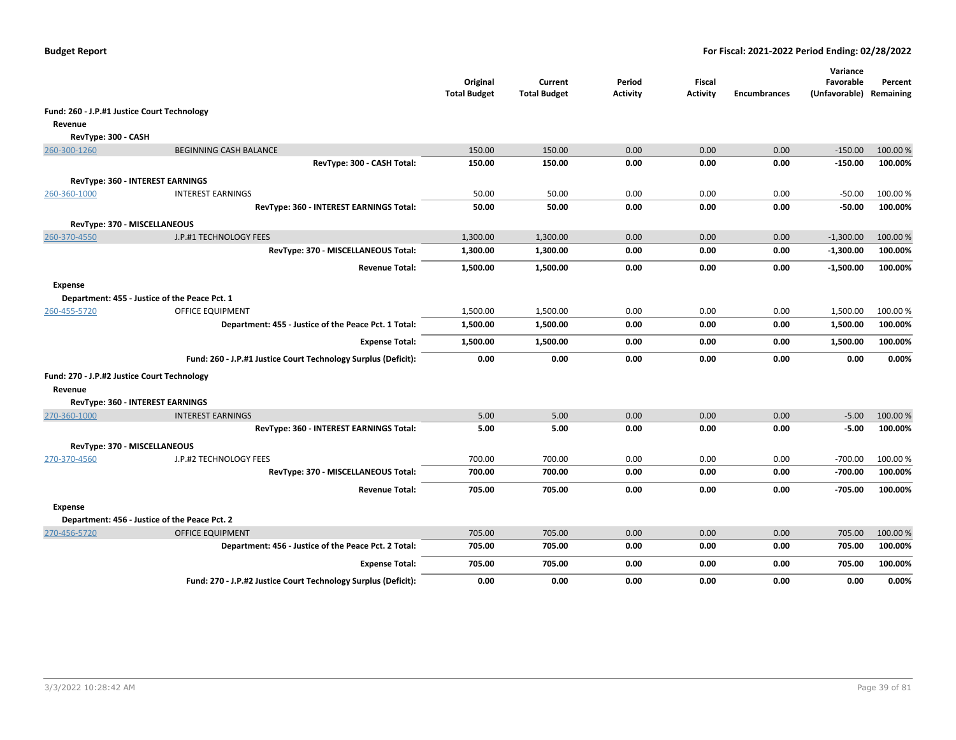|                                             |                                                                | Original<br><b>Total Budget</b> | Current<br><b>Total Budget</b> | Period<br><b>Activity</b> | Fiscal<br><b>Activity</b> | <b>Encumbrances</b> | Variance<br>Favorable<br>(Unfavorable) Remaining | Percent  |
|---------------------------------------------|----------------------------------------------------------------|---------------------------------|--------------------------------|---------------------------|---------------------------|---------------------|--------------------------------------------------|----------|
| Fund: 260 - J.P.#1 Justice Court Technology |                                                                |                                 |                                |                           |                           |                     |                                                  |          |
| Revenue                                     |                                                                |                                 |                                |                           |                           |                     |                                                  |          |
| RevType: 300 - CASH                         |                                                                |                                 |                                |                           |                           |                     |                                                  |          |
| 260-300-1260                                | <b>BEGINNING CASH BALANCE</b>                                  | 150.00                          | 150.00                         | 0.00                      | 0.00                      | 0.00                | $-150.00$                                        | 100.00 % |
|                                             | RevType: 300 - CASH Total:                                     | 150.00                          | 150.00                         | 0.00                      | 0.00                      | 0.00                | $-150.00$                                        | 100.00%  |
|                                             | <b>RevType: 360 - INTEREST EARNINGS</b>                        |                                 |                                |                           |                           |                     |                                                  |          |
| 260-360-1000                                | <b>INTEREST EARNINGS</b>                                       | 50.00                           | 50.00                          | 0.00                      | 0.00                      | 0.00                | $-50.00$                                         | 100.00 % |
|                                             | RevType: 360 - INTEREST EARNINGS Total:                        | 50.00                           | 50.00                          | 0.00                      | 0.00                      | 0.00                | $-50.00$                                         | 100.00%  |
| RevType: 370 - MISCELLANEOUS                |                                                                |                                 |                                |                           |                           |                     |                                                  |          |
| 260-370-4550                                | J.P.#1 TECHNOLOGY FEES                                         | 1,300.00                        | 1,300.00                       | 0.00                      | 0.00                      | 0.00                | $-1,300.00$                                      | 100.00 % |
|                                             | RevType: 370 - MISCELLANEOUS Total:                            | 1,300.00                        | 1,300.00                       | 0.00                      | 0.00                      | 0.00                | $-1,300.00$                                      | 100.00%  |
|                                             | <b>Revenue Total:</b>                                          | 1,500.00                        | 1,500.00                       | 0.00                      | 0.00                      | 0.00                | $-1,500.00$                                      | 100.00%  |
| Expense                                     |                                                                |                                 |                                |                           |                           |                     |                                                  |          |
|                                             | Department: 455 - Justice of the Peace Pct. 1                  |                                 |                                |                           |                           |                     |                                                  |          |
| 260-455-5720                                | <b>OFFICE EQUIPMENT</b>                                        | 1,500.00                        | 1,500.00                       | 0.00                      | 0.00                      | 0.00                | 1,500.00                                         | 100.00 % |
|                                             | Department: 455 - Justice of the Peace Pct. 1 Total:           | 1,500.00                        | 1,500.00                       | 0.00                      | 0.00                      | 0.00                | 1,500.00                                         | 100.00%  |
|                                             | <b>Expense Total:</b>                                          | 1,500.00                        | 1,500.00                       | 0.00                      | 0.00                      | 0.00                | 1,500.00                                         | 100.00%  |
|                                             | Fund: 260 - J.P.#1 Justice Court Technology Surplus (Deficit): | 0.00                            | 0.00                           | 0.00                      | 0.00                      | 0.00                | 0.00                                             | 0.00%    |
| Fund: 270 - J.P.#2 Justice Court Technology |                                                                |                                 |                                |                           |                           |                     |                                                  |          |
| Revenue                                     |                                                                |                                 |                                |                           |                           |                     |                                                  |          |
|                                             | RevType: 360 - INTEREST EARNINGS<br><b>INTEREST EARNINGS</b>   | 5.00                            | 5.00                           | 0.00                      | 0.00                      | 0.00                |                                                  | 100.00 % |
| 270-360-1000                                | RevType: 360 - INTEREST EARNINGS Total:                        | 5.00                            | 5.00                           | 0.00                      | 0.00                      | 0.00                | $-5.00$<br>$-5.00$                               | 100.00%  |
|                                             |                                                                |                                 |                                |                           |                           |                     |                                                  |          |
| RevType: 370 - MISCELLANEOUS                |                                                                |                                 |                                |                           |                           |                     |                                                  |          |
| 270-370-4560                                | J.P.#2 TECHNOLOGY FEES                                         | 700.00                          | 700.00                         | 0.00                      | 0.00                      | 0.00                | $-700.00$                                        | 100.00%  |
|                                             | RevType: 370 - MISCELLANEOUS Total:                            | 700.00                          | 700.00                         | 0.00                      | 0.00                      | 0.00                | $-700.00$                                        | 100.00%  |
|                                             | <b>Revenue Total:</b>                                          | 705.00                          | 705.00                         | 0.00                      | 0.00                      | 0.00                | $-705.00$                                        | 100.00%  |
| Expense                                     | Department: 456 - Justice of the Peace Pct. 2                  |                                 |                                |                           |                           |                     |                                                  |          |
| 270-456-5720                                | <b>OFFICE EQUIPMENT</b>                                        | 705.00                          | 705.00                         | 0.00                      | 0.00                      | 0.00                | 705.00                                           | 100.00%  |
|                                             | Department: 456 - Justice of the Peace Pct. 2 Total:           | 705.00                          | 705.00                         | 0.00                      | 0.00                      | 0.00                | 705.00                                           | 100.00%  |
|                                             | <b>Expense Total:</b>                                          | 705.00                          | 705.00                         | 0.00                      | 0.00                      | 0.00                | 705.00                                           | 100.00%  |
|                                             | Fund: 270 - J.P.#2 Justice Court Technology Surplus (Deficit): | 0.00                            | 0.00                           | 0.00                      | 0.00                      | 0.00                | 0.00                                             | 0.00%    |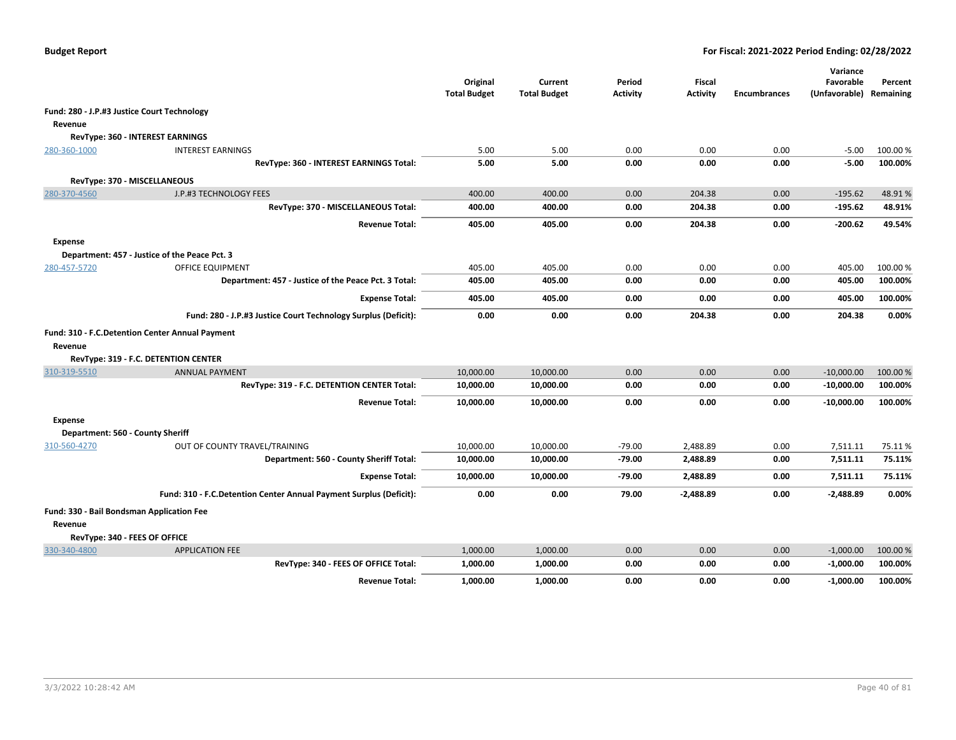|                                             |                                                                    | Original<br><b>Total Budget</b> | Current<br><b>Total Budget</b> | Period<br><b>Activity</b> | Fiscal<br><b>Activity</b> | <b>Encumbrances</b> | Variance<br>Favorable<br>(Unfavorable) Remaining | Percent  |
|---------------------------------------------|--------------------------------------------------------------------|---------------------------------|--------------------------------|---------------------------|---------------------------|---------------------|--------------------------------------------------|----------|
| Fund: 280 - J.P.#3 Justice Court Technology |                                                                    |                                 |                                |                           |                           |                     |                                                  |          |
| Revenue                                     |                                                                    |                                 |                                |                           |                           |                     |                                                  |          |
|                                             | RevType: 360 - INTEREST EARNINGS                                   |                                 |                                |                           |                           |                     |                                                  |          |
| 280-360-1000                                | <b>INTEREST EARNINGS</b>                                           | 5.00                            | 5.00                           | 0.00                      | 0.00                      | 0.00                | $-5.00$                                          | 100.00 % |
|                                             | RevType: 360 - INTEREST EARNINGS Total:                            | 5.00                            | 5.00                           | 0.00                      | 0.00                      | 0.00                | $-5.00$                                          | 100.00%  |
|                                             | RevType: 370 - MISCELLANEOUS                                       |                                 |                                |                           |                           |                     |                                                  |          |
| 280-370-4560                                | J.P.#3 TECHNOLOGY FEES                                             | 400.00                          | 400.00                         | 0.00                      | 204.38                    | 0.00                | $-195.62$                                        | 48.91%   |
|                                             | RevType: 370 - MISCELLANEOUS Total:                                | 400.00                          | 400.00                         | 0.00                      | 204.38                    | 0.00                | $-195.62$                                        | 48.91%   |
|                                             | <b>Revenue Total:</b>                                              | 405.00                          | 405.00                         | 0.00                      | 204.38                    | 0.00                | $-200.62$                                        | 49.54%   |
| <b>Expense</b>                              |                                                                    |                                 |                                |                           |                           |                     |                                                  |          |
|                                             | Department: 457 - Justice of the Peace Pct. 3                      |                                 |                                |                           |                           |                     |                                                  |          |
| 280-457-5720                                | OFFICE EQUIPMENT                                                   | 405.00                          | 405.00                         | 0.00                      | 0.00                      | 0.00                | 405.00                                           | 100.00 % |
|                                             | Department: 457 - Justice of the Peace Pct. 3 Total:               | 405.00                          | 405.00                         | 0.00                      | 0.00                      | 0.00                | 405.00                                           | 100.00%  |
|                                             | <b>Expense Total:</b>                                              | 405.00                          | 405.00                         | 0.00                      | 0.00                      | 0.00                | 405.00                                           | 100.00%  |
|                                             | Fund: 280 - J.P.#3 Justice Court Technology Surplus (Deficit):     | 0.00                            | 0.00                           | 0.00                      | 204.38                    | 0.00                | 204.38                                           | 0.00%    |
|                                             | Fund: 310 - F.C.Detention Center Annual Payment                    |                                 |                                |                           |                           |                     |                                                  |          |
| Revenue                                     |                                                                    |                                 |                                |                           |                           |                     |                                                  |          |
|                                             | RevType: 319 - F.C. DETENTION CENTER                               |                                 |                                |                           |                           |                     |                                                  |          |
| 310-319-5510                                | <b>ANNUAL PAYMENT</b>                                              | 10,000.00                       | 10,000.00                      | 0.00                      | 0.00                      | 0.00                | $-10,000.00$                                     | 100.00%  |
|                                             | RevType: 319 - F.C. DETENTION CENTER Total:                        | 10,000.00                       | 10,000.00                      | 0.00                      | 0.00                      | 0.00                | $-10,000.00$                                     | 100.00%  |
|                                             | <b>Revenue Total:</b>                                              | 10,000.00                       | 10,000.00                      | 0.00                      | 0.00                      | 0.00                | $-10,000.00$                                     | 100.00%  |
| <b>Expense</b>                              |                                                                    |                                 |                                |                           |                           |                     |                                                  |          |
| Department: 560 - County Sheriff            |                                                                    |                                 |                                |                           |                           |                     |                                                  |          |
| 310-560-4270                                | OUT OF COUNTY TRAVEL/TRAINING                                      | 10,000.00                       | 10,000.00                      | $-79.00$                  | 2,488.89                  | 0.00                | 7,511.11                                         | 75.11%   |
|                                             | Department: 560 - County Sheriff Total:                            | 10,000.00                       | 10,000.00                      | $-79.00$                  | 2,488.89                  | 0.00                | 7,511.11                                         | 75.11%   |
|                                             | <b>Expense Total:</b>                                              | 10,000.00                       | 10,000.00                      | $-79.00$                  | 2,488.89                  | 0.00                | 7,511.11                                         | 75.11%   |
|                                             | Fund: 310 - F.C.Detention Center Annual Payment Surplus (Deficit): | 0.00                            | 0.00                           | 79.00                     | $-2,488.89$               | 0.00                | $-2,488.89$                                      | 0.00%    |
| Fund: 330 - Bail Bondsman Application Fee   |                                                                    |                                 |                                |                           |                           |                     |                                                  |          |
| Revenue                                     |                                                                    |                                 |                                |                           |                           |                     |                                                  |          |
|                                             | RevType: 340 - FEES OF OFFICE                                      |                                 |                                |                           |                           |                     |                                                  |          |
| 330-340-4800                                | <b>APPLICATION FEE</b>                                             | 1,000.00                        | 1,000.00                       | 0.00                      | 0.00                      | 0.00                | $-1,000.00$                                      | 100.00 % |
|                                             | RevType: 340 - FEES OF OFFICE Total:                               | 1,000.00                        | 1,000.00                       | 0.00                      | 0.00                      | 0.00                | $-1,000.00$                                      | 100.00%  |
|                                             | <b>Revenue Total:</b>                                              | 1,000.00                        | 1,000.00                       | 0.00                      | 0.00                      | 0.00                | $-1,000.00$                                      | 100.00%  |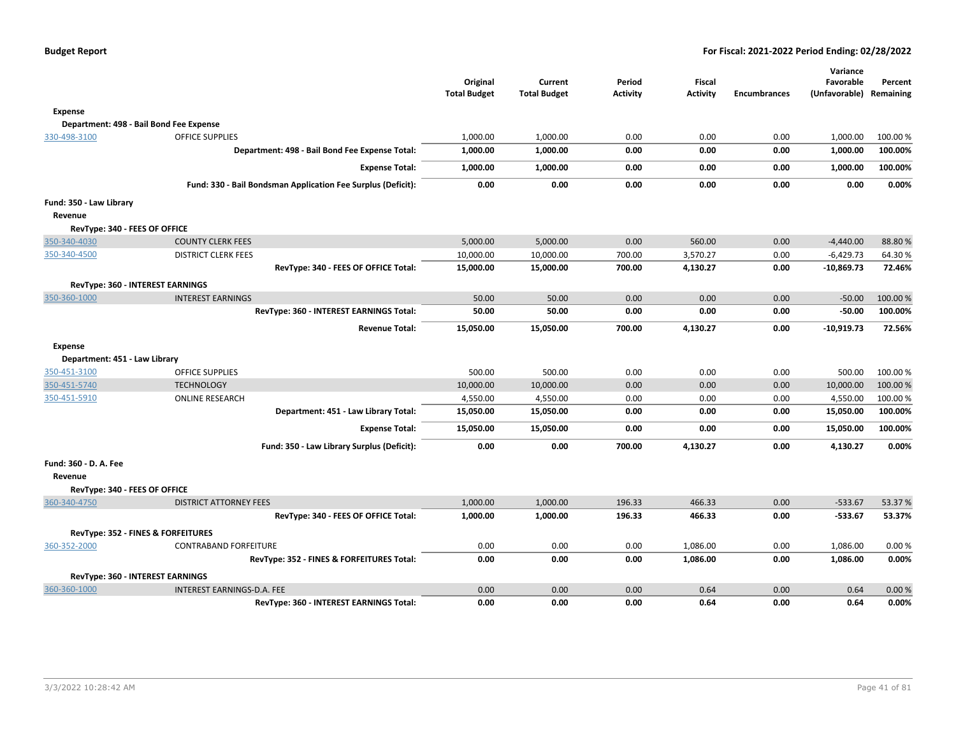|                               |                                                              | Original<br><b>Total Budget</b> | Current<br><b>Total Budget</b> | Period<br><b>Activity</b> | Fiscal<br><b>Activity</b> | <b>Encumbrances</b> | Variance<br>Favorable<br>(Unfavorable) Remaining | Percent  |
|-------------------------------|--------------------------------------------------------------|---------------------------------|--------------------------------|---------------------------|---------------------------|---------------------|--------------------------------------------------|----------|
| Expense                       |                                                              |                                 |                                |                           |                           |                     |                                                  |          |
|                               | Department: 498 - Bail Bond Fee Expense                      |                                 |                                |                           |                           |                     |                                                  |          |
| 330-498-3100                  | <b>OFFICE SUPPLIES</b>                                       | 1,000.00                        | 1,000.00                       | 0.00                      | 0.00                      | 0.00                | 1,000.00                                         | 100.00 % |
|                               | Department: 498 - Bail Bond Fee Expense Total:               | 1,000.00                        | 1,000.00                       | 0.00                      | 0.00                      | 0.00                | 1,000.00                                         | 100.00%  |
|                               | <b>Expense Total:</b>                                        | 1,000.00                        | 1,000.00                       | 0.00                      | 0.00                      | 0.00                | 1,000.00                                         | 100.00%  |
|                               | Fund: 330 - Bail Bondsman Application Fee Surplus (Deficit): | 0.00                            | 0.00                           | 0.00                      | 0.00                      | 0.00                | 0.00                                             | 0.00%    |
| Fund: 350 - Law Library       |                                                              |                                 |                                |                           |                           |                     |                                                  |          |
| Revenue                       |                                                              |                                 |                                |                           |                           |                     |                                                  |          |
| RevType: 340 - FEES OF OFFICE |                                                              |                                 |                                |                           |                           |                     |                                                  |          |
| 350-340-4030                  | <b>COUNTY CLERK FEES</b>                                     | 5,000.00                        | 5,000.00                       | 0.00                      | 560.00                    | 0.00                | $-4,440.00$                                      | 88.80%   |
| 350-340-4500                  | <b>DISTRICT CLERK FEES</b>                                   | 10,000.00                       | 10,000.00                      | 700.00                    | 3,570.27                  | 0.00                | $-6,429.73$                                      | 64.30%   |
|                               | RevType: 340 - FEES OF OFFICE Total:                         | 15,000.00                       | 15,000.00                      | 700.00                    | 4,130.27                  | 0.00                | $-10,869.73$                                     | 72.46%   |
|                               | RevType: 360 - INTEREST EARNINGS                             |                                 |                                |                           |                           |                     |                                                  |          |
| 350-360-1000                  | <b>INTEREST EARNINGS</b>                                     | 50.00                           | 50.00                          | 0.00                      | 0.00                      | 0.00                | $-50.00$                                         | 100.00 % |
|                               | RevType: 360 - INTEREST EARNINGS Total:                      | 50.00                           | 50.00                          | 0.00                      | 0.00                      | 0.00                | $-50.00$                                         | 100.00%  |
|                               | <b>Revenue Total:</b>                                        | 15,050.00                       | 15,050.00                      | 700.00                    | 4,130.27                  | 0.00                | $-10,919.73$                                     | 72.56%   |
| <b>Expense</b>                |                                                              |                                 |                                |                           |                           |                     |                                                  |          |
| Department: 451 - Law Library |                                                              |                                 |                                |                           |                           |                     |                                                  |          |
| 350-451-3100                  | <b>OFFICE SUPPLIES</b>                                       | 500.00                          | 500.00                         | 0.00                      | 0.00                      | 0.00                | 500.00                                           | 100.00 % |
| 350-451-5740                  | <b>TECHNOLOGY</b>                                            | 10,000.00                       | 10,000.00                      | 0.00                      | 0.00                      | 0.00                | 10,000.00                                        | 100.00 % |
| 350-451-5910                  | <b>ONLINE RESEARCH</b>                                       | 4,550.00                        | 4,550.00                       | 0.00                      | 0.00                      | 0.00                | 4,550.00                                         | 100.00 % |
|                               | Department: 451 - Law Library Total:                         | 15,050.00                       | 15,050.00                      | 0.00                      | 0.00                      | 0.00                | 15,050.00                                        | 100.00%  |
|                               | <b>Expense Total:</b>                                        | 15,050.00                       | 15,050.00                      | 0.00                      | 0.00                      | 0.00                | 15,050.00                                        | 100.00%  |
|                               | Fund: 350 - Law Library Surplus (Deficit):                   | 0.00                            | 0.00                           | 700.00                    | 4,130.27                  | 0.00                | 4,130.27                                         | 0.00%    |
| Fund: 360 - D. A. Fee         |                                                              |                                 |                                |                           |                           |                     |                                                  |          |
| Revenue                       |                                                              |                                 |                                |                           |                           |                     |                                                  |          |
| RevType: 340 - FEES OF OFFICE |                                                              |                                 |                                |                           |                           |                     |                                                  |          |
| 360-340-4750                  | <b>DISTRICT ATTORNEY FEES</b>                                | 1,000.00                        | 1,000.00                       | 196.33                    | 466.33                    | 0.00                | $-533.67$                                        | 53.37%   |
|                               | RevType: 340 - FEES OF OFFICE Total:                         | 1,000.00                        | 1,000.00                       | 196.33                    | 466.33                    | 0.00                | $-533.67$                                        | 53.37%   |
|                               | RevType: 352 - FINES & FORFEITURES                           |                                 |                                |                           |                           |                     |                                                  |          |
| 360-352-2000                  | <b>CONTRABAND FORFEITURE</b>                                 | 0.00                            | 0.00                           | 0.00                      | 1,086.00                  | 0.00                | 1,086.00                                         | 0.00%    |
|                               | RevType: 352 - FINES & FORFEITURES Total:                    | 0.00                            | 0.00                           | 0.00                      | 1,086.00                  | 0.00                | 1,086.00                                         | 0.00%    |
|                               | RevType: 360 - INTEREST EARNINGS                             |                                 |                                |                           |                           |                     |                                                  |          |
| 360-360-1000                  | INTEREST EARNINGS-D.A. FEE                                   | 0.00                            | 0.00                           | 0.00                      | 0.64                      | 0.00                | 0.64                                             | 0.00%    |
|                               | RevType: 360 - INTEREST EARNINGS Total:                      | 0.00                            | 0.00                           | 0.00                      | 0.64                      | 0.00                | 0.64                                             | 0.00%    |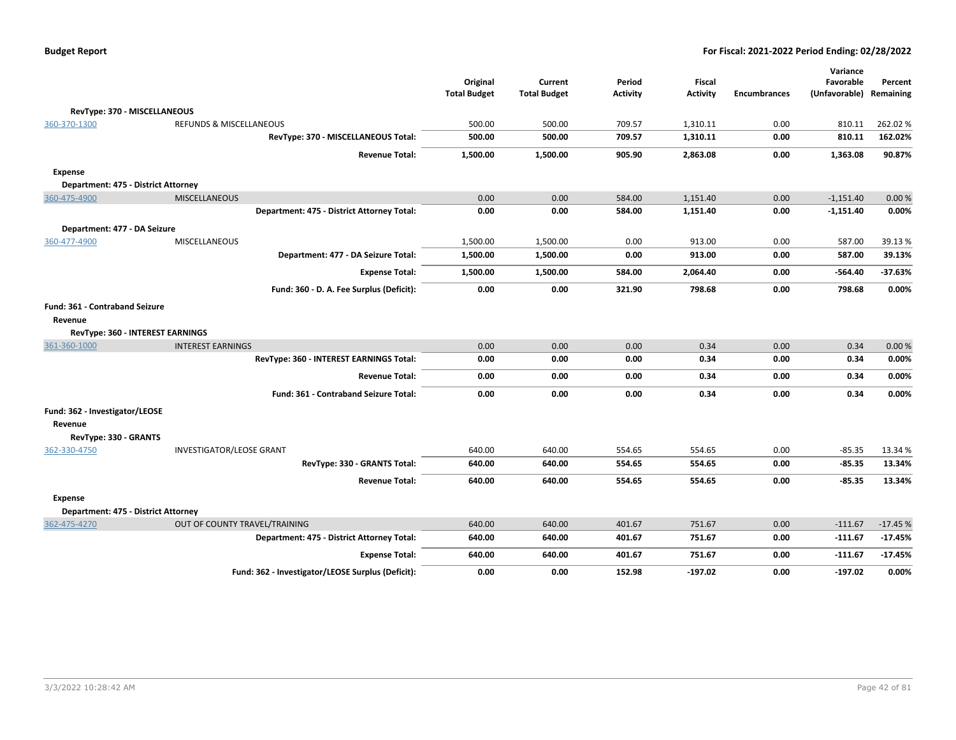| <b>Budget Report</b> |  |
|----------------------|--|
|----------------------|--|

|                                     |                                                   |                     |                     |          |                 |                     | Variance      |           |
|-------------------------------------|---------------------------------------------------|---------------------|---------------------|----------|-----------------|---------------------|---------------|-----------|
|                                     |                                                   | Original            | Current             | Period   | <b>Fiscal</b>   |                     | Favorable     | Percent   |
|                                     |                                                   | <b>Total Budget</b> | <b>Total Budget</b> | Activity | <b>Activity</b> | <b>Encumbrances</b> | (Unfavorable) | Remaining |
| RevType: 370 - MISCELLANEOUS        |                                                   |                     |                     |          |                 |                     |               |           |
| 360-370-1300                        | <b>REFUNDS &amp; MISCELLANEOUS</b>                | 500.00              | 500.00              | 709.57   | 1,310.11        | 0.00                | 810.11        | 262.02%   |
|                                     | RevType: 370 - MISCELLANEOUS Total:               | 500.00              | 500.00              | 709.57   | 1,310.11        | 0.00                | 810.11        | 162.02%   |
|                                     | <b>Revenue Total:</b>                             | 1,500.00            | 1,500.00            | 905.90   | 2,863.08        | 0.00                | 1,363.08      | 90.87%    |
| <b>Expense</b>                      |                                                   |                     |                     |          |                 |                     |               |           |
| Department: 475 - District Attorney |                                                   |                     |                     |          |                 |                     |               |           |
| 360-475-4900                        | <b>MISCELLANEOUS</b>                              | 0.00                | 0.00                | 584.00   | 1,151.40        | 0.00                | $-1,151.40$   | 0.00%     |
|                                     | Department: 475 - District Attorney Total:        | 0.00                | 0.00                | 584.00   | 1,151.40        | 0.00                | $-1,151.40$   | 0.00%     |
| Department: 477 - DA Seizure        |                                                   |                     |                     |          |                 |                     |               |           |
| 360-477-4900                        | <b>MISCELLANEOUS</b>                              | 1,500.00            | 1,500.00            | 0.00     | 913.00          | 0.00                | 587.00        | 39.13 %   |
|                                     | Department: 477 - DA Seizure Total:               | 1,500.00            | 1,500.00            | 0.00     | 913.00          | 0.00                | 587.00        | 39.13%    |
|                                     | <b>Expense Total:</b>                             | 1,500.00            | 1,500.00            | 584.00   | 2,064.40        | 0.00                | $-564.40$     | $-37.63%$ |
|                                     | Fund: 360 - D. A. Fee Surplus (Deficit):          | 0.00                | 0.00                | 321.90   | 798.68          | 0.00                | 798.68        | 0.00%     |
| Fund: 361 - Contraband Seizure      |                                                   |                     |                     |          |                 |                     |               |           |
| Revenue                             |                                                   |                     |                     |          |                 |                     |               |           |
| RevType: 360 - INTEREST EARNINGS    |                                                   |                     |                     |          |                 |                     |               |           |
| 361-360-1000                        | <b>INTEREST EARNINGS</b>                          | 0.00                | 0.00                | 0.00     | 0.34            | 0.00                | 0.34          | 0.00%     |
|                                     | RevType: 360 - INTEREST EARNINGS Total:           | 0.00                | 0.00                | 0.00     | 0.34            | 0.00                | 0.34          | 0.00%     |
|                                     | <b>Revenue Total:</b>                             | 0.00                | 0.00                | 0.00     | 0.34            | 0.00                | 0.34          | 0.00%     |
|                                     | Fund: 361 - Contraband Seizure Total:             | 0.00                | 0.00                | 0.00     | 0.34            | 0.00                | 0.34          | 0.00%     |
| Fund: 362 - Investigator/LEOSE      |                                                   |                     |                     |          |                 |                     |               |           |
| Revenue                             |                                                   |                     |                     |          |                 |                     |               |           |
| RevType: 330 - GRANTS               |                                                   |                     |                     |          |                 |                     |               |           |
| 362-330-4750                        | <b>INVESTIGATOR/LEOSE GRANT</b>                   | 640.00              | 640.00              | 554.65   | 554.65          | 0.00                | $-85.35$      | 13.34 %   |
|                                     | RevType: 330 - GRANTS Total:                      | 640.00              | 640.00              | 554.65   | 554.65          | 0.00                | $-85.35$      | 13.34%    |
|                                     | <b>Revenue Total:</b>                             | 640.00              | 640.00              | 554.65   | 554.65          | 0.00                | $-85.35$      | 13.34%    |
| <b>Expense</b>                      |                                                   |                     |                     |          |                 |                     |               |           |
| Department: 475 - District Attorney |                                                   |                     |                     |          |                 |                     |               |           |
| 362-475-4270                        | OUT OF COUNTY TRAVEL/TRAINING                     | 640.00              | 640.00              | 401.67   | 751.67          | 0.00                | $-111.67$     | $-17.45%$ |
|                                     | Department: 475 - District Attorney Total:        | 640.00              | 640.00              | 401.67   | 751.67          | 0.00                | $-111.67$     | $-17.45%$ |
|                                     | <b>Expense Total:</b>                             | 640.00              | 640.00              | 401.67   | 751.67          | 0.00                | $-111.67$     | $-17.45%$ |
|                                     | Fund: 362 - Investigator/LEOSE Surplus (Deficit): | 0.00                | 0.00                | 152.98   | $-197.02$       | 0.00                | $-197.02$     | 0.00%     |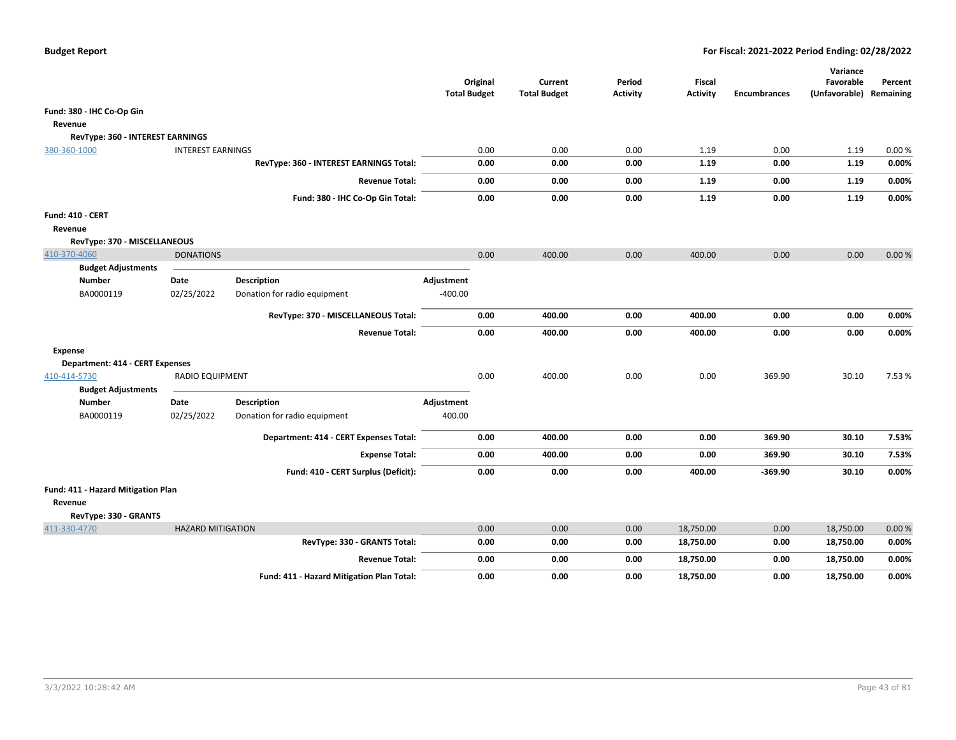|                                                                        |                          |                                           | <b>Total Budget</b> | Original | Current<br><b>Total Budget</b> | Period<br><b>Activity</b> | Fiscal<br><b>Activity</b> | <b>Encumbrances</b> | Variance<br>Favorable<br>(Unfavorable) Remaining | Percent |
|------------------------------------------------------------------------|--------------------------|-------------------------------------------|---------------------|----------|--------------------------------|---------------------------|---------------------------|---------------------|--------------------------------------------------|---------|
| Fund: 380 - IHC Co-Op Gin                                              |                          |                                           |                     |          |                                |                           |                           |                     |                                                  |         |
| Revenue                                                                |                          |                                           |                     |          |                                |                           |                           |                     |                                                  |         |
| RevType: 360 - INTEREST EARNINGS                                       |                          |                                           |                     |          |                                |                           |                           |                     |                                                  |         |
| 380-360-1000                                                           | <b>INTEREST EARNINGS</b> |                                           |                     | 0.00     | 0.00                           | 0.00                      | 1.19                      | 0.00                | 1.19                                             | 0.00%   |
|                                                                        |                          | RevType: 360 - INTEREST EARNINGS Total:   |                     | 0.00     | 0.00                           | 0.00                      | 1.19                      | 0.00                | 1.19                                             | 0.00%   |
|                                                                        |                          | <b>Revenue Total:</b>                     |                     | 0.00     | 0.00                           | 0.00                      | 1.19                      | 0.00                | 1.19                                             | 0.00%   |
|                                                                        |                          | Fund: 380 - IHC Co-Op Gin Total:          |                     | 0.00     | 0.00                           | 0.00                      | 1.19                      | 0.00                | 1.19                                             | 0.00%   |
| Fund: 410 - CERT                                                       |                          |                                           |                     |          |                                |                           |                           |                     |                                                  |         |
| Revenue                                                                |                          |                                           |                     |          |                                |                           |                           |                     |                                                  |         |
| RevType: 370 - MISCELLANEOUS                                           |                          |                                           |                     |          |                                |                           |                           |                     |                                                  |         |
| 410-370-4060                                                           | <b>DONATIONS</b>         |                                           |                     | 0.00     | 400.00                         | 0.00                      | 400.00                    | 0.00                | 0.00                                             | 0.00%   |
| <b>Budget Adjustments</b>                                              |                          |                                           |                     |          |                                |                           |                           |                     |                                                  |         |
| <b>Number</b>                                                          | Date                     | <b>Description</b>                        | Adjustment          |          |                                |                           |                           |                     |                                                  |         |
| BA0000119                                                              | 02/25/2022               | Donation for radio equipment              | $-400.00$           |          |                                |                           |                           |                     |                                                  |         |
|                                                                        |                          | RevType: 370 - MISCELLANEOUS Total:       |                     | 0.00     | 400.00                         | 0.00                      | 400.00                    | 0.00                | 0.00                                             | 0.00%   |
|                                                                        |                          | <b>Revenue Total:</b>                     |                     | 0.00     | 400.00                         | 0.00                      | 400.00                    | 0.00                | 0.00                                             | 0.00%   |
| Expense                                                                |                          |                                           |                     |          |                                |                           |                           |                     |                                                  |         |
| <b>Department: 414 - CERT Expenses</b>                                 |                          |                                           |                     |          |                                |                           |                           |                     |                                                  |         |
| 410-414-5730                                                           | <b>RADIO EQUIPMENT</b>   |                                           |                     | 0.00     | 400.00                         | 0.00                      | 0.00                      | 369.90              | 30.10                                            | 7.53 %  |
| <b>Budget Adjustments</b>                                              |                          |                                           |                     |          |                                |                           |                           |                     |                                                  |         |
| <b>Number</b>                                                          | Date                     | <b>Description</b>                        | Adjustment          |          |                                |                           |                           |                     |                                                  |         |
| BA0000119                                                              | 02/25/2022               | Donation for radio equipment              | 400.00              |          |                                |                           |                           |                     |                                                  |         |
|                                                                        |                          | Department: 414 - CERT Expenses Total:    |                     | 0.00     | 400.00                         | 0.00                      | 0.00                      | 369.90              | 30.10                                            | 7.53%   |
|                                                                        |                          | <b>Expense Total:</b>                     |                     | 0.00     | 400.00                         | 0.00                      | 0.00                      | 369.90              | 30.10                                            | 7.53%   |
|                                                                        |                          | Fund: 410 - CERT Surplus (Deficit):       |                     | 0.00     | 0.00                           | 0.00                      | 400.00                    | $-369.90$           | 30.10                                            | 0.00%   |
| Fund: 411 - Hazard Mitigation Plan<br>Revenue<br>RevType: 330 - GRANTS |                          |                                           |                     |          |                                |                           |                           |                     |                                                  |         |
| 411-330-4770                                                           | <b>HAZARD MITIGATION</b> |                                           |                     | 0.00     | 0.00                           | 0.00                      | 18,750.00                 | 0.00                | 18,750.00                                        | 0.00%   |
|                                                                        |                          | RevType: 330 - GRANTS Total:              |                     | 0.00     | 0.00                           | 0.00                      | 18,750.00                 | 0.00                | 18,750.00                                        | 0.00%   |
|                                                                        |                          | <b>Revenue Total:</b>                     |                     | 0.00     | 0.00                           | 0.00                      | 18,750.00                 | 0.00                | 18,750.00                                        | 0.00%   |
|                                                                        |                          | Fund: 411 - Hazard Mitigation Plan Total: |                     | 0.00     | 0.00                           | 0.00                      | 18,750.00                 | 0.00                | 18,750.00                                        | 0.00%   |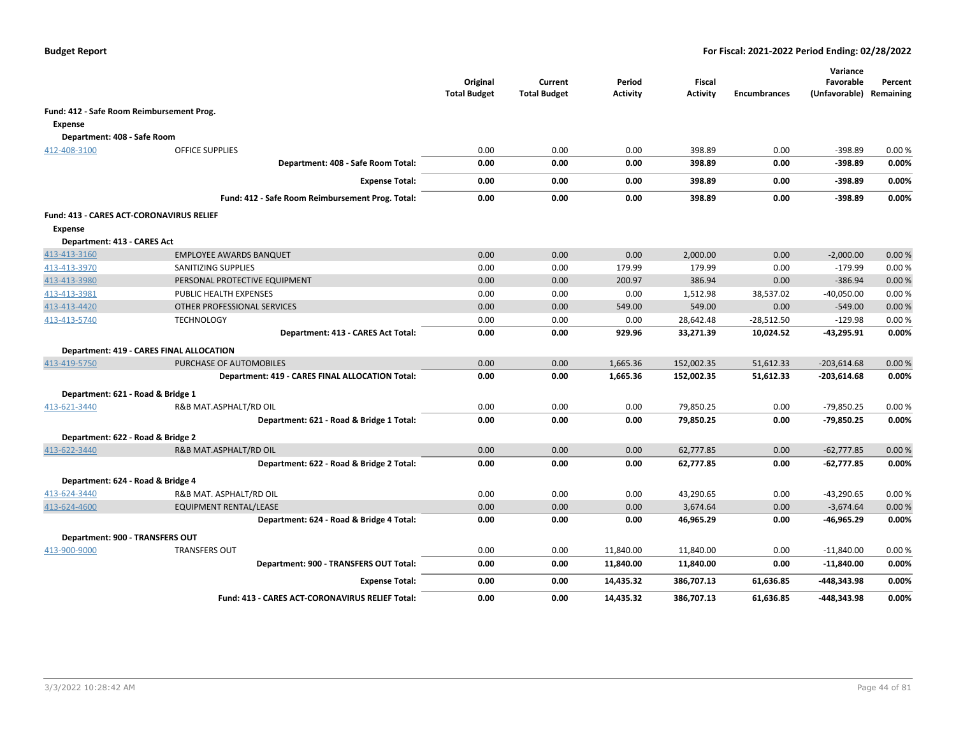|                                           |                                                        | Original<br><b>Total Budget</b> | Current<br><b>Total Budget</b> | Period<br><b>Activity</b> | <b>Fiscal</b><br><b>Activity</b> | <b>Encumbrances</b> | Variance<br>Favorable<br>(Unfavorable) | Percent<br>Remaining |
|-------------------------------------------|--------------------------------------------------------|---------------------------------|--------------------------------|---------------------------|----------------------------------|---------------------|----------------------------------------|----------------------|
| Fund: 412 - Safe Room Reimbursement Prog. |                                                        |                                 |                                |                           |                                  |                     |                                        |                      |
| <b>Expense</b>                            |                                                        |                                 |                                |                           |                                  |                     |                                        |                      |
| Department: 408 - Safe Room               |                                                        |                                 |                                |                           |                                  |                     |                                        |                      |
| 412-408-3100                              | <b>OFFICE SUPPLIES</b>                                 | 0.00                            | 0.00                           | 0.00                      | 398.89                           | 0.00                | $-398.89$                              | 0.00%                |
|                                           | Department: 408 - Safe Room Total:                     | 0.00                            | 0.00                           | 0.00                      | 398.89                           | 0.00                | $-398.89$                              | 0.00%                |
|                                           | <b>Expense Total:</b>                                  | 0.00                            | 0.00                           | 0.00                      | 398.89                           | 0.00                | $-398.89$                              | 0.00%                |
|                                           | Fund: 412 - Safe Room Reimbursement Prog. Total:       | 0.00                            | 0.00                           | 0.00                      | 398.89                           | 0.00                | $-398.89$                              | 0.00%                |
| Fund: 413 - CARES ACT-CORONAVIRUS RELIEF  |                                                        |                                 |                                |                           |                                  |                     |                                        |                      |
| <b>Expense</b>                            |                                                        |                                 |                                |                           |                                  |                     |                                        |                      |
| Department: 413 - CARES Act               |                                                        |                                 |                                |                           |                                  |                     |                                        |                      |
| 413-413-3160                              | <b>EMPLOYEE AWARDS BANQUET</b>                         | 0.00                            | 0.00                           | 0.00                      | 2,000.00                         | 0.00                | $-2,000.00$                            | 0.00%                |
| 413-413-3970                              | SANITIZING SUPPLIES                                    | 0.00                            | 0.00                           | 179.99                    | 179.99                           | 0.00                | $-179.99$                              | 0.00%                |
| 413-413-3980                              | PERSONAL PROTECTIVE EQUIPMENT                          | 0.00                            | 0.00                           | 200.97                    | 386.94                           | 0.00                | $-386.94$                              | 0.00%                |
| 413-413-3981                              | <b>PUBLIC HEALTH EXPENSES</b>                          | 0.00                            | 0.00                           | 0.00                      | 1,512.98                         | 38,537.02           | $-40,050.00$                           | 0.00%                |
| 413-413-4420                              | OTHER PROFESSIONAL SERVICES                            | 0.00                            | 0.00                           | 549.00                    | 549.00                           | 0.00                | $-549.00$                              | 0.00%                |
| 413-413-5740                              | <b>TECHNOLOGY</b>                                      | 0.00                            | 0.00                           | 0.00                      | 28,642.48                        | $-28,512.50$        | $-129.98$                              | 0.00%                |
|                                           | Department: 413 - CARES Act Total:                     | 0.00                            | 0.00                           | 929.96                    | 33,271.39                        | 10,024.52           | $-43,295.91$                           | 0.00%                |
|                                           | <b>Department: 419 - CARES FINAL ALLOCATION</b>        |                                 |                                |                           |                                  |                     |                                        |                      |
| 413-419-5750                              | PURCHASE OF AUTOMOBILES                                | 0.00                            | 0.00                           | 1,665.36                  | 152,002.35                       | 51,612.33           | $-203,614.68$                          | 0.00%                |
|                                           | Department: 419 - CARES FINAL ALLOCATION Total:        | 0.00                            | 0.00                           | 1,665.36                  | 152,002.35                       | 51,612.33           | $-203,614.68$                          | 0.00%                |
| Department: 621 - Road & Bridge 1         |                                                        |                                 |                                |                           |                                  |                     |                                        |                      |
| 413-621-3440                              | R&B MAT.ASPHALT/RD OIL                                 | 0.00                            | 0.00                           | 0.00                      | 79,850.25                        | 0.00                | $-79,850.25$                           | 0.00%                |
|                                           | Department: 621 - Road & Bridge 1 Total:               | 0.00                            | 0.00                           | 0.00                      | 79,850.25                        | 0.00                | -79,850.25                             | 0.00%                |
| Department: 622 - Road & Bridge 2         |                                                        |                                 |                                |                           |                                  |                     |                                        |                      |
| 413-622-3440                              | R&B MAT.ASPHALT/RD OIL                                 | 0.00                            | 0.00                           | 0.00                      | 62,777.85                        | 0.00                | $-62,777.85$                           | 0.00%                |
|                                           | Department: 622 - Road & Bridge 2 Total:               | 0.00                            | 0.00                           | 0.00                      | 62,777.85                        | 0.00                | $-62,777.85$                           | 0.00%                |
| Department: 624 - Road & Bridge 4         |                                                        |                                 |                                |                           |                                  |                     |                                        |                      |
| 413-624-3440                              | R&B MAT. ASPHALT/RD OIL                                | 0.00                            | 0.00                           | 0.00                      | 43,290.65                        | 0.00                | $-43,290.65$                           | 0.00%                |
| 413-624-4600                              | <b>EQUIPMENT RENTAL/LEASE</b>                          | 0.00                            | 0.00                           | 0.00                      | 3,674.64                         | 0.00                | $-3,674.64$                            | 0.00%                |
|                                           | Department: 624 - Road & Bridge 4 Total:               | 0.00                            | 0.00                           | 0.00                      | 46,965.29                        | 0.00                | $-46,965.29$                           | 0.00%                |
| Department: 900 - TRANSFERS OUT           |                                                        |                                 |                                |                           |                                  |                     |                                        |                      |
| 413-900-9000                              | <b>TRANSFERS OUT</b>                                   | 0.00                            | 0.00                           | 11,840.00                 | 11,840.00                        | 0.00                | $-11,840.00$                           | 0.00%                |
|                                           | Department: 900 - TRANSFERS OUT Total:                 | 0.00                            | 0.00                           | 11,840.00                 | 11,840.00                        | 0.00                | $-11,840.00$                           | 0.00%                |
|                                           | <b>Expense Total:</b>                                  | 0.00                            | 0.00                           | 14,435.32                 | 386,707.13                       | 61,636.85           | -448,343.98                            | 0.00%                |
|                                           | <b>Fund: 413 - CARES ACT-CORONAVIRUS RELIEF Total:</b> | 0.00                            | 0.00                           | 14,435.32                 | 386,707.13                       | 61,636.85           | -448,343.98                            | 0.00%                |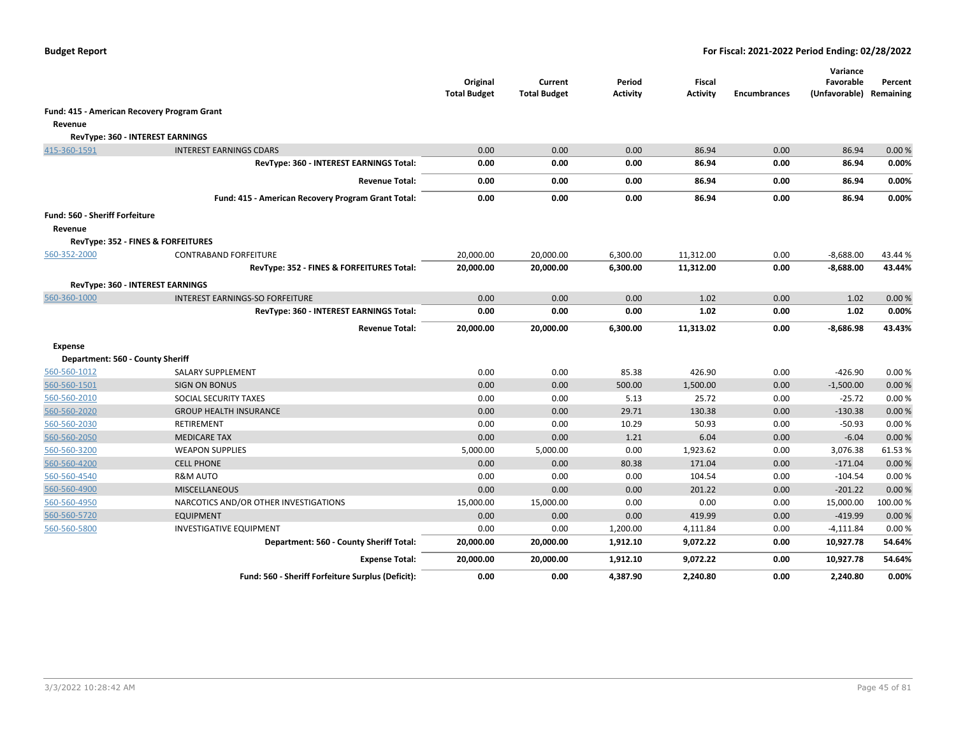|                                             |                                                    | Original<br><b>Total Budget</b> | Current<br><b>Total Budget</b> | Period<br><b>Activity</b> | <b>Fiscal</b><br><b>Activity</b> | <b>Encumbrances</b> | Variance<br>Favorable<br>(Unfavorable) Remaining | Percent |
|---------------------------------------------|----------------------------------------------------|---------------------------------|--------------------------------|---------------------------|----------------------------------|---------------------|--------------------------------------------------|---------|
| Fund: 415 - American Recovery Program Grant |                                                    |                                 |                                |                           |                                  |                     |                                                  |         |
| Revenue                                     |                                                    |                                 |                                |                           |                                  |                     |                                                  |         |
|                                             | RevType: 360 - INTEREST EARNINGS                   |                                 |                                |                           |                                  |                     |                                                  |         |
| 415-360-1591                                | <b>INTEREST EARNINGS CDARS</b>                     | 0.00                            | 0.00                           | 0.00                      | 86.94                            | 0.00                | 86.94                                            | 0.00%   |
|                                             | RevType: 360 - INTEREST EARNINGS Total:            | 0.00                            | 0.00                           | 0.00                      | 86.94                            | 0.00                | 86.94                                            | 0.00%   |
|                                             | <b>Revenue Total:</b>                              | 0.00                            | 0.00                           | 0.00                      | 86.94                            | 0.00                | 86.94                                            | 0.00%   |
|                                             | Fund: 415 - American Recovery Program Grant Total: | 0.00                            | 0.00                           | 0.00                      | 86.94                            | 0.00                | 86.94                                            | 0.00%   |
| Fund: 560 - Sheriff Forfeiture              |                                                    |                                 |                                |                           |                                  |                     |                                                  |         |
| Revenue                                     |                                                    |                                 |                                |                           |                                  |                     |                                                  |         |
|                                             | <b>RevType: 352 - FINES &amp; FORFEITURES</b>      |                                 |                                |                           |                                  |                     |                                                  |         |
| 560-352-2000                                | <b>CONTRABAND FORFEITURE</b>                       | 20,000.00                       | 20,000.00                      | 6,300.00                  | 11,312.00                        | 0.00                | $-8,688.00$                                      | 43.44 % |
|                                             | RevType: 352 - FINES & FORFEITURES Total:          | 20,000.00                       | 20,000.00                      | 6,300.00                  | 11,312.00                        | 0.00                | $-8,688.00$                                      | 43.44%  |
|                                             | RevType: 360 - INTEREST EARNINGS                   |                                 |                                |                           |                                  |                     |                                                  |         |
| 560-360-1000                                | <b>INTEREST EARNINGS-SO FORFEITURE</b>             | 0.00                            | 0.00                           | 0.00                      | 1.02                             | 0.00                | 1.02                                             | 0.00%   |
|                                             | RevType: 360 - INTEREST EARNINGS Total:            | 0.00                            | 0.00                           | 0.00                      | 1.02                             | 0.00                | 1.02                                             | 0.00%   |
|                                             | <b>Revenue Total:</b>                              | 20,000.00                       | 20,000.00                      | 6,300.00                  | 11,313.02                        | 0.00                | $-8,686.98$                                      | 43.43%  |
| Expense                                     |                                                    |                                 |                                |                           |                                  |                     |                                                  |         |
| Department: 560 - County Sheriff            |                                                    |                                 |                                |                           |                                  |                     |                                                  |         |
| 560-560-1012                                | SALARY SUPPLEMENT                                  | 0.00                            | 0.00                           | 85.38                     | 426.90                           | 0.00                | -426.90                                          | 0.00%   |
| 560-560-1501                                | <b>SIGN ON BONUS</b>                               | 0.00                            | 0.00                           | 500.00                    | 1,500.00                         | 0.00                | $-1,500.00$                                      | 0.00%   |
| 560-560-2010                                | SOCIAL SECURITY TAXES                              | 0.00                            | 0.00                           | 5.13                      | 25.72                            | 0.00                | $-25.72$                                         | 0.00%   |
| 560-560-2020                                | <b>GROUP HEALTH INSURANCE</b>                      | 0.00                            | 0.00                           | 29.71                     | 130.38                           | 0.00                | $-130.38$                                        | 0.00%   |
| 560-560-2030                                | RETIREMENT                                         | 0.00                            | 0.00                           | 10.29                     | 50.93                            | 0.00                | $-50.93$                                         | 0.00%   |
| 560-560-2050                                | <b>MEDICARE TAX</b>                                | 0.00                            | 0.00                           | 1.21                      | 6.04                             | 0.00                | $-6.04$                                          | 0.00%   |
| 560-560-3200                                | <b>WEAPON SUPPLIES</b>                             | 5,000.00                        | 5,000.00                       | 0.00                      | 1,923.62                         | 0.00                | 3,076.38                                         | 61.53%  |
| 560-560-4200                                | <b>CELL PHONE</b>                                  | 0.00                            | 0.00                           | 80.38                     | 171.04                           | 0.00                | $-171.04$                                        | 0.00%   |
| 560-560-4540                                | <b>R&amp;M AUTO</b>                                | 0.00                            | 0.00                           | 0.00                      | 104.54                           | 0.00                | $-104.54$                                        | 0.00%   |
| 560-560-4900                                | <b>MISCELLANEOUS</b>                               | 0.00                            | 0.00                           | 0.00                      | 201.22                           | 0.00                | $-201.22$                                        | 0.00%   |
| 560-560-4950                                | NARCOTICS AND/OR OTHER INVESTIGATIONS              | 15,000.00                       | 15,000.00                      | 0.00                      | 0.00                             | 0.00                | 15,000.00                                        | 100.00% |
| 560-560-5720                                | <b>EQUIPMENT</b>                                   | 0.00                            | 0.00                           | 0.00                      | 419.99                           | 0.00                | $-419.99$                                        | 0.00%   |
| 560-560-5800                                | <b>INVESTIGATIVE EQUIPMENT</b>                     | 0.00                            | 0.00                           | 1,200.00                  | 4,111.84                         | 0.00                | $-4,111.84$                                      | 0.00%   |
|                                             | Department: 560 - County Sheriff Total:            | 20,000.00                       | 20,000.00                      | 1,912.10                  | 9,072.22                         | 0.00                | 10,927.78                                        | 54.64%  |
|                                             | <b>Expense Total:</b>                              | 20,000.00                       | 20,000.00                      | 1,912.10                  | 9,072.22                         | 0.00                | 10,927.78                                        | 54.64%  |
|                                             | Fund: 560 - Sheriff Forfeiture Surplus (Deficit):  | 0.00                            | 0.00                           | 4,387.90                  | 2,240.80                         | 0.00                | 2,240.80                                         | 0.00%   |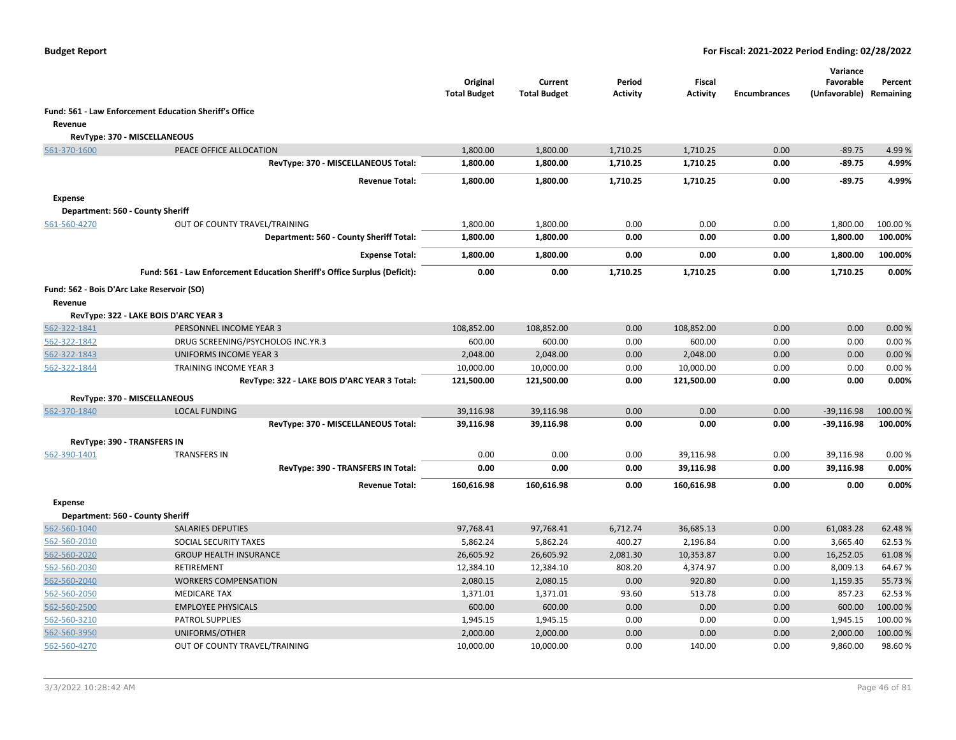|                |                                                                           | Original<br><b>Total Budget</b> | Current<br><b>Total Budget</b> | Period<br><b>Activity</b> | <b>Fiscal</b><br><b>Activity</b> | <b>Encumbrances</b> | Variance<br>Favorable<br>(Unfavorable) | Percent<br>Remaining |
|----------------|---------------------------------------------------------------------------|---------------------------------|--------------------------------|---------------------------|----------------------------------|---------------------|----------------------------------------|----------------------|
|                | Fund: 561 - Law Enforcement Education Sheriff's Office                    |                                 |                                |                           |                                  |                     |                                        |                      |
| Revenue        |                                                                           |                                 |                                |                           |                                  |                     |                                        |                      |
|                | RevType: 370 - MISCELLANEOUS                                              |                                 |                                |                           |                                  |                     |                                        |                      |
| 561-370-1600   | PEACE OFFICE ALLOCATION                                                   | 1,800.00                        | 1,800.00                       | 1,710.25                  | 1,710.25                         | 0.00                | $-89.75$                               | 4.99%                |
|                | RevType: 370 - MISCELLANEOUS Total:                                       | 1,800.00                        | 1,800.00                       | 1,710.25                  | 1,710.25                         | 0.00                | -89.75                                 | 4.99%                |
|                | <b>Revenue Total:</b>                                                     | 1,800.00                        | 1,800.00                       | 1,710.25                  | 1,710.25                         | 0.00                | $-89.75$                               | 4.99%                |
| <b>Expense</b> |                                                                           |                                 |                                |                           |                                  |                     |                                        |                      |
|                | Department: 560 - County Sheriff                                          |                                 |                                |                           |                                  |                     |                                        |                      |
| 561-560-4270   | OUT OF COUNTY TRAVEL/TRAINING                                             | 1,800.00                        | 1,800.00                       | 0.00                      | 0.00                             | 0.00                | 1,800.00                               | 100.00 %             |
|                | Department: 560 - County Sheriff Total:                                   | 1,800.00                        | 1,800.00                       | 0.00                      | 0.00                             | 0.00                | 1,800.00                               | 100.00%              |
|                | <b>Expense Total:</b>                                                     | 1,800.00                        | 1,800.00                       | 0.00                      | 0.00                             | 0.00                | 1,800.00                               | 100.00%              |
|                | Fund: 561 - Law Enforcement Education Sheriff's Office Surplus (Deficit): | 0.00                            | 0.00                           | 1,710.25                  | 1,710.25                         | 0.00                | 1,710.25                               | 0.00%                |
|                | Fund: 562 - Bois D'Arc Lake Reservoir (SO)                                |                                 |                                |                           |                                  |                     |                                        |                      |
| Revenue        |                                                                           |                                 |                                |                           |                                  |                     |                                        |                      |
|                | RevType: 322 - LAKE BOIS D'ARC YEAR 3                                     |                                 |                                |                           |                                  |                     |                                        |                      |
| 562-322-1841   | PERSONNEL INCOME YEAR 3                                                   | 108,852.00                      | 108,852.00                     | 0.00                      | 108,852.00                       | 0.00                | 0.00                                   | 0.00%                |
| 562-322-1842   | DRUG SCREENING/PSYCHOLOG INC.YR.3                                         | 600.00                          | 600.00                         | 0.00                      | 600.00                           | 0.00                | 0.00                                   | 0.00%                |
| 562-322-1843   | <b>UNIFORMS INCOME YEAR 3</b>                                             | 2,048.00                        | 2,048.00                       | 0.00                      | 2,048.00                         | 0.00                | 0.00                                   | 0.00%                |
| 562-322-1844   | TRAINING INCOME YEAR 3                                                    | 10,000.00                       | 10,000.00                      | 0.00                      | 10,000.00                        | 0.00                | 0.00                                   | 0.00%                |
|                | RevType: 322 - LAKE BOIS D'ARC YEAR 3 Total:                              | 121,500.00                      | 121,500.00                     | 0.00                      | 121,500.00                       | 0.00                | 0.00                                   | 0.00%                |
|                | RevType: 370 - MISCELLANEOUS                                              |                                 |                                |                           |                                  |                     |                                        |                      |
| 562-370-1840   | <b>LOCAL FUNDING</b>                                                      | 39,116.98                       | 39,116.98                      | 0.00                      | 0.00                             | 0.00                | $-39,116.98$                           | 100.00 %             |
|                | RevType: 370 - MISCELLANEOUS Total:                                       | 39,116.98                       | 39,116.98                      | 0.00                      | 0.00                             | 0.00                | $-39,116.98$                           | 100.00%              |
|                | <b>RevType: 390 - TRANSFERS IN</b>                                        |                                 |                                |                           |                                  |                     |                                        |                      |
| 562-390-1401   | <b>TRANSFERS IN</b>                                                       | 0.00                            | 0.00                           | 0.00                      | 39,116.98                        | 0.00                | 39,116.98                              | 0.00%                |
|                | RevType: 390 - TRANSFERS IN Total:                                        | 0.00                            | 0.00                           | 0.00                      | 39,116.98                        | 0.00                | 39,116.98                              | 0.00%                |
|                | <b>Revenue Total:</b>                                                     | 160,616.98                      | 160,616.98                     | 0.00                      | 160,616.98                       | 0.00                | 0.00                                   | 0.00%                |
| <b>Expense</b> |                                                                           |                                 |                                |                           |                                  |                     |                                        |                      |
|                | Department: 560 - County Sheriff                                          |                                 |                                |                           |                                  |                     |                                        |                      |
| 562-560-1040   | <b>SALARIES DEPUTIES</b>                                                  | 97,768.41                       | 97,768.41                      | 6,712.74                  | 36,685.13                        | 0.00                | 61,083.28                              | 62.48%               |
| 562-560-2010   | SOCIAL SECURITY TAXES                                                     | 5,862.24                        | 5,862.24                       | 400.27                    | 2,196.84                         | 0.00                | 3,665.40                               | 62.53%               |
| 562-560-2020   | <b>GROUP HEALTH INSURANCE</b>                                             | 26,605.92                       | 26,605.92                      | 2,081.30                  | 10,353.87                        | 0.00                | 16,252.05                              | 61.08%               |
| 562-560-2030   | RETIREMENT                                                                | 12,384.10                       | 12,384.10                      | 808.20                    | 4,374.97                         | 0.00                | 8,009.13                               | 64.67%               |
| 562-560-2040   | <b>WORKERS COMPENSATION</b>                                               | 2,080.15                        | 2,080.15                       | 0.00                      | 920.80                           | 0.00                | 1,159.35                               | 55.73 %              |
| 562-560-2050   | <b>MEDICARE TAX</b>                                                       | 1,371.01                        | 1,371.01                       | 93.60                     | 513.78                           | 0.00                | 857.23                                 | 62.53%               |
| 562-560-2500   | <b>EMPLOYEE PHYSICALS</b>                                                 | 600.00                          | 600.00                         | 0.00                      | 0.00                             | 0.00                | 600.00                                 | 100.00%              |
| 562-560-3210   | PATROL SUPPLIES                                                           | 1,945.15                        | 1,945.15                       | 0.00                      | 0.00                             | 0.00                | 1,945.15                               | 100.00%              |
| 562-560-3950   | UNIFORMS/OTHER                                                            | 2,000.00                        | 2,000.00                       | 0.00                      | 0.00                             | 0.00                | 2,000.00                               | 100.00 %             |
| 562-560-4270   | OUT OF COUNTY TRAVEL/TRAINING                                             | 10,000.00                       | 10,000.00                      | 0.00                      | 140.00                           | 0.00                | 9,860.00                               | 98.60%               |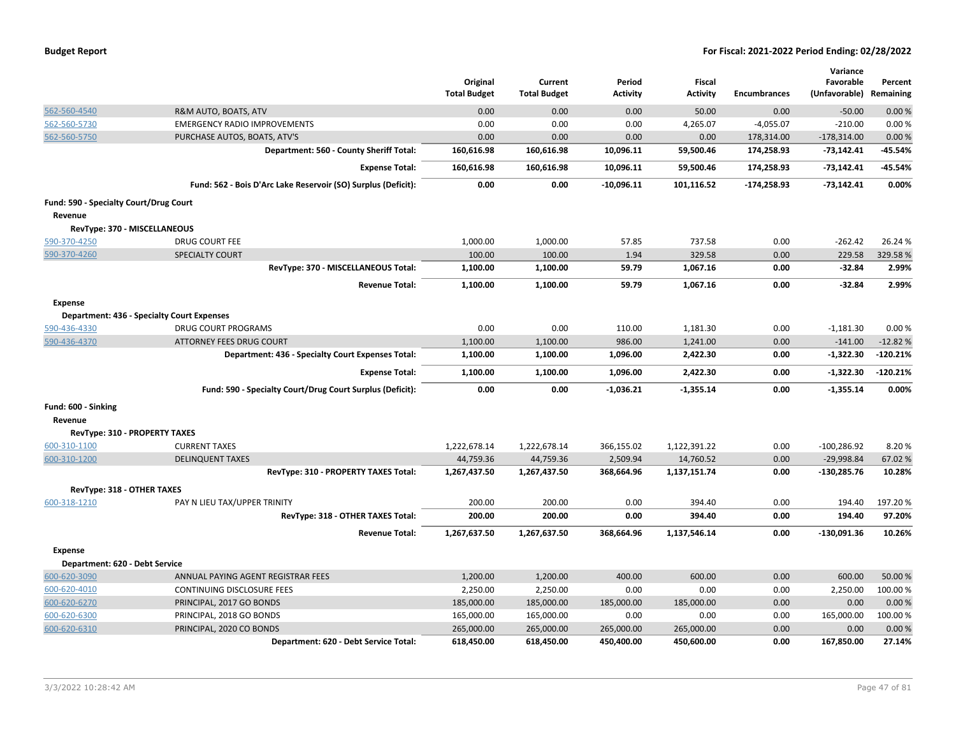| <b>Budget Report</b> |  |
|----------------------|--|
|----------------------|--|

|                                        |                                                               |                                 |                                |                           |                                  |                     | Variance                   |                      |
|----------------------------------------|---------------------------------------------------------------|---------------------------------|--------------------------------|---------------------------|----------------------------------|---------------------|----------------------------|----------------------|
|                                        |                                                               | Original<br><b>Total Budget</b> | Current<br><b>Total Budget</b> | Period<br><b>Activity</b> | <b>Fiscal</b><br><b>Activity</b> | <b>Encumbrances</b> | Favorable<br>(Unfavorable) | Percent<br>Remaining |
|                                        |                                                               |                                 |                                |                           |                                  |                     |                            |                      |
| 562-560-4540                           | R&M AUTO, BOATS, ATV                                          | 0.00                            | 0.00                           | 0.00                      | 50.00                            | 0.00                | $-50.00$                   | 0.00%                |
| 562-560-5730                           | <b>EMERGENCY RADIO IMPROVEMENTS</b>                           | 0.00                            | 0.00                           | 0.00                      | 4,265.07                         | $-4,055.07$         | $-210.00$                  | 0.00%                |
| 562-560-5750                           | PURCHASE AUTOS, BOATS, ATV'S                                  | 0.00                            | 0.00                           | 0.00                      | 0.00                             | 178,314.00          | $-178,314.00$              | 0.00%                |
|                                        | Department: 560 - County Sheriff Total:                       | 160,616.98                      | 160,616.98                     | 10,096.11                 | 59,500.46                        | 174,258.93          | $-73,142.41$               | -45.54%              |
|                                        | <b>Expense Total:</b>                                         | 160,616.98                      | 160,616.98                     | 10,096.11                 | 59,500.46                        | 174,258.93          | $-73,142.41$               | -45.54%              |
|                                        | Fund: 562 - Bois D'Arc Lake Reservoir (SO) Surplus (Deficit): | 0.00                            | 0.00                           | $-10,096.11$              | 101,116.52                       | $-174,258.93$       | $-73,142.41$               | 0.00%                |
| Fund: 590 - Specialty Court/Drug Court |                                                               |                                 |                                |                           |                                  |                     |                            |                      |
| Revenue                                |                                                               |                                 |                                |                           |                                  |                     |                            |                      |
| RevType: 370 - MISCELLANEOUS           |                                                               |                                 |                                |                           |                                  |                     |                            |                      |
| 590-370-4250                           | <b>DRUG COURT FEE</b>                                         | 1,000.00                        | 1,000.00                       | 57.85                     | 737.58                           | 0.00                | $-262.42$                  | 26.24 %              |
| 590-370-4260                           | <b>SPECIALTY COURT</b>                                        | 100.00                          | 100.00                         | 1.94                      | 329.58                           | 0.00                | 229.58                     | 329.58%              |
|                                        | RevType: 370 - MISCELLANEOUS Total:                           | 1,100.00                        | 1,100.00                       | 59.79                     | 1,067.16                         | 0.00                | $-32.84$                   | 2.99%                |
|                                        | <b>Revenue Total:</b>                                         | 1,100.00                        | 1,100.00                       | 59.79                     | 1,067.16                         | 0.00                | $-32.84$                   | 2.99%                |
| <b>Expense</b>                         |                                                               |                                 |                                |                           |                                  |                     |                            |                      |
|                                        | <b>Department: 436 - Specialty Court Expenses</b>             |                                 |                                |                           |                                  |                     |                            |                      |
| 590-436-4330                           | <b>DRUG COURT PROGRAMS</b>                                    | 0.00                            | 0.00                           | 110.00                    | 1,181.30                         | 0.00                | $-1,181.30$                | 0.00%                |
| 590-436-4370                           | <b>ATTORNEY FEES DRUG COURT</b>                               | 1,100.00                        | 1,100.00                       | 986.00                    | 1,241.00                         | 0.00                | $-141.00$                  | $-12.82%$            |
|                                        | Department: 436 - Specialty Court Expenses Total:             | 1,100.00                        | 1,100.00                       | 1,096.00                  | 2,422.30                         | 0.00                | $-1,322.30$                | $-120.21%$           |
|                                        | <b>Expense Total:</b>                                         | 1,100.00                        | 1,100.00                       | 1,096.00                  | 2,422.30                         | 0.00                | $-1,322.30$                | $-120.21%$           |
|                                        | Fund: 590 - Specialty Court/Drug Court Surplus (Deficit):     | 0.00                            | 0.00                           | $-1,036.21$               | $-1,355.14$                      | 0.00                | $-1,355.14$                | 0.00%                |
| Fund: 600 - Sinking                    |                                                               |                                 |                                |                           |                                  |                     |                            |                      |
| Revenue                                |                                                               |                                 |                                |                           |                                  |                     |                            |                      |
| <b>RevType: 310 - PROPERTY TAXES</b>   |                                                               |                                 |                                |                           |                                  |                     |                            |                      |
| 600-310-1100                           | <b>CURRENT TAXES</b>                                          | 1,222,678.14                    | 1,222,678.14                   | 366,155.02                | 1,122,391.22                     | 0.00                | $-100,286.92$              | 8.20%                |
| 600-310-1200                           | <b>DELINQUENT TAXES</b>                                       | 44,759.36                       | 44,759.36                      | 2,509.94                  | 14,760.52                        | 0.00                | $-29,998.84$               | 67.02%               |
|                                        | RevType: 310 - PROPERTY TAXES Total:                          | 1,267,437.50                    | 1,267,437.50                   | 368,664.96                | 1,137,151.74                     | 0.00                | $-130,285.76$              | 10.28%               |
| RevType: 318 - OTHER TAXES             |                                                               |                                 |                                |                           |                                  |                     |                            |                      |
| 600-318-1210                           | PAY N LIEU TAX/UPPER TRINITY                                  | 200.00                          | 200.00                         | 0.00                      | 394.40                           | 0.00                | 194.40                     | 197.20%              |
|                                        | RevType: 318 - OTHER TAXES Total:                             | 200.00                          | 200.00                         | 0.00                      | 394.40                           | 0.00                | 194.40                     | 97.20%               |
|                                        | <b>Revenue Total:</b>                                         | 1,267,637.50                    | 1,267,637.50                   | 368,664.96                | 1,137,546.14                     | 0.00                | $-130,091.36$              | 10.26%               |
| <b>Expense</b>                         |                                                               |                                 |                                |                           |                                  |                     |                            |                      |
| Department: 620 - Debt Service         |                                                               |                                 |                                |                           |                                  |                     |                            |                      |
| 600-620-3090                           | ANNUAL PAYING AGENT REGISTRAR FEES                            | 1,200.00                        | 1,200.00                       | 400.00                    | 600.00                           | 0.00                | 600.00                     | 50.00%               |
| 600-620-4010                           | CONTINUING DISCLOSURE FEES                                    | 2,250.00                        | 2,250.00                       | 0.00                      | 0.00                             | 0.00                | 2,250.00                   | 100.00 %             |
| 600-620-6270                           | PRINCIPAL, 2017 GO BONDS                                      | 185,000.00                      | 185,000.00                     | 185,000.00                | 185,000.00                       | 0.00                | 0.00                       | 0.00%                |
| 600-620-6300                           | PRINCIPAL, 2018 GO BONDS                                      | 165,000.00                      | 165,000.00                     | 0.00                      | 0.00                             | 0.00                | 165,000.00                 | 100.00%              |
| 600-620-6310                           | PRINCIPAL, 2020 CO BONDS                                      | 265,000.00                      | 265,000.00                     | 265,000.00                | 265,000.00                       | 0.00                | 0.00                       | 0.00%                |
|                                        | Department: 620 - Debt Service Total:                         | 618,450.00                      | 618,450.00                     | 450,400.00                | 450,600.00                       | 0.00                | 167,850.00                 | 27.14%               |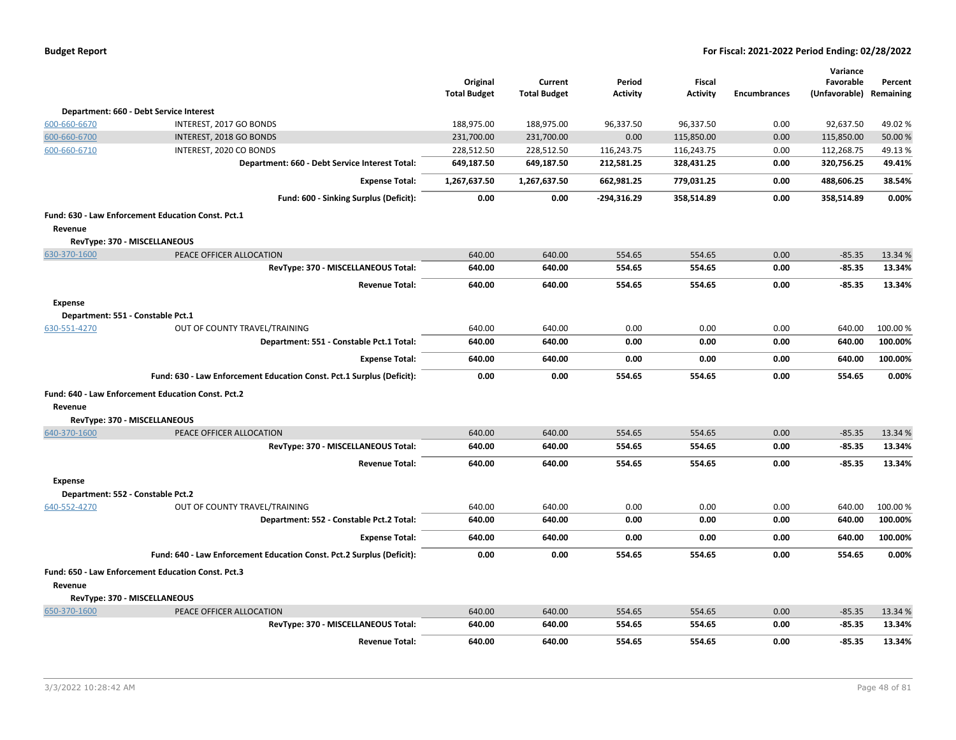| <b>Budget Report</b> |  |
|----------------------|--|
|----------------------|--|

|                                   |                                                                       | Original            | Current             | Period          | <b>Fiscal</b>   |                     | Variance<br>Favorable   | Percent  |
|-----------------------------------|-----------------------------------------------------------------------|---------------------|---------------------|-----------------|-----------------|---------------------|-------------------------|----------|
|                                   |                                                                       | <b>Total Budget</b> | <b>Total Budget</b> | <b>Activity</b> | <b>Activity</b> | <b>Encumbrances</b> | (Unfavorable) Remaining |          |
|                                   | Department: 660 - Debt Service Interest                               |                     |                     |                 |                 |                     |                         |          |
| 600-660-6670                      | INTEREST, 2017 GO BONDS                                               | 188,975.00          | 188,975.00          | 96,337.50       | 96,337.50       | 0.00                | 92,637.50               | 49.02%   |
| 600-660-6700                      | INTEREST, 2018 GO BONDS                                               | 231,700.00          | 231,700.00          | 0.00            | 115,850.00      | 0.00                | 115,850.00              | 50.00 %  |
| 600-660-6710                      | INTEREST, 2020 CO BONDS                                               | 228,512.50          | 228,512.50          | 116,243.75      | 116,243.75      | 0.00                | 112,268.75              | 49.13%   |
|                                   | Department: 660 - Debt Service Interest Total:                        | 649,187.50          | 649,187.50          | 212,581.25      | 328,431.25      | 0.00                | 320,756.25              | 49.41%   |
|                                   | <b>Expense Total:</b>                                                 | 1,267,637.50        | 1,267,637.50        | 662,981.25      | 779,031.25      | 0.00                | 488,606.25              | 38.54%   |
|                                   | Fund: 600 - Sinking Surplus (Deficit):                                | 0.00                | 0.00                | $-294,316.29$   | 358,514.89      | 0.00                | 358,514.89              | 0.00%    |
|                                   | Fund: 630 - Law Enforcement Education Const. Pct.1                    |                     |                     |                 |                 |                     |                         |          |
| Revenue                           |                                                                       |                     |                     |                 |                 |                     |                         |          |
|                                   | RevType: 370 - MISCELLANEOUS                                          |                     |                     |                 |                 |                     |                         |          |
| 630-370-1600                      | PEACE OFFICER ALLOCATION                                              | 640.00              | 640.00              | 554.65          | 554.65          | 0.00                | $-85.35$                | 13.34 %  |
|                                   | RevType: 370 - MISCELLANEOUS Total:                                   | 640.00              | 640.00              | 554.65          | 554.65          | 0.00                | $-85.35$                | 13.34%   |
|                                   | <b>Revenue Total:</b>                                                 | 640.00              | 640.00              | 554.65          | 554.65          | 0.00                | $-85.35$                | 13.34%   |
| <b>Expense</b>                    |                                                                       |                     |                     |                 |                 |                     |                         |          |
| Department: 551 - Constable Pct.1 |                                                                       |                     |                     |                 |                 |                     |                         |          |
| 630-551-4270                      | OUT OF COUNTY TRAVEL/TRAINING                                         | 640.00              | 640.00              | 0.00            | 0.00            | 0.00                | 640.00                  | 100.00%  |
|                                   | Department: 551 - Constable Pct.1 Total:                              | 640.00              | 640.00              | 0.00            | 0.00            | 0.00                | 640.00                  | 100.00%  |
|                                   | <b>Expense Total:</b>                                                 | 640.00              | 640.00              | 0.00            | 0.00            | 0.00                | 640.00                  | 100.00%  |
|                                   | Fund: 630 - Law Enforcement Education Const. Pct.1 Surplus (Deficit): | 0.00                | 0.00                | 554.65          | 554.65          | 0.00                | 554.65                  | 0.00%    |
|                                   | Fund: 640 - Law Enforcement Education Const. Pct.2                    |                     |                     |                 |                 |                     |                         |          |
| Revenue                           |                                                                       |                     |                     |                 |                 |                     |                         |          |
|                                   | RevType: 370 - MISCELLANEOUS                                          |                     |                     |                 |                 |                     |                         |          |
| 640-370-1600                      | PEACE OFFICER ALLOCATION                                              | 640.00              | 640.00              | 554.65          | 554.65          | 0.00                | $-85.35$                | 13.34 %  |
|                                   | RevType: 370 - MISCELLANEOUS Total:                                   | 640.00              | 640.00              | 554.65          | 554.65          | 0.00                | $-85.35$                | 13.34%   |
|                                   | <b>Revenue Total:</b>                                                 | 640.00              | 640.00              | 554.65          | 554.65          | 0.00                | $-85.35$                | 13.34%   |
| <b>Expense</b>                    |                                                                       |                     |                     |                 |                 |                     |                         |          |
| Department: 552 - Constable Pct.2 |                                                                       |                     |                     |                 |                 |                     |                         |          |
| 640-552-4270                      | OUT OF COUNTY TRAVEL/TRAINING                                         | 640.00              | 640.00              | 0.00            | 0.00            | 0.00                | 640.00                  | 100.00 % |
|                                   | Department: 552 - Constable Pct.2 Total:                              | 640.00              | 640.00              | 0.00            | 0.00            | 0.00                | 640.00                  | 100.00%  |
|                                   | <b>Expense Total:</b>                                                 | 640.00              | 640.00              | 0.00            | 0.00            | 0.00                | 640.00                  | 100.00%  |
|                                   | Fund: 640 - Law Enforcement Education Const. Pct.2 Surplus (Deficit): | 0.00                | 0.00                | 554.65          | 554.65          | 0.00                | 554.65                  | 0.00%    |
|                                   | Fund: 650 - Law Enforcement Education Const. Pct.3                    |                     |                     |                 |                 |                     |                         |          |
| Revenue                           |                                                                       |                     |                     |                 |                 |                     |                         |          |
|                                   | RevType: 370 - MISCELLANEOUS                                          |                     |                     |                 |                 |                     |                         |          |
| 650-370-1600                      | PEACE OFFICER ALLOCATION                                              | 640.00              | 640.00              | 554.65          | 554.65          | 0.00                | $-85.35$                | 13.34 %  |
|                                   | RevType: 370 - MISCELLANEOUS Total:                                   | 640.00              | 640.00              | 554.65          | 554.65          | 0.00                | $-85.35$                | 13.34%   |
|                                   | <b>Revenue Total:</b>                                                 | 640.00              | 640.00              | 554.65          | 554.65          | 0.00                | $-85.35$                | 13.34%   |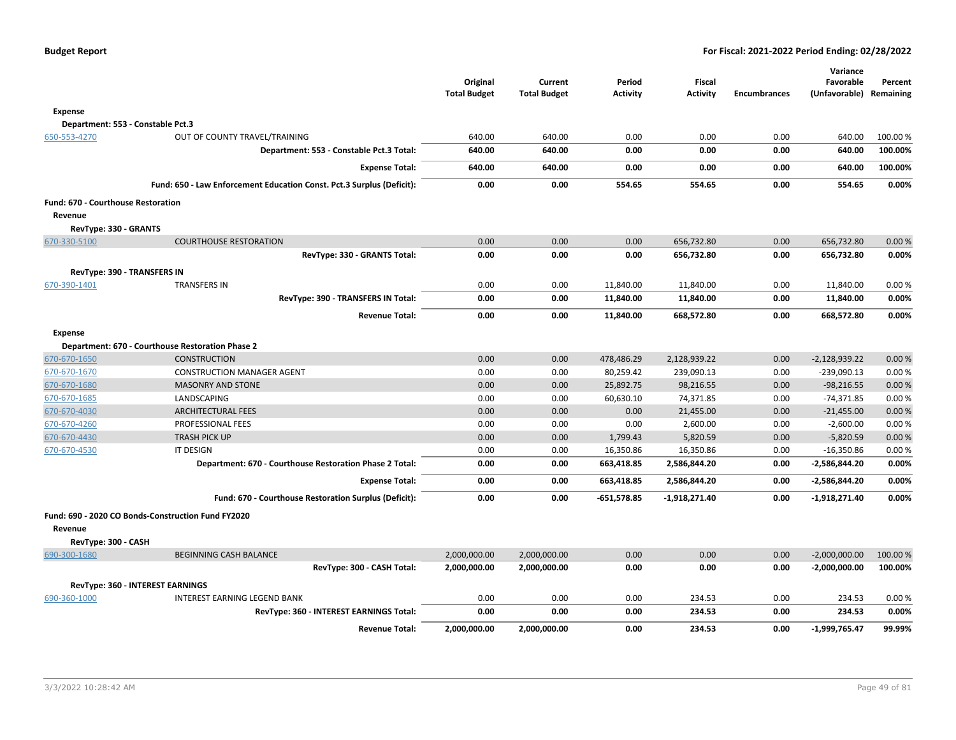|                                                      |                                                                       | Original<br><b>Total Budget</b> | Current<br><b>Total Budget</b> | Period<br><b>Activity</b> | <b>Fiscal</b><br>Activity | <b>Encumbrances</b> | Variance<br>Favorable<br>(Unfavorable) Remaining | Percent  |
|------------------------------------------------------|-----------------------------------------------------------------------|---------------------------------|--------------------------------|---------------------------|---------------------------|---------------------|--------------------------------------------------|----------|
| <b>Expense</b>                                       |                                                                       |                                 |                                |                           |                           |                     |                                                  |          |
| Department: 553 - Constable Pct.3                    |                                                                       |                                 |                                |                           |                           |                     |                                                  |          |
| 650-553-4270                                         | OUT OF COUNTY TRAVEL/TRAINING                                         | 640.00                          | 640.00                         | 0.00                      | 0.00                      | 0.00                | 640.00                                           | 100.00 % |
|                                                      | Department: 553 - Constable Pct.3 Total:                              | 640.00                          | 640.00                         | 0.00                      | 0.00                      | 0.00                | 640.00                                           | 100.00%  |
|                                                      | <b>Expense Total:</b>                                                 | 640.00                          | 640.00                         | 0.00                      | 0.00                      | 0.00                | 640.00                                           | 100.00%  |
|                                                      | Fund: 650 - Law Enforcement Education Const. Pct.3 Surplus (Deficit): | 0.00                            | 0.00                           | 554.65                    | 554.65                    | 0.00                | 554.65                                           | 0.00%    |
| <b>Fund: 670 - Courthouse Restoration</b><br>Revenue |                                                                       |                                 |                                |                           |                           |                     |                                                  |          |
| RevType: 330 - GRANTS                                |                                                                       |                                 |                                |                           |                           |                     |                                                  |          |
| 670-330-5100                                         | <b>COURTHOUSE RESTORATION</b>                                         | 0.00                            | 0.00                           | 0.00                      | 656,732.80                | 0.00                | 656,732.80                                       | 0.00%    |
|                                                      | RevType: 330 - GRANTS Total:                                          | 0.00                            | 0.00                           | 0.00                      | 656,732.80                | 0.00                | 656,732.80                                       | 0.00%    |
| RevType: 390 - TRANSFERS IN                          |                                                                       |                                 |                                |                           |                           |                     |                                                  |          |
| 670-390-1401                                         | <b>TRANSFERS IN</b>                                                   | 0.00                            | 0.00                           | 11,840.00                 | 11,840.00                 | 0.00                | 11,840.00                                        | 0.00%    |
|                                                      | RevType: 390 - TRANSFERS IN Total:                                    | 0.00                            | 0.00                           | 11,840.00                 | 11,840.00                 | 0.00                | 11,840.00                                        | 0.00%    |
|                                                      | <b>Revenue Total:</b>                                                 | 0.00                            | 0.00                           | 11,840.00                 | 668,572.80                | 0.00                | 668,572.80                                       | 0.00%    |
| <b>Expense</b>                                       |                                                                       |                                 |                                |                           |                           |                     |                                                  |          |
|                                                      | Department: 670 - Courthouse Restoration Phase 2                      |                                 |                                |                           |                           |                     |                                                  |          |
| 670-670-1650                                         | <b>CONSTRUCTION</b>                                                   | 0.00                            | 0.00                           | 478,486.29                | 2,128,939.22              | 0.00                | $-2,128,939.22$                                  | 0.00%    |
| 670-670-1670                                         | <b>CONSTRUCTION MANAGER AGENT</b>                                     | 0.00                            | 0.00                           | 80,259.42                 | 239,090.13                | 0.00                | $-239,090.13$                                    | 0.00%    |
| 670-670-1680                                         | <b>MASONRY AND STONE</b>                                              | 0.00                            | 0.00                           | 25,892.75                 | 98,216.55                 | 0.00                | $-98,216.55$                                     | 0.00%    |
| 670-670-1685                                         | LANDSCAPING                                                           | 0.00                            | 0.00                           | 60,630.10                 | 74,371.85                 | 0.00                | $-74,371.85$                                     | 0.00%    |
| 670-670-4030                                         | <b>ARCHITECTURAL FEES</b>                                             | 0.00                            | 0.00                           | 0.00                      | 21,455.00                 | 0.00                | $-21,455.00$                                     | 0.00%    |
| 670-670-4260                                         | PROFESSIONAL FEES                                                     | 0.00                            | 0.00                           | 0.00                      | 2,600.00                  | 0.00                | $-2,600.00$                                      | 0.00%    |
| 670-670-4430                                         | <b>TRASH PICK UP</b>                                                  | 0.00                            | 0.00                           | 1,799.43                  | 5,820.59                  | 0.00                | $-5,820.59$                                      | 0.00%    |
| 670-670-4530                                         | <b>IT DESIGN</b>                                                      | 0.00                            | 0.00                           | 16,350.86                 | 16,350.86                 | 0.00                | $-16,350.86$                                     | 0.00%    |
|                                                      | Department: 670 - Courthouse Restoration Phase 2 Total:               | 0.00                            | 0.00                           | 663,418.85                | 2,586,844.20              | 0.00                | $-2,586,844.20$                                  | 0.00%    |
|                                                      | <b>Expense Total:</b>                                                 | 0.00                            | 0.00                           | 663,418.85                | 2,586,844.20              | 0.00                | -2,586,844.20                                    | 0.00%    |
|                                                      | Fund: 670 - Courthouse Restoration Surplus (Deficit):                 | 0.00                            | 0.00                           | $-651,578.85$             | -1,918,271.40             | 0.00                | $-1,918,271.40$                                  | 0.00%    |
|                                                      | Fund: 690 - 2020 CO Bonds-Construction Fund FY2020                    |                                 |                                |                           |                           |                     |                                                  |          |
| Revenue<br>RevType: 300 - CASH                       |                                                                       |                                 |                                |                           |                           |                     |                                                  |          |
| 690-300-1680                                         | <b>BEGINNING CASH BALANCE</b>                                         | 2,000,000.00                    | 2,000,000.00                   | 0.00                      | 0.00                      | 0.00                | $-2,000,000.00$                                  | 100.00 % |
|                                                      | RevType: 300 - CASH Total:                                            | 2,000,000.00                    | 2,000,000.00                   | 0.00                      | 0.00                      | 0.00                | $-2,000,000.00$                                  | 100.00%  |
|                                                      | <b>RevType: 360 - INTEREST EARNINGS</b>                               |                                 |                                |                           |                           |                     |                                                  |          |
| 690-360-1000                                         | INTEREST EARNING LEGEND BANK                                          | 0.00                            | 0.00                           | 0.00                      | 234.53                    | 0.00                | 234.53                                           | 0.00%    |
|                                                      | RevType: 360 - INTEREST EARNINGS Total:                               | 0.00                            | 0.00                           | 0.00                      | 234.53                    | 0.00                | 234.53                                           | 0.00%    |
|                                                      | <b>Revenue Total:</b>                                                 | 2,000,000.00                    | 2,000,000.00                   | 0.00                      | 234.53                    | 0.00                | $-1,999,765.47$                                  | 99.99%   |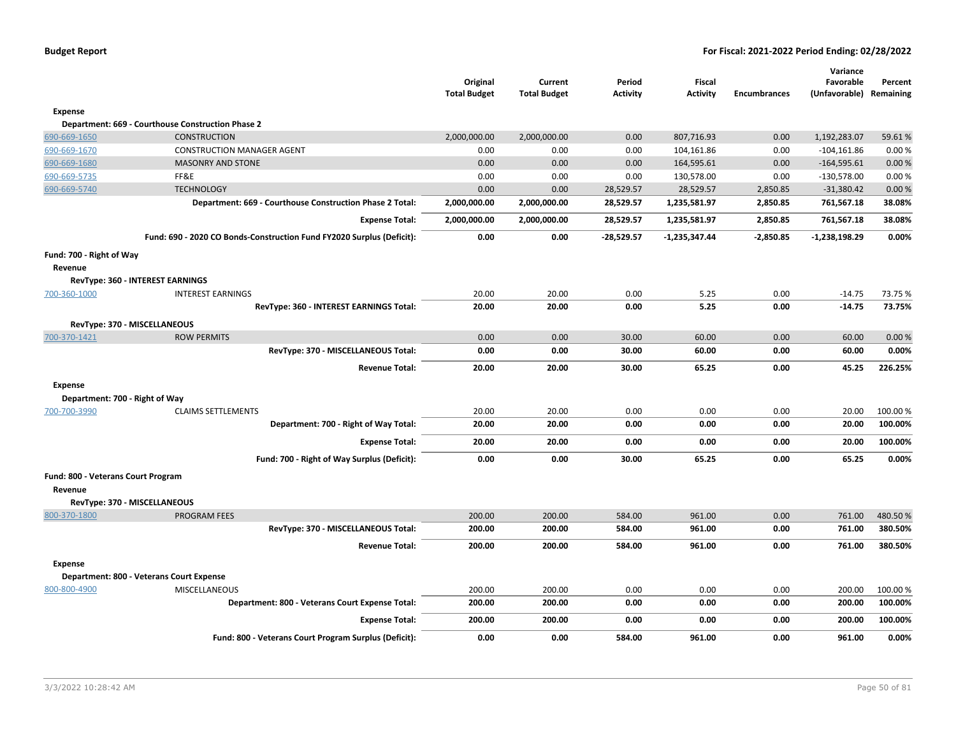|                                    |                                                                       | Original<br><b>Total Budget</b> | Current<br><b>Total Budget</b> | Period<br><b>Activity</b> | <b>Fiscal</b><br><b>Activity</b> | <b>Encumbrances</b> | Variance<br>Favorable<br>(Unfavorable) | Percent<br>Remaining |
|------------------------------------|-----------------------------------------------------------------------|---------------------------------|--------------------------------|---------------------------|----------------------------------|---------------------|----------------------------------------|----------------------|
| Expense                            |                                                                       |                                 |                                |                           |                                  |                     |                                        |                      |
|                                    | Department: 669 - Courthouse Construction Phase 2                     |                                 |                                |                           |                                  |                     |                                        |                      |
| 690-669-1650                       | <b>CONSTRUCTION</b>                                                   | 2,000,000.00                    | 2,000,000.00                   | 0.00                      | 807,716.93                       | 0.00                | 1,192,283.07                           | 59.61%               |
| 690-669-1670                       | <b>CONSTRUCTION MANAGER AGENT</b>                                     | 0.00                            | 0.00                           | 0.00                      | 104,161.86                       | 0.00                | $-104, 161.86$                         | 0.00%                |
| 690-669-1680                       | <b>MASONRY AND STONE</b>                                              | 0.00                            | 0.00                           | 0.00                      | 164,595.61                       | 0.00                | $-164,595.61$                          | 0.00%                |
| 690-669-5735                       | FF&E                                                                  | 0.00                            | 0.00                           | 0.00                      | 130,578.00                       | 0.00                | $-130,578.00$                          | 0.00%                |
| 690-669-5740                       | <b>TECHNOLOGY</b>                                                     | 0.00                            | 0.00                           | 28,529.57                 | 28,529.57                        | 2,850.85            | $-31,380.42$                           | 0.00%                |
|                                    | Department: 669 - Courthouse Construction Phase 2 Total:              | 2,000,000.00                    | 2,000,000.00                   | 28,529.57                 | 1,235,581.97                     | 2,850.85            | 761,567.18                             | 38.08%               |
|                                    | <b>Expense Total:</b>                                                 | 2,000,000.00                    | 2,000,000.00                   | 28,529.57                 | 1,235,581.97                     | 2,850.85            | 761,567.18                             | 38.08%               |
|                                    | Fund: 690 - 2020 CO Bonds-Construction Fund FY2020 Surplus (Deficit): | 0.00                            | 0.00                           | $-28,529.57$              | $-1,235,347.44$                  | $-2,850.85$         | $-1,238,198.29$                        | 0.00%                |
| Fund: 700 - Right of Way           |                                                                       |                                 |                                |                           |                                  |                     |                                        |                      |
| Revenue                            |                                                                       |                                 |                                |                           |                                  |                     |                                        |                      |
|                                    | RevType: 360 - INTEREST EARNINGS                                      |                                 |                                |                           |                                  |                     |                                        |                      |
| 700-360-1000                       | <b>INTEREST EARNINGS</b>                                              | 20.00                           | 20.00                          | 0.00                      | 5.25                             | 0.00                | $-14.75$                               | 73.75 %              |
|                                    | RevType: 360 - INTEREST EARNINGS Total:                               | 20.00                           | 20.00                          | 0.00                      | 5.25                             | 0.00                | $-14.75$                               | 73.75%               |
|                                    | RevType: 370 - MISCELLANEOUS                                          |                                 |                                |                           |                                  |                     |                                        |                      |
| 700-370-1421                       | <b>ROW PERMITS</b>                                                    | 0.00                            | 0.00                           | 30.00                     | 60.00                            | 0.00                | 60.00                                  | 0.00%                |
|                                    | RevType: 370 - MISCELLANEOUS Total:                                   | 0.00                            | 0.00                           | 30.00                     | 60.00                            | 0.00                | 60.00                                  | 0.00%                |
|                                    | <b>Revenue Total:</b>                                                 | 20.00                           | 20.00                          | 30.00                     | 65.25                            | 0.00                | 45.25                                  | 226.25%              |
| <b>Expense</b>                     |                                                                       |                                 |                                |                           |                                  |                     |                                        |                      |
|                                    | Department: 700 - Right of Way                                        |                                 |                                |                           |                                  |                     |                                        |                      |
| 700-700-3990                       | <b>CLAIMS SETTLEMENTS</b>                                             | 20.00                           | 20.00                          | 0.00                      | 0.00                             | 0.00                | 20.00                                  | 100.00%              |
|                                    | Department: 700 - Right of Way Total:                                 | 20.00                           | 20.00                          | 0.00                      | 0.00                             | 0.00                | 20.00                                  | 100.00%              |
|                                    | <b>Expense Total:</b>                                                 | 20.00                           | 20.00                          | 0.00                      | 0.00                             | 0.00                | 20.00                                  | 100.00%              |
|                                    | Fund: 700 - Right of Way Surplus (Deficit):                           | 0.00                            | 0.00                           | 30.00                     | 65.25                            | 0.00                | 65.25                                  | 0.00%                |
| Fund: 800 - Veterans Court Program |                                                                       |                                 |                                |                           |                                  |                     |                                        |                      |
| Revenue                            |                                                                       |                                 |                                |                           |                                  |                     |                                        |                      |
|                                    | RevType: 370 - MISCELLANEOUS                                          |                                 |                                |                           |                                  |                     |                                        |                      |
| 800-370-1800                       | <b>PROGRAM FEES</b>                                                   | 200.00                          | 200.00                         | 584.00                    | 961.00                           | 0.00                | 761.00                                 | 480.50%              |
|                                    | RevType: 370 - MISCELLANEOUS Total:                                   | 200.00                          | 200.00                         | 584.00                    | 961.00                           | 0.00                | 761.00                                 | 380.50%              |
|                                    | <b>Revenue Total:</b>                                                 | 200.00                          | 200.00                         | 584.00                    | 961.00                           | 0.00                | 761.00                                 | 380.50%              |
| <b>Expense</b>                     |                                                                       |                                 |                                |                           |                                  |                     |                                        |                      |
|                                    | Department: 800 - Veterans Court Expense                              |                                 |                                |                           |                                  |                     |                                        |                      |
| 800-800-4900                       | MISCELLANEOUS                                                         | 200.00                          | 200.00                         | 0.00                      | 0.00                             | 0.00                | 200.00                                 | 100.00%              |
|                                    | Department: 800 - Veterans Court Expense Total:                       | 200.00                          | 200.00                         | 0.00                      | 0.00                             | 0.00                | 200.00                                 | 100.00%              |
|                                    | <b>Expense Total:</b>                                                 | 200.00                          | 200.00                         | 0.00                      | 0.00                             | 0.00                | 200.00                                 | 100.00%              |
|                                    | Fund: 800 - Veterans Court Program Surplus (Deficit):                 | 0.00                            | 0.00                           | 584.00                    | 961.00                           | 0.00                | 961.00                                 | 0.00%                |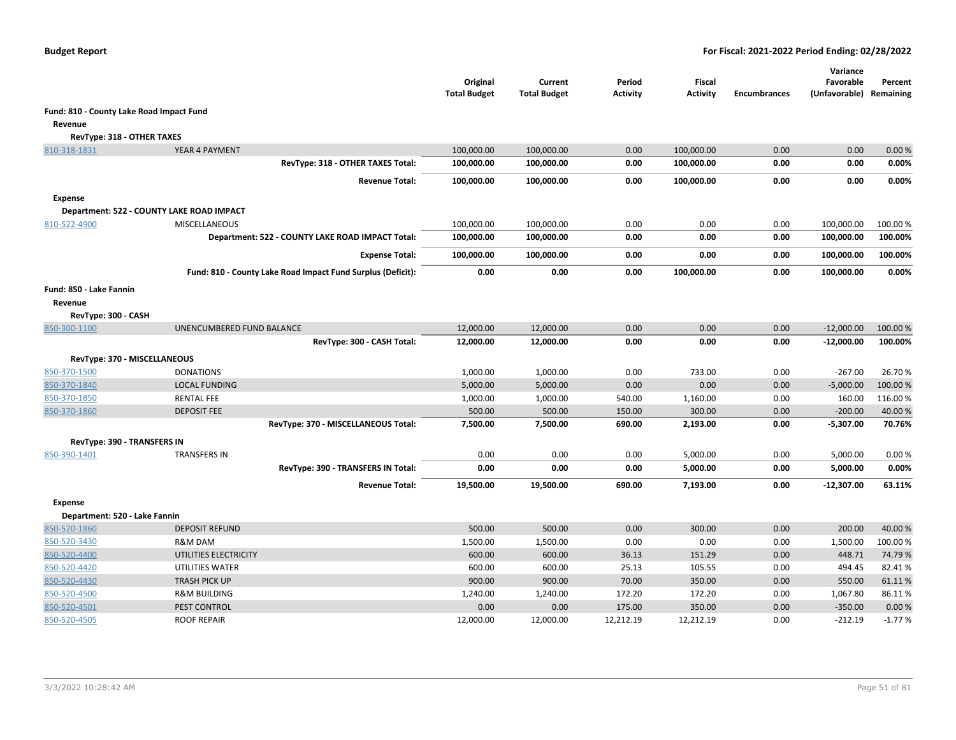|                                          |                                                             | Original<br><b>Total Budget</b> | Current<br><b>Total Budget</b> | Period<br><b>Activity</b> | Fiscal<br><b>Activity</b> | <b>Encumbrances</b> | Variance<br>Favorable<br>(Unfavorable) | Percent<br>Remaining |
|------------------------------------------|-------------------------------------------------------------|---------------------------------|--------------------------------|---------------------------|---------------------------|---------------------|----------------------------------------|----------------------|
| Fund: 810 - County Lake Road Impact Fund |                                                             |                                 |                                |                           |                           |                     |                                        |                      |
| Revenue                                  |                                                             |                                 |                                |                           |                           |                     |                                        |                      |
| RevType: 318 - OTHER TAXES               |                                                             |                                 |                                |                           |                           |                     |                                        |                      |
| 810-318-1831                             | YEAR 4 PAYMENT                                              | 100,000.00                      | 100,000.00                     | 0.00                      | 100,000.00                | 0.00                | 0.00                                   | 0.00%                |
|                                          | RevType: 318 - OTHER TAXES Total:                           | 100,000.00                      | 100,000.00                     | 0.00                      | 100,000.00                | 0.00                | 0.00                                   | 0.00%                |
|                                          | <b>Revenue Total:</b>                                       | 100,000.00                      | 100,000.00                     | 0.00                      | 100,000.00                | 0.00                | 0.00                                   | 0.00%                |
| <b>Expense</b>                           |                                                             |                                 |                                |                           |                           |                     |                                        |                      |
|                                          | Department: 522 - COUNTY LAKE ROAD IMPACT                   |                                 |                                |                           |                           |                     |                                        |                      |
| 810-522-4900                             | <b>MISCELLANEOUS</b>                                        | 100,000.00                      | 100,000.00                     | 0.00                      | 0.00                      | 0.00                | 100,000.00                             | 100.00 %             |
|                                          | Department: 522 - COUNTY LAKE ROAD IMPACT Total:            | 100,000.00                      | 100,000.00                     | 0.00                      | 0.00                      | 0.00                | 100,000.00                             | 100.00%              |
|                                          | <b>Expense Total:</b>                                       | 100,000.00                      | 100,000.00                     | 0.00                      | 0.00                      | 0.00                | 100,000.00                             | 100.00%              |
|                                          | Fund: 810 - County Lake Road Impact Fund Surplus (Deficit): | 0.00                            | 0.00                           | 0.00                      | 100,000.00                | 0.00                | 100,000.00                             | 0.00%                |
| Fund: 850 - Lake Fannin                  |                                                             |                                 |                                |                           |                           |                     |                                        |                      |
| Revenue                                  |                                                             |                                 |                                |                           |                           |                     |                                        |                      |
| RevType: 300 - CASH                      |                                                             |                                 |                                |                           |                           |                     |                                        |                      |
| 850-300-1100                             | UNENCUMBERED FUND BALANCE                                   | 12,000.00                       | 12,000.00                      | 0.00                      | 0.00                      | 0.00                | $-12,000.00$                           | 100.00 %             |
|                                          | RevType: 300 - CASH Total:                                  | 12,000.00                       | 12,000.00                      | 0.00                      | 0.00                      | 0.00                | $-12,000.00$                           | 100.00%              |
|                                          | RevType: 370 - MISCELLANEOUS                                |                                 |                                |                           |                           |                     |                                        |                      |
| 850-370-1500                             | <b>DONATIONS</b>                                            | 1,000.00                        | 1,000.00                       | 0.00                      | 733.00                    | 0.00                | $-267.00$                              | 26.70%               |
| 850-370-1840                             | <b>LOCAL FUNDING</b>                                        | 5,000.00                        | 5,000.00                       | 0.00                      | 0.00                      | 0.00                | $-5,000.00$                            | 100.00%              |
| 850-370-1850                             | <b>RENTAL FEE</b>                                           | 1,000.00                        | 1,000.00                       | 540.00                    | 1,160.00                  | 0.00                | 160.00                                 | 116.00%              |
| 850-370-1860                             | <b>DEPOSIT FEE</b>                                          | 500.00                          | 500.00                         | 150.00                    | 300.00                    | 0.00                | $-200.00$                              | 40.00%               |
|                                          | RevType: 370 - MISCELLANEOUS Total:                         | 7,500.00                        | 7,500.00                       | 690.00                    | 2,193.00                  | 0.00                | $-5,307.00$                            | 70.76%               |
| <b>RevType: 390 - TRANSFERS IN</b>       |                                                             |                                 |                                |                           |                           |                     |                                        |                      |
| 850-390-1401                             | <b>TRANSFERS IN</b>                                         | 0.00                            | 0.00                           | 0.00                      | 5,000.00                  | 0.00                | 5,000.00                               | 0.00%                |
|                                          | RevType: 390 - TRANSFERS IN Total:                          | 0.00                            | 0.00                           | 0.00                      | 5,000.00                  | 0.00                | 5,000.00                               | 0.00%                |
|                                          | <b>Revenue Total:</b>                                       | 19,500.00                       | 19,500.00                      | 690.00                    | 7,193.00                  | 0.00                | -12,307.00                             | 63.11%               |
| <b>Expense</b>                           |                                                             |                                 |                                |                           |                           |                     |                                        |                      |
| Department: 520 - Lake Fannin            |                                                             |                                 |                                |                           |                           |                     |                                        |                      |
| 850-520-1860                             | <b>DEPOSIT REFUND</b>                                       | 500.00                          | 500.00                         | 0.00                      | 300.00                    | 0.00                | 200.00                                 | 40.00%               |
| 850-520-3430                             | R&M DAM                                                     | 1,500.00                        | 1,500.00                       | 0.00                      | 0.00                      | 0.00                | 1,500.00                               | 100.00%              |
| 850-520-4400                             | UTILITIES ELECTRICITY                                       | 600.00                          | 600.00                         | 36.13                     | 151.29                    | 0.00                | 448.71                                 | 74.79%               |
| 850-520-4420                             | UTILITIES WATER                                             | 600.00                          | 600.00                         | 25.13                     | 105.55                    | 0.00                | 494.45                                 | 82.41%               |
| 850-520-4430                             | <b>TRASH PICK UP</b>                                        | 900.00                          | 900.00                         | 70.00                     | 350.00                    | 0.00                | 550.00                                 | 61.11%               |
| 850-520-4500                             | <b>R&amp;M BUILDING</b>                                     | 1,240.00                        | 1,240.00                       | 172.20                    | 172.20                    | 0.00                | 1,067.80                               | 86.11%               |
| 850-520-4501                             | PEST CONTROL                                                | 0.00                            | 0.00                           | 175.00                    | 350.00                    | 0.00                | $-350.00$                              | 0.00%                |
| 850-520-4505                             | <b>ROOF REPAIR</b>                                          | 12,000.00                       | 12,000.00                      | 12,212.19                 | 12,212.19                 | 0.00                | -212.19                                | $-1.77%$             |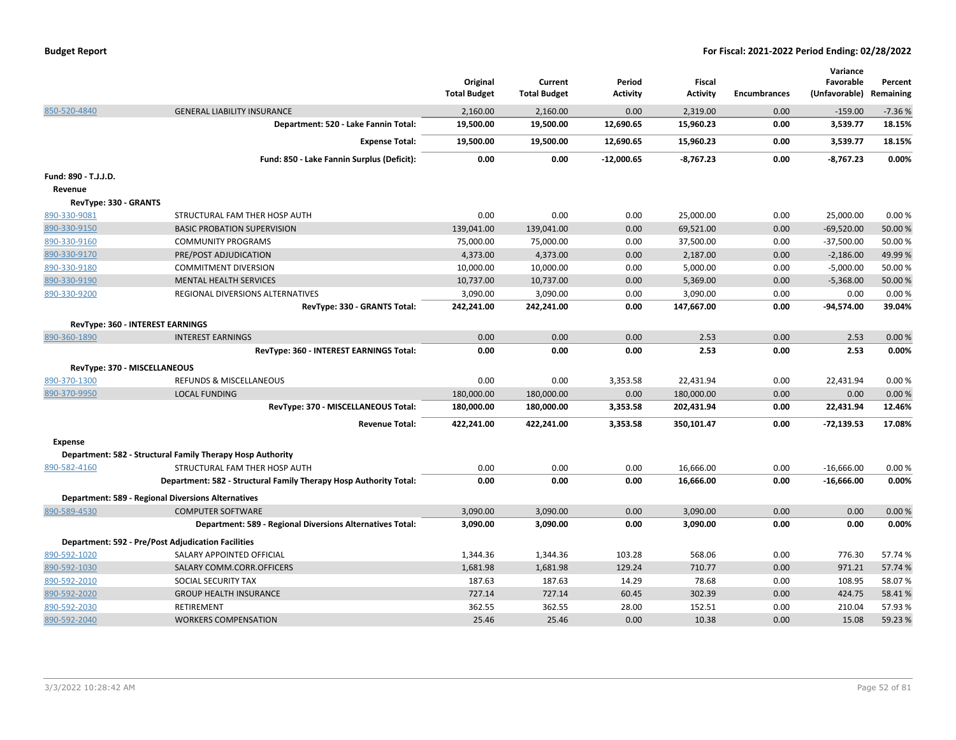|                                         |                                                                   | Original<br><b>Total Budget</b> | Current<br><b>Total Budget</b> | Period<br>Activity | Fiscal<br><b>Activity</b> | <b>Encumbrances</b> | Variance<br>Favorable<br>(Unfavorable) | Percent<br>Remaining |
|-----------------------------------------|-------------------------------------------------------------------|---------------------------------|--------------------------------|--------------------|---------------------------|---------------------|----------------------------------------|----------------------|
| 850-520-4840                            | <b>GENERAL LIABILITY INSURANCE</b>                                | 2,160.00                        | 2,160.00                       | 0.00               | 2,319.00                  | 0.00                | $-159.00$                              | $-7.36%$             |
|                                         | Department: 520 - Lake Fannin Total:                              | 19,500.00                       | 19,500.00                      | 12,690.65          | 15,960.23                 | 0.00                | 3,539.77                               | 18.15%               |
|                                         | <b>Expense Total:</b>                                             | 19,500.00                       | 19,500.00                      | 12,690.65          | 15,960.23                 | 0.00                | 3,539.77                               | 18.15%               |
|                                         | Fund: 850 - Lake Fannin Surplus (Deficit):                        | 0.00                            | 0.00                           | $-12,000.65$       | $-8,767.23$               | 0.00                | $-8,767.23$                            | 0.00%                |
| Fund: 890 - T.J.J.D.                    |                                                                   |                                 |                                |                    |                           |                     |                                        |                      |
| Revenue                                 |                                                                   |                                 |                                |                    |                           |                     |                                        |                      |
| RevType: 330 - GRANTS                   |                                                                   |                                 |                                |                    |                           |                     |                                        |                      |
| 890-330-9081                            | STRUCTURAL FAM THER HOSP AUTH                                     | 0.00                            | 0.00                           | 0.00               | 25,000.00                 | 0.00                | 25,000.00                              | 0.00%                |
| 890-330-9150                            | <b>BASIC PROBATION SUPERVISION</b>                                | 139,041.00                      | 139,041.00                     | 0.00               | 69,521.00                 | 0.00                | $-69,520.00$                           | 50.00 %              |
| 890-330-9160                            | <b>COMMUNITY PROGRAMS</b>                                         | 75,000.00                       | 75,000.00                      | 0.00               | 37,500.00                 | 0.00                | $-37,500.00$                           | 50.00 %              |
| 890-330-9170                            | PRE/POST ADJUDICATION                                             | 4,373.00                        | 4,373.00                       | 0.00               | 2,187.00                  | 0.00                | $-2,186.00$                            | 49.99%               |
| 890-330-9180                            | <b>COMMITMENT DIVERSION</b>                                       | 10,000.00                       | 10,000.00                      | 0.00               | 5,000.00                  | 0.00                | $-5,000.00$                            | 50.00 %              |
| 890-330-9190                            | <b>MENTAL HEALTH SERVICES</b>                                     | 10,737.00                       | 10,737.00                      | 0.00               | 5,369.00                  | 0.00                | $-5,368.00$                            | 50.00 %              |
| 890-330-9200                            | REGIONAL DIVERSIONS ALTERNATIVES                                  | 3,090.00                        | 3,090.00                       | 0.00               | 3,090.00                  | 0.00                | 0.00                                   | 0.00%                |
|                                         | RevType: 330 - GRANTS Total:                                      | 242,241.00                      | 242,241.00                     | 0.00               | 147,667.00                | 0.00                | $-94,574.00$                           | 39.04%               |
| <b>RevType: 360 - INTEREST EARNINGS</b> |                                                                   |                                 |                                |                    |                           |                     |                                        |                      |
| 890-360-1890                            | <b>INTEREST EARNINGS</b>                                          | 0.00                            | 0.00                           | 0.00               | 2.53                      | 0.00                | 2.53                                   | 0.00%                |
|                                         | RevType: 360 - INTEREST EARNINGS Total:                           | 0.00                            | 0.00                           | 0.00               | 2.53                      | 0.00                | 2.53                                   | 0.00%                |
| RevType: 370 - MISCELLANEOUS            |                                                                   |                                 |                                |                    |                           |                     |                                        |                      |
| 890-370-1300                            | <b>REFUNDS &amp; MISCELLANEOUS</b>                                | 0.00                            | 0.00                           | 3,353.58           | 22,431.94                 | 0.00                | 22,431.94                              | 0.00%                |
| 890-370-9950                            | <b>LOCAL FUNDING</b>                                              | 180,000.00                      | 180,000.00                     | 0.00               | 180,000.00                | 0.00                | 0.00                                   | 0.00%                |
|                                         | RevType: 370 - MISCELLANEOUS Total:                               | 180,000.00                      | 180,000.00                     | 3,353.58           | 202,431.94                | 0.00                | 22,431.94                              | 12.46%               |
|                                         |                                                                   |                                 |                                |                    |                           |                     |                                        |                      |
|                                         | <b>Revenue Total:</b>                                             | 422,241.00                      | 422,241.00                     | 3,353.58           | 350,101.47                | 0.00                | $-72,139.53$                           | 17.08%               |
| <b>Expense</b>                          |                                                                   |                                 |                                |                    |                           |                     |                                        |                      |
|                                         | Department: 582 - Structural Family Therapy Hosp Authority        |                                 |                                |                    |                           |                     |                                        |                      |
| 890-582-4160                            | STRUCTURAL FAM THER HOSP AUTH                                     | 0.00                            | 0.00                           | 0.00               | 16,666.00                 | 0.00                | $-16,666.00$                           | 0.00%                |
|                                         | Department: 582 - Structural Family Therapy Hosp Authority Total: | 0.00                            | 0.00                           | 0.00               | 16,666.00                 | 0.00                | $-16,666.00$                           | 0.00%                |
|                                         | <b>Department: 589 - Regional Diversions Alternatives</b>         |                                 |                                |                    |                           |                     |                                        |                      |
| 890-589-4530                            | <b>COMPUTER SOFTWARE</b>                                          | 3,090.00                        | 3,090.00                       | 0.00               | 3,090.00                  | 0.00                | 0.00                                   | 0.00%                |
|                                         | Department: 589 - Regional Diversions Alternatives Total:         | 3,090.00                        | 3,090.00                       | 0.00               | 3,090.00                  | 0.00                | 0.00                                   | 0.00%                |
|                                         | <b>Department: 592 - Pre/Post Adjudication Facilities</b>         |                                 |                                |                    |                           |                     |                                        |                      |
| 890-592-1020                            | SALARY APPOINTED OFFICIAL                                         | 1,344.36                        | 1,344.36                       | 103.28             | 568.06                    | 0.00                | 776.30                                 | 57.74 %              |
| 890-592-1030                            | SALARY COMM.CORR.OFFICERS                                         | 1,681.98                        | 1,681.98                       | 129.24             | 710.77                    | 0.00                | 971.21                                 | 57.74 %              |
| 890-592-2010                            | SOCIAL SECURITY TAX                                               | 187.63                          | 187.63                         | 14.29              | 78.68                     | 0.00                | 108.95                                 | 58.07%               |
| 890-592-2020                            | <b>GROUP HEALTH INSURANCE</b>                                     | 727.14                          | 727.14                         | 60.45              | 302.39                    | 0.00                | 424.75                                 | 58.41%               |
| 890-592-2030                            | <b>RETIREMENT</b>                                                 | 362.55                          | 362.55                         | 28.00              | 152.51                    | 0.00                | 210.04                                 | 57.93%               |
| 890-592-2040                            | <b>WORKERS COMPENSATION</b>                                       | 25.46                           | 25.46                          | 0.00               | 10.38                     | 0.00                | 15.08                                  | 59.23%               |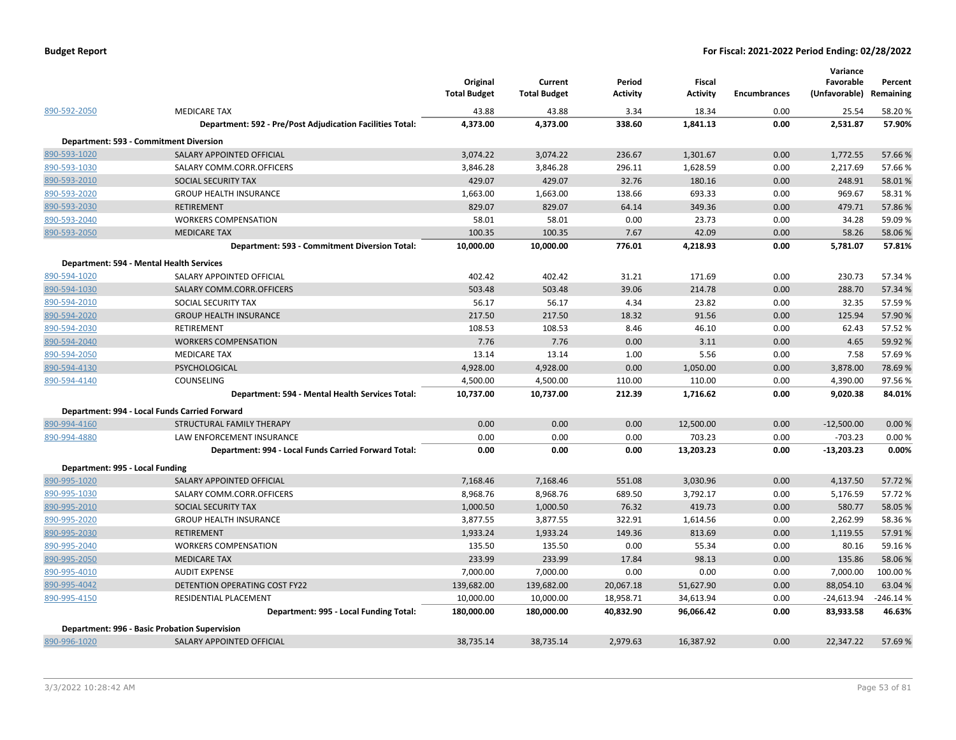|                                 |                                                                  | Original<br><b>Total Budget</b> | Current<br><b>Total Budget</b> | Period<br><b>Activity</b> | <b>Fiscal</b><br><b>Activity</b> | <b>Encumbrances</b> | Variance<br>Favorable<br>(Unfavorable) | Percent<br>Remaining |
|---------------------------------|------------------------------------------------------------------|---------------------------------|--------------------------------|---------------------------|----------------------------------|---------------------|----------------------------------------|----------------------|
| 890-592-2050                    | <b>MEDICARE TAX</b>                                              | 43.88                           | 43.88                          | 3.34                      | 18.34                            | 0.00                | 25.54                                  | 58.20%               |
|                                 | <b>Department: 592 - Pre/Post Adjudication Facilities Total:</b> | 4,373.00                        | 4,373.00                       | 338.60                    | 1,841.13                         | 0.00                | 2,531.87                               | 57.90%               |
|                                 | Department: 593 - Commitment Diversion                           |                                 |                                |                           |                                  |                     |                                        |                      |
| 890-593-1020                    | SALARY APPOINTED OFFICIAL                                        | 3,074.22                        | 3,074.22                       | 236.67                    | 1,301.67                         | 0.00                | 1,772.55                               | 57.66%               |
| 890-593-1030                    | SALARY COMM.CORR.OFFICERS                                        | 3,846.28                        | 3,846.28                       | 296.11                    | 1,628.59                         | 0.00                | 2,217.69                               | 57.66%               |
| 890-593-2010                    | SOCIAL SECURITY TAX                                              | 429.07                          | 429.07                         | 32.76                     | 180.16                           | 0.00                | 248.91                                 | 58.01%               |
| 890-593-2020                    | <b>GROUP HEALTH INSURANCE</b>                                    | 1,663.00                        | 1,663.00                       | 138.66                    | 693.33                           | 0.00                | 969.67                                 | 58.31%               |
| 890-593-2030                    | <b>RETIREMENT</b>                                                | 829.07                          | 829.07                         | 64.14                     | 349.36                           | 0.00                | 479.71                                 | 57.86%               |
| 890-593-2040                    | <b>WORKERS COMPENSATION</b>                                      | 58.01                           | 58.01                          | 0.00                      | 23.73                            | 0.00                | 34.28                                  | 59.09%               |
| 890-593-2050                    | <b>MEDICARE TAX</b>                                              | 100.35                          | 100.35                         | 7.67                      | 42.09                            | 0.00                | 58.26                                  | 58.06%               |
|                                 | Department: 593 - Commitment Diversion Total:                    | 10,000.00                       | 10,000.00                      | 776.01                    | 4,218.93                         | 0.00                | 5,781.07                               | 57.81%               |
|                                 | Department: 594 - Mental Health Services                         |                                 |                                |                           |                                  |                     |                                        |                      |
| 890-594-1020                    | SALARY APPOINTED OFFICIAL                                        | 402.42                          | 402.42                         | 31.21                     | 171.69                           | 0.00                | 230.73                                 | 57.34 %              |
| 890-594-1030                    | SALARY COMM.CORR.OFFICERS                                        | 503.48                          | 503.48                         | 39.06                     | 214.78                           | 0.00                | 288.70                                 | 57.34 %              |
| 890-594-2010                    | SOCIAL SECURITY TAX                                              | 56.17                           | 56.17                          | 4.34                      | 23.82                            | 0.00                | 32.35                                  | 57.59%               |
| 890-594-2020                    | <b>GROUP HEALTH INSURANCE</b>                                    | 217.50                          | 217.50                         | 18.32                     | 91.56                            | 0.00                | 125.94                                 | 57.90 %              |
| 890-594-2030                    | RETIREMENT                                                       | 108.53                          | 108.53                         | 8.46                      | 46.10                            | 0.00                | 62.43                                  | 57.52%               |
| 890-594-2040                    | <b>WORKERS COMPENSATION</b>                                      | 7.76                            | 7.76                           | 0.00                      | 3.11                             | 0.00                | 4.65                                   | 59.92 %              |
| 890-594-2050                    | <b>MEDICARE TAX</b>                                              | 13.14                           | 13.14                          | 1.00                      | 5.56                             | 0.00                | 7.58                                   | 57.69%               |
| 890-594-4130                    | PSYCHOLOGICAL                                                    | 4,928.00                        | 4,928.00                       | 0.00                      | 1,050.00                         | 0.00                | 3,878.00                               | 78.69%               |
| 890-594-4140                    | COUNSELING                                                       | 4,500.00                        | 4,500.00                       | 110.00                    | 110.00                           | 0.00                | 4,390.00                               | 97.56%               |
|                                 | Department: 594 - Mental Health Services Total:                  | 10,737.00                       | 10,737.00                      | 212.39                    | 1,716.62                         | 0.00                | 9,020.38                               | 84.01%               |
|                                 | Department: 994 - Local Funds Carried Forward                    |                                 |                                |                           |                                  |                     |                                        |                      |
| 890-994-4160                    | STRUCTURAL FAMILY THERAPY                                        | 0.00                            | 0.00                           | 0.00                      | 12,500.00                        | 0.00                | $-12,500.00$                           | 0.00%                |
| 890-994-4880                    | LAW ENFORCEMENT INSURANCE                                        | 0.00                            | 0.00                           | 0.00                      | 703.23                           | 0.00                | $-703.23$                              | 0.00%                |
|                                 | Department: 994 - Local Funds Carried Forward Total:             | 0.00                            | 0.00                           | 0.00                      | 13,203.23                        | 0.00                | $-13,203.23$                           | 0.00%                |
| Department: 995 - Local Funding |                                                                  |                                 |                                |                           |                                  |                     |                                        |                      |
| 890-995-1020                    | SALARY APPOINTED OFFICIAL                                        | 7,168.46                        | 7,168.46                       | 551.08                    | 3,030.96                         | 0.00                | 4,137.50                               | 57.72 %              |
| 890-995-1030                    | SALARY COMM.CORR.OFFICERS                                        | 8,968.76                        | 8,968.76                       | 689.50                    | 3,792.17                         | 0.00                | 5,176.59                               | 57.72%               |
| 890-995-2010                    | <b>SOCIAL SECURITY TAX</b>                                       | 1,000.50                        | 1,000.50                       | 76.32                     | 419.73                           | 0.00                | 580.77                                 | 58.05 %              |
| 890-995-2020                    | <b>GROUP HEALTH INSURANCE</b>                                    | 3,877.55                        | 3,877.55                       | 322.91                    | 1,614.56                         | 0.00                | 2,262.99                               | 58.36%               |
| 890-995-2030                    | <b>RETIREMENT</b>                                                | 1,933.24                        | 1,933.24                       | 149.36                    | 813.69                           | 0.00                | 1,119.55                               | 57.91%               |
| 890-995-2040                    | <b>WORKERS COMPENSATION</b>                                      | 135.50                          | 135.50                         | 0.00                      | 55.34                            | 0.00                | 80.16                                  | 59.16%               |
| 890-995-2050                    | <b>MEDICARE TAX</b>                                              | 233.99                          | 233.99                         | 17.84                     | 98.13                            | 0.00                | 135.86                                 | 58.06%               |
| 890-995-4010                    | <b>AUDIT EXPENSE</b>                                             | 7,000.00                        | 7,000.00                       | 0.00                      | 0.00                             | 0.00                | 7,000.00                               | 100.00%              |
| 890-995-4042                    | DETENTION OPERATING COST FY22                                    | 139,682.00                      | 139,682.00                     | 20,067.18                 | 51,627.90                        | 0.00                | 88,054.10                              | 63.04 %              |
| 890-995-4150                    | RESIDENTIAL PLACEMENT                                            | 10,000.00                       | 10,000.00                      | 18,958.71                 | 34,613.94                        | 0.00                | $-24,613.94$                           | $-246.14%$           |
|                                 | Department: 995 - Local Funding Total:                           | 180,000.00                      | 180,000.00                     | 40,832.90                 | 96,066.42                        | 0.00                | 83,933.58                              | 46.63%               |
|                                 | <b>Department: 996 - Basic Probation Supervision</b>             |                                 |                                |                           |                                  |                     |                                        |                      |
| 890-996-1020                    | <b>SALARY APPOINTED OFFICIAL</b>                                 | 38,735.14                       | 38,735.14                      | 2.979.63                  | 16.387.92                        | 0.00                | 22.347.22                              | 57.69%               |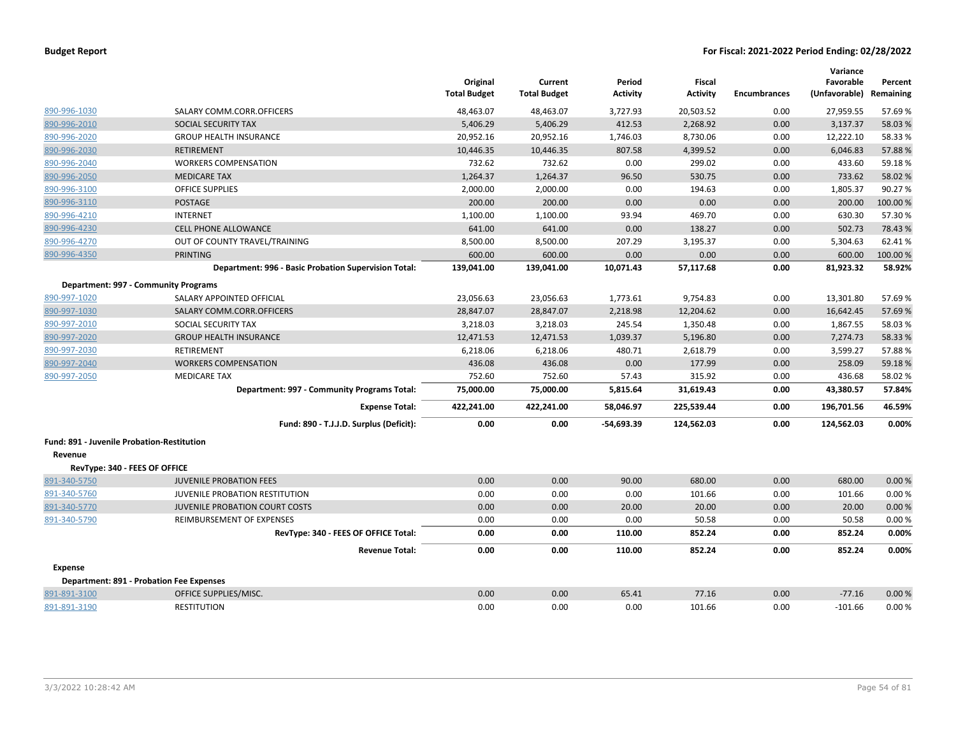|                                            |                                                      | Original<br><b>Total Budget</b> | Current<br><b>Total Budget</b> | Period<br>Activity | Fiscal<br><b>Activity</b> | <b>Encumbrances</b> | Variance<br>Favorable<br>(Unfavorable) | Percent<br>Remaining |
|--------------------------------------------|------------------------------------------------------|---------------------------------|--------------------------------|--------------------|---------------------------|---------------------|----------------------------------------|----------------------|
| 890-996-1030                               | SALARY COMM.CORR.OFFICERS                            | 48,463.07                       | 48,463.07                      | 3,727.93           | 20,503.52                 | 0.00                | 27,959.55                              | 57.69%               |
| 890-996-2010                               | SOCIAL SECURITY TAX                                  | 5,406.29                        | 5,406.29                       | 412.53             | 2,268.92                  | 0.00                | 3,137.37                               | 58.03%               |
| 890-996-2020                               | <b>GROUP HEALTH INSURANCE</b>                        | 20,952.16                       | 20,952.16                      | 1,746.03           | 8,730.06                  | 0.00                | 12,222.10                              | 58.33%               |
| 890-996-2030                               | <b>RETIREMENT</b>                                    | 10,446.35                       | 10,446.35                      | 807.58             | 4,399.52                  | 0.00                | 6,046.83                               | 57.88%               |
| 890-996-2040                               | <b>WORKERS COMPENSATION</b>                          | 732.62                          | 732.62                         | 0.00               | 299.02                    | 0.00                | 433.60                                 | 59.18%               |
| 890-996-2050                               | <b>MEDICARE TAX</b>                                  | 1,264.37                        | 1,264.37                       | 96.50              | 530.75                    | 0.00                | 733.62                                 | 58.02%               |
| 890-996-3100                               | <b>OFFICE SUPPLIES</b>                               | 2,000.00                        | 2,000.00                       | 0.00               | 194.63                    | 0.00                | 1,805.37                               | 90.27%               |
| 890-996-3110                               | <b>POSTAGE</b>                                       | 200.00                          | 200.00                         | 0.00               | 0.00                      | 0.00                | 200.00                                 | 100.00%              |
| 890-996-4210                               | <b>INTERNET</b>                                      | 1,100.00                        | 1,100.00                       | 93.94              | 469.70                    | 0.00                | 630.30                                 | 57.30%               |
| 890-996-4230                               | <b>CELL PHONE ALLOWANCE</b>                          | 641.00                          | 641.00                         | 0.00               | 138.27                    | 0.00                | 502.73                                 | 78.43%               |
| 890-996-4270                               | OUT OF COUNTY TRAVEL/TRAINING                        | 8,500.00                        | 8,500.00                       | 207.29             | 3,195.37                  | 0.00                | 5,304.63                               | 62.41%               |
| 890-996-4350                               | <b>PRINTING</b>                                      | 600.00                          | 600.00                         | 0.00               | 0.00                      | 0.00                | 600.00                                 | 100.00%              |
|                                            | Department: 996 - Basic Probation Supervision Total: | 139,041.00                      | 139,041.00                     | 10,071.43          | 57,117.68                 | 0.00                | 81,923.32                              | 58.92%               |
|                                            | Department: 997 - Community Programs                 |                                 |                                |                    |                           |                     |                                        |                      |
| 890-997-1020                               | SALARY APPOINTED OFFICIAL                            | 23,056.63                       | 23,056.63                      | 1,773.61           | 9,754.83                  | 0.00                | 13,301.80                              | 57.69%               |
| 890-997-1030                               | SALARY COMM.CORR.OFFICERS                            | 28,847.07                       | 28,847.07                      | 2,218.98           | 12,204.62                 | 0.00                | 16,642.45                              | 57.69%               |
| 890-997-2010                               | SOCIAL SECURITY TAX                                  | 3,218.03                        | 3,218.03                       | 245.54             | 1,350.48                  | 0.00                | 1,867.55                               | 58.03%               |
| 890-997-2020                               | <b>GROUP HEALTH INSURANCE</b>                        | 12,471.53                       | 12,471.53                      | 1,039.37           | 5,196.80                  | 0.00                | 7,274.73                               | 58.33%               |
| 890-997-2030                               | RETIREMENT                                           | 6,218.06                        | 6,218.06                       | 480.71             | 2,618.79                  | 0.00                | 3,599.27                               | 57.88%               |
| 890-997-2040                               | <b>WORKERS COMPENSATION</b>                          | 436.08                          | 436.08                         | 0.00               | 177.99                    | 0.00                | 258.09                                 | 59.18%               |
| 890-997-2050                               | <b>MEDICARE TAX</b>                                  | 752.60                          | 752.60                         | 57.43              | 315.92                    | 0.00                | 436.68                                 | 58.02%               |
|                                            | Department: 997 - Community Programs Total:          | 75,000.00                       | 75,000.00                      | 5,815.64           | 31,619.43                 | 0.00                | 43,380.57                              | 57.84%               |
|                                            | <b>Expense Total:</b>                                | 422,241.00                      | 422,241.00                     | 58,046.97          | 225,539.44                | 0.00                | 196,701.56                             | 46.59%               |
|                                            | Fund: 890 - T.J.J.D. Surplus (Deficit):              | 0.00                            | 0.00                           | -54,693.39         | 124,562.03                | 0.00                | 124,562.03                             | 0.00%                |
| Fund: 891 - Juvenile Probation-Restitution |                                                      |                                 |                                |                    |                           |                     |                                        |                      |
| Revenue                                    |                                                      |                                 |                                |                    |                           |                     |                                        |                      |
| RevType: 340 - FEES OF OFFICE              |                                                      |                                 |                                |                    |                           |                     |                                        |                      |
| 891-340-5750                               | <b>JUVENILE PROBATION FEES</b>                       | 0.00                            | 0.00                           | 90.00              | 680.00                    | 0.00                | 680.00                                 | 0.00%                |
| 891-340-5760                               | JUVENILE PROBATION RESTITUTION                       | 0.00                            | 0.00                           | 0.00               | 101.66                    | 0.00                | 101.66                                 | 0.00%                |
| 891-340-5770                               | <b>JUVENILE PROBATION COURT COSTS</b>                | 0.00                            | 0.00                           | 20.00              | 20.00                     | 0.00                | 20.00                                  | 0.00%                |
| 891-340-5790                               | REIMBURSEMENT OF EXPENSES                            | 0.00                            | 0.00                           | 0.00               | 50.58                     | 0.00                | 50.58                                  | 0.00%                |
|                                            | RevType: 340 - FEES OF OFFICE Total:                 | 0.00                            | 0.00                           | 110.00             | 852.24                    | 0.00                | 852.24                                 | 0.00%                |
|                                            | <b>Revenue Total:</b>                                | 0.00                            | 0.00                           | 110.00             | 852.24                    | 0.00                | 852.24                                 | 0.00%                |
| <b>Expense</b>                             |                                                      |                                 |                                |                    |                           |                     |                                        |                      |
|                                            | <b>Department: 891 - Probation Fee Expenses</b>      |                                 |                                |                    |                           |                     |                                        |                      |
| 891-891-3100                               | OFFICE SUPPLIES/MISC.                                | 0.00                            | 0.00                           | 65.41              | 77.16                     | 0.00                | $-77.16$                               | 0.00%                |
| 891-891-3190                               | <b>RESTITUTION</b>                                   | 0.00                            | 0.00                           | 0.00               | 101.66                    | 0.00                | $-101.66$                              | 0.00%                |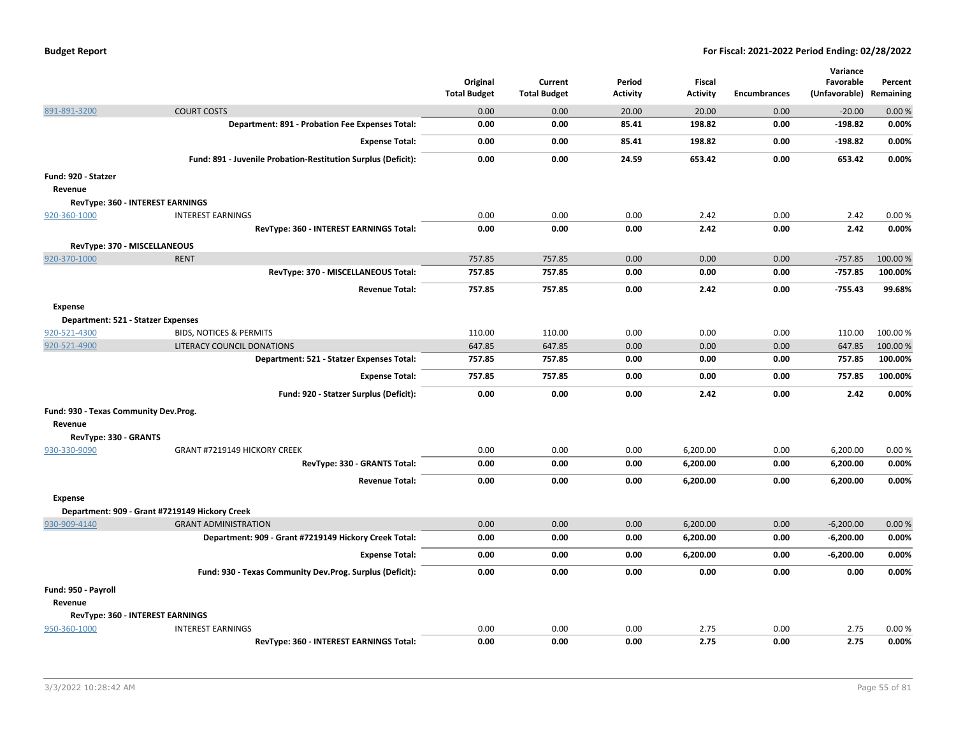|                     |                                                               | Original            | Current             | Period   | Fiscal          |              | Variance<br>Favorable   | Percent |
|---------------------|---------------------------------------------------------------|---------------------|---------------------|----------|-----------------|--------------|-------------------------|---------|
|                     |                                                               | <b>Total Budget</b> | <b>Total Budget</b> | Activity | <b>Activity</b> | Encumbrances | (Unfavorable) Remaining |         |
| 891-891-3200        | <b>COURT COSTS</b>                                            | 0.00                | 0.00                | 20.00    | 20.00           | 0.00         | $-20.00$                | 0.00%   |
|                     | Department: 891 - Probation Fee Expenses Total:               | 0.00                | 0.00                | 85.41    | 198.82          | 0.00         | $-198.82$               | 0.00%   |
|                     | <b>Expense Total:</b>                                         | 0.00                | 0.00                | 85.41    | 198.82          | 0.00         | $-198.82$               | 0.00%   |
|                     | Fund: 891 - Juvenile Probation-Restitution Surplus (Deficit): | 0.00                | 0.00                | 24.59    | 653.42          | 0.00         | 653.42                  | 0.00%   |
| Fund: 920 - Statzer |                                                               |                     |                     |          |                 |              |                         |         |
| Revenue             |                                                               |                     |                     |          |                 |              |                         |         |
|                     | RevType: 360 - INTEREST EARNINGS                              |                     |                     |          |                 |              |                         |         |
| 920-360-1000        | <b>INTEREST EARNINGS</b>                                      | 0.00                | 0.00                | 0.00     | 2.42            | 0.00         | 2.42                    | 0.00%   |
|                     | RevType: 360 - INTEREST EARNINGS Total:                       | 0.00                | 0.00                | 0.00     | 2.42            | 0.00         | 2.42                    | 0.00%   |
|                     | RevType: 370 - MISCELLANEOUS                                  |                     |                     |          |                 |              |                         |         |
| 920-370-1000        | <b>RENT</b>                                                   | 757.85              | 757.85              | 0.00     | 0.00            | 0.00         | $-757.85$               | 100.00% |
|                     | RevType: 370 - MISCELLANEOUS Total:                           | 757.85              | 757.85              | 0.00     | 0.00            | 0.00         | $-757.85$               | 100.00% |
|                     | <b>Revenue Total:</b>                                         | 757.85              | 757.85              | 0.00     | 2.42            | 0.00         | $-755.43$               | 99.68%  |
| <b>Expense</b>      |                                                               |                     |                     |          |                 |              |                         |         |
|                     | Department: 521 - Statzer Expenses                            |                     |                     |          |                 |              |                         |         |
| 920-521-4300        | <b>BIDS, NOTICES &amp; PERMITS</b>                            | 110.00              | 110.00              | 0.00     | 0.00            | 0.00         | 110.00                  | 100.00% |
| 920-521-4900        | LITERACY COUNCIL DONATIONS                                    | 647.85              | 647.85              | 0.00     | 0.00            | 0.00         | 647.85                  | 100.00% |
|                     | Department: 521 - Statzer Expenses Total:                     | 757.85              | 757.85              | 0.00     | 0.00            | 0.00         | 757.85                  | 100.00% |
|                     | <b>Expense Total:</b>                                         | 757.85              | 757.85              | 0.00     | 0.00            | 0.00         | 757.85                  | 100.00% |
|                     | Fund: 920 - Statzer Surplus (Deficit):                        | 0.00                | 0.00                | 0.00     | 2.42            | 0.00         | 2.42                    | 0.00%   |
|                     | Fund: 930 - Texas Community Dev.Prog.                         |                     |                     |          |                 |              |                         |         |
| Revenue             |                                                               |                     |                     |          |                 |              |                         |         |
|                     | RevType: 330 - GRANTS                                         |                     |                     |          |                 |              |                         |         |
| 930-330-9090        | GRANT #7219149 HICKORY CREEK                                  | 0.00                | 0.00                | 0.00     | 6,200.00        | 0.00         | 6,200.00                | 0.00%   |
|                     | RevType: 330 - GRANTS Total:                                  | 0.00                | 0.00                | 0.00     | 6,200.00        | 0.00         | 6,200.00                | 0.00%   |
|                     | <b>Revenue Total:</b>                                         | 0.00                | 0.00                | 0.00     | 6,200.00        | 0.00         | 6,200.00                | 0.00%   |
| <b>Expense</b>      |                                                               |                     |                     |          |                 |              |                         |         |
|                     | Department: 909 - Grant #7219149 Hickory Creek                |                     |                     |          |                 |              |                         |         |
| 930-909-4140        | <b>GRANT ADMINISTRATION</b>                                   | 0.00                | 0.00                | 0.00     | 6,200.00        | 0.00         | $-6,200.00$             | 0.00%   |
|                     | Department: 909 - Grant #7219149 Hickory Creek Total:         | 0.00                | 0.00                | 0.00     | 6,200.00        | 0.00         | $-6,200.00$             | 0.00%   |
|                     | <b>Expense Total:</b>                                         | 0.00                | 0.00                | 0.00     | 6,200.00        | 0.00         | $-6,200.00$             | 0.00%   |
|                     | Fund: 930 - Texas Community Dev.Prog. Surplus (Deficit):      | 0.00                | 0.00                | 0.00     | 0.00            | 0.00         | 0.00                    | 0.00%   |
| Fund: 950 - Payroll |                                                               |                     |                     |          |                 |              |                         |         |
| Revenue             |                                                               |                     |                     |          |                 |              |                         |         |
|                     | RevType: 360 - INTEREST EARNINGS                              |                     |                     |          |                 |              |                         |         |
| 950-360-1000        | <b>INTEREST EARNINGS</b>                                      | 0.00                | 0.00                | 0.00     | 2.75            | 0.00         | 2.75                    | 0.00%   |
|                     | RevType: 360 - INTEREST EARNINGS Total:                       | 0.00                | 0.00                | 0.00     | 2.75            | 0.00         | 2.75                    | 0.00%   |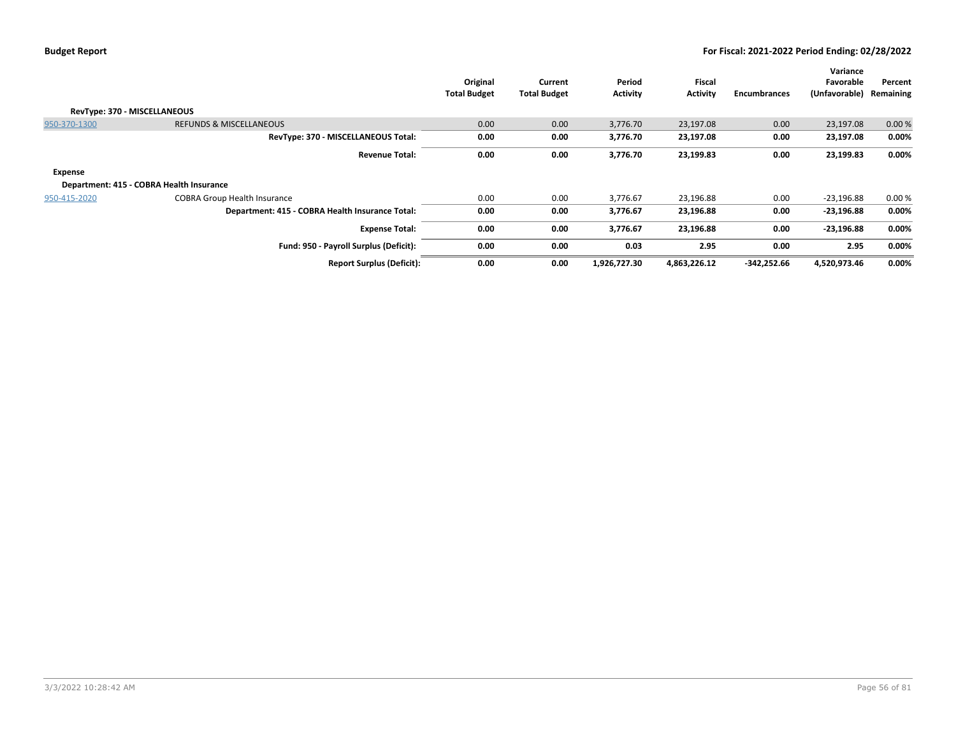|                              |                                                 | Original<br><b>Total Budget</b> | Current<br><b>Total Budget</b> | Period<br><b>Activity</b> | Fiscal<br><b>Activity</b> | <b>Encumbrances</b> | Variance<br>Favorable<br>(Unfavorable) | Percent<br>Remaining |
|------------------------------|-------------------------------------------------|---------------------------------|--------------------------------|---------------------------|---------------------------|---------------------|----------------------------------------|----------------------|
| RevType: 370 - MISCELLANEOUS |                                                 |                                 |                                |                           |                           |                     |                                        |                      |
| 950-370-1300                 | <b>REFUNDS &amp; MISCELLANEOUS</b>              | 0.00                            | 0.00                           | 3,776.70                  | 23,197.08                 | 0.00                | 23,197.08                              | 0.00%                |
|                              | RevType: 370 - MISCELLANEOUS Total:             | 0.00                            | 0.00                           | 3,776.70                  | 23,197.08                 | 0.00                | 23,197.08                              | 0.00%                |
|                              | <b>Revenue Total:</b>                           | 0.00                            | 0.00                           | 3,776.70                  | 23,199.83                 | 0.00                | 23,199.83                              | 0.00%                |
| Expense                      |                                                 |                                 |                                |                           |                           |                     |                                        |                      |
|                              | Department: 415 - COBRA Health Insurance        |                                 |                                |                           |                           |                     |                                        |                      |
| 950-415-2020                 | <b>COBRA Group Health Insurance</b>             | 0.00                            | 0.00                           | 3,776.67                  | 23,196.88                 | 0.00                | $-23,196.88$                           | 0.00%                |
|                              | Department: 415 - COBRA Health Insurance Total: | 0.00                            | 0.00                           | 3,776.67                  | 23,196.88                 | 0.00                | $-23,196.88$                           | 0.00%                |
|                              | <b>Expense Total:</b>                           | 0.00                            | 0.00                           | 3,776.67                  | 23,196.88                 | 0.00                | $-23,196.88$                           | 0.00%                |
|                              | Fund: 950 - Payroll Surplus (Deficit):          | 0.00                            | 0.00                           | 0.03                      | 2.95                      | 0.00                | 2.95                                   | 0.00%                |
|                              | <b>Report Surplus (Deficit):</b>                | 0.00                            | 0.00                           | 1,926,727.30              | 4,863,226.12              | -342,252.66         | 4,520,973.46                           | 0.00%                |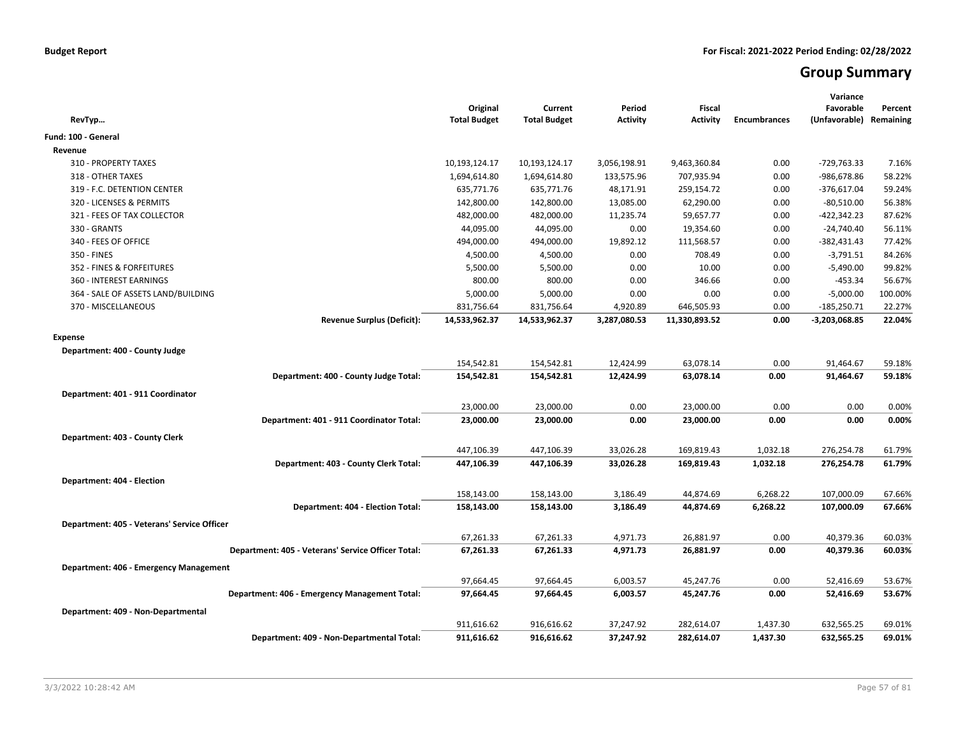# **Group Summary**

| RevTyp                                             | Original<br><b>Total Budget</b> | Current<br><b>Total Budget</b> | Period<br><b>Activity</b> | <b>Fiscal</b><br><b>Activity</b> | <b>Encumbrances</b> | Variance<br>Favorable<br>(Unfavorable) | Percent<br>Remaining |
|----------------------------------------------------|---------------------------------|--------------------------------|---------------------------|----------------------------------|---------------------|----------------------------------------|----------------------|
| Fund: 100 - General                                |                                 |                                |                           |                                  |                     |                                        |                      |
| Revenue                                            |                                 |                                |                           |                                  |                     |                                        |                      |
| 310 - PROPERTY TAXES                               | 10,193,124.17                   | 10,193,124.17                  | 3,056,198.91              | 9,463,360.84                     | 0.00                | $-729,763.33$                          | 7.16%                |
| 318 - OTHER TAXES                                  | 1,694,614.80                    | 1,694,614.80                   | 133,575.96                | 707,935.94                       | 0.00                | -986,678.86                            | 58.22%               |
| 319 - F.C. DETENTION CENTER                        | 635,771.76                      | 635,771.76                     | 48,171.91                 | 259,154.72                       | 0.00                | $-376,617.04$                          | 59.24%               |
| 320 - LICENSES & PERMITS                           | 142,800.00                      | 142,800.00                     | 13,085.00                 | 62,290.00                        | 0.00                | $-80,510.00$                           | 56.38%               |
| 321 - FEES OF TAX COLLECTOR                        | 482,000.00                      | 482,000.00                     | 11,235.74                 | 59,657.77                        | 0.00                | $-422,342.23$                          | 87.62%               |
| 330 - GRANTS                                       | 44,095.00                       | 44,095.00                      | 0.00                      | 19,354.60                        | 0.00                | $-24,740.40$                           | 56.11%               |
| 340 - FEES OF OFFICE                               | 494,000.00                      | 494,000.00                     | 19,892.12                 | 111,568.57                       | 0.00                | $-382,431.43$                          | 77.42%               |
| 350 - FINES                                        | 4,500.00                        | 4,500.00                       | 0.00                      | 708.49                           | 0.00                | $-3,791.51$                            | 84.26%               |
| 352 - FINES & FORFEITURES                          | 5,500.00                        | 5,500.00                       | 0.00                      | 10.00                            | 0.00                | $-5,490.00$                            | 99.82%               |
| 360 - INTEREST EARNINGS                            | 800.00                          | 800.00                         | 0.00                      | 346.66                           | 0.00                | -453.34                                | 56.67%               |
| 364 - SALE OF ASSETS LAND/BUILDING                 | 5,000.00                        | 5,000.00                       | 0.00                      | 0.00                             | 0.00                | $-5,000.00$                            | 100.00%              |
| 370 - MISCELLANEOUS                                | 831,756.64                      | 831,756.64                     | 4,920.89                  | 646,505.93                       | 0.00                | $-185,250.71$                          | 22.27%               |
| <b>Revenue Surplus (Deficit):</b>                  | 14,533,962.37                   | 14,533,962.37                  | 3,287,080.53              | 11,330,893.52                    | 0.00                | -3,203,068.85                          | 22.04%               |
| <b>Expense</b>                                     |                                 |                                |                           |                                  |                     |                                        |                      |
| Department: 400 - County Judge                     |                                 |                                |                           |                                  |                     |                                        |                      |
|                                                    | 154,542.81                      | 154,542.81                     | 12,424.99                 | 63,078.14                        | 0.00                | 91,464.67                              | 59.18%               |
| Department: 400 - County Judge Total:              | 154,542.81                      | 154,542.81                     | 12,424.99                 | 63,078.14                        | 0.00                | 91,464.67                              | 59.18%               |
| Department: 401 - 911 Coordinator                  |                                 |                                |                           |                                  |                     |                                        |                      |
|                                                    | 23,000.00                       | 23,000.00                      | 0.00                      | 23,000.00                        | 0.00                | 0.00                                   | 0.00%                |
| Department: 401 - 911 Coordinator Total:           | 23,000.00                       | 23,000.00                      | 0.00                      | 23,000.00                        | 0.00                | 0.00                                   | 0.00%                |
|                                                    |                                 |                                |                           |                                  |                     |                                        |                      |
| Department: 403 - County Clerk                     |                                 |                                |                           |                                  |                     |                                        |                      |
|                                                    | 447,106.39                      | 447,106.39                     | 33,026.28                 | 169,819.43                       | 1,032.18            | 276,254.78                             | 61.79%               |
| Department: 403 - County Clerk Total:              | 447,106.39                      | 447,106.39                     | 33,026.28                 | 169,819.43                       | 1,032.18            | 276,254.78                             | 61.79%               |
| Department: 404 - Election                         |                                 |                                |                           |                                  |                     |                                        |                      |
|                                                    | 158,143.00                      | 158,143.00                     | 3,186.49                  | 44,874.69                        | 6,268.22            | 107,000.09                             | 67.66%               |
| Department: 404 - Election Total:                  | 158,143.00                      | 158,143.00                     | 3,186.49                  | 44,874.69                        | 6,268.22            | 107,000.09                             | 67.66%               |
| Department: 405 - Veterans' Service Officer        |                                 |                                |                           |                                  |                     |                                        |                      |
|                                                    | 67,261.33                       | 67,261.33                      | 4,971.73                  | 26,881.97                        | 0.00                | 40,379.36                              | 60.03%               |
| Department: 405 - Veterans' Service Officer Total: | 67,261.33                       | 67,261.33                      | 4,971.73                  | 26,881.97                        | 0.00                | 40,379.36                              | 60.03%               |
|                                                    |                                 |                                |                           |                                  |                     |                                        |                      |
| Department: 406 - Emergency Management             | 97,664.45                       | 97,664.45                      | 6,003.57                  | 45,247.76                        | 0.00                | 52,416.69                              | 53.67%               |
| Department: 406 - Emergency Management Total:      | 97,664.45                       | 97,664.45                      | 6,003.57                  | 45,247.76                        | 0.00                | 52,416.69                              | 53.67%               |
|                                                    |                                 |                                |                           |                                  |                     |                                        |                      |
| Department: 409 - Non-Departmental                 |                                 |                                |                           |                                  |                     |                                        |                      |
|                                                    | 911,616.62                      | 916,616.62                     | 37,247.92                 | 282,614.07                       | 1,437.30            | 632,565.25                             | 69.01%               |
| Department: 409 - Non-Departmental Total:          | 911,616.62                      | 916,616.62                     | 37,247.92                 | 282,614.07                       | 1,437.30            | 632,565.25                             | 69.01%               |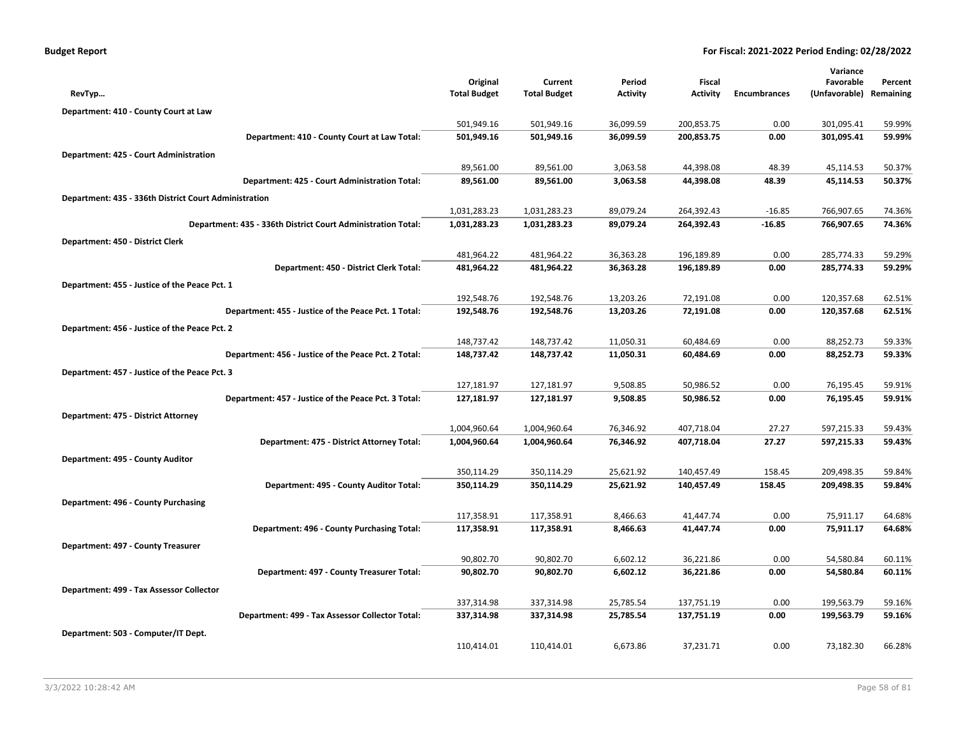|  | <b>Budget Report</b> |
|--|----------------------|
|--|----------------------|

|                                                              |                     |                     |                 |            |                     | Variance      |           |
|--------------------------------------------------------------|---------------------|---------------------|-----------------|------------|---------------------|---------------|-----------|
|                                                              | Original            | Current             | Period          | Fiscal     |                     | Favorable     | Percent   |
| RevTyp                                                       | <b>Total Budget</b> | <b>Total Budget</b> | <b>Activity</b> | Activity   | <b>Encumbrances</b> | (Unfavorable) | Remaining |
| Department: 410 - County Court at Law                        |                     |                     |                 |            |                     |               |           |
|                                                              | 501,949.16          | 501,949.16          | 36,099.59       | 200,853.75 | 0.00                | 301,095.41    | 59.99%    |
| Department: 410 - County Court at Law Total:                 | 501,949.16          | 501,949.16          | 36,099.59       | 200,853.75 | 0.00                | 301,095.41    | 59.99%    |
| Department: 425 - Court Administration                       |                     |                     |                 |            |                     |               |           |
|                                                              | 89,561.00           | 89,561.00           | 3,063.58        | 44,398.08  | 48.39               | 45,114.53     | 50.37%    |
| Department: 425 - Court Administration Total:                | 89,561.00           | 89,561.00           | 3,063.58        | 44,398.08  | 48.39               | 45,114.53     | 50.37%    |
| Department: 435 - 336th District Court Administration        |                     |                     |                 |            |                     |               |           |
|                                                              | 1,031,283.23        | 1,031,283.23        | 89,079.24       | 264,392.43 | $-16.85$            | 766,907.65    | 74.36%    |
| Department: 435 - 336th District Court Administration Total: | 1,031,283.23        | 1,031,283.23        | 89,079.24       | 264,392.43 | $-16.85$            | 766,907.65    | 74.36%    |
| Department: 450 - District Clerk                             |                     |                     |                 |            |                     |               |           |
|                                                              | 481,964.22          | 481,964.22          | 36,363.28       | 196,189.89 | 0.00                | 285,774.33    | 59.29%    |
| Department: 450 - District Clerk Total:                      | 481,964.22          | 481,964.22          | 36,363.28       | 196,189.89 | 0.00                | 285,774.33    | 59.29%    |
| Department: 455 - Justice of the Peace Pct. 1                |                     |                     |                 |            |                     |               |           |
|                                                              | 192,548.76          | 192,548.76          | 13,203.26       | 72,191.08  | 0.00                | 120,357.68    | 62.51%    |
| Department: 455 - Justice of the Peace Pct. 1 Total:         | 192,548.76          | 192,548.76          | 13,203.26       | 72,191.08  | 0.00                | 120,357.68    | 62.51%    |
| Department: 456 - Justice of the Peace Pct. 2                |                     |                     |                 |            |                     |               |           |
|                                                              | 148,737.42          | 148,737.42          | 11,050.31       | 60,484.69  | 0.00                | 88,252.73     | 59.33%    |
| Department: 456 - Justice of the Peace Pct. 2 Total:         | 148,737.42          | 148,737.42          | 11,050.31       | 60,484.69  | 0.00                | 88,252.73     | 59.33%    |
| Department: 457 - Justice of the Peace Pct. 3                |                     |                     |                 |            |                     |               |           |
|                                                              | 127,181.97          | 127,181.97          | 9,508.85        | 50,986.52  | 0.00                | 76,195.45     | 59.91%    |
| Department: 457 - Justice of the Peace Pct. 3 Total:         | 127,181.97          | 127,181.97          | 9,508.85        | 50,986.52  | 0.00                | 76,195.45     | 59.91%    |
| Department: 475 - District Attorney                          |                     |                     |                 |            |                     |               |           |
|                                                              | 1,004,960.64        | 1,004,960.64        | 76,346.92       | 407,718.04 | 27.27               | 597,215.33    | 59.43%    |
| Department: 475 - District Attorney Total:                   | 1,004,960.64        | 1,004,960.64        | 76,346.92       | 407,718.04 | 27.27               | 597,215.33    | 59.43%    |
| Department: 495 - County Auditor                             |                     |                     |                 |            |                     |               |           |
|                                                              | 350,114.29          | 350,114.29          | 25,621.92       | 140,457.49 | 158.45              | 209,498.35    | 59.84%    |
| Department: 495 - County Auditor Total:                      | 350,114.29          | 350,114.29          | 25,621.92       | 140,457.49 | 158.45              | 209,498.35    | 59.84%    |
| Department: 496 - County Purchasing                          |                     |                     |                 |            |                     |               |           |
|                                                              | 117,358.91          | 117,358.91          | 8,466.63        | 41,447.74  | 0.00                | 75,911.17     | 64.68%    |
| Department: 496 - County Purchasing Total:                   | 117,358.91          | 117,358.91          | 8,466.63        | 41,447.74  | 0.00                | 75,911.17     | 64.68%    |
| Department: 497 - County Treasurer                           |                     |                     |                 |            |                     |               |           |
|                                                              | 90,802.70           | 90,802.70           | 6,602.12        | 36,221.86  | 0.00                | 54,580.84     | 60.11%    |
| Department: 497 - County Treasurer Total:                    | 90,802.70           | 90,802.70           | 6,602.12        | 36,221.86  | 0.00                | 54,580.84     | 60.11%    |
| Department: 499 - Tax Assessor Collector                     |                     |                     |                 |            |                     |               |           |
|                                                              | 337,314.98          | 337,314.98          | 25,785.54       | 137,751.19 | 0.00                | 199,563.79    | 59.16%    |
| Department: 499 - Tax Assessor Collector Total:              | 337,314.98          | 337,314.98          | 25,785.54       | 137,751.19 | 0.00                | 199,563.79    | 59.16%    |
| Department: 503 - Computer/IT Dept.                          |                     |                     |                 |            |                     |               |           |
|                                                              | 110,414.01          | 110,414.01          | 6,673.86        | 37,231.71  | 0.00                | 73,182.30     | 66.28%    |
|                                                              |                     |                     |                 |            |                     |               |           |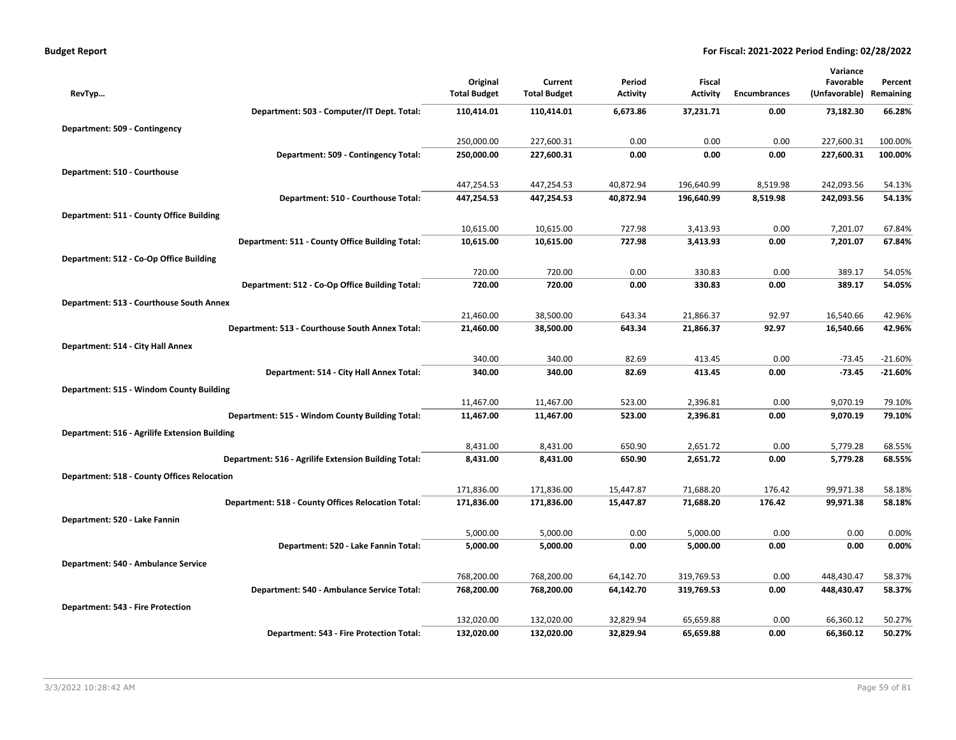| <b>Budget Report</b> |  |
|----------------------|--|
|----------------------|--|

|                                                      |                                 |                                |                           |                           |                     | Variance                   |                      |
|------------------------------------------------------|---------------------------------|--------------------------------|---------------------------|---------------------------|---------------------|----------------------------|----------------------|
| RevTyp                                               | Original<br><b>Total Budget</b> | Current<br><b>Total Budget</b> | Period<br><b>Activity</b> | Fiscal<br><b>Activity</b> | <b>Encumbrances</b> | Favorable<br>(Unfavorable) | Percent<br>Remaining |
| Department: 503 - Computer/IT Dept. Total:           | 110,414.01                      | 110,414.01                     | 6,673.86                  | 37,231.71                 | 0.00                | 73,182.30                  | 66.28%               |
| Department: 509 - Contingency                        |                                 |                                |                           |                           |                     |                            |                      |
|                                                      | 250,000.00                      | 227,600.31                     | 0.00                      | 0.00                      | 0.00                | 227,600.31                 | 100.00%              |
| Department: 509 - Contingency Total:                 | 250,000.00                      | 227,600.31                     | 0.00                      | 0.00                      | 0.00                | 227,600.31                 | 100.00%              |
| Department: 510 - Courthouse                         |                                 |                                |                           |                           |                     |                            |                      |
|                                                      | 447,254.53                      | 447,254.53                     | 40,872.94                 | 196,640.99                | 8,519.98            | 242,093.56                 | 54.13%               |
| Department: 510 - Courthouse Total:                  | 447,254.53                      | 447,254.53                     | 40,872.94                 | 196,640.99                | 8,519.98            | 242,093.56                 | 54.13%               |
| Department: 511 - County Office Building             |                                 |                                |                           |                           |                     |                            |                      |
|                                                      | 10,615.00                       | 10,615.00                      | 727.98                    | 3,413.93                  | 0.00                | 7,201.07                   | 67.84%               |
| Department: 511 - County Office Building Total:      | 10,615.00                       | 10,615.00                      | 727.98                    | 3,413.93                  | 0.00                | 7,201.07                   | 67.84%               |
| Department: 512 - Co-Op Office Building              |                                 |                                |                           |                           |                     |                            |                      |
|                                                      | 720.00                          | 720.00                         | 0.00                      | 330.83                    | 0.00                | 389.17                     | 54.05%               |
| Department: 512 - Co-Op Office Building Total:       | 720.00                          | 720.00                         | 0.00                      | 330.83                    | 0.00                | 389.17                     | 54.05%               |
| Department: 513 - Courthouse South Annex             |                                 |                                |                           |                           |                     |                            |                      |
|                                                      | 21,460.00                       | 38,500.00                      | 643.34                    | 21,866.37                 | 92.97               | 16,540.66                  | 42.96%               |
| Department: 513 - Courthouse South Annex Total:      | 21,460.00                       | 38,500.00                      | 643.34                    | 21,866.37                 | 92.97               | 16,540.66                  | 42.96%               |
| Department: 514 - City Hall Annex                    |                                 |                                |                           |                           |                     |                            |                      |
|                                                      | 340.00                          | 340.00                         | 82.69                     | 413.45                    | 0.00                | $-73.45$                   | $-21.60%$            |
| Department: 514 - City Hall Annex Total:             | 340.00                          | 340.00                         | 82.69                     | 413.45                    | 0.00                | $-73.45$                   | $-21.60%$            |
| Department: 515 - Windom County Building             |                                 |                                |                           |                           |                     |                            |                      |
|                                                      | 11,467.00                       | 11,467.00                      | 523.00                    | 2,396.81                  | 0.00                | 9,070.19                   | 79.10%               |
| Department: 515 - Windom County Building Total:      | 11,467.00                       | 11,467.00                      | 523.00                    | 2,396.81                  | 0.00                | 9,070.19                   | 79.10%               |
| Department: 516 - Agrilife Extension Building        |                                 |                                |                           |                           |                     |                            |                      |
|                                                      | 8,431.00                        | 8,431.00                       | 650.90                    | 2,651.72                  | 0.00                | 5,779.28                   | 68.55%               |
| Department: 516 - Agrilife Extension Building Total: | 8,431.00                        | 8,431.00                       | 650.90                    | 2,651.72                  | 0.00                | 5,779.28                   | 68.55%               |
| <b>Department: 518 - County Offices Relocation</b>   |                                 |                                |                           |                           |                     |                            |                      |
|                                                      | 171,836.00                      | 171,836.00                     | 15,447.87                 | 71,688.20                 | 176.42              | 99,971.38                  | 58.18%               |
| Department: 518 - County Offices Relocation Total:   | 171,836.00                      | 171,836.00                     | 15,447.87                 | 71,688.20                 | 176.42              | 99,971.38                  | 58.18%               |
| Department: 520 - Lake Fannin                        |                                 |                                |                           |                           |                     |                            |                      |
| Department: 520 - Lake Fannin Total:                 | 5,000.00<br>5,000.00            | 5,000.00<br>5,000.00           | 0.00<br>0.00              | 5,000.00<br>5,000.00      | 0.00<br>0.00        | 0.00<br>0.00               | 0.00%<br>0.00%       |
|                                                      |                                 |                                |                           |                           |                     |                            |                      |
| Department: 540 - Ambulance Service                  |                                 |                                |                           |                           |                     |                            |                      |
| Department: 540 - Ambulance Service Total:           | 768,200.00<br>768,200.00        | 768,200.00<br>768,200.00       | 64,142.70<br>64,142.70    | 319,769.53<br>319,769.53  | 0.00<br>0.00        | 448,430.47<br>448,430.47   | 58.37%<br>58.37%     |
|                                                      |                                 |                                |                           |                           |                     |                            |                      |
| Department: 543 - Fire Protection                    | 132,020.00                      | 132,020.00                     | 32,829.94                 | 65,659.88                 | 0.00                | 66,360.12                  | 50.27%               |
| Department: 543 - Fire Protection Total:             | 132,020.00                      | 132,020.00                     | 32,829.94                 | 65,659.88                 | 0.00                | 66,360.12                  | 50.27%               |
|                                                      |                                 |                                |                           |                           |                     |                            |                      |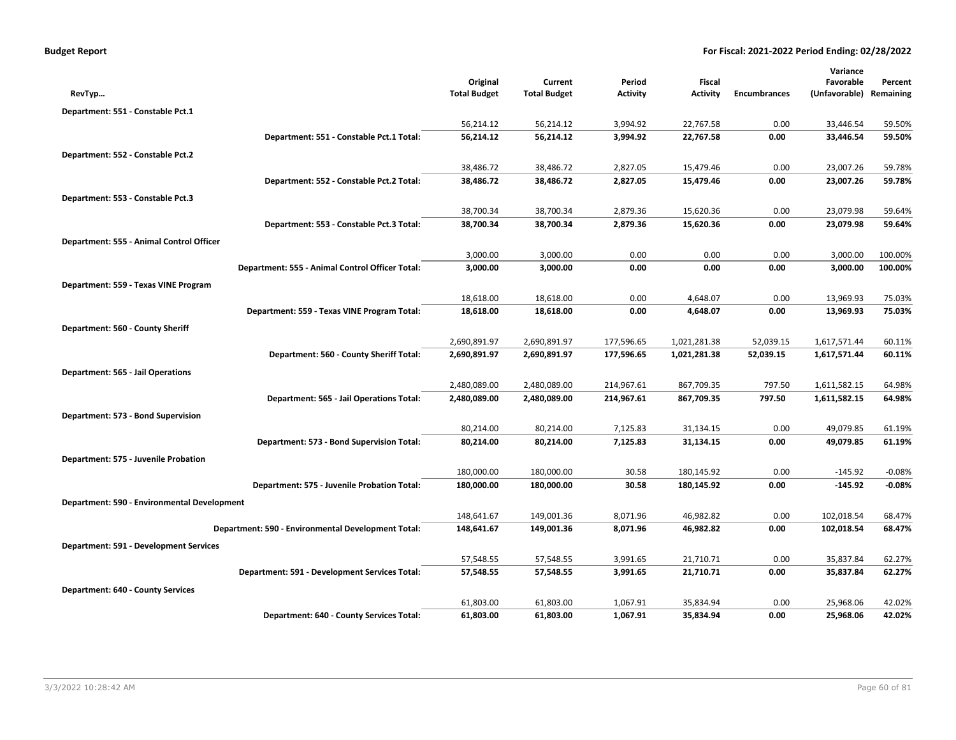| <b>Budget Report</b> |  |  |  |  |
|----------------------|--|--|--|--|
|----------------------|--|--|--|--|

|                                             |                                                    |                                 |                                |                           |                                  |                     | Variance                   |                      |
|---------------------------------------------|----------------------------------------------------|---------------------------------|--------------------------------|---------------------------|----------------------------------|---------------------|----------------------------|----------------------|
| RevTyp                                      |                                                    | Original<br><b>Total Budget</b> | Current<br><b>Total Budget</b> | Period<br><b>Activity</b> | <b>Fiscal</b><br><b>Activity</b> | <b>Encumbrances</b> | Favorable<br>(Unfavorable) | Percent<br>Remaining |
|                                             |                                                    |                                 |                                |                           |                                  |                     |                            |                      |
| Department: 551 - Constable Pct.1           |                                                    |                                 |                                |                           |                                  |                     |                            |                      |
|                                             | Department: 551 - Constable Pct.1 Total:           | 56,214.12<br>56,214.12          | 56,214.12<br>56,214.12         | 3,994.92<br>3,994.92      | 22,767.58<br>22,767.58           | 0.00<br>0.00        | 33,446.54<br>33,446.54     | 59.50%<br>59.50%     |
|                                             |                                                    |                                 |                                |                           |                                  |                     |                            |                      |
| Department: 552 - Constable Pct.2           |                                                    |                                 |                                |                           |                                  |                     |                            |                      |
|                                             | Department: 552 - Constable Pct.2 Total:           | 38,486.72<br>38,486.72          | 38,486.72<br>38,486.72         | 2,827.05<br>2,827.05      | 15,479.46<br>15,479.46           | 0.00<br>0.00        | 23,007.26<br>23,007.26     | 59.78%<br>59.78%     |
|                                             |                                                    |                                 |                                |                           |                                  |                     |                            |                      |
| Department: 553 - Constable Pct.3           |                                                    |                                 |                                |                           |                                  |                     |                            |                      |
|                                             |                                                    | 38,700.34                       | 38,700.34                      | 2,879.36<br>2,879.36      | 15,620.36<br>15,620.36           | 0.00                | 23,079.98<br>23,079.98     | 59.64%<br>59.64%     |
|                                             | Department: 553 - Constable Pct.3 Total:           | 38,700.34                       | 38,700.34                      |                           |                                  | 0.00                |                            |                      |
| Department: 555 - Animal Control Officer    |                                                    |                                 |                                |                           |                                  |                     |                            |                      |
|                                             |                                                    | 3,000.00                        | 3,000.00                       | 0.00<br>0.00              | 0.00<br>0.00                     | 0.00<br>0.00        | 3,000.00                   | 100.00%<br>100.00%   |
|                                             | Department: 555 - Animal Control Officer Total:    | 3,000.00                        | 3,000.00                       |                           |                                  |                     | 3,000.00                   |                      |
| Department: 559 - Texas VINE Program        |                                                    |                                 |                                |                           |                                  |                     |                            |                      |
|                                             |                                                    | 18,618.00                       | 18,618.00                      | 0.00<br>0.00              | 4,648.07                         | 0.00<br>0.00        | 13,969.93<br>13,969.93     | 75.03%<br>75.03%     |
|                                             | Department: 559 - Texas VINE Program Total:        | 18,618.00                       | 18,618.00                      |                           | 4,648.07                         |                     |                            |                      |
| Department: 560 - County Sheriff            |                                                    |                                 |                                |                           |                                  |                     |                            |                      |
|                                             |                                                    | 2,690,891.97                    | 2,690,891.97                   | 177,596.65                | 1,021,281.38                     | 52,039.15           | 1,617,571.44               | 60.11%               |
|                                             | Department: 560 - County Sheriff Total:            | 2,690,891.97                    | 2,690,891.97                   | 177,596.65                | 1,021,281.38                     | 52,039.15           | 1,617,571.44               | 60.11%               |
| <b>Department: 565 - Jail Operations</b>    |                                                    |                                 |                                |                           |                                  |                     |                            |                      |
|                                             |                                                    | 2,480,089.00                    | 2,480,089.00                   | 214,967.61                | 867,709.35                       | 797.50              | 1,611,582.15               | 64.98%               |
|                                             | Department: 565 - Jail Operations Total:           | 2,480,089.00                    | 2,480,089.00                   | 214,967.61                | 867,709.35                       | 797.50              | 1,611,582.15               | 64.98%               |
| Department: 573 - Bond Supervision          |                                                    |                                 |                                |                           |                                  |                     |                            |                      |
|                                             |                                                    | 80,214.00                       | 80,214.00                      | 7,125.83                  | 31,134.15                        | 0.00                | 49,079.85                  | 61.19%               |
|                                             | Department: 573 - Bond Supervision Total:          | 80,214.00                       | 80,214.00                      | 7,125.83                  | 31,134.15                        | 0.00                | 49,079.85                  | 61.19%               |
| Department: 575 - Juvenile Probation        |                                                    |                                 |                                |                           |                                  |                     |                            |                      |
|                                             |                                                    | 180,000.00                      | 180,000.00                     | 30.58                     | 180,145.92                       | 0.00                | $-145.92$                  | $-0.08%$             |
|                                             | Department: 575 - Juvenile Probation Total:        | 180,000.00                      | 180,000.00                     | 30.58                     | 180,145.92                       | 0.00                | $-145.92$                  | $-0.08%$             |
| Department: 590 - Environmental Development |                                                    |                                 |                                |                           |                                  |                     |                            |                      |
|                                             |                                                    | 148,641.67                      | 149,001.36                     | 8,071.96                  | 46,982.82                        | 0.00                | 102,018.54                 | 68.47%               |
|                                             | Department: 590 - Environmental Development Total: | 148,641.67                      | 149,001.36                     | 8,071.96                  | 46,982.82                        | 0.00                | 102,018.54                 | 68.47%               |
| Department: 591 - Development Services      |                                                    |                                 |                                |                           |                                  |                     |                            |                      |
|                                             |                                                    | 57,548.55                       | 57,548.55                      | 3,991.65                  | 21,710.71                        | 0.00                | 35,837.84                  | 62.27%               |
|                                             | Department: 591 - Development Services Total:      | 57,548.55                       | 57,548.55                      | 3,991.65                  | 21,710.71                        | 0.00                | 35,837.84                  | 62.27%               |
| Department: 640 - County Services           |                                                    |                                 |                                |                           |                                  |                     |                            |                      |
|                                             |                                                    | 61,803.00                       | 61,803.00                      | 1,067.91                  | 35,834.94                        | 0.00                | 25,968.06                  | 42.02%               |
|                                             | Department: 640 - County Services Total:           | 61,803.00                       | 61,803.00                      | 1,067.91                  | 35,834.94                        | 0.00                | 25,968.06                  | 42.02%               |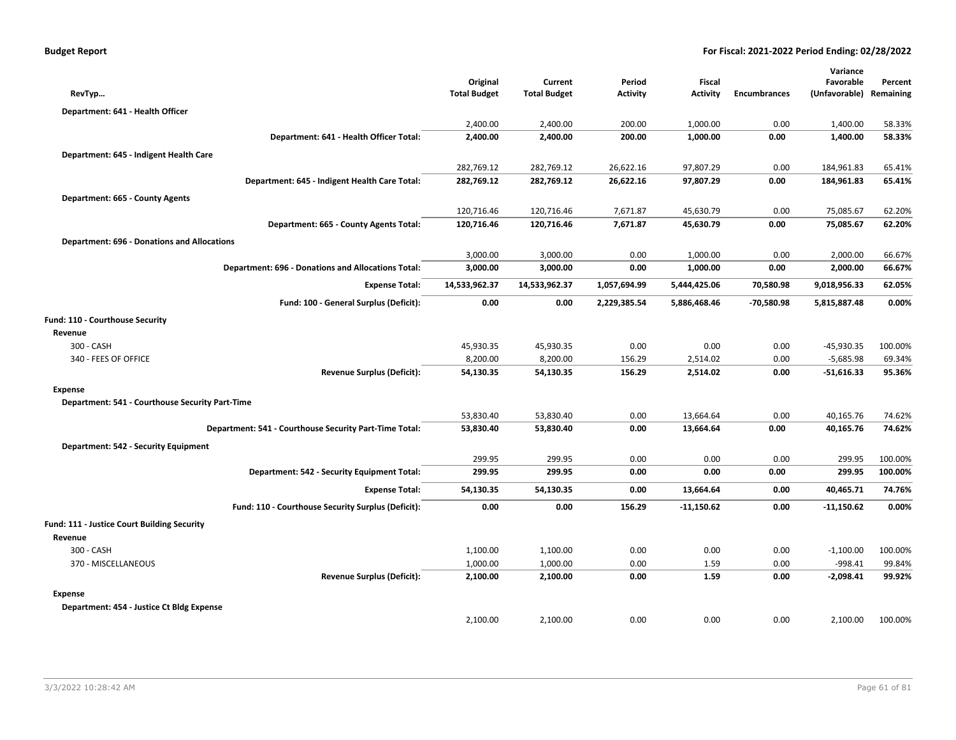| RevTyp                                             |                                                           | Original<br><b>Total Budget</b> | Current<br><b>Total Budget</b> | Period<br><b>Activity</b> | Fiscal<br><b>Activity</b> | <b>Encumbrances</b> | Variance<br>Favorable<br>(Unfavorable) | Percent<br>Remaining |
|----------------------------------------------------|-----------------------------------------------------------|---------------------------------|--------------------------------|---------------------------|---------------------------|---------------------|----------------------------------------|----------------------|
| Department: 641 - Health Officer                   |                                                           |                                 |                                |                           |                           |                     |                                        |                      |
|                                                    |                                                           | 2,400.00                        | 2,400.00                       | 200.00                    | 1,000.00                  | 0.00                | 1,400.00                               | 58.33%               |
|                                                    | Department: 641 - Health Officer Total:                   | 2,400.00                        | 2,400.00                       | 200.00                    | 1,000.00                  | 0.00                | 1,400.00                               | 58.33%               |
| Department: 645 - Indigent Health Care             |                                                           |                                 |                                |                           |                           |                     |                                        |                      |
|                                                    |                                                           | 282,769.12                      | 282,769.12                     | 26,622.16                 | 97,807.29                 | 0.00                | 184,961.83                             | 65.41%               |
|                                                    | Department: 645 - Indigent Health Care Total:             | 282,769.12                      | 282,769.12                     | 26,622.16                 | 97,807.29                 | 0.00                | 184,961.83                             | 65.41%               |
| Department: 665 - County Agents                    |                                                           |                                 |                                |                           |                           |                     |                                        |                      |
|                                                    |                                                           | 120,716.46                      | 120,716.46                     | 7,671.87                  | 45,630.79                 | 0.00                | 75,085.67                              | 62.20%               |
|                                                    | Department: 665 - County Agents Total:                    | 120,716.46                      | 120,716.46                     | 7,671.87                  | 45,630.79                 | 0.00                | 75,085.67                              | 62.20%               |
| <b>Department: 696 - Donations and Allocations</b> |                                                           |                                 |                                |                           |                           |                     |                                        |                      |
|                                                    |                                                           | 3,000.00                        | 3,000.00                       | 0.00                      | 1,000.00                  | 0.00                | 2,000.00                               | 66.67%               |
|                                                    | <b>Department: 696 - Donations and Allocations Total:</b> | 3,000.00                        | 3,000.00                       | 0.00                      | 1,000.00                  | 0.00                | 2,000.00                               | 66.67%               |
|                                                    | <b>Expense Total:</b>                                     | 14,533,962.37                   | 14,533,962.37                  | 1,057,694.99              | 5,444,425.06              | 70,580.98           | 9,018,956.33                           | 62.05%               |
|                                                    | Fund: 100 - General Surplus (Deficit):                    | 0.00                            | 0.00                           | 2,229,385.54              | 5,886,468.46              | -70,580.98          | 5,815,887.48                           | 0.00%                |
| Fund: 110 - Courthouse Security                    |                                                           |                                 |                                |                           |                           |                     |                                        |                      |
| Revenue                                            |                                                           |                                 |                                |                           |                           |                     |                                        |                      |
| 300 - CASH                                         |                                                           | 45,930.35                       | 45,930.35                      | 0.00                      | 0.00                      | 0.00                | $-45,930.35$                           | 100.00%              |
| 340 - FEES OF OFFICE                               |                                                           | 8,200.00                        | 8,200.00                       | 156.29                    | 2,514.02                  | 0.00                | $-5,685.98$                            | 69.34%               |
|                                                    | <b>Revenue Surplus (Deficit):</b>                         | 54,130.35                       | 54,130.35                      | 156.29                    | 2,514.02                  | 0.00                | $-51,616.33$                           | 95.36%               |
| <b>Expense</b>                                     |                                                           |                                 |                                |                           |                           |                     |                                        |                      |
| Department: 541 - Courthouse Security Part-Time    |                                                           |                                 |                                |                           |                           |                     |                                        |                      |
|                                                    |                                                           | 53,830.40                       | 53,830.40                      | 0.00                      | 13,664.64                 | 0.00                | 40,165.76                              | 74.62%               |
|                                                    | Department: 541 - Courthouse Security Part-Time Total:    | 53,830.40                       | 53,830.40                      | 0.00                      | 13,664.64                 | 0.00                | 40,165.76                              | 74.62%               |
| Department: 542 - Security Equipment               |                                                           |                                 |                                |                           |                           |                     |                                        |                      |
|                                                    |                                                           | 299.95                          | 299.95                         | 0.00                      | 0.00                      | 0.00                | 299.95                                 | 100.00%              |
|                                                    | Department: 542 - Security Equipment Total:               | 299.95                          | 299.95                         | 0.00                      | 0.00                      | 0.00                | 299.95                                 | 100.00%              |
|                                                    | <b>Expense Total:</b>                                     | 54,130.35                       | 54,130.35                      | 0.00                      | 13,664.64                 | 0.00                | 40,465.71                              | 74.76%               |
|                                                    | Fund: 110 - Courthouse Security Surplus (Deficit):        | 0.00                            | 0.00                           | 156.29                    | $-11,150.62$              | 0.00                | $-11,150.62$                           | 0.00%                |
| Fund: 111 - Justice Court Building Security        |                                                           |                                 |                                |                           |                           |                     |                                        |                      |
| Revenue                                            |                                                           |                                 |                                |                           |                           |                     |                                        |                      |
| 300 - CASH                                         |                                                           | 1,100.00                        | 1,100.00                       | 0.00                      | 0.00                      | 0.00                | $-1,100.00$                            | 100.00%              |
| 370 - MISCELLANEOUS                                |                                                           | 1,000.00                        | 1,000.00                       | 0.00                      | 1.59                      | 0.00                | $-998.41$                              | 99.84%               |
|                                                    | <b>Revenue Surplus (Deficit):</b>                         | 2,100.00                        | 2,100.00                       | 0.00                      | 1.59                      | 0.00                | $-2,098.41$                            | 99.92%               |
| <b>Expense</b>                                     |                                                           |                                 |                                |                           |                           |                     |                                        |                      |
| Department: 454 - Justice Ct Bldg Expense          |                                                           |                                 |                                |                           |                           |                     |                                        |                      |
|                                                    |                                                           | 2,100.00                        | 2,100.00                       | 0.00                      | 0.00                      | 0.00                | 2,100.00                               | 100.00%              |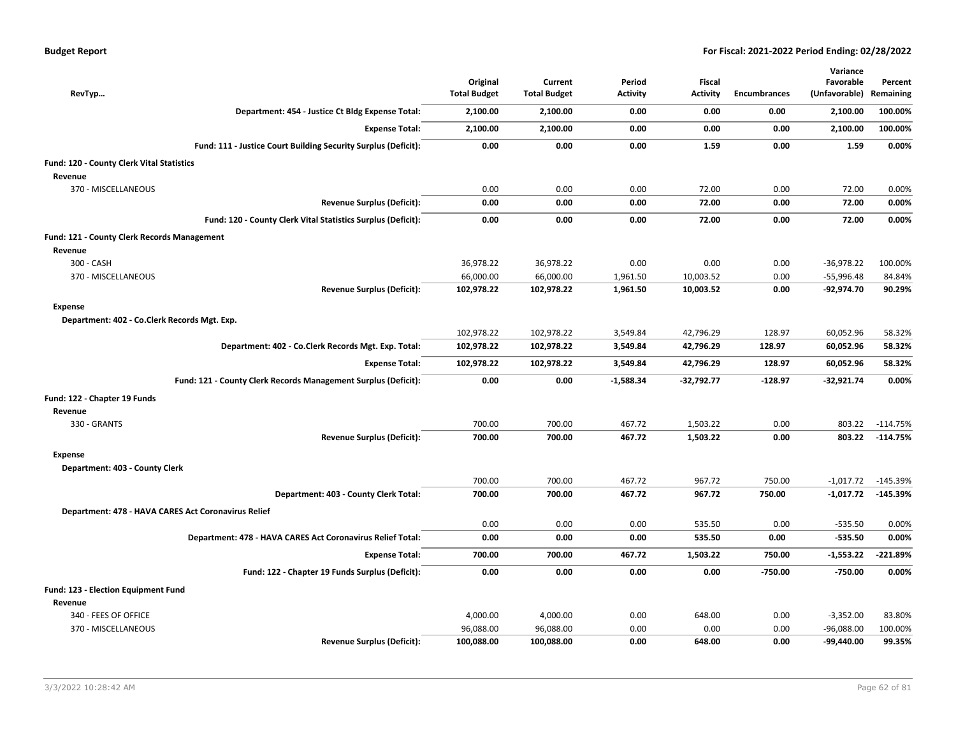| <b>Budget Report</b> |  |  |  |  |
|----------------------|--|--|--|--|
|----------------------|--|--|--|--|

| RevTyp                                                         |                                       | Original<br><b>Total Budget</b> | Current<br><b>Total Budget</b> | Period<br><b>Activity</b> | <b>Fiscal</b><br><b>Activity</b> | <b>Encumbrances</b> | Variance<br>Favorable<br>(Unfavorable) | Percent<br>Remaining |
|----------------------------------------------------------------|---------------------------------------|---------------------------------|--------------------------------|---------------------------|----------------------------------|---------------------|----------------------------------------|----------------------|
| Department: 454 - Justice Ct Bldg Expense Total:               |                                       | 2,100.00                        | 2,100.00                       | 0.00                      | 0.00                             | 0.00                | 2,100.00                               | 100.00%              |
|                                                                | <b>Expense Total:</b>                 | 2,100.00                        | 2,100.00                       | 0.00                      | 0.00                             | 0.00                | 2,100.00                               | 100.00%              |
| Fund: 111 - Justice Court Building Security Surplus (Deficit): |                                       | 0.00                            | 0.00                           | 0.00                      | 1.59                             | 0.00                | 1.59                                   | 0.00%                |
| Fund: 120 - County Clerk Vital Statistics                      |                                       |                                 |                                |                           |                                  |                     |                                        |                      |
| Revenue                                                        |                                       |                                 |                                |                           |                                  |                     |                                        |                      |
| 370 - MISCELLANEOUS                                            |                                       | 0.00                            | 0.00                           | 0.00                      | 72.00                            | 0.00                | 72.00                                  | 0.00%                |
|                                                                | <b>Revenue Surplus (Deficit):</b>     | 0.00                            | 0.00                           | 0.00                      | 72.00                            | 0.00                | 72.00                                  | 0.00%                |
| Fund: 120 - County Clerk Vital Statistics Surplus (Deficit):   |                                       | 0.00                            | 0.00                           | 0.00                      | 72.00                            | 0.00                | 72.00                                  | 0.00%                |
| Fund: 121 - County Clerk Records Management                    |                                       |                                 |                                |                           |                                  |                     |                                        |                      |
| Revenue                                                        |                                       |                                 |                                |                           |                                  |                     |                                        |                      |
| 300 - CASH                                                     |                                       | 36,978.22                       | 36,978.22                      | 0.00                      | 0.00                             | 0.00                | $-36,978.22$                           | 100.00%              |
| 370 - MISCELLANEOUS                                            |                                       | 66,000.00                       | 66,000.00                      | 1,961.50                  | 10,003.52                        | 0.00                | $-55,996.48$                           | 84.84%               |
|                                                                | <b>Revenue Surplus (Deficit):</b>     | 102,978.22                      | 102,978.22                     | 1,961.50                  | 10,003.52                        | 0.00                | -92,974.70                             | 90.29%               |
| <b>Expense</b>                                                 |                                       |                                 |                                |                           |                                  |                     |                                        |                      |
| Department: 402 - Co.Clerk Records Mgt. Exp.                   |                                       |                                 |                                |                           |                                  |                     |                                        |                      |
|                                                                |                                       | 102,978.22                      | 102,978.22                     | 3,549.84                  | 42,796.29                        | 128.97              | 60,052.96                              | 58.32%               |
| Department: 402 - Co.Clerk Records Mgt. Exp. Total:            |                                       | 102,978.22                      | 102,978.22                     | 3,549.84                  | 42,796.29                        | 128.97              | 60,052.96                              | 58.32%               |
|                                                                | <b>Expense Total:</b>                 | 102,978.22                      | 102,978.22                     | 3,549.84                  | 42,796.29                        | 128.97              | 60,052.96                              | 58.32%               |
| Fund: 121 - County Clerk Records Management Surplus (Deficit): |                                       | 0.00                            | 0.00                           | $-1,588.34$               | $-32,792.77$                     | $-128.97$           | $-32,921.74$                           | 0.00%                |
| Fund: 122 - Chapter 19 Funds                                   |                                       |                                 |                                |                           |                                  |                     |                                        |                      |
| Revenue                                                        |                                       |                                 |                                |                           |                                  |                     |                                        |                      |
| 330 - GRANTS                                                   |                                       | 700.00                          | 700.00                         | 467.72                    | 1,503.22                         | 0.00                | 803.22                                 | $-114.75%$           |
|                                                                | <b>Revenue Surplus (Deficit):</b>     | 700.00                          | 700.00                         | 467.72                    | 1,503.22                         | 0.00                | 803.22                                 | $-114.75%$           |
| <b>Expense</b>                                                 |                                       |                                 |                                |                           |                                  |                     |                                        |                      |
| Department: 403 - County Clerk                                 |                                       |                                 |                                |                           |                                  |                     |                                        |                      |
|                                                                |                                       | 700.00                          | 700.00                         | 467.72                    | 967.72                           | 750.00              | $-1,017.72$                            | $-145.39%$           |
|                                                                | Department: 403 - County Clerk Total: | 700.00                          | 700.00                         | 467.72                    | 967.72                           | 750.00              | $-1,017.72$                            | $-145.39%$           |
| Department: 478 - HAVA CARES Act Coronavirus Relief            |                                       |                                 |                                |                           |                                  |                     |                                        |                      |
|                                                                |                                       | 0.00                            | 0.00                           | 0.00                      | 535.50                           | 0.00                | $-535.50$                              | 0.00%                |
| Department: 478 - HAVA CARES Act Coronavirus Relief Total:     |                                       | 0.00                            | 0.00                           | 0.00                      | 535.50                           | 0.00                | $-535.50$                              | 0.00%                |
|                                                                | <b>Expense Total:</b>                 | 700.00                          | 700.00                         | 467.72                    | 1,503.22                         | 750.00              | $-1,553.22$                            | $-221.89%$           |
| Fund: 122 - Chapter 19 Funds Surplus (Deficit):                |                                       | 0.00                            | 0.00                           | 0.00                      | 0.00                             | $-750.00$           | $-750.00$                              | 0.00%                |
|                                                                |                                       |                                 |                                |                           |                                  |                     |                                        |                      |
| Fund: 123 - Election Equipment Fund<br>Revenue                 |                                       |                                 |                                |                           |                                  |                     |                                        |                      |
| 340 - FEES OF OFFICE                                           |                                       | 4,000.00                        | 4,000.00                       | 0.00                      | 648.00                           | 0.00                | $-3,352.00$                            | 83.80%               |
| 370 - MISCELLANEOUS                                            |                                       | 96,088.00                       | 96,088.00                      | 0.00                      | 0.00                             | 0.00                | $-96,088.00$                           | 100.00%              |
|                                                                | <b>Revenue Surplus (Deficit):</b>     | 100,088.00                      | 100,088.00                     | 0.00                      | 648.00                           | 0.00                | -99,440.00                             | 99.35%               |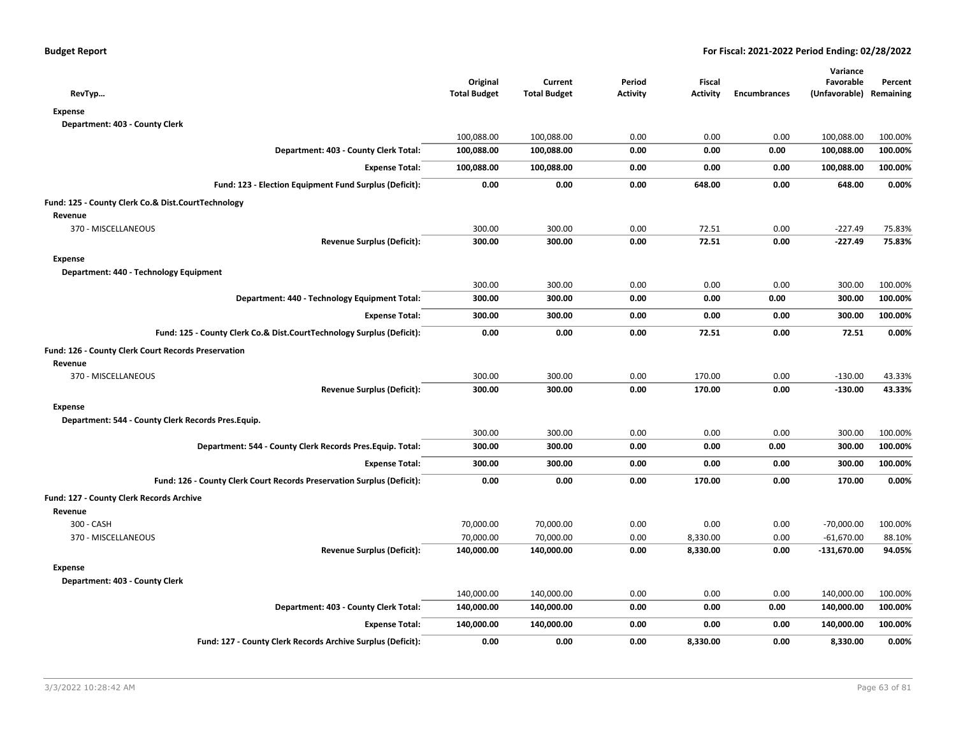| RevTyp                                                                 | Original<br><b>Total Budget</b> | Current<br><b>Total Budget</b> | Period<br><b>Activity</b> | <b>Fiscal</b><br><b>Activity</b> | Encumbrances | Variance<br>Favorable<br>(Unfavorable) Remaining | Percent |
|------------------------------------------------------------------------|---------------------------------|--------------------------------|---------------------------|----------------------------------|--------------|--------------------------------------------------|---------|
| <b>Expense</b>                                                         |                                 |                                |                           |                                  |              |                                                  |         |
| Department: 403 - County Clerk                                         |                                 |                                |                           |                                  |              |                                                  |         |
|                                                                        | 100,088.00                      | 100,088.00                     | 0.00                      | 0.00                             | 0.00         | 100,088.00                                       | 100.00% |
| Department: 403 - County Clerk Total:                                  | 100,088.00                      | 100,088.00                     | 0.00                      | 0.00                             | 0.00         | 100,088.00                                       | 100.00% |
| <b>Expense Total:</b>                                                  | 100,088.00                      | 100,088.00                     | 0.00                      | 0.00                             | 0.00         | 100,088.00                                       | 100.00% |
| Fund: 123 - Election Equipment Fund Surplus (Deficit):                 | 0.00                            | 0.00                           | 0.00                      | 648.00                           | 0.00         | 648.00                                           | 0.00%   |
| Fund: 125 - County Clerk Co.& Dist.CourtTechnology                     |                                 |                                |                           |                                  |              |                                                  |         |
| Revenue                                                                |                                 |                                |                           |                                  |              |                                                  |         |
| 370 - MISCELLANEOUS                                                    | 300.00                          | 300.00                         | 0.00                      | 72.51                            | 0.00         | $-227.49$                                        | 75.83%  |
| <b>Revenue Surplus (Deficit):</b>                                      | 300.00                          | 300.00                         | 0.00                      | 72.51                            | 0.00         | $-227.49$                                        | 75.83%  |
| <b>Expense</b>                                                         |                                 |                                |                           |                                  |              |                                                  |         |
| Department: 440 - Technology Equipment                                 |                                 |                                |                           |                                  |              |                                                  |         |
|                                                                        | 300.00                          | 300.00                         | 0.00                      | 0.00                             | 0.00         | 300.00                                           | 100.00% |
| Department: 440 - Technology Equipment Total:                          | 300.00                          | 300.00                         | 0.00                      | 0.00                             | 0.00         | 300.00                                           | 100.00% |
| <b>Expense Total:</b>                                                  | 300.00                          | 300.00                         | 0.00                      | 0.00                             | 0.00         | 300.00                                           | 100.00% |
| Fund: 125 - County Clerk Co.& Dist.CourtTechnology Surplus (Deficit):  | 0.00                            | 0.00                           | 0.00                      | 72.51                            | 0.00         | 72.51                                            | 0.00%   |
| Fund: 126 - County Clerk Court Records Preservation                    |                                 |                                |                           |                                  |              |                                                  |         |
| Revenue                                                                |                                 |                                |                           |                                  |              |                                                  |         |
| 370 - MISCELLANEOUS                                                    | 300.00                          | 300.00                         | 0.00                      | 170.00                           | 0.00         | $-130.00$                                        | 43.33%  |
| <b>Revenue Surplus (Deficit):</b>                                      | 300.00                          | 300.00                         | 0.00                      | 170.00                           | 0.00         | $-130.00$                                        | 43.33%  |
| <b>Expense</b>                                                         |                                 |                                |                           |                                  |              |                                                  |         |
| Department: 544 - County Clerk Records Pres. Equip.                    |                                 |                                |                           |                                  |              |                                                  |         |
|                                                                        | 300.00                          | 300.00                         | 0.00                      | 0.00                             | 0.00         | 300.00                                           | 100.00% |
| Department: 544 - County Clerk Records Pres. Equip. Total:             | 300.00                          | 300.00                         | 0.00                      | 0.00                             | 0.00         | 300.00                                           | 100.00% |
| <b>Expense Total:</b>                                                  | 300.00                          | 300.00                         | 0.00                      | 0.00                             | 0.00         | 300.00                                           | 100.00% |
| Fund: 126 - County Clerk Court Records Preservation Surplus (Deficit): | 0.00                            | 0.00                           | 0.00                      | 170.00                           | 0.00         | 170.00                                           | 0.00%   |
| <b>Fund: 127 - County Clerk Records Archive</b>                        |                                 |                                |                           |                                  |              |                                                  |         |
| Revenue                                                                |                                 |                                |                           |                                  |              |                                                  |         |
| 300 - CASH                                                             | 70,000.00                       | 70,000.00                      | 0.00                      | 0.00                             | 0.00         | $-70,000.00$                                     | 100.00% |
| 370 - MISCELLANEOUS                                                    | 70,000.00                       | 70,000.00                      | 0.00                      | 8,330.00                         | 0.00         | $-61,670.00$                                     | 88.10%  |
| <b>Revenue Surplus (Deficit):</b>                                      | 140,000.00                      | 140,000.00                     | 0.00                      | 8,330.00                         | 0.00         | $-131,670.00$                                    | 94.05%  |
| <b>Expense</b>                                                         |                                 |                                |                           |                                  |              |                                                  |         |
| Department: 403 - County Clerk                                         |                                 |                                |                           |                                  |              |                                                  |         |
|                                                                        | 140,000.00                      | 140,000.00                     | 0.00                      | 0.00                             | 0.00         | 140,000.00                                       | 100.00% |
| Department: 403 - County Clerk Total:                                  | 140,000.00                      | 140,000.00                     | 0.00                      | 0.00                             | 0.00         | 140,000.00                                       | 100.00% |
| <b>Expense Total:</b>                                                  | 140,000.00                      | 140,000.00                     | 0.00                      | 0.00                             | 0.00         | 140,000.00                                       | 100.00% |
| Fund: 127 - County Clerk Records Archive Surplus (Deficit):            | 0.00                            | 0.00                           | 0.00                      | 8,330.00                         | 0.00         | 8,330.00                                         | 0.00%   |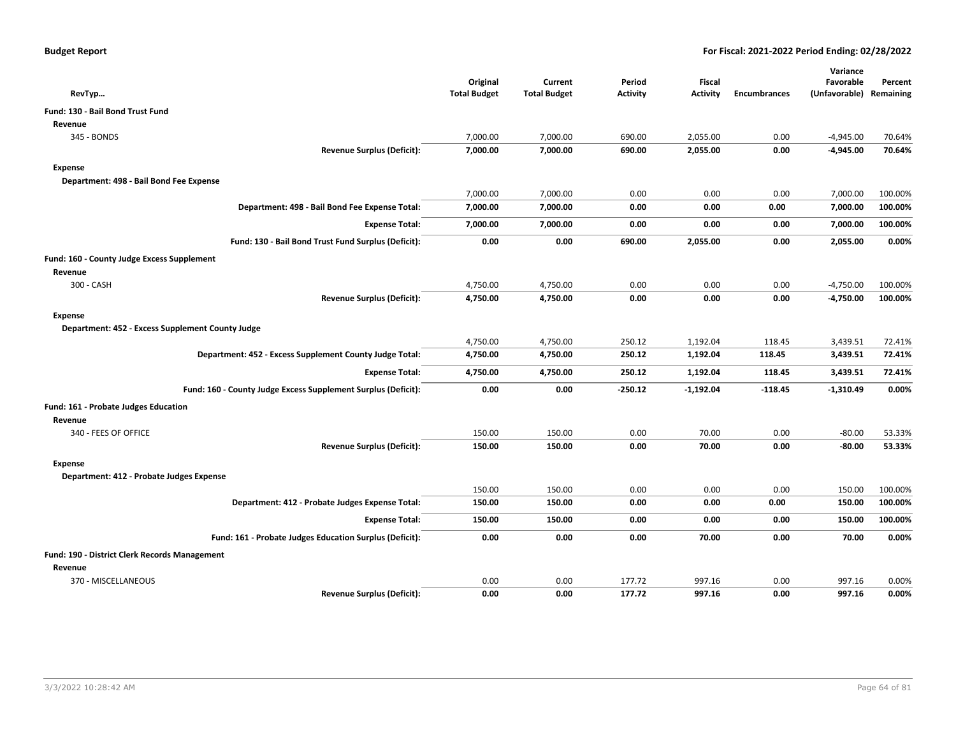|                                                               |                                 |                                |                           |                                  |                     | Variance                   |                      |
|---------------------------------------------------------------|---------------------------------|--------------------------------|---------------------------|----------------------------------|---------------------|----------------------------|----------------------|
| RevTyp                                                        | Original<br><b>Total Budget</b> | Current<br><b>Total Budget</b> | Period<br><b>Activity</b> | <b>Fiscal</b><br><b>Activity</b> | <b>Encumbrances</b> | Favorable<br>(Unfavorable) | Percent<br>Remaining |
| <b>Fund: 130 - Bail Bond Trust Fund</b>                       |                                 |                                |                           |                                  |                     |                            |                      |
| Revenue                                                       |                                 |                                |                           |                                  |                     |                            |                      |
| 345 - BONDS                                                   | 7,000.00                        | 7,000.00                       | 690.00                    | 2,055.00                         | 0.00                | $-4,945.00$                | 70.64%               |
| <b>Revenue Surplus (Deficit):</b>                             | 7,000.00                        | 7,000.00                       | 690.00                    | 2,055.00                         | 0.00                | $-4,945.00$                | 70.64%               |
| Expense                                                       |                                 |                                |                           |                                  |                     |                            |                      |
| Department: 498 - Bail Bond Fee Expense                       |                                 |                                |                           |                                  |                     |                            |                      |
|                                                               | 7,000.00                        | 7,000.00                       | 0.00                      | 0.00                             | 0.00                | 7,000.00                   | 100.00%              |
| Department: 498 - Bail Bond Fee Expense Total:                | 7,000.00                        | 7,000.00                       | 0.00                      | 0.00                             | 0.00                | 7,000.00                   | 100.00%              |
| <b>Expense Total:</b>                                         | 7,000.00                        | 7,000.00                       | 0.00                      | 0.00                             | 0.00                | 7,000.00                   | 100.00%              |
| Fund: 130 - Bail Bond Trust Fund Surplus (Deficit):           | 0.00                            | 0.00                           | 690.00                    | 2,055.00                         | 0.00                | 2,055.00                   | 0.00%                |
| Fund: 160 - County Judge Excess Supplement                    |                                 |                                |                           |                                  |                     |                            |                      |
| Revenue                                                       |                                 |                                |                           |                                  |                     |                            |                      |
| 300 - CASH                                                    | 4,750.00                        | 4,750.00                       | 0.00                      | 0.00                             | 0.00                | $-4,750.00$                | 100.00%              |
| <b>Revenue Surplus (Deficit):</b>                             | 4,750.00                        | 4,750.00                       | 0.00                      | 0.00                             | 0.00                | $-4,750.00$                | 100.00%              |
| Expense                                                       |                                 |                                |                           |                                  |                     |                            |                      |
| Department: 452 - Excess Supplement County Judge              |                                 |                                |                           |                                  |                     |                            |                      |
|                                                               | 4,750.00                        | 4,750.00                       | 250.12                    | 1,192.04                         | 118.45              | 3,439.51                   | 72.41%               |
| Department: 452 - Excess Supplement County Judge Total:       | 4,750.00                        | 4,750.00                       | 250.12                    | 1,192.04                         | 118.45              | 3,439.51                   | 72.41%               |
| <b>Expense Total:</b>                                         | 4,750.00                        | 4,750.00                       | 250.12                    | 1,192.04                         | 118.45              | 3,439.51                   | 72.41%               |
| Fund: 160 - County Judge Excess Supplement Surplus (Deficit): | 0.00                            | 0.00                           | $-250.12$                 | $-1,192.04$                      | $-118.45$           | $-1,310.49$                | 0.00%                |
| Fund: 161 - Probate Judges Education                          |                                 |                                |                           |                                  |                     |                            |                      |
| Revenue                                                       |                                 |                                |                           |                                  |                     |                            |                      |
| 340 - FEES OF OFFICE                                          | 150.00                          | 150.00                         | 0.00                      | 70.00                            | 0.00                | $-80.00$                   | 53.33%               |
| <b>Revenue Surplus (Deficit):</b>                             | 150.00                          | 150.00                         | 0.00                      | 70.00                            | 0.00                | $-80.00$                   | 53.33%               |
| Expense                                                       |                                 |                                |                           |                                  |                     |                            |                      |
| Department: 412 - Probate Judges Expense                      |                                 |                                |                           |                                  |                     |                            |                      |
|                                                               | 150.00                          | 150.00                         | 0.00                      | 0.00                             | 0.00                | 150.00                     | 100.00%              |
| Department: 412 - Probate Judges Expense Total:               | 150.00                          | 150.00                         | 0.00                      | 0.00                             | 0.00                | 150.00                     | 100.00%              |
| <b>Expense Total:</b>                                         | 150.00                          | 150.00                         | 0.00                      | 0.00                             | 0.00                | 150.00                     | 100.00%              |
| Fund: 161 - Probate Judges Education Surplus (Deficit):       | 0.00                            | 0.00                           | 0.00                      | 70.00                            | 0.00                | 70.00                      | 0.00%                |
| Fund: 190 - District Clerk Records Management                 |                                 |                                |                           |                                  |                     |                            |                      |
| Revenue                                                       |                                 |                                |                           |                                  |                     |                            |                      |
| 370 - MISCELLANEOUS                                           | 0.00                            | 0.00                           | 177.72                    | 997.16                           | 0.00                | 997.16                     | 0.00%                |
| <b>Revenue Surplus (Deficit):</b>                             | 0.00                            | 0.00                           | 177.72                    | 997.16                           | 0.00                | 997.16                     | 0.00%                |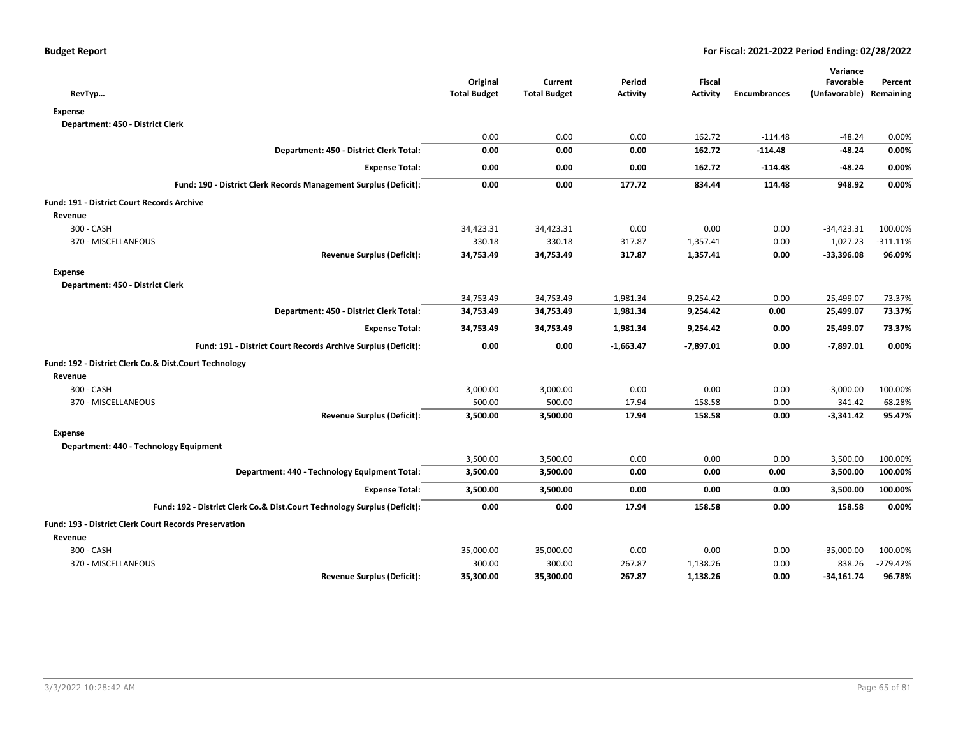| RevTyp                                                                   | Original<br><b>Total Budget</b> | Current<br><b>Total Budget</b> | Period<br>Activity | <b>Fiscal</b><br>Activity | <b>Encumbrances</b> | Variance<br>Favorable<br>(Unfavorable) Remaining | Percent     |
|--------------------------------------------------------------------------|---------------------------------|--------------------------------|--------------------|---------------------------|---------------------|--------------------------------------------------|-------------|
| <b>Expense</b>                                                           |                                 |                                |                    |                           |                     |                                                  |             |
| Department: 450 - District Clerk                                         |                                 |                                |                    |                           |                     |                                                  |             |
|                                                                          | 0.00                            | 0.00                           | 0.00               | 162.72                    | $-114.48$           | $-48.24$                                         | 0.00%       |
| Department: 450 - District Clerk Total:                                  | 0.00                            | 0.00                           | 0.00               | 162.72                    | $-114.48$           | $-48.24$                                         | 0.00%       |
| <b>Expense Total:</b>                                                    | 0.00                            | 0.00                           | 0.00               | 162.72                    | $-114.48$           | $-48.24$                                         | 0.00%       |
| Fund: 190 - District Clerk Records Management Surplus (Deficit):         | 0.00                            | 0.00                           | 177.72             | 834.44                    | 114.48              | 948.92                                           | 0.00%       |
| Fund: 191 - District Court Records Archive                               |                                 |                                |                    |                           |                     |                                                  |             |
| Revenue                                                                  |                                 |                                |                    |                           |                     |                                                  |             |
| 300 - CASH                                                               | 34,423.31                       | 34,423.31                      | 0.00               | 0.00                      | 0.00                | $-34,423.31$                                     | 100.00%     |
| 370 - MISCELLANEOUS                                                      | 330.18                          | 330.18                         | 317.87             | 1,357.41                  | 0.00                | 1,027.23                                         | $-311.11\%$ |
| <b>Revenue Surplus (Deficit):</b>                                        | 34,753.49                       | 34,753.49                      | 317.87             | 1,357.41                  | 0.00                | $-33,396.08$                                     | 96.09%      |
| <b>Expense</b>                                                           |                                 |                                |                    |                           |                     |                                                  |             |
| Department: 450 - District Clerk                                         |                                 |                                |                    |                           |                     |                                                  |             |
|                                                                          | 34,753.49                       | 34,753.49                      | 1,981.34           | 9,254.42                  | 0.00                | 25,499.07                                        | 73.37%      |
| Department: 450 - District Clerk Total:                                  | 34,753.49                       | 34,753.49                      | 1,981.34           | 9,254.42                  | 0.00                | 25,499.07                                        | 73.37%      |
| <b>Expense Total:</b>                                                    | 34,753.49                       | 34,753.49                      | 1,981.34           | 9,254.42                  | 0.00                | 25,499.07                                        | 73.37%      |
| Fund: 191 - District Court Records Archive Surplus (Deficit):            | 0.00                            | 0.00                           | $-1,663.47$        | $-7,897.01$               | 0.00                | $-7,897.01$                                      | 0.00%       |
| Fund: 192 - District Clerk Co.& Dist.Court Technology                    |                                 |                                |                    |                           |                     |                                                  |             |
| Revenue                                                                  |                                 |                                |                    |                           |                     |                                                  |             |
| 300 - CASH                                                               | 3,000.00                        | 3,000.00                       | 0.00               | 0.00                      | 0.00                | $-3,000.00$                                      | 100.00%     |
| 370 - MISCELLANEOUS                                                      | 500.00                          | 500.00                         | 17.94              | 158.58                    | 0.00                | $-341.42$                                        | 68.28%      |
| <b>Revenue Surplus (Deficit):</b>                                        | 3,500.00                        | 3,500.00                       | 17.94              | 158.58                    | 0.00                | $-3,341.42$                                      | 95.47%      |
| <b>Expense</b>                                                           |                                 |                                |                    |                           |                     |                                                  |             |
| Department: 440 - Technology Equipment                                   |                                 |                                |                    |                           |                     |                                                  |             |
|                                                                          | 3,500.00                        | 3,500.00                       | 0.00               | 0.00                      | 0.00                | 3,500.00                                         | 100.00%     |
| Department: 440 - Technology Equipment Total:                            | 3,500.00                        | 3,500.00                       | 0.00               | 0.00                      | 0.00                | 3,500.00                                         | 100.00%     |
| <b>Expense Total:</b>                                                    | 3,500.00                        | 3,500.00                       | 0.00               | 0.00                      | 0.00                | 3,500.00                                         | 100.00%     |
| Fund: 192 - District Clerk Co.& Dist.Court Technology Surplus (Deficit): | 0.00                            | 0.00                           | 17.94              | 158.58                    | 0.00                | 158.58                                           | 0.00%       |
| Fund: 193 - District Clerk Court Records Preservation                    |                                 |                                |                    |                           |                     |                                                  |             |
| Revenue                                                                  |                                 |                                |                    |                           |                     |                                                  |             |
| 300 - CASH                                                               | 35,000.00                       | 35,000.00                      | 0.00               | 0.00                      | 0.00                | $-35,000.00$                                     | 100.00%     |
| 370 - MISCELLANEOUS                                                      | 300.00                          | 300.00                         | 267.87             | 1,138.26                  | 0.00                | 838.26                                           | $-279.42%$  |
| <b>Revenue Surplus (Deficit):</b>                                        | 35,300.00                       | 35,300.00                      | 267.87             | 1,138.26                  | 0.00                | $-34,161.74$                                     | 96.78%      |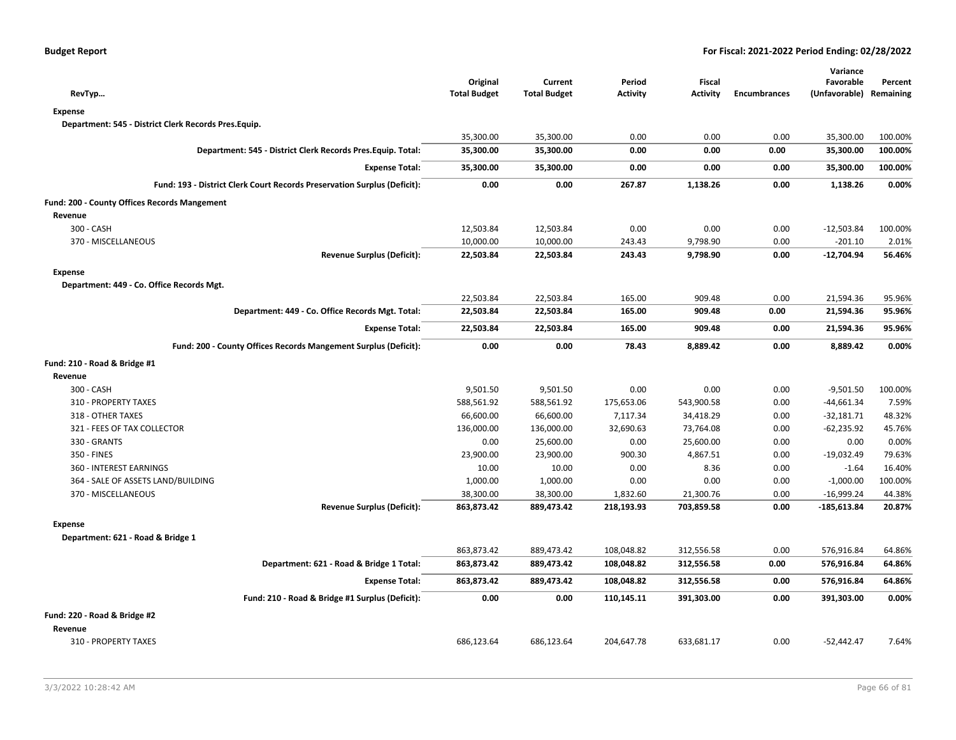| RevTyp                                                                   | Original<br><b>Total Budget</b> | Current<br><b>Total Budget</b> | Period<br><b>Activity</b> | Fiscal<br><b>Activity</b> | <b>Encumbrances</b> | Variance<br>Favorable<br>(Unfavorable) | Percent<br>Remaining |
|--------------------------------------------------------------------------|---------------------------------|--------------------------------|---------------------------|---------------------------|---------------------|----------------------------------------|----------------------|
| <b>Expense</b>                                                           |                                 |                                |                           |                           |                     |                                        |                      |
| Department: 545 - District Clerk Records Pres.Equip.                     |                                 |                                |                           |                           |                     |                                        |                      |
|                                                                          | 35,300.00                       | 35,300.00                      | 0.00                      | 0.00                      | 0.00                | 35,300.00                              | 100.00%              |
| Department: 545 - District Clerk Records Pres. Equip. Total:             | 35,300.00                       | 35,300.00                      | 0.00                      | 0.00                      | 0.00                | 35,300.00                              | 100.00%              |
|                                                                          |                                 |                                |                           |                           |                     |                                        |                      |
| <b>Expense Total:</b>                                                    | 35,300.00                       | 35,300.00                      | 0.00                      | 0.00                      | 0.00                | 35,300.00                              | 100.00%              |
| Fund: 193 - District Clerk Court Records Preservation Surplus (Deficit): | 0.00                            | 0.00                           | 267.87                    | 1,138.26                  | 0.00                | 1,138.26                               | 0.00%                |
| Fund: 200 - County Offices Records Mangement                             |                                 |                                |                           |                           |                     |                                        |                      |
| Revenue                                                                  |                                 |                                |                           |                           |                     |                                        |                      |
| 300 - CASH                                                               | 12,503.84                       | 12,503.84                      | 0.00                      | 0.00                      | 0.00                | $-12,503.84$                           | 100.00%              |
| 370 - MISCELLANEOUS                                                      | 10,000.00                       | 10,000.00                      | 243.43                    | 9,798.90                  | 0.00                | $-201.10$                              | 2.01%                |
| <b>Revenue Surplus (Deficit):</b>                                        | 22,503.84                       | 22,503.84                      | 243.43                    | 9,798.90                  | 0.00                | $-12,704.94$                           | 56.46%               |
| <b>Expense</b>                                                           |                                 |                                |                           |                           |                     |                                        |                      |
| Department: 449 - Co. Office Records Mgt.                                |                                 |                                |                           |                           |                     |                                        |                      |
|                                                                          | 22,503.84                       | 22,503.84                      | 165.00                    | 909.48                    | 0.00                | 21,594.36                              | 95.96%               |
| Department: 449 - Co. Office Records Mgt. Total:                         | 22,503.84                       | 22,503.84                      | 165.00                    | 909.48                    | 0.00                | 21,594.36                              | 95.96%               |
| <b>Expense Total:</b>                                                    | 22,503.84                       | 22,503.84                      | 165.00                    | 909.48                    | 0.00                | 21,594.36                              | 95.96%               |
| Fund: 200 - County Offices Records Mangement Surplus (Deficit):          | 0.00                            | 0.00                           | 78.43                     | 8,889.42                  | 0.00                | 8,889.42                               | 0.00%                |
| Fund: 210 - Road & Bridge #1                                             |                                 |                                |                           |                           |                     |                                        |                      |
| Revenue                                                                  |                                 |                                |                           |                           |                     |                                        |                      |
| 300 - CASH                                                               | 9,501.50                        | 9,501.50                       | 0.00                      | 0.00                      | 0.00                | $-9,501.50$                            | 100.00%              |
| 310 - PROPERTY TAXES                                                     | 588,561.92                      | 588,561.92                     | 175,653.06                | 543,900.58                | 0.00                | $-44,661.34$                           | 7.59%                |
| 318 - OTHER TAXES                                                        | 66,600.00                       | 66,600.00                      | 7,117.34                  | 34,418.29                 | 0.00                | $-32,181.71$                           | 48.32%               |
| 321 - FEES OF TAX COLLECTOR                                              | 136,000.00                      | 136,000.00                     | 32,690.63                 | 73,764.08                 | 0.00                | $-62,235.92$                           | 45.76%               |
| 330 - GRANTS                                                             | 0.00                            | 25,600.00                      | 0.00                      | 25,600.00                 | 0.00                | 0.00                                   | 0.00%                |
| 350 - FINES                                                              | 23,900.00                       | 23,900.00                      | 900.30                    | 4,867.51                  | 0.00                | $-19,032.49$                           | 79.63%               |
| <b>360 - INTEREST EARNINGS</b>                                           | 10.00                           | 10.00                          | 0.00                      | 8.36                      | 0.00                | $-1.64$                                | 16.40%               |
| 364 - SALE OF ASSETS LAND/BUILDING                                       | 1,000.00                        | 1,000.00                       | 0.00                      | 0.00                      | 0.00                | $-1,000.00$                            | 100.00%              |
| 370 - MISCELLANEOUS                                                      | 38,300.00                       | 38,300.00                      | 1,832.60                  | 21,300.76                 | 0.00                | $-16,999.24$                           | 44.38%               |
| <b>Revenue Surplus (Deficit):</b>                                        | 863,873.42                      | 889,473.42                     | 218,193.93                | 703,859.58                | 0.00                | $-185,613.84$                          | 20.87%               |
| <b>Expense</b>                                                           |                                 |                                |                           |                           |                     |                                        |                      |
| Department: 621 - Road & Bridge 1                                        |                                 |                                |                           |                           |                     |                                        |                      |
|                                                                          | 863,873.42                      | 889,473.42                     | 108,048.82                | 312,556.58                | 0.00                | 576,916.84                             | 64.86%               |
| Department: 621 - Road & Bridge 1 Total:                                 | 863,873.42                      | 889,473.42                     | 108,048.82                | 312,556.58                | 0.00                | 576,916.84                             | 64.86%               |
| <b>Expense Total:</b>                                                    | 863,873.42                      | 889,473.42                     | 108,048.82                | 312,556.58                | 0.00                | 576,916.84                             | 64.86%               |
| Fund: 210 - Road & Bridge #1 Surplus (Deficit):                          | 0.00                            | 0.00                           | 110,145.11                | 391,303.00                | 0.00                | 391,303.00                             | 0.00%                |
| Fund: 220 - Road & Bridge #2                                             |                                 |                                |                           |                           |                     |                                        |                      |
| Revenue                                                                  |                                 |                                |                           |                           |                     |                                        |                      |
| 310 - PROPERTY TAXES                                                     | 686,123.64                      | 686,123.64                     | 204,647.78                | 633,681.17                | 0.00                | $-52,442.47$                           | 7.64%                |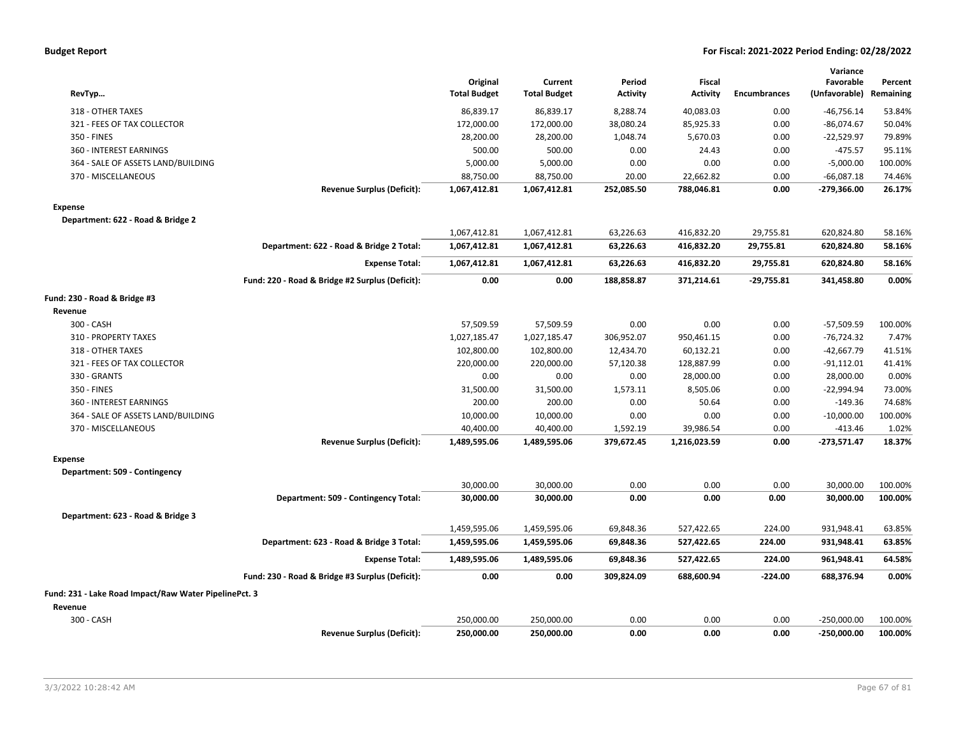|  |  |  | <b>Budget Report</b> |
|--|--|--|----------------------|
|--|--|--|----------------------|

| RevTyp                                                |                                                 | Original<br><b>Total Budget</b> | Current<br><b>Total Budget</b> | Period<br><b>Activity</b> | <b>Fiscal</b><br><b>Activity</b> | <b>Encumbrances</b> | Variance<br>Favorable<br>(Unfavorable) | Percent<br>Remaining |
|-------------------------------------------------------|-------------------------------------------------|---------------------------------|--------------------------------|---------------------------|----------------------------------|---------------------|----------------------------------------|----------------------|
| 318 - OTHER TAXES                                     |                                                 | 86,839.17                       | 86,839.17                      | 8,288.74                  | 40,083.03                        | 0.00                | $-46,756.14$                           | 53.84%               |
| 321 - FEES OF TAX COLLECTOR                           |                                                 | 172,000.00                      | 172,000.00                     | 38,080.24                 | 85,925.33                        | 0.00                | $-86,074.67$                           | 50.04%               |
| 350 - FINES                                           |                                                 | 28,200.00                       | 28,200.00                      | 1,048.74                  | 5,670.03                         | 0.00                | $-22,529.97$                           | 79.89%               |
| 360 - INTEREST EARNINGS                               |                                                 | 500.00                          | 500.00                         | 0.00                      | 24.43                            | 0.00                | $-475.57$                              | 95.11%               |
| 364 - SALE OF ASSETS LAND/BUILDING                    |                                                 | 5,000.00                        | 5,000.00                       | 0.00                      | 0.00                             | 0.00                | $-5,000.00$                            | 100.00%              |
| 370 - MISCELLANEOUS                                   |                                                 | 88,750.00                       | 88,750.00                      | 20.00                     | 22,662.82                        | 0.00                | $-66,087.18$                           | 74.46%               |
|                                                       | <b>Revenue Surplus (Deficit):</b>               | 1,067,412.81                    | 1,067,412.81                   | 252,085.50                | 788,046.81                       | 0.00                | $-279,366.00$                          | 26.17%               |
| <b>Expense</b>                                        |                                                 |                                 |                                |                           |                                  |                     |                                        |                      |
| Department: 622 - Road & Bridge 2                     |                                                 |                                 |                                |                           |                                  |                     |                                        |                      |
|                                                       |                                                 | 1,067,412.81                    | 1,067,412.81                   | 63,226.63                 | 416,832.20                       | 29,755.81           | 620,824.80                             | 58.16%               |
|                                                       | Department: 622 - Road & Bridge 2 Total:        | 1,067,412.81                    | 1,067,412.81                   | 63,226.63                 | 416,832.20                       | 29,755.81           | 620,824.80                             | 58.16%               |
|                                                       | <b>Expense Total:</b>                           | 1,067,412.81                    | 1,067,412.81                   | 63,226.63                 | 416,832.20                       | 29,755.81           | 620,824.80                             | 58.16%               |
|                                                       | Fund: 220 - Road & Bridge #2 Surplus (Deficit): | 0.00                            | 0.00                           | 188,858.87                | 371,214.61                       | $-29,755.81$        | 341,458.80                             | 0.00%                |
| Fund: 230 - Road & Bridge #3                          |                                                 |                                 |                                |                           |                                  |                     |                                        |                      |
| Revenue                                               |                                                 |                                 |                                |                           |                                  |                     |                                        |                      |
| 300 - CASH                                            |                                                 | 57,509.59                       | 57,509.59                      | 0.00                      | 0.00                             | 0.00                | $-57,509.59$                           | 100.00%              |
| 310 - PROPERTY TAXES                                  |                                                 | 1,027,185.47                    | 1,027,185.47                   | 306,952.07                | 950,461.15                       | 0.00                | $-76,724.32$                           | 7.47%                |
| 318 - OTHER TAXES                                     |                                                 | 102,800.00                      | 102,800.00                     | 12,434.70                 | 60,132.21                        | 0.00                | $-42,667.79$                           | 41.51%               |
| 321 - FEES OF TAX COLLECTOR                           |                                                 | 220,000.00                      | 220,000.00                     | 57,120.38                 | 128,887.99                       | 0.00                | $-91,112.01$                           | 41.41%               |
| 330 - GRANTS                                          |                                                 | 0.00                            | 0.00                           | 0.00                      | 28,000.00                        | 0.00                | 28,000.00                              | 0.00%                |
| 350 - FINES                                           |                                                 | 31,500.00                       | 31,500.00                      | 1,573.11                  | 8,505.06                         | 0.00                | $-22,994.94$                           | 73.00%               |
| 360 - INTEREST EARNINGS                               |                                                 | 200.00                          | 200.00                         | 0.00                      | 50.64                            | 0.00                | $-149.36$                              | 74.68%               |
| 364 - SALE OF ASSETS LAND/BUILDING                    |                                                 | 10,000.00                       | 10,000.00                      | 0.00                      | 0.00                             | 0.00                | $-10,000.00$                           | 100.00%              |
| 370 - MISCELLANEOUS                                   |                                                 | 40,400.00                       | 40,400.00                      | 1,592.19                  | 39,986.54                        | 0.00                | $-413.46$                              | 1.02%                |
|                                                       | <b>Revenue Surplus (Deficit):</b>               | 1,489,595.06                    | 1,489,595.06                   | 379,672.45                | 1,216,023.59                     | 0.00                | $-273,571.47$                          | 18.37%               |
| <b>Expense</b>                                        |                                                 |                                 |                                |                           |                                  |                     |                                        |                      |
| Department: 509 - Contingency                         |                                                 |                                 |                                |                           |                                  |                     |                                        |                      |
|                                                       |                                                 | 30,000.00                       | 30,000.00                      | 0.00                      | 0.00                             | 0.00                | 30,000.00                              | 100.00%              |
|                                                       | Department: 509 - Contingency Total:            | 30,000.00                       | 30,000.00                      | 0.00                      | 0.00                             | 0.00                | 30,000.00                              | 100.00%              |
| Department: 623 - Road & Bridge 3                     |                                                 |                                 |                                |                           |                                  |                     |                                        |                      |
|                                                       |                                                 | 1,459,595.06                    | 1,459,595.06                   | 69,848.36                 | 527,422.65                       | 224.00              | 931,948.41                             | 63.85%               |
|                                                       | Department: 623 - Road & Bridge 3 Total:        | 1,459,595.06                    | 1,459,595.06                   | 69,848.36                 | 527,422.65                       | 224.00              | 931,948.41                             | 63.85%               |
|                                                       | <b>Expense Total:</b>                           | 1,489,595.06                    | 1,489,595.06                   | 69,848.36                 | 527,422.65                       | 224.00              | 961,948.41                             | 64.58%               |
|                                                       | Fund: 230 - Road & Bridge #3 Surplus (Deficit): | 0.00                            | 0.00                           | 309,824.09                | 688,600.94                       | $-224.00$           | 688,376.94                             | 0.00%                |
| Fund: 231 - Lake Road Impact/Raw Water PipelinePct. 3 |                                                 |                                 |                                |                           |                                  |                     |                                        |                      |
| Revenue                                               |                                                 |                                 |                                |                           |                                  |                     |                                        |                      |
| 300 - CASH                                            |                                                 | 250,000.00                      | 250,000.00                     | 0.00                      | 0.00                             | 0.00                | $-250,000.00$                          | 100.00%              |
|                                                       | <b>Revenue Surplus (Deficit):</b>               | 250,000.00                      | 250,000.00                     | 0.00                      | 0.00                             | 0.00                | $-250,000.00$                          | 100.00%              |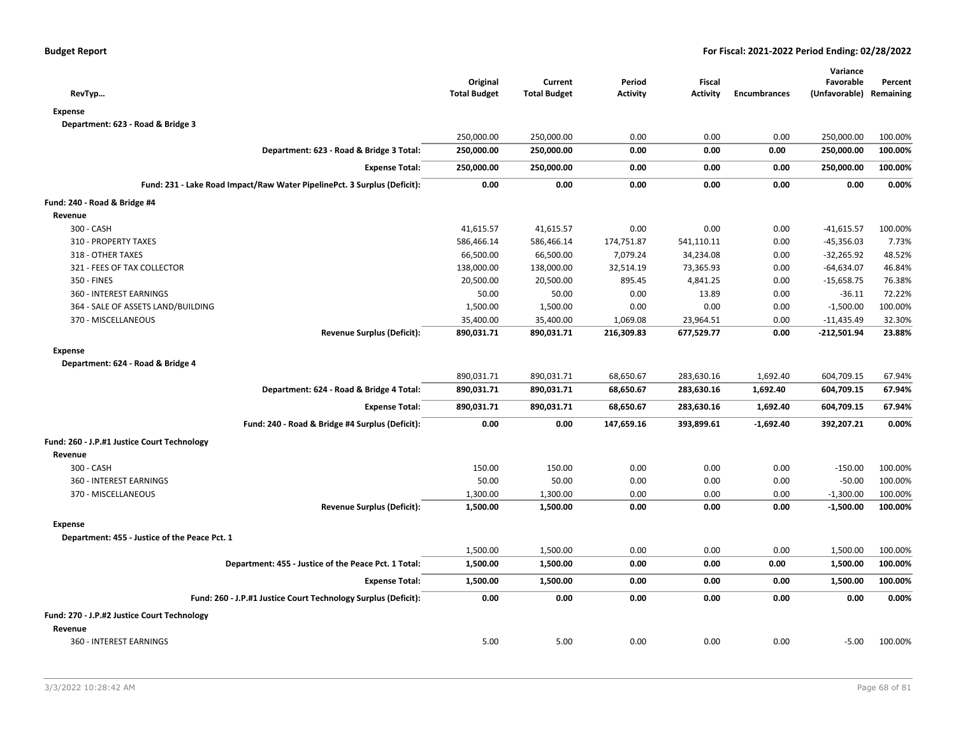| RevTyp                                                                   | Original<br><b>Total Budget</b> | Current<br><b>Total Budget</b> | Period<br><b>Activity</b> | <b>Fiscal</b><br><b>Activity</b> | <b>Encumbrances</b> | Variance<br>Favorable<br>(Unfavorable) Remaining | Percent |
|--------------------------------------------------------------------------|---------------------------------|--------------------------------|---------------------------|----------------------------------|---------------------|--------------------------------------------------|---------|
| <b>Expense</b>                                                           |                                 |                                |                           |                                  |                     |                                                  |         |
| Department: 623 - Road & Bridge 3                                        |                                 |                                |                           |                                  |                     |                                                  |         |
|                                                                          | 250,000.00                      | 250,000.00                     | 0.00                      | 0.00                             | 0.00                | 250,000.00                                       | 100.00% |
| Department: 623 - Road & Bridge 3 Total:                                 | 250,000.00                      | 250,000.00                     | 0.00                      | 0.00                             | 0.00                | 250,000.00                                       | 100.00% |
| <b>Expense Total:</b>                                                    | 250,000.00                      | 250,000.00                     | 0.00                      | 0.00                             | 0.00                | 250,000.00                                       | 100.00% |
| Fund: 231 - Lake Road Impact/Raw Water PipelinePct. 3 Surplus (Deficit): | 0.00                            | 0.00                           | 0.00                      | 0.00                             | 0.00                | 0.00                                             | 0.00%   |
| Fund: 240 - Road & Bridge #4                                             |                                 |                                |                           |                                  |                     |                                                  |         |
| Revenue                                                                  |                                 |                                |                           |                                  |                     |                                                  |         |
| 300 - CASH                                                               | 41,615.57                       | 41,615.57                      | 0.00                      | 0.00                             | 0.00                | $-41,615.57$                                     | 100.00% |
| 310 - PROPERTY TAXES                                                     | 586,466.14                      | 586,466.14                     | 174,751.87                | 541,110.11                       | 0.00                | $-45,356.03$                                     | 7.73%   |
| 318 - OTHER TAXES                                                        | 66,500.00                       | 66,500.00                      | 7,079.24                  | 34,234.08                        | 0.00                | $-32,265.92$                                     | 48.52%  |
| 321 - FEES OF TAX COLLECTOR                                              | 138,000.00                      | 138,000.00                     | 32,514.19                 | 73,365.93                        | 0.00                | $-64,634.07$                                     | 46.84%  |
| 350 - FINES                                                              | 20,500.00                       | 20,500.00                      | 895.45                    | 4,841.25                         | 0.00                | $-15,658.75$                                     | 76.38%  |
| 360 - INTEREST EARNINGS                                                  | 50.00                           | 50.00                          | 0.00                      | 13.89                            | 0.00                | $-36.11$                                         | 72.22%  |
| 364 - SALE OF ASSETS LAND/BUILDING                                       | 1,500.00                        | 1,500.00                       | 0.00                      | 0.00                             | 0.00                | $-1,500.00$                                      | 100.00% |
| 370 - MISCELLANEOUS                                                      | 35,400.00                       | 35,400.00                      | 1,069.08                  | 23,964.51                        | 0.00                | $-11,435.49$                                     | 32.30%  |
| <b>Revenue Surplus (Deficit):</b>                                        | 890,031.71                      | 890,031.71                     | 216,309.83                | 677,529.77                       | 0.00                | $-212,501.94$                                    | 23.88%  |
|                                                                          |                                 |                                |                           |                                  |                     |                                                  |         |
| <b>Expense</b>                                                           |                                 |                                |                           |                                  |                     |                                                  |         |
| Department: 624 - Road & Bridge 4                                        |                                 |                                |                           |                                  |                     |                                                  |         |
|                                                                          | 890,031.71                      | 890,031.71                     | 68,650.67                 | 283,630.16                       | 1,692.40            | 604,709.15                                       | 67.94%  |
| Department: 624 - Road & Bridge 4 Total:                                 | 890,031.71                      | 890,031.71                     | 68,650.67                 | 283,630.16                       | 1,692.40            | 604,709.15                                       | 67.94%  |
| <b>Expense Total:</b>                                                    | 890,031.71                      | 890,031.71                     | 68,650.67                 | 283,630.16                       | 1,692.40            | 604,709.15                                       | 67.94%  |
| Fund: 240 - Road & Bridge #4 Surplus (Deficit):                          | 0.00                            | 0.00                           | 147,659.16                | 393,899.61                       | $-1,692.40$         | 392,207.21                                       | 0.00%   |
| Fund: 260 - J.P.#1 Justice Court Technology                              |                                 |                                |                           |                                  |                     |                                                  |         |
| Revenue                                                                  |                                 |                                |                           |                                  |                     |                                                  |         |
| 300 - CASH                                                               | 150.00                          | 150.00                         | 0.00                      | 0.00                             | 0.00                | $-150.00$                                        | 100.00% |
| 360 - INTEREST EARNINGS                                                  | 50.00                           | 50.00                          | 0.00                      | 0.00                             | 0.00                | $-50.00$                                         | 100.00% |
| 370 - MISCELLANEOUS                                                      | 1,300.00                        | 1,300.00                       | 0.00                      | 0.00                             | 0.00                | $-1,300.00$                                      | 100.00% |
| <b>Revenue Surplus (Deficit):</b>                                        | 1,500.00                        | 1,500.00                       | 0.00                      | 0.00                             | 0.00                | $-1,500.00$                                      | 100.00% |
| <b>Expense</b>                                                           |                                 |                                |                           |                                  |                     |                                                  |         |
| Department: 455 - Justice of the Peace Pct. 1                            |                                 |                                |                           |                                  |                     |                                                  |         |
|                                                                          | 1,500.00                        | 1,500.00                       | 0.00                      | 0.00                             | 0.00                | 1,500.00                                         | 100.00% |
| Department: 455 - Justice of the Peace Pct. 1 Total:                     | 1,500.00                        | 1,500.00                       | 0.00                      | 0.00                             | 0.00                | 1,500.00                                         | 100.00% |
| <b>Expense Total:</b>                                                    | 1,500.00                        | 1,500.00                       | 0.00                      | 0.00                             | 0.00                | 1,500.00                                         | 100.00% |
| Fund: 260 - J.P.#1 Justice Court Technology Surplus (Deficit):           | 0.00                            | 0.00                           | 0.00                      | 0.00                             | 0.00                | 0.00                                             | 0.00%   |
| Fund: 270 - J.P.#2 Justice Court Technology                              |                                 |                                |                           |                                  |                     |                                                  |         |
| Revenue                                                                  |                                 |                                |                           |                                  |                     |                                                  |         |
| 360 - INTEREST EARNINGS                                                  | 5.00                            | 5.00                           | 0.00                      | 0.00                             | 0.00                | $-5.00$                                          | 100.00% |
|                                                                          |                                 |                                |                           |                                  |                     |                                                  |         |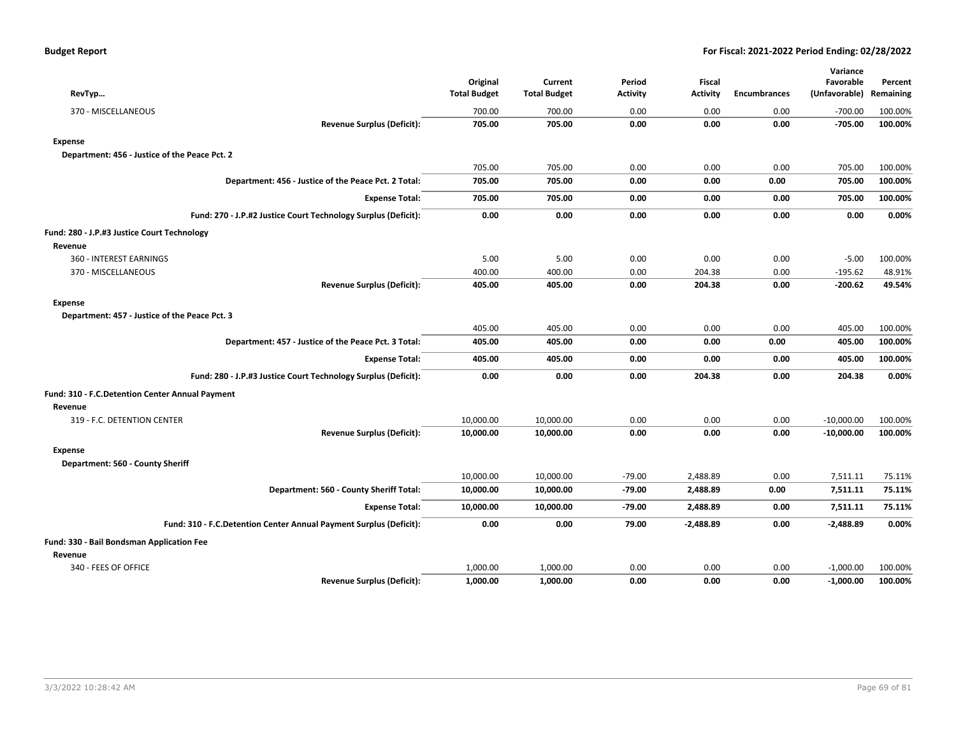| RevTyp                                                             | Original<br><b>Total Budget</b> | Current<br><b>Total Budget</b> | Period<br><b>Activity</b> | <b>Fiscal</b><br><b>Activity</b> | <b>Encumbrances</b> | Variance<br>Favorable<br>(Unfavorable) | Percent<br>Remaining |
|--------------------------------------------------------------------|---------------------------------|--------------------------------|---------------------------|----------------------------------|---------------------|----------------------------------------|----------------------|
| 370 - MISCELLANEOUS                                                | 700.00                          | 700.00                         | 0.00                      | 0.00                             | 0.00                | $-700.00$                              | 100.00%              |
| <b>Revenue Surplus (Deficit):</b>                                  | 705.00                          | 705.00                         | 0.00                      | 0.00                             | 0.00                | $-705.00$                              | 100.00%              |
| <b>Expense</b>                                                     |                                 |                                |                           |                                  |                     |                                        |                      |
| Department: 456 - Justice of the Peace Pct. 2                      |                                 |                                |                           |                                  |                     |                                        |                      |
|                                                                    | 705.00                          | 705.00                         | 0.00                      | 0.00                             | 0.00                | 705.00                                 | 100.00%              |
| Department: 456 - Justice of the Peace Pct. 2 Total:               | 705.00                          | 705.00                         | 0.00                      | 0.00                             | 0.00                | 705.00                                 | 100.00%              |
| <b>Expense Total:</b>                                              | 705.00                          | 705.00                         | 0.00                      | 0.00                             | 0.00                | 705.00                                 | 100.00%              |
| Fund: 270 - J.P.#2 Justice Court Technology Surplus (Deficit):     | 0.00                            | 0.00                           | 0.00                      | 0.00                             | 0.00                | 0.00                                   | 0.00%                |
| Fund: 280 - J.P.#3 Justice Court Technology                        |                                 |                                |                           |                                  |                     |                                        |                      |
| Revenue                                                            |                                 |                                |                           |                                  |                     |                                        |                      |
| 360 - INTEREST EARNINGS                                            | 5.00                            | 5.00                           | 0.00                      | 0.00                             | 0.00                | $-5.00$                                | 100.00%              |
| 370 - MISCELLANEOUS                                                | 400.00                          | 400.00                         | 0.00                      | 204.38                           | 0.00                | $-195.62$                              | 48.91%               |
| <b>Revenue Surplus (Deficit):</b>                                  | 405.00                          | 405.00                         | 0.00                      | 204.38                           | 0.00                | $-200.62$                              | 49.54%               |
| <b>Expense</b>                                                     |                                 |                                |                           |                                  |                     |                                        |                      |
| Department: 457 - Justice of the Peace Pct. 3                      |                                 |                                |                           |                                  |                     |                                        |                      |
|                                                                    | 405.00                          | 405.00                         | 0.00                      | 0.00                             | 0.00                | 405.00                                 | 100.00%              |
| Department: 457 - Justice of the Peace Pct. 3 Total:               | 405.00                          | 405.00                         | 0.00                      | 0.00                             | 0.00                | 405.00                                 | 100.00%              |
| <b>Expense Total:</b>                                              | 405.00                          | 405.00                         | 0.00                      | 0.00                             | 0.00                | 405.00                                 | 100.00%              |
| Fund: 280 - J.P.#3 Justice Court Technology Surplus (Deficit):     | 0.00                            | 0.00                           | 0.00                      | 204.38                           | 0.00                | 204.38                                 | 0.00%                |
| Fund: 310 - F.C.Detention Center Annual Payment                    |                                 |                                |                           |                                  |                     |                                        |                      |
| Revenue                                                            |                                 |                                |                           |                                  |                     |                                        |                      |
| 319 - F.C. DETENTION CENTER                                        | 10,000.00                       | 10,000.00                      | 0.00                      | 0.00                             | 0.00                | $-10,000.00$                           | 100.00%              |
| <b>Revenue Surplus (Deficit):</b>                                  | 10,000.00                       | 10,000.00                      | 0.00                      | 0.00                             | 0.00                | $-10,000.00$                           | 100.00%              |
| <b>Expense</b>                                                     |                                 |                                |                           |                                  |                     |                                        |                      |
| Department: 560 - County Sheriff                                   |                                 |                                |                           |                                  |                     |                                        |                      |
|                                                                    | 10,000.00                       | 10,000.00                      | $-79.00$                  | 2,488.89                         | 0.00                | 7,511.11                               | 75.11%               |
| Department: 560 - County Sheriff Total:                            | 10,000.00                       | 10,000.00                      | $-79.00$                  | 2,488.89                         | 0.00                | 7,511.11                               | 75.11%               |
| <b>Expense Total:</b>                                              | 10,000.00                       | 10,000.00                      | $-79.00$                  | 2,488.89                         | 0.00                | 7,511.11                               | 75.11%               |
| Fund: 310 - F.C.Detention Center Annual Payment Surplus (Deficit): | 0.00                            | 0.00                           | 79.00                     | $-2,488.89$                      | 0.00                | $-2,488.89$                            | 0.00%                |
| Fund: 330 - Bail Bondsman Application Fee                          |                                 |                                |                           |                                  |                     |                                        |                      |
| Revenue                                                            |                                 |                                |                           |                                  |                     |                                        |                      |
| 340 - FEES OF OFFICE                                               | 1,000.00                        | 1,000.00                       | 0.00                      | 0.00                             | 0.00                | $-1,000.00$                            | 100.00%              |
| <b>Revenue Surplus (Deficit):</b>                                  | 1,000.00                        | 1,000.00                       | 0.00                      | 0.00                             | 0.00                | $-1,000.00$                            | 100.00%              |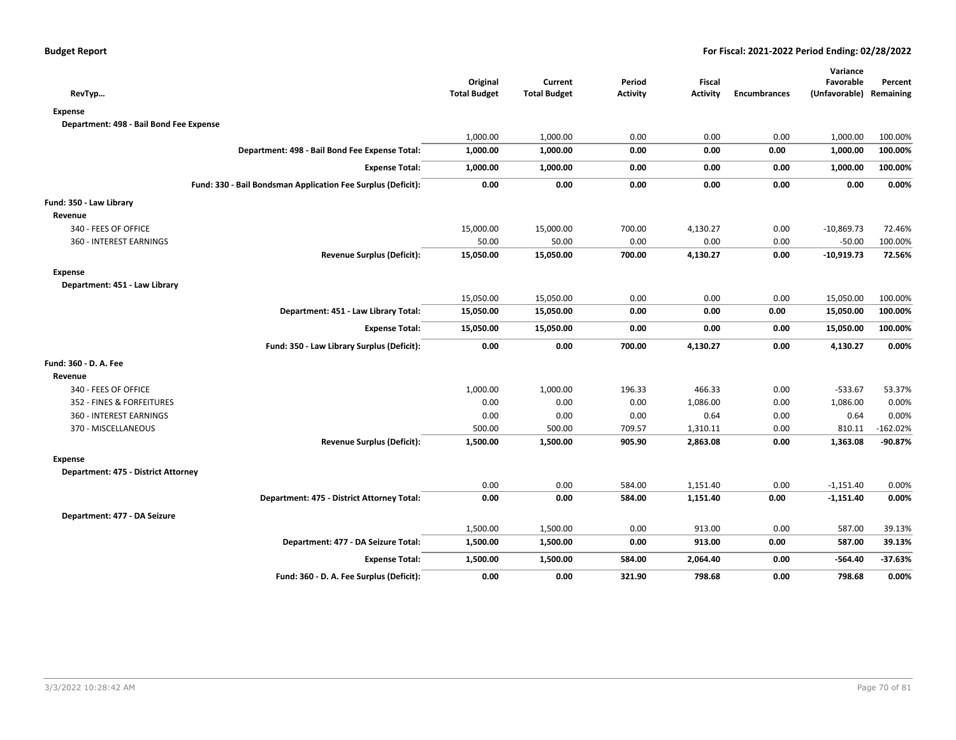|                                                              |                                 |                                |                           |                           |                     | Variance                             |            |
|--------------------------------------------------------------|---------------------------------|--------------------------------|---------------------------|---------------------------|---------------------|--------------------------------------|------------|
| RevTyp                                                       | Original<br><b>Total Budget</b> | Current<br><b>Total Budget</b> | Period<br><b>Activity</b> | Fiscal<br><b>Activity</b> | <b>Encumbrances</b> | Favorable<br>(Unfavorable) Remaining | Percent    |
| <b>Expense</b>                                               |                                 |                                |                           |                           |                     |                                      |            |
| Department: 498 - Bail Bond Fee Expense                      |                                 |                                |                           |                           |                     |                                      |            |
|                                                              | 1,000.00                        | 1,000.00                       | 0.00                      | 0.00                      | 0.00                | 1,000.00                             | 100.00%    |
| Department: 498 - Bail Bond Fee Expense Total:               | 1,000.00                        | 1,000.00                       | 0.00                      | 0.00                      | 0.00                | 1,000.00                             | 100.00%    |
| <b>Expense Total:</b>                                        | 1,000.00                        | 1,000.00                       | 0.00                      | 0.00                      | 0.00                | 1,000.00                             | 100.00%    |
| Fund: 330 - Bail Bondsman Application Fee Surplus (Deficit): | 0.00                            | 0.00                           | 0.00                      | 0.00                      | 0.00                | 0.00                                 | 0.00%      |
| Fund: 350 - Law Library                                      |                                 |                                |                           |                           |                     |                                      |            |
| Revenue                                                      |                                 |                                |                           |                           |                     |                                      |            |
| 340 - FEES OF OFFICE                                         | 15,000.00                       | 15,000.00                      | 700.00                    | 4,130.27                  | 0.00                | $-10,869.73$                         | 72.46%     |
| 360 - INTEREST EARNINGS                                      | 50.00                           | 50.00                          | 0.00                      | 0.00                      | 0.00                | $-50.00$                             | 100.00%    |
| <b>Revenue Surplus (Deficit):</b>                            | 15,050.00                       | 15,050.00                      | 700.00                    | 4,130.27                  | 0.00                | $-10,919.73$                         | 72.56%     |
| <b>Expense</b>                                               |                                 |                                |                           |                           |                     |                                      |            |
| Department: 451 - Law Library                                |                                 |                                |                           |                           |                     |                                      |            |
|                                                              | 15,050.00                       | 15,050.00                      | 0.00                      | 0.00                      | 0.00                | 15,050.00                            | 100.00%    |
| Department: 451 - Law Library Total:                         | 15,050.00                       | 15,050.00                      | 0.00                      | 0.00                      | 0.00                | 15,050.00                            | 100.00%    |
| <b>Expense Total:</b>                                        | 15,050.00                       | 15,050.00                      | 0.00                      | 0.00                      | 0.00                | 15,050.00                            | 100.00%    |
| Fund: 350 - Law Library Surplus (Deficit):                   | 0.00                            | 0.00                           | 700.00                    | 4,130.27                  | 0.00                | 4,130.27                             | 0.00%      |
| Fund: 360 - D. A. Fee                                        |                                 |                                |                           |                           |                     |                                      |            |
| Revenue                                                      |                                 |                                |                           |                           |                     |                                      |            |
| 340 - FEES OF OFFICE                                         | 1,000.00                        | 1,000.00                       | 196.33                    | 466.33                    | 0.00                | $-533.67$                            | 53.37%     |
| 352 - FINES & FORFEITURES                                    | 0.00                            | 0.00                           | 0.00                      | 1,086.00                  | 0.00                | 1,086.00                             | 0.00%      |
| 360 - INTEREST EARNINGS                                      | 0.00                            | 0.00                           | 0.00                      | 0.64                      | 0.00                | 0.64                                 | 0.00%      |
| 370 - MISCELLANEOUS                                          | 500.00                          | 500.00                         | 709.57                    | 1,310.11                  | 0.00                | 810.11                               | $-162.02%$ |
| <b>Revenue Surplus (Deficit):</b>                            | 1,500.00                        | 1,500.00                       | 905.90                    | 2,863.08                  | 0.00                | 1,363.08                             | $-90.87%$  |
| <b>Expense</b>                                               |                                 |                                |                           |                           |                     |                                      |            |
| Department: 475 - District Attorney                          |                                 |                                |                           |                           |                     |                                      |            |
|                                                              | 0.00                            | 0.00                           | 584.00                    | 1,151.40                  | 0.00                | $-1,151.40$                          | 0.00%      |
| Department: 475 - District Attorney Total:                   | 0.00                            | 0.00                           | 584.00                    | 1,151.40                  | 0.00                | $-1,151.40$                          | 0.00%      |
| Department: 477 - DA Seizure                                 |                                 |                                |                           |                           |                     |                                      |            |
|                                                              | 1,500.00                        | 1,500.00                       | 0.00                      | 913.00                    | 0.00                | 587.00                               | 39.13%     |
| Department: 477 - DA Seizure Total:                          | 1,500.00                        | 1,500.00                       | 0.00                      | 913.00                    | 0.00                | 587.00                               | 39.13%     |
| <b>Expense Total:</b>                                        | 1,500.00                        | 1,500.00                       | 584.00                    | 2,064.40                  | 0.00                | $-564.40$                            | $-37.63%$  |
| Fund: 360 - D. A. Fee Surplus (Deficit):                     | 0.00                            | 0.00                           | 321.90                    | 798.68                    | 0.00                | 798.68                               | 0.00%      |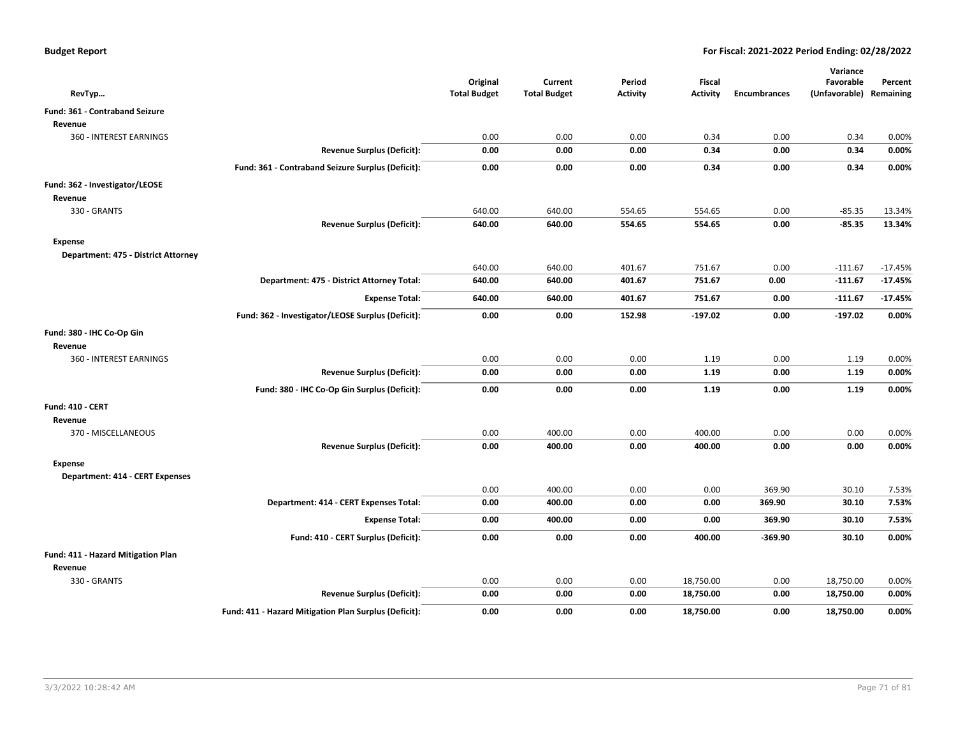| RevTyp                                 |                                                       | Original<br><b>Total Budget</b> | Current<br><b>Total Budget</b> | Period<br><b>Activity</b> | Fiscal<br><b>Activity</b> | <b>Encumbrances</b> | Variance<br>Favorable                                                                                                                                                                         | Percent   |
|----------------------------------------|-------------------------------------------------------|---------------------------------|--------------------------------|---------------------------|---------------------------|---------------------|-----------------------------------------------------------------------------------------------------------------------------------------------------------------------------------------------|-----------|
| Fund: 361 - Contraband Seizure         |                                                       |                                 |                                |                           |                           |                     |                                                                                                                                                                                               |           |
| Revenue                                |                                                       |                                 |                                |                           |                           |                     |                                                                                                                                                                                               |           |
| 360 - INTEREST EARNINGS                |                                                       | 0.00                            | 0.00                           | 0.00                      | 0.34                      | 0.00                | 0.34                                                                                                                                                                                          | 0.00%     |
|                                        | <b>Revenue Surplus (Deficit):</b>                     | 0.00                            | 0.00                           | 0.00                      | 0.34                      | 0.00                | 0.34                                                                                                                                                                                          | 0.00%     |
|                                        | Fund: 361 - Contraband Seizure Surplus (Deficit):     | 0.00                            | 0.00                           | 0.00                      | 0.34                      | 0.00                | 0.34                                                                                                                                                                                          | 0.00%     |
| Fund: 362 - Investigator/LEOSE         |                                                       |                                 |                                |                           |                           |                     |                                                                                                                                                                                               |           |
| Revenue                                |                                                       |                                 |                                |                           |                           |                     |                                                                                                                                                                                               |           |
| 330 - GRANTS                           |                                                       | 640.00                          | 640.00                         | 554.65                    | 554.65                    | 0.00                | $-85.35$                                                                                                                                                                                      | 13.34%    |
|                                        | <b>Revenue Surplus (Deficit):</b>                     | 640.00                          | 640.00                         | 554.65                    | 554.65                    | 0.00                | $-85.35$                                                                                                                                                                                      | 13.34%    |
| Expense                                |                                                       |                                 |                                |                           |                           |                     |                                                                                                                                                                                               |           |
| Department: 475 - District Attorney    |                                                       |                                 |                                |                           |                           |                     |                                                                                                                                                                                               |           |
|                                        |                                                       | 640.00                          | 640.00                         | 401.67                    | 751.67                    | 0.00                | $-111.67$                                                                                                                                                                                     | $-17.45%$ |
|                                        | Department: 475 - District Attorney Total:            | 640.00                          | 640.00                         | 401.67                    | 751.67                    | 0.00                | $-111.67$                                                                                                                                                                                     | $-17.45%$ |
|                                        | <b>Expense Total:</b>                                 | 640.00                          | 640.00                         | 401.67                    | 751.67                    | 0.00                | $-111.67$                                                                                                                                                                                     | $-17.45%$ |
|                                        | Fund: 362 - Investigator/LEOSE Surplus (Deficit):     | 0.00                            | 0.00                           | 152.98                    | $-197.02$                 | 0.00                | $-197.02$                                                                                                                                                                                     | 0.00%     |
| Fund: 380 - IHC Co-Op Gin              |                                                       |                                 |                                |                           |                           |                     |                                                                                                                                                                                               |           |
| Revenue                                |                                                       |                                 |                                |                           |                           |                     |                                                                                                                                                                                               |           |
| 360 - INTEREST EARNINGS                |                                                       | 0.00                            | 0.00                           | 0.00                      | 1.19                      | 0.00                | 1.19                                                                                                                                                                                          | 0.00%     |
|                                        | <b>Revenue Surplus (Deficit):</b>                     | 0.00                            | 0.00                           | 0.00                      | 1.19                      | 0.00                | 1.19                                                                                                                                                                                          | 0.00%     |
|                                        | Fund: 380 - IHC Co-Op Gin Surplus (Deficit):          | 0.00                            | 0.00                           | 0.00                      | 1.19                      | 0.00                | 1.19                                                                                                                                                                                          | 0.00%     |
| <b>Fund: 410 - CERT</b>                |                                                       |                                 |                                |                           |                           |                     |                                                                                                                                                                                               |           |
| Revenue                                |                                                       |                                 |                                |                           |                           |                     |                                                                                                                                                                                               |           |
| 370 - MISCELLANEOUS                    |                                                       | 0.00                            | 400.00                         | 0.00                      | 400.00                    | 0.00                | (Unfavorable) Remaining<br>0.00<br>0.00<br>0.00<br>369.90<br>30.10<br>369.90<br>30.10<br>369.90<br>30.10<br>$-369.90$<br>30.10<br>0.00<br>18,750.00<br>0.00<br>18,750.00<br>0.00<br>18,750.00 | 0.00%     |
|                                        | <b>Revenue Surplus (Deficit):</b>                     | 0.00                            | 400.00                         | 0.00                      | 400.00                    |                     |                                                                                                                                                                                               | 0.00%     |
| <b>Expense</b>                         |                                                       |                                 |                                |                           |                           |                     |                                                                                                                                                                                               |           |
| <b>Department: 414 - CERT Expenses</b> |                                                       |                                 |                                |                           |                           |                     |                                                                                                                                                                                               |           |
|                                        |                                                       | 0.00                            | 400.00                         | 0.00                      | 0.00                      |                     |                                                                                                                                                                                               | 7.53%     |
|                                        | Department: 414 - CERT Expenses Total:                | 0.00                            | 400.00                         | 0.00                      | 0.00                      |                     |                                                                                                                                                                                               | 7.53%     |
|                                        | <b>Expense Total:</b>                                 | 0.00                            | 400.00                         | 0.00                      | 0.00                      |                     |                                                                                                                                                                                               | 7.53%     |
|                                        | Fund: 410 - CERT Surplus (Deficit):                   | 0.00                            | 0.00                           | 0.00                      | 400.00                    |                     |                                                                                                                                                                                               | 0.00%     |
| Fund: 411 - Hazard Mitigation Plan     |                                                       |                                 |                                |                           |                           |                     |                                                                                                                                                                                               |           |
| Revenue                                |                                                       |                                 |                                |                           |                           |                     |                                                                                                                                                                                               |           |
| 330 - GRANTS                           |                                                       | 0.00                            | 0.00                           | 0.00                      | 18,750.00                 |                     |                                                                                                                                                                                               | 0.00%     |
|                                        | <b>Revenue Surplus (Deficit):</b>                     | 0.00                            | 0.00                           | 0.00                      | 18,750.00                 |                     |                                                                                                                                                                                               | 0.00%     |
|                                        | Fund: 411 - Hazard Mitigation Plan Surplus (Deficit): | 0.00                            | 0.00                           | 0.00                      | 18,750.00                 |                     |                                                                                                                                                                                               | 0.00%     |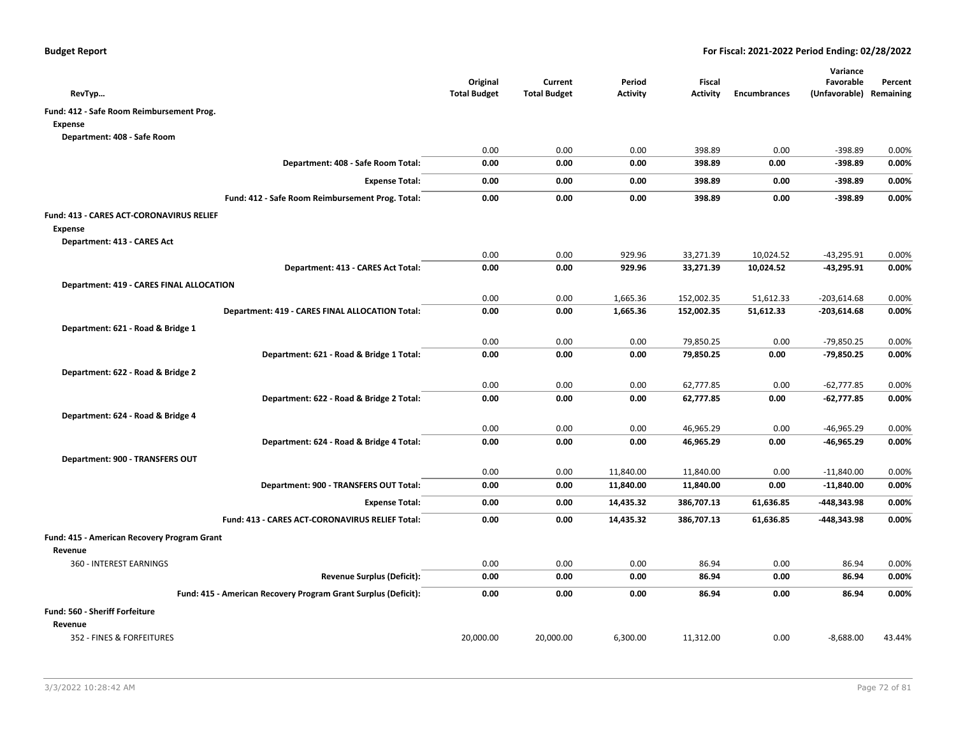| RevTyp                                                         | Original<br><b>Total Budget</b> | Current<br><b>Total Budget</b> | Period<br><b>Activity</b> | Fiscal<br><b>Activity</b> | <b>Encumbrances</b> | Variance<br>Favorable<br>(Unfavorable) Remaining | Percent |
|----------------------------------------------------------------|---------------------------------|--------------------------------|---------------------------|---------------------------|---------------------|--------------------------------------------------|---------|
| Fund: 412 - Safe Room Reimbursement Prog.                      |                                 |                                |                           |                           |                     |                                                  |         |
| <b>Expense</b>                                                 |                                 |                                |                           |                           |                     |                                                  |         |
| Department: 408 - Safe Room                                    |                                 |                                |                           |                           |                     |                                                  |         |
|                                                                | 0.00                            | 0.00                           | 0.00                      | 398.89                    | 0.00                | $-398.89$                                        | 0.00%   |
| Department: 408 - Safe Room Total:                             | 0.00                            | 0.00                           | 0.00                      | 398.89                    | 0.00                | $-398.89$                                        | 0.00%   |
| <b>Expense Total:</b>                                          | 0.00                            | 0.00                           | 0.00                      | 398.89                    | 0.00                | $-398.89$                                        | 0.00%   |
| Fund: 412 - Safe Room Reimbursement Prog. Total:               | 0.00                            | 0.00                           | 0.00                      | 398.89                    | 0.00                | $-398.89$                                        | 0.00%   |
| Fund: 413 - CARES ACT-CORONAVIRUS RELIEF                       |                                 |                                |                           |                           |                     |                                                  |         |
| <b>Expense</b>                                                 |                                 |                                |                           |                           |                     |                                                  |         |
| Department: 413 - CARES Act                                    |                                 |                                |                           |                           |                     |                                                  |         |
|                                                                | 0.00                            | 0.00                           | 929.96                    | 33,271.39                 | 10,024.52           | $-43,295.91$                                     | 0.00%   |
| Department: 413 - CARES Act Total:                             | 0.00                            | 0.00                           | 929.96                    | 33,271.39                 | 10,024.52           | $-43,295.91$                                     | 0.00%   |
| Department: 419 - CARES FINAL ALLOCATION                       |                                 |                                |                           |                           |                     |                                                  |         |
|                                                                | 0.00                            | 0.00                           | 1,665.36                  | 152,002.35                | 51,612.33           | $-203,614.68$                                    | 0.00%   |
| Department: 419 - CARES FINAL ALLOCATION Total:                | 0.00                            | 0.00                           | 1,665.36                  | 152,002.35                | 51,612.33           | $-203,614.68$                                    | 0.00%   |
| Department: 621 - Road & Bridge 1                              |                                 |                                |                           |                           |                     |                                                  |         |
|                                                                | 0.00                            | 0.00                           | 0.00                      | 79,850.25                 | 0.00                | $-79,850.25$                                     | 0.00%   |
| Department: 621 - Road & Bridge 1 Total:                       | 0.00                            | 0.00                           | 0.00                      | 79,850.25                 | 0.00                | -79,850.25                                       | 0.00%   |
| Department: 622 - Road & Bridge 2                              |                                 |                                |                           |                           |                     |                                                  |         |
|                                                                | 0.00                            | 0.00                           | 0.00                      | 62,777.85                 | 0.00                | $-62,777.85$                                     | 0.00%   |
| Department: 622 - Road & Bridge 2 Total:                       | 0.00                            | 0.00                           | 0.00                      | 62,777.85                 | 0.00                | $-62,777.85$                                     | 0.00%   |
| Department: 624 - Road & Bridge 4                              |                                 |                                |                           |                           |                     |                                                  |         |
|                                                                | 0.00                            | 0.00                           | 0.00                      | 46,965.29                 | 0.00                | $-46,965.29$                                     | 0.00%   |
| Department: 624 - Road & Bridge 4 Total:                       | 0.00                            | 0.00                           | 0.00                      | 46,965.29                 | 0.00                | -46,965.29                                       | 0.00%   |
| Department: 900 - TRANSFERS OUT                                |                                 |                                |                           |                           |                     |                                                  |         |
|                                                                | 0.00                            | 0.00                           | 11,840.00                 | 11,840.00                 | 0.00                | $-11,840.00$                                     | 0.00%   |
| Department: 900 - TRANSFERS OUT Total:                         | 0.00                            | 0.00                           | 11,840.00                 | 11,840.00                 | 0.00                | $-11,840.00$                                     | 0.00%   |
| <b>Expense Total:</b>                                          | 0.00                            | 0.00                           | 14,435.32                 | 386,707.13                | 61,636.85           | -448,343.98                                      | 0.00%   |
| Fund: 413 - CARES ACT-CORONAVIRUS RELIEF Total:                | 0.00                            | 0.00                           | 14,435.32                 | 386,707.13                | 61,636.85           | -448,343.98                                      | 0.00%   |
| Fund: 415 - American Recovery Program Grant                    |                                 |                                |                           |                           |                     |                                                  |         |
| Revenue                                                        |                                 |                                |                           |                           |                     |                                                  |         |
| 360 - INTEREST EARNINGS                                        | 0.00                            | 0.00                           | 0.00                      | 86.94                     | 0.00                | 86.94                                            | 0.00%   |
| <b>Revenue Surplus (Deficit):</b>                              | 0.00                            | 0.00                           | 0.00                      | 86.94                     | 0.00                | 86.94                                            | 0.00%   |
| Fund: 415 - American Recovery Program Grant Surplus (Deficit): | 0.00                            | 0.00                           | 0.00                      | 86.94                     | 0.00                | 86.94                                            | 0.00%   |
| <b>Fund: 560 - Sheriff Forfeiture</b>                          |                                 |                                |                           |                           |                     |                                                  |         |
| Revenue                                                        |                                 |                                |                           |                           |                     |                                                  |         |
| 352 - FINES & FORFEITURES                                      | 20,000.00                       | 20,000.00                      | 6,300.00                  | 11,312.00                 | 0.00                | $-8,688.00$                                      | 43.44%  |
|                                                                |                                 |                                |                           |                           |                     |                                                  |         |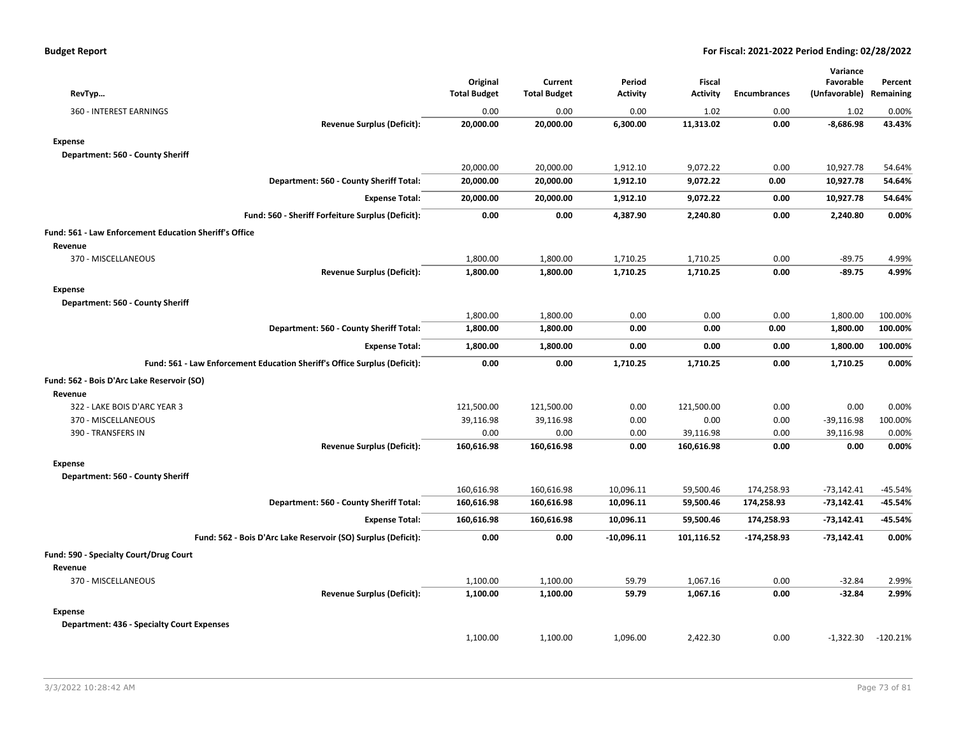| <b>Budget Report</b> |  |
|----------------------|--|
|----------------------|--|

| RevTyp                                                                    | Original<br><b>Total Budget</b> | Current<br><b>Total Budget</b> | Period<br><b>Activity</b> | Fiscal<br><b>Activity</b> | <b>Encumbrances</b> | Variance<br>Favorable<br>(Unfavorable) Remaining | Percent    |
|---------------------------------------------------------------------------|---------------------------------|--------------------------------|---------------------------|---------------------------|---------------------|--------------------------------------------------|------------|
| 360 - INTEREST EARNINGS                                                   | 0.00                            | 0.00                           | 0.00                      | 1.02                      | 0.00                | 1.02                                             | 0.00%      |
| <b>Revenue Surplus (Deficit):</b>                                         | 20,000.00                       | 20,000.00                      | 6,300.00                  | 11,313.02                 | 0.00                | $-8,686.98$                                      | 43.43%     |
| <b>Expense</b>                                                            |                                 |                                |                           |                           |                     |                                                  |            |
| Department: 560 - County Sheriff                                          |                                 |                                |                           |                           |                     |                                                  |            |
|                                                                           | 20,000.00                       | 20,000.00                      | 1,912.10                  | 9,072.22                  | 0.00                | 10,927.78                                        | 54.64%     |
| Department: 560 - County Sheriff Total:                                   | 20,000.00                       | 20,000.00                      | 1,912.10                  | 9,072.22                  | 0.00                | 10,927.78                                        | 54.64%     |
| <b>Expense Total:</b>                                                     | 20,000.00                       | 20,000.00                      | 1,912.10                  | 9,072.22                  | 0.00                | 10,927.78                                        | 54.64%     |
| Fund: 560 - Sheriff Forfeiture Surplus (Deficit):                         | 0.00                            | 0.00                           | 4,387.90                  | 2,240.80                  | 0.00                | 2,240.80                                         | 0.00%      |
| Fund: 561 - Law Enforcement Education Sheriff's Office                    |                                 |                                |                           |                           |                     |                                                  |            |
| Revenue                                                                   |                                 |                                |                           |                           |                     |                                                  |            |
| 370 - MISCELLANEOUS                                                       | 1,800.00                        | 1,800.00                       | 1,710.25                  | 1,710.25                  | 0.00                | $-89.75$                                         | 4.99%      |
| <b>Revenue Surplus (Deficit):</b>                                         | 1,800.00                        | 1,800.00                       | 1,710.25                  | 1,710.25                  | 0.00                | $-89.75$                                         | 4.99%      |
| <b>Expense</b>                                                            |                                 |                                |                           |                           |                     |                                                  |            |
| Department: 560 - County Sheriff                                          |                                 |                                |                           |                           |                     |                                                  |            |
|                                                                           | 1,800.00                        | 1,800.00                       | 0.00                      | 0.00                      | 0.00                | 1,800.00                                         | 100.00%    |
| Department: 560 - County Sheriff Total:                                   | 1,800.00                        | 1,800.00                       | 0.00                      | 0.00                      | 0.00                | 1,800.00                                         | 100.00%    |
| <b>Expense Total:</b>                                                     | 1,800.00                        | 1,800.00                       | 0.00                      | 0.00                      | 0.00                | 1,800.00                                         | 100.00%    |
| Fund: 561 - Law Enforcement Education Sheriff's Office Surplus (Deficit): | 0.00                            | 0.00                           | 1,710.25                  | 1,710.25                  | 0.00                | 1,710.25                                         | 0.00%      |
| Fund: 562 - Bois D'Arc Lake Reservoir (SO)                                |                                 |                                |                           |                           |                     |                                                  |            |
| Revenue                                                                   |                                 |                                |                           |                           |                     |                                                  |            |
| 322 - LAKE BOIS D'ARC YEAR 3                                              | 121,500.00                      | 121,500.00                     | 0.00                      | 121,500.00                | 0.00                | 0.00                                             | 0.00%      |
| 370 - MISCELLANEOUS                                                       | 39,116.98                       | 39,116.98                      | 0.00                      | 0.00                      | 0.00                | $-39,116.98$                                     | 100.00%    |
| 390 - TRANSFERS IN                                                        | 0.00                            | 0.00                           | 0.00                      | 39,116.98                 | 0.00                | 39,116.98                                        | 0.00%      |
| <b>Revenue Surplus (Deficit):</b>                                         | 160,616.98                      | 160,616.98                     | 0.00                      | 160,616.98                | 0.00                | 0.00                                             | 0.00%      |
| <b>Expense</b>                                                            |                                 |                                |                           |                           |                     |                                                  |            |
| Department: 560 - County Sheriff                                          |                                 |                                |                           |                           |                     |                                                  |            |
|                                                                           | 160,616.98                      | 160,616.98                     | 10,096.11                 | 59,500.46                 | 174,258.93          | $-73,142.41$                                     | -45.54%    |
| Department: 560 - County Sheriff Total:                                   | 160,616.98                      | 160,616.98                     | 10,096.11                 | 59,500.46                 | 174,258.93          | $-73,142.41$                                     | -45.54%    |
| <b>Expense Total:</b>                                                     | 160,616.98                      | 160,616.98                     | 10,096.11                 | 59,500.46                 | 174,258.93          | $-73,142.41$                                     | -45.54%    |
| Fund: 562 - Bois D'Arc Lake Reservoir (SO) Surplus (Deficit):             | 0.00                            | 0.00                           | $-10,096.11$              | 101,116.52                | $-174,258.93$       | $-73,142.41$                                     | 0.00%      |
| Fund: 590 - Specialty Court/Drug Court                                    |                                 |                                |                           |                           |                     |                                                  |            |
| Revenue                                                                   |                                 |                                |                           |                           |                     |                                                  |            |
| 370 - MISCELLANEOUS                                                       | 1,100.00                        | 1,100.00                       | 59.79                     | 1,067.16                  | 0.00                | $-32.84$                                         | 2.99%      |
| <b>Revenue Surplus (Deficit):</b>                                         | 1,100.00                        | 1,100.00                       | 59.79                     | 1,067.16                  | 0.00                | $-32.84$                                         | 2.99%      |
| <b>Expense</b>                                                            |                                 |                                |                           |                           |                     |                                                  |            |
| <b>Department: 436 - Specialty Court Expenses</b>                         |                                 |                                |                           |                           |                     |                                                  |            |
|                                                                           | 1,100.00                        | 1,100.00                       | 1,096.00                  | 2,422.30                  | 0.00                | $-1,322.30$                                      | $-120.21%$ |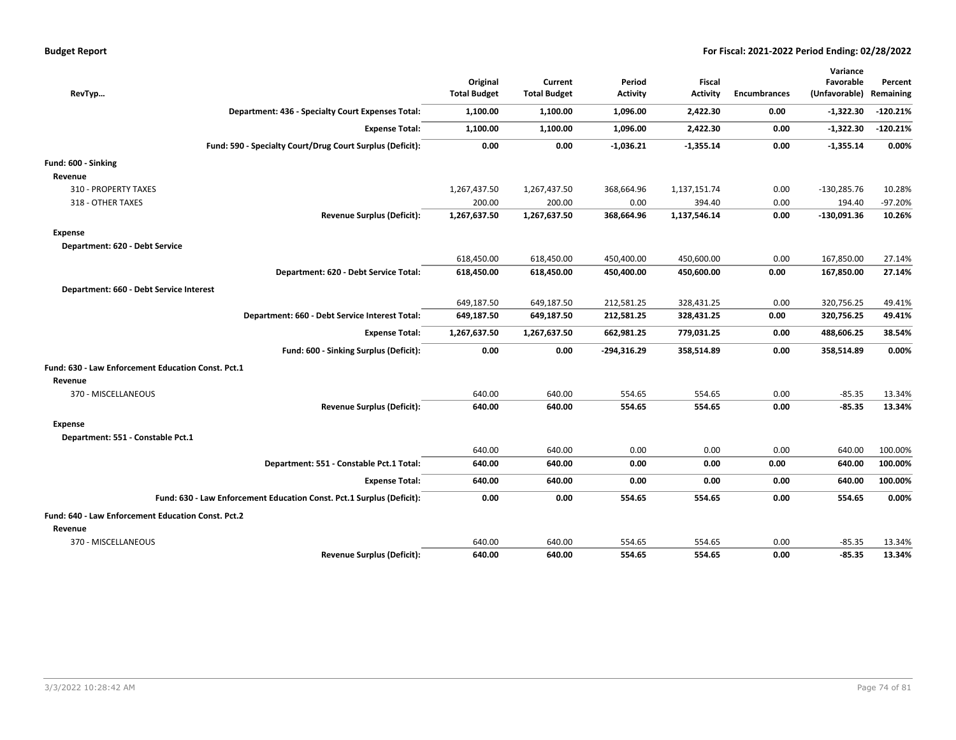| RevTyp                                                                | Original<br><b>Total Budget</b> | Current<br><b>Total Budget</b> | Period<br><b>Activity</b> | <b>Fiscal</b><br><b>Activity</b> | <b>Encumbrances</b> | Variance<br>Favorable<br>(Unfavorable) | Percent<br>Remaining |
|-----------------------------------------------------------------------|---------------------------------|--------------------------------|---------------------------|----------------------------------|---------------------|----------------------------------------|----------------------|
| Department: 436 - Specialty Court Expenses Total:                     | 1,100.00                        | 1,100.00                       | 1,096.00                  | 2,422.30                         | 0.00                | $-1,322.30$                            | $-120.21%$           |
| <b>Expense Total:</b>                                                 | 1,100.00                        | 1,100.00                       | 1,096.00                  | 2,422.30                         | 0.00                | $-1,322.30$                            | $-120.21%$           |
|                                                                       |                                 |                                |                           |                                  |                     |                                        |                      |
| Fund: 590 - Specialty Court/Drug Court Surplus (Deficit):             | 0.00                            | 0.00                           | $-1,036.21$               | $-1,355.14$                      | 0.00                | $-1,355.14$                            | 0.00%                |
| Fund: 600 - Sinking                                                   |                                 |                                |                           |                                  |                     |                                        |                      |
| Revenue                                                               |                                 |                                |                           |                                  |                     |                                        |                      |
| 310 - PROPERTY TAXES                                                  | 1,267,437.50                    | 1,267,437.50                   | 368,664.96                | 1,137,151.74                     | 0.00                | $-130,285.76$                          | 10.28%               |
| 318 - OTHER TAXES                                                     | 200.00                          | 200.00                         | 0.00                      | 394.40                           | 0.00                | 194.40                                 | $-97.20%$            |
| <b>Revenue Surplus (Deficit):</b>                                     | 1,267,637.50                    | 1,267,637.50                   | 368,664.96                | 1,137,546.14                     | 0.00                | $-130,091.36$                          | 10.26%               |
| <b>Expense</b>                                                        |                                 |                                |                           |                                  |                     |                                        |                      |
| Department: 620 - Debt Service                                        |                                 |                                |                           |                                  |                     |                                        |                      |
|                                                                       | 618,450.00                      | 618,450.00                     | 450,400.00                | 450,600.00                       | 0.00                | 167,850.00                             | 27.14%               |
| Department: 620 - Debt Service Total:                                 | 618,450.00                      | 618,450.00                     | 450,400.00                | 450,600.00                       | 0.00                | 167,850.00                             | 27.14%               |
| Department: 660 - Debt Service Interest                               |                                 |                                |                           |                                  |                     |                                        |                      |
|                                                                       | 649,187.50                      | 649,187.50                     | 212,581.25                | 328,431.25                       | 0.00                | 320,756.25                             | 49.41%               |
| Department: 660 - Debt Service Interest Total:                        | 649,187.50                      | 649,187.50                     | 212,581.25                | 328,431.25                       | 0.00                | 320,756.25                             | 49.41%               |
|                                                                       |                                 |                                |                           |                                  |                     |                                        |                      |
| <b>Expense Total:</b>                                                 | 1,267,637.50                    | 1,267,637.50                   | 662,981.25                | 779,031.25                       | 0.00                | 488,606.25                             | 38.54%               |
| Fund: 600 - Sinking Surplus (Deficit):                                | 0.00                            | 0.00                           | $-294,316.29$             | 358,514.89                       | 0.00                | 358,514.89                             | 0.00%                |
| Fund: 630 - Law Enforcement Education Const. Pct.1                    |                                 |                                |                           |                                  |                     |                                        |                      |
| Revenue                                                               |                                 |                                |                           |                                  |                     |                                        |                      |
| 370 - MISCELLANEOUS                                                   | 640.00                          | 640.00                         | 554.65                    | 554.65                           | 0.00                | $-85.35$                               | 13.34%               |
| <b>Revenue Surplus (Deficit):</b>                                     | 640.00                          | 640.00                         | 554.65                    | 554.65                           | 0.00                | $-85.35$                               | 13.34%               |
| <b>Expense</b>                                                        |                                 |                                |                           |                                  |                     |                                        |                      |
| Department: 551 - Constable Pct.1                                     |                                 |                                |                           |                                  |                     |                                        |                      |
|                                                                       | 640.00                          | 640.00                         | 0.00                      | 0.00                             | 0.00                | 640.00                                 | 100.00%              |
| Department: 551 - Constable Pct.1 Total:                              | 640.00                          | 640.00                         | 0.00                      | 0.00                             | 0.00                | 640.00                                 | 100.00%              |
| <b>Expense Total:</b>                                                 | 640.00                          | 640.00                         | 0.00                      | 0.00                             | 0.00                | 640.00                                 | 100.00%              |
| Fund: 630 - Law Enforcement Education Const. Pct.1 Surplus (Deficit): | 0.00                            | 0.00                           | 554.65                    | 554.65                           | 0.00                | 554.65                                 | 0.00%                |
|                                                                       |                                 |                                |                           |                                  |                     |                                        |                      |
| Fund: 640 - Law Enforcement Education Const. Pct.2                    |                                 |                                |                           |                                  |                     |                                        |                      |
| Revenue                                                               |                                 |                                |                           |                                  |                     |                                        |                      |
| 370 - MISCELLANEOUS                                                   | 640.00                          | 640.00                         | 554.65                    | 554.65                           | 0.00                | $-85.35$                               | 13.34%               |
| <b>Revenue Surplus (Deficit):</b>                                     | 640.00                          | 640.00                         | 554.65                    | 554.65                           | 0.00                | $-85.35$                               | 13.34%               |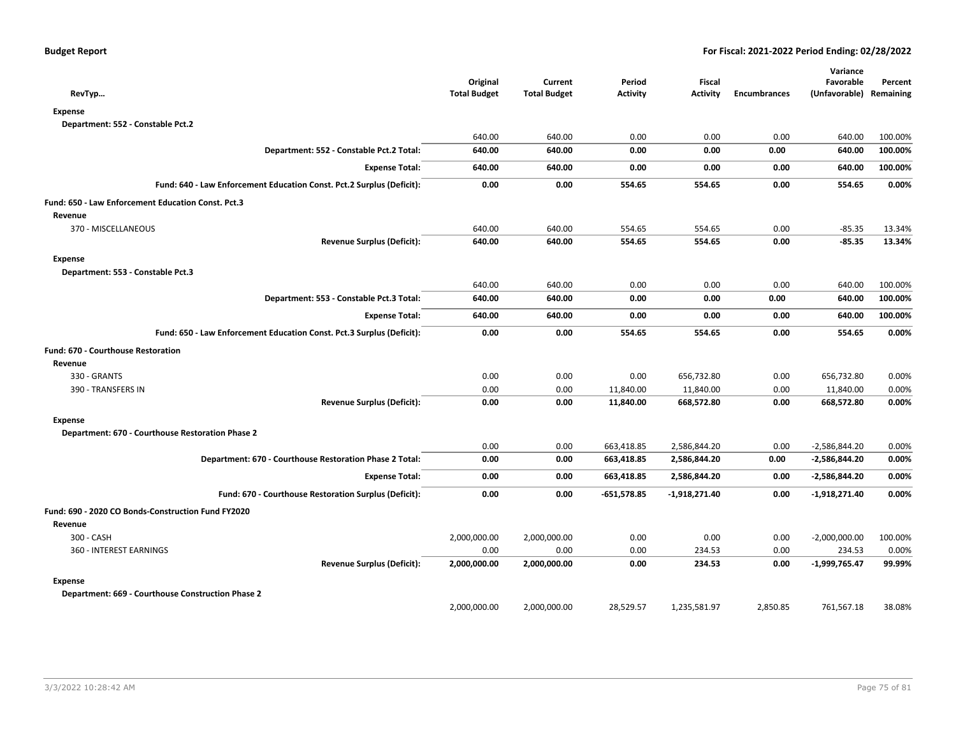| RevTyp                                                                | Original<br><b>Total Budget</b> | Current<br><b>Total Budget</b> | Period<br><b>Activity</b> | Fiscal<br><b>Activity</b> | <b>Encumbrances</b> | Variance<br>Favorable<br>(Unfavorable) | Percent<br>Remaining |
|-----------------------------------------------------------------------|---------------------------------|--------------------------------|---------------------------|---------------------------|---------------------|----------------------------------------|----------------------|
| <b>Expense</b>                                                        |                                 |                                |                           |                           |                     |                                        |                      |
| Department: 552 - Constable Pct.2                                     |                                 |                                |                           |                           |                     |                                        |                      |
|                                                                       | 640.00                          | 640.00                         | 0.00                      | 0.00                      | 0.00                | 640.00                                 | 100.00%              |
| Department: 552 - Constable Pct.2 Total:                              | 640.00                          | 640.00                         | 0.00                      | 0.00                      | 0.00                | 640.00                                 | 100.00%              |
| <b>Expense Total:</b>                                                 | 640.00                          | 640.00                         | 0.00                      | 0.00                      | 0.00                | 640.00                                 | 100.00%              |
| Fund: 640 - Law Enforcement Education Const. Pct.2 Surplus (Deficit): | 0.00                            | 0.00                           | 554.65                    | 554.65                    | 0.00                | 554.65                                 | 0.00%                |
| Fund: 650 - Law Enforcement Education Const. Pct.3                    |                                 |                                |                           |                           |                     |                                        |                      |
| Revenue                                                               |                                 |                                |                           |                           |                     |                                        |                      |
| 370 - MISCELLANEOUS                                                   | 640.00                          | 640.00                         | 554.65                    | 554.65                    | 0.00                | $-85.35$                               | 13.34%               |
| <b>Revenue Surplus (Deficit):</b>                                     | 640.00                          | 640.00                         | 554.65                    | 554.65                    | 0.00                | $-85.35$                               | 13.34%               |
| <b>Expense</b>                                                        |                                 |                                |                           |                           |                     |                                        |                      |
| Department: 553 - Constable Pct.3                                     |                                 |                                |                           |                           |                     |                                        |                      |
|                                                                       | 640.00                          | 640.00                         | 0.00                      | 0.00                      | 0.00                | 640.00                                 | 100.00%              |
| Department: 553 - Constable Pct.3 Total:                              | 640.00                          | 640.00                         | 0.00                      | 0.00                      | 0.00                | 640.00                                 | 100.00%              |
| <b>Expense Total:</b>                                                 | 640.00                          | 640.00                         | 0.00                      | 0.00                      | 0.00                | 640.00                                 | 100.00%              |
| Fund: 650 - Law Enforcement Education Const. Pct.3 Surplus (Deficit): | 0.00                            | 0.00                           | 554.65                    | 554.65                    | 0.00                | 554.65                                 | 0.00%                |
| Fund: 670 - Courthouse Restoration                                    |                                 |                                |                           |                           |                     |                                        |                      |
| Revenue                                                               |                                 |                                |                           |                           |                     |                                        |                      |
| 330 - GRANTS                                                          | 0.00                            | 0.00                           | 0.00                      | 656,732.80                | 0.00                | 656,732.80                             | 0.00%                |
| 390 - TRANSFERS IN                                                    | 0.00                            | 0.00                           | 11,840.00                 | 11,840.00                 | 0.00                | 11,840.00                              | 0.00%                |
| <b>Revenue Surplus (Deficit):</b>                                     | 0.00                            | 0.00                           | 11,840.00                 | 668,572.80                | 0.00                | 668,572.80                             | 0.00%                |
| <b>Expense</b>                                                        |                                 |                                |                           |                           |                     |                                        |                      |
| Department: 670 - Courthouse Restoration Phase 2                      |                                 |                                |                           |                           |                     |                                        |                      |
|                                                                       | 0.00                            | 0.00                           | 663,418.85                | 2,586,844.20              | 0.00                | $-2,586,844.20$                        | 0.00%                |
| Department: 670 - Courthouse Restoration Phase 2 Total:               | 0.00                            | 0.00                           | 663,418.85                | 2,586,844.20              | 0.00                | -2,586,844.20                          | 0.00%                |
| <b>Expense Total:</b>                                                 | 0.00                            | 0.00                           | 663,418.85                | 2,586,844.20              | 0.00                | -2,586,844.20                          | 0.00%                |
| Fund: 670 - Courthouse Restoration Surplus (Deficit):                 | 0.00                            | 0.00                           | $-651,578.85$             | $-1,918,271.40$           | 0.00                | $-1,918,271.40$                        | 0.00%                |
| Fund: 690 - 2020 CO Bonds-Construction Fund FY2020                    |                                 |                                |                           |                           |                     |                                        |                      |
| Revenue                                                               |                                 |                                |                           |                           |                     |                                        |                      |
| 300 - CASH                                                            | 2,000,000.00                    | 2,000,000.00                   | 0.00                      | 0.00                      | 0.00                | $-2,000,000.00$                        | 100.00%              |
| 360 - INTEREST EARNINGS                                               | 0.00                            | 0.00                           | 0.00                      | 234.53                    | 0.00                | 234.53                                 | 0.00%                |
| <b>Revenue Surplus (Deficit):</b>                                     | 2,000,000.00                    | 2,000,000.00                   | 0.00                      | 234.53                    | 0.00                | $-1,999,765.47$                        | 99.99%               |
| <b>Expense</b>                                                        |                                 |                                |                           |                           |                     |                                        |                      |
| Department: 669 - Courthouse Construction Phase 2                     |                                 |                                |                           |                           |                     |                                        |                      |
|                                                                       | 2,000,000.00                    | 2,000,000.00                   | 28,529.57                 | 1,235,581.97              | 2,850.85            | 761,567.18                             | 38.08%               |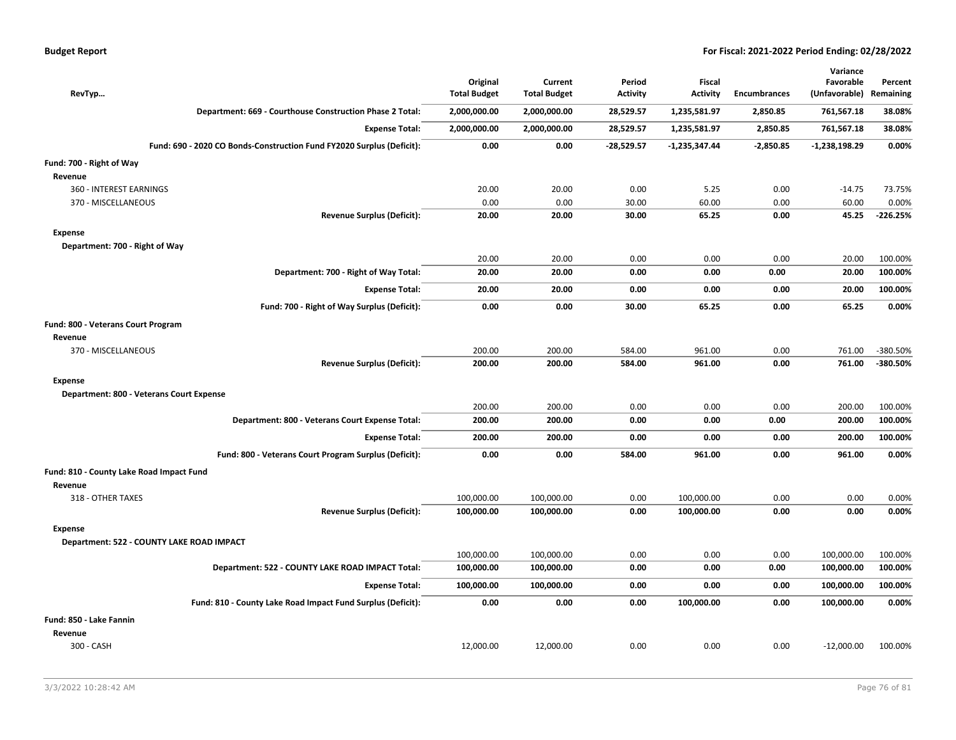|  |  |  | <b>Budget Report</b> |
|--|--|--|----------------------|
|--|--|--|----------------------|

|                                           |                                                                       |                                 |                                |                           |                           |                     | Variance                   |                      |
|-------------------------------------------|-----------------------------------------------------------------------|---------------------------------|--------------------------------|---------------------------|---------------------------|---------------------|----------------------------|----------------------|
| RevTyp                                    |                                                                       | Original<br><b>Total Budget</b> | Current<br><b>Total Budget</b> | Period<br><b>Activity</b> | Fiscal<br><b>Activity</b> | <b>Encumbrances</b> | Favorable<br>(Unfavorable) | Percent<br>Remaining |
|                                           | Department: 669 - Courthouse Construction Phase 2 Total:              | 2,000,000.00                    | 2,000,000.00                   | 28,529.57                 | 1,235,581.97              | 2,850.85            | 761,567.18                 | 38.08%               |
|                                           | <b>Expense Total:</b>                                                 | 2,000,000.00                    | 2,000,000.00                   | 28,529.57                 | 1,235,581.97              | 2,850.85            | 761,567.18                 | 38.08%               |
|                                           | Fund: 690 - 2020 CO Bonds-Construction Fund FY2020 Surplus (Deficit): | 0.00                            | 0.00                           | $-28,529.57$              | $-1,235,347.44$           | $-2,850.85$         | $-1,238,198.29$            | 0.00%                |
| Fund: 700 - Right of Way                  |                                                                       |                                 |                                |                           |                           |                     |                            |                      |
| Revenue                                   |                                                                       |                                 |                                |                           |                           |                     |                            |                      |
| 360 - INTEREST EARNINGS                   |                                                                       | 20.00                           | 20.00                          | 0.00                      | 5.25                      | 0.00                | $-14.75$                   | 73.75%               |
| 370 - MISCELLANEOUS                       |                                                                       | 0.00                            | 0.00                           | 30.00                     | 60.00                     | 0.00                | 60.00                      | 0.00%                |
|                                           | <b>Revenue Surplus (Deficit):</b>                                     | 20.00                           | 20.00                          | 30.00                     | 65.25                     | 0.00                | 45.25                      | $-226.25%$           |
| <b>Expense</b>                            |                                                                       |                                 |                                |                           |                           |                     |                            |                      |
| Department: 700 - Right of Way            |                                                                       |                                 |                                |                           |                           |                     |                            |                      |
|                                           |                                                                       | 20.00                           | 20.00                          | 0.00                      | 0.00                      | 0.00                | 20.00                      | 100.00%              |
|                                           | Department: 700 - Right of Way Total:                                 | 20.00                           | 20.00                          | 0.00                      | 0.00                      | 0.00                | 20.00                      | 100.00%              |
|                                           | <b>Expense Total:</b>                                                 | 20.00                           | 20.00                          | 0.00                      | 0.00                      | 0.00                | 20.00                      | 100.00%              |
|                                           | Fund: 700 - Right of Way Surplus (Deficit):                           | 0.00                            | 0.00                           | 30.00                     | 65.25                     | 0.00                | 65.25                      | 0.00%                |
| Fund: 800 - Veterans Court Program        |                                                                       |                                 |                                |                           |                           |                     |                            |                      |
| Revenue                                   |                                                                       |                                 |                                |                           |                           |                     |                            |                      |
| 370 - MISCELLANEOUS                       |                                                                       | 200.00                          | 200.00                         | 584.00                    | 961.00                    | 0.00                | 761.00                     | -380.50%             |
|                                           | <b>Revenue Surplus (Deficit):</b>                                     | 200.00                          | 200.00                         | 584.00                    | 961.00                    | 0.00                | 761.00                     | -380.50%             |
| <b>Expense</b>                            |                                                                       |                                 |                                |                           |                           |                     |                            |                      |
| Department: 800 - Veterans Court Expense  |                                                                       |                                 |                                |                           |                           |                     |                            |                      |
|                                           |                                                                       | 200.00                          | 200.00                         | 0.00                      | 0.00                      | 0.00                | 200.00                     | 100.00%              |
|                                           | Department: 800 - Veterans Court Expense Total:                       | 200.00                          | 200.00                         | 0.00                      | 0.00                      | 0.00                | 200.00                     | 100.00%              |
|                                           | <b>Expense Total:</b>                                                 | 200.00                          | 200.00                         | 0.00                      | 0.00                      | 0.00                | 200.00                     | 100.00%              |
|                                           | Fund: 800 - Veterans Court Program Surplus (Deficit):                 | 0.00                            | 0.00                           | 584.00                    | 961.00                    | 0.00                | 961.00                     | 0.00%                |
| Fund: 810 - County Lake Road Impact Fund  |                                                                       |                                 |                                |                           |                           |                     |                            |                      |
| Revenue                                   |                                                                       |                                 |                                |                           |                           |                     |                            |                      |
| 318 - OTHER TAXES                         |                                                                       | 100,000.00                      | 100,000.00                     | 0.00                      | 100,000.00                | 0.00                | 0.00                       | 0.00%                |
|                                           | <b>Revenue Surplus (Deficit):</b>                                     | 100,000.00                      | 100,000.00                     | 0.00                      | 100,000.00                | 0.00                | 0.00                       | 0.00%                |
| <b>Expense</b>                            |                                                                       |                                 |                                |                           |                           |                     |                            |                      |
| Department: 522 - COUNTY LAKE ROAD IMPACT |                                                                       |                                 |                                |                           |                           |                     |                            |                      |
|                                           |                                                                       | 100,000.00                      | 100,000.00                     | 0.00                      | 0.00                      | 0.00                | 100,000.00                 | 100.00%              |
|                                           | Department: 522 - COUNTY LAKE ROAD IMPACT Total:                      | 100,000.00                      | 100,000.00                     | 0.00                      | 0.00                      | 0.00                | 100,000.00                 | 100.00%              |
|                                           | <b>Expense Total:</b>                                                 | 100,000.00                      | 100,000.00                     | 0.00                      | 0.00                      | 0.00                | 100,000.00                 | 100.00%              |
|                                           | Fund: 810 - County Lake Road Impact Fund Surplus (Deficit):           | 0.00                            | 0.00                           | 0.00                      | 100,000.00                | 0.00                | 100,000.00                 | 0.00%                |
| Fund: 850 - Lake Fannin                   |                                                                       |                                 |                                |                           |                           |                     |                            |                      |
| Revenue                                   |                                                                       |                                 |                                |                           |                           |                     |                            |                      |
| 300 - CASH                                |                                                                       | 12,000.00                       | 12,000.00                      | 0.00                      | 0.00                      | 0.00                | $-12,000.00$               | 100.00%              |
|                                           |                                                                       |                                 |                                |                           |                           |                     |                            |                      |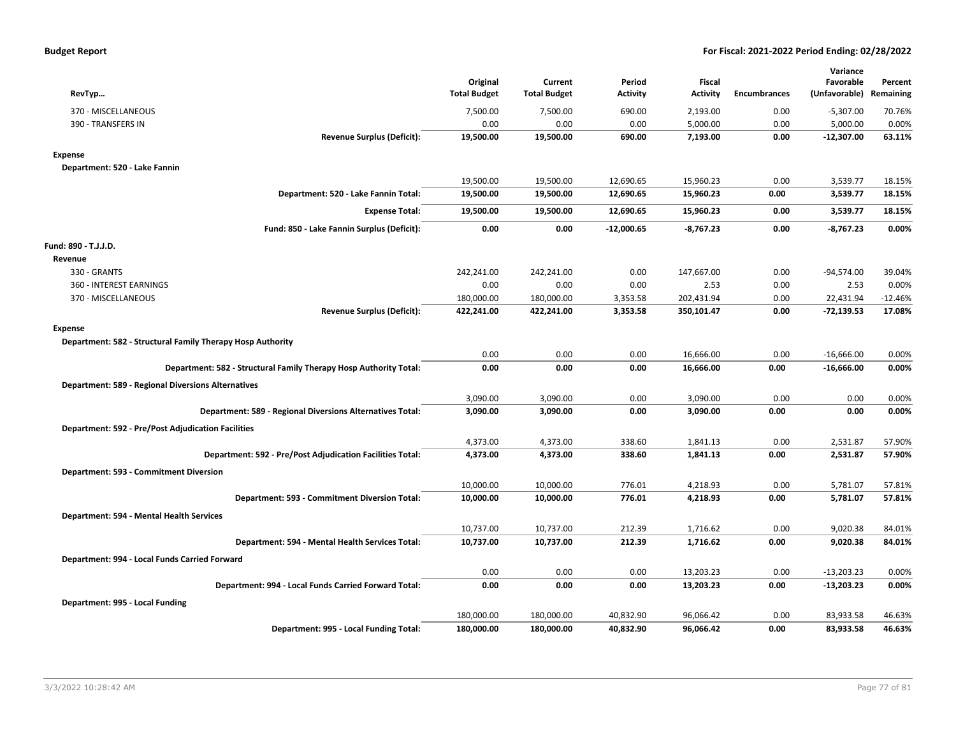| <b>Budget Report</b> |  |
|----------------------|--|
|----------------------|--|

|                                                                   |                                 |                                |                    |                           |                     | Variance                   |                      |
|-------------------------------------------------------------------|---------------------------------|--------------------------------|--------------------|---------------------------|---------------------|----------------------------|----------------------|
| RevTyp                                                            | Original<br><b>Total Budget</b> | Current<br><b>Total Budget</b> | Period<br>Activity | Fiscal<br><b>Activity</b> | <b>Encumbrances</b> | Favorable<br>(Unfavorable) | Percent<br>Remaining |
|                                                                   |                                 |                                |                    |                           |                     |                            |                      |
| 370 - MISCELLANEOUS                                               | 7,500.00                        | 7,500.00                       | 690.00             | 2,193.00                  | 0.00                | $-5,307.00$                | 70.76%               |
| 390 - TRANSFERS IN                                                | 0.00                            | 0.00                           | 0.00               | 5,000.00                  | 0.00                | 5,000.00                   | 0.00%                |
| <b>Revenue Surplus (Deficit):</b>                                 | 19,500.00                       | 19,500.00                      | 690.00             | 7,193.00                  | 0.00                | $-12,307.00$               | 63.11%               |
| <b>Expense</b>                                                    |                                 |                                |                    |                           |                     |                            |                      |
| Department: 520 - Lake Fannin                                     |                                 |                                |                    |                           |                     |                            |                      |
|                                                                   | 19,500.00                       | 19,500.00                      | 12,690.65          | 15,960.23                 | 0.00                | 3,539.77                   | 18.15%               |
| Department: 520 - Lake Fannin Total:                              | 19,500.00                       | 19,500.00                      | 12,690.65          | 15,960.23                 | 0.00                | 3,539.77                   | 18.15%               |
| <b>Expense Total:</b>                                             | 19,500.00                       | 19,500.00                      | 12,690.65          | 15,960.23                 | 0.00                | 3,539.77                   | 18.15%               |
| Fund: 850 - Lake Fannin Surplus (Deficit):                        | 0.00                            | 0.00                           | $-12,000.65$       | $-8,767.23$               | 0.00                | $-8,767.23$                | 0.00%                |
| Fund: 890 - T.J.J.D.                                              |                                 |                                |                    |                           |                     |                            |                      |
| Revenue                                                           |                                 |                                |                    |                           |                     |                            |                      |
| 330 - GRANTS                                                      | 242,241.00                      | 242,241.00                     | 0.00               | 147,667.00                | 0.00                | $-94,574.00$               | 39.04%               |
| 360 - INTEREST EARNINGS                                           | 0.00                            | 0.00                           | 0.00               | 2.53                      | 0.00                | 2.53                       | 0.00%                |
| 370 - MISCELLANEOUS                                               | 180,000.00                      | 180,000.00                     | 3,353.58           | 202,431.94                | 0.00                | 22,431.94                  | $-12.46%$            |
| <b>Revenue Surplus (Deficit):</b>                                 | 422,241.00                      | 422,241.00                     | 3,353.58           | 350,101.47                | 0.00                | $-72,139.53$               | 17.08%               |
| Expense                                                           |                                 |                                |                    |                           |                     |                            |                      |
| Department: 582 - Structural Family Therapy Hosp Authority        |                                 |                                |                    |                           |                     |                            |                      |
|                                                                   | 0.00                            | 0.00                           | 0.00               | 16,666.00                 | 0.00                | $-16,666.00$               | 0.00%                |
| Department: 582 - Structural Family Therapy Hosp Authority Total: | 0.00                            | 0.00                           | 0.00               | 16,666.00                 | 0.00                | $-16,666.00$               | 0.00%                |
| <b>Department: 589 - Regional Diversions Alternatives</b>         |                                 |                                |                    |                           |                     |                            |                      |
|                                                                   | 3,090.00                        | 3,090.00                       | 0.00               | 3,090.00                  | 0.00                | 0.00                       | 0.00%                |
| Department: 589 - Regional Diversions Alternatives Total:         | 3,090.00                        | 3,090.00                       | 0.00               | 3,090.00                  | 0.00                | 0.00                       | 0.00%                |
| <b>Department: 592 - Pre/Post Adjudication Facilities</b>         |                                 |                                |                    |                           |                     |                            |                      |
|                                                                   | 4,373.00                        | 4,373.00                       | 338.60             | 1,841.13                  | 0.00                | 2,531.87                   | 57.90%               |
| Department: 592 - Pre/Post Adjudication Facilities Total:         | 4,373.00                        | 4,373.00                       | 338.60             | 1,841.13                  | 0.00                | 2,531.87                   | 57.90%               |
| Department: 593 - Commitment Diversion                            |                                 |                                |                    |                           |                     |                            |                      |
|                                                                   | 10,000.00                       | 10,000.00                      | 776.01             | 4,218.93                  | 0.00                | 5,781.07                   | 57.81%               |
| Department: 593 - Commitment Diversion Total:                     | 10,000.00                       | 10,000.00                      | 776.01             | 4,218.93                  | 0.00                | 5,781.07                   | 57.81%               |
|                                                                   |                                 |                                |                    |                           |                     |                            |                      |
| Department: 594 - Mental Health Services                          |                                 |                                |                    |                           |                     |                            |                      |
| Department: 594 - Mental Health Services Total:                   | 10,737.00<br>10,737.00          | 10,737.00<br>10,737.00         | 212.39<br>212.39   | 1,716.62<br>1,716.62      | 0.00<br>0.00        | 9,020.38<br>9,020.38       | 84.01%<br>84.01%     |
|                                                                   |                                 |                                |                    |                           |                     |                            |                      |
| Department: 994 - Local Funds Carried Forward                     |                                 |                                |                    |                           |                     |                            |                      |
|                                                                   | 0.00                            | 0.00                           | 0.00               | 13,203.23                 | 0.00                | $-13,203.23$               | 0.00%                |
| Department: 994 - Local Funds Carried Forward Total:              | 0.00                            | 0.00                           | 0.00               | 13,203.23                 | 0.00                | $-13,203.23$               | 0.00%                |
| Department: 995 - Local Funding                                   |                                 |                                |                    |                           |                     |                            |                      |
|                                                                   | 180,000.00                      | 180,000.00                     | 40,832.90          | 96,066.42                 | 0.00                | 83,933.58                  | 46.63%               |
| Department: 995 - Local Funding Total:                            | 180,000.00                      | 180,000.00                     | 40,832.90          | 96,066.42                 | 0.00                | 83,933.58                  | 46.63%               |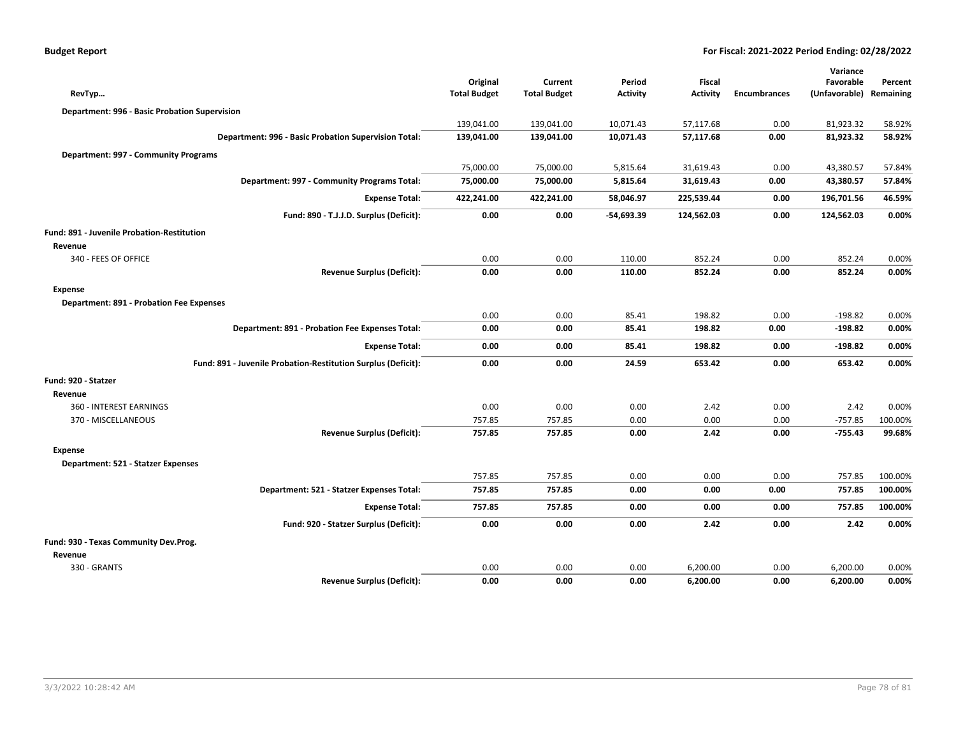|  |  |  | <b>Budget Report</b> |
|--|--|--|----------------------|
|--|--|--|----------------------|

|                                                               |                     |                     |                 |                 |                     | Variance                |         |
|---------------------------------------------------------------|---------------------|---------------------|-----------------|-----------------|---------------------|-------------------------|---------|
|                                                               | Original            | Current             | Period          | <b>Fiscal</b>   |                     | Favorable               | Percent |
| RevTyp                                                        | <b>Total Budget</b> | <b>Total Budget</b> | <b>Activity</b> | <b>Activity</b> | <b>Encumbrances</b> | (Unfavorable) Remaining |         |
| Department: 996 - Basic Probation Supervision                 |                     |                     |                 |                 |                     |                         |         |
|                                                               | 139,041.00          | 139,041.00          | 10,071.43       | 57,117.68       | 0.00                | 81,923.32               | 58.92%  |
| Department: 996 - Basic Probation Supervision Total:          | 139,041.00          | 139,041.00          | 10,071.43       | 57,117.68       | 0.00                | 81,923.32               | 58.92%  |
| Department: 997 - Community Programs                          |                     |                     |                 |                 |                     |                         |         |
|                                                               | 75,000.00           | 75,000.00           | 5,815.64        | 31,619.43       | 0.00                | 43,380.57               | 57.84%  |
| Department: 997 - Community Programs Total:                   | 75,000.00           | 75,000.00           | 5,815.64        | 31,619.43       | 0.00                | 43,380.57               | 57.84%  |
| <b>Expense Total:</b>                                         | 422,241.00          | 422,241.00          | 58,046.97       | 225,539.44      | 0.00                | 196,701.56              | 46.59%  |
|                                                               |                     |                     |                 |                 |                     |                         |         |
| Fund: 890 - T.J.J.D. Surplus (Deficit):                       | 0.00                | 0.00                | $-54,693.39$    | 124,562.03      | 0.00                | 124,562.03              | 0.00%   |
| Fund: 891 - Juvenile Probation-Restitution                    |                     |                     |                 |                 |                     |                         |         |
| Revenue                                                       |                     |                     |                 |                 |                     |                         |         |
| 340 - FEES OF OFFICE                                          | 0.00                | 0.00                | 110.00          | 852.24          | 0.00                | 852.24                  | 0.00%   |
| <b>Revenue Surplus (Deficit):</b>                             | 0.00                | 0.00                | 110.00          | 852.24          | 0.00                | 852.24                  | 0.00%   |
| <b>Expense</b>                                                |                     |                     |                 |                 |                     |                         |         |
| <b>Department: 891 - Probation Fee Expenses</b>               |                     |                     |                 |                 |                     |                         |         |
|                                                               | 0.00                | 0.00                | 85.41           | 198.82          | 0.00                | $-198.82$               | 0.00%   |
| Department: 891 - Probation Fee Expenses Total:               | 0.00                | 0.00                | 85.41           | 198.82          | 0.00                | $-198.82$               | 0.00%   |
| <b>Expense Total:</b>                                         | 0.00                | 0.00                | 85.41           | 198.82          | 0.00                | $-198.82$               | 0.00%   |
| Fund: 891 - Juvenile Probation-Restitution Surplus (Deficit): | 0.00                | 0.00                | 24.59           | 653.42          | 0.00                | 653.42                  | 0.00%   |
| Fund: 920 - Statzer                                           |                     |                     |                 |                 |                     |                         |         |
| Revenue                                                       |                     |                     |                 |                 |                     |                         |         |
| 360 - INTEREST EARNINGS                                       | 0.00                | 0.00                | 0.00            | 2.42            | 0.00                | 2.42                    | 0.00%   |
| 370 - MISCELLANEOUS                                           | 757.85              | 757.85              | 0.00            | 0.00            | 0.00                | $-757.85$               | 100.00% |
| <b>Revenue Surplus (Deficit):</b>                             | 757.85              | 757.85              | 0.00            | 2.42            | 0.00                | $-755.43$               | 99.68%  |
| <b>Expense</b>                                                |                     |                     |                 |                 |                     |                         |         |
| Department: 521 - Statzer Expenses                            |                     |                     |                 |                 |                     |                         |         |
|                                                               | 757.85              | 757.85              | 0.00            | 0.00            | 0.00                | 757.85                  | 100.00% |
| Department: 521 - Statzer Expenses Total:                     | 757.85              | 757.85              | 0.00            | 0.00            | 0.00                | 757.85                  | 100.00% |
| <b>Expense Total:</b>                                         | 757.85              | 757.85              | 0.00            | 0.00            | 0.00                | 757.85                  | 100.00% |
| Fund: 920 - Statzer Surplus (Deficit):                        | 0.00                | 0.00                | 0.00            | 2.42            | 0.00                | 2.42                    | 0.00%   |
| Fund: 930 - Texas Community Dev.Prog.                         |                     |                     |                 |                 |                     |                         |         |
| Revenue                                                       |                     |                     |                 |                 |                     |                         |         |
| 330 - GRANTS                                                  | 0.00                | 0.00                | 0.00            | 6,200.00        | 0.00                | 6,200.00                | 0.00%   |
| <b>Revenue Surplus (Deficit):</b>                             | 0.00                | 0.00                | 0.00            | 6,200.00        | 0.00                | 6,200.00                | 0.00%   |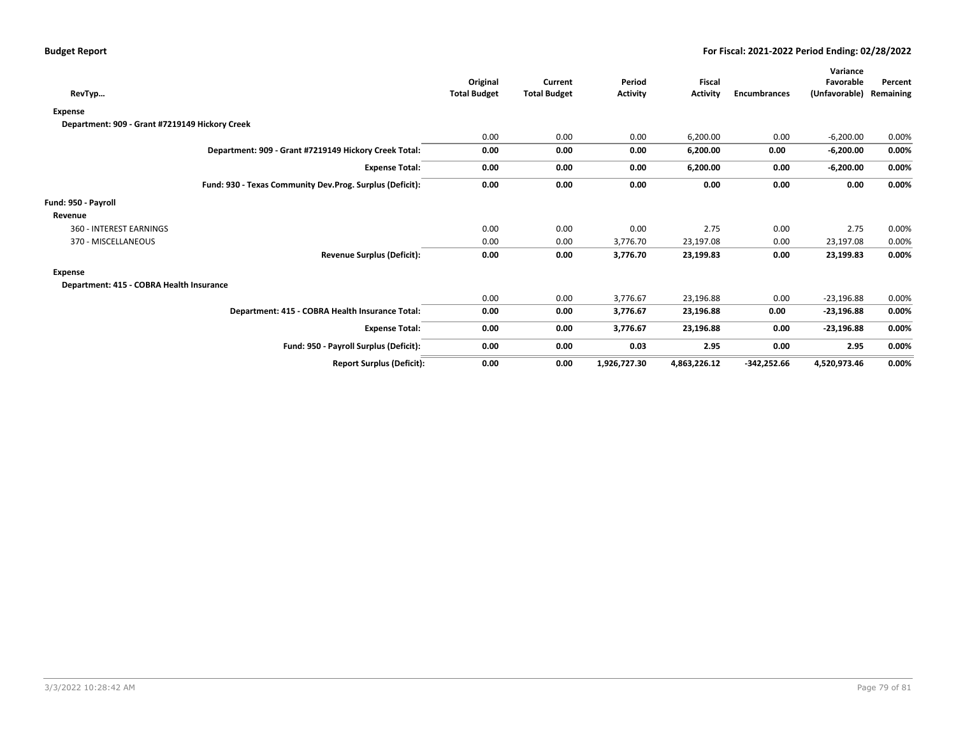| RevTyp                                                   |                                   | Original<br><b>Total Budget</b> | Current<br><b>Total Budget</b> | Period<br><b>Activity</b> | <b>Fiscal</b><br><b>Activity</b> | <b>Encumbrances</b> | Variance<br>Favorable<br>(Unfavorable) | Percent<br>Remaining |
|----------------------------------------------------------|-----------------------------------|---------------------------------|--------------------------------|---------------------------|----------------------------------|---------------------|----------------------------------------|----------------------|
| <b>Expense</b>                                           |                                   |                                 |                                |                           |                                  |                     |                                        |                      |
| Department: 909 - Grant #7219149 Hickory Creek           |                                   |                                 |                                |                           |                                  |                     |                                        |                      |
|                                                          |                                   | 0.00                            | 0.00                           | 0.00                      | 6,200.00                         | 0.00                | $-6,200.00$                            | 0.00%                |
| Department: 909 - Grant #7219149 Hickory Creek Total:    |                                   | 0.00                            | 0.00                           | 0.00                      | 6,200.00                         | 0.00                | $-6,200.00$                            | 0.00%                |
|                                                          | <b>Expense Total:</b>             | 0.00                            | 0.00                           | 0.00                      | 6,200.00                         | 0.00                | $-6,200.00$                            | 0.00%                |
| Fund: 930 - Texas Community Dev.Prog. Surplus (Deficit): |                                   | 0.00                            | 0.00                           | 0.00                      | 0.00                             | 0.00                | 0.00                                   | 0.00%                |
| Fund: 950 - Payroll                                      |                                   |                                 |                                |                           |                                  |                     |                                        |                      |
| Revenue                                                  |                                   |                                 |                                |                           |                                  |                     |                                        |                      |
| 360 - INTEREST EARNINGS                                  |                                   | 0.00                            | 0.00                           | 0.00                      | 2.75                             | 0.00                | 2.75                                   | 0.00%                |
| 370 - MISCELLANEOUS                                      |                                   | 0.00                            | 0.00                           | 3,776.70                  | 23,197.08                        | 0.00                | 23,197.08                              | 0.00%                |
|                                                          | <b>Revenue Surplus (Deficit):</b> | 0.00                            | 0.00                           | 3,776.70                  | 23,199.83                        | 0.00                | 23,199.83                              | 0.00%                |
| <b>Expense</b>                                           |                                   |                                 |                                |                           |                                  |                     |                                        |                      |
| Department: 415 - COBRA Health Insurance                 |                                   |                                 |                                |                           |                                  |                     |                                        |                      |
|                                                          |                                   | 0.00                            | 0.00                           | 3,776.67                  | 23,196.88                        | 0.00                | $-23,196.88$                           | 0.00%                |
| Department: 415 - COBRA Health Insurance Total:          |                                   | 0.00                            | 0.00                           | 3,776.67                  | 23,196.88                        | 0.00                | $-23,196.88$                           | $0.00\%$             |
|                                                          | <b>Expense Total:</b>             | 0.00                            | 0.00                           | 3,776.67                  | 23,196.88                        | 0.00                | $-23,196.88$                           | 0.00%                |
| Fund: 950 - Payroll Surplus (Deficit):                   |                                   | 0.00                            | 0.00                           | 0.03                      | 2.95                             | 0.00                | 2.95                                   | 0.00%                |
|                                                          | <b>Report Surplus (Deficit):</b>  | 0.00                            | 0.00                           | 1,926,727.30              | 4,863,226.12                     | $-342,252.66$       | 4,520,973.46                           | 0.00%                |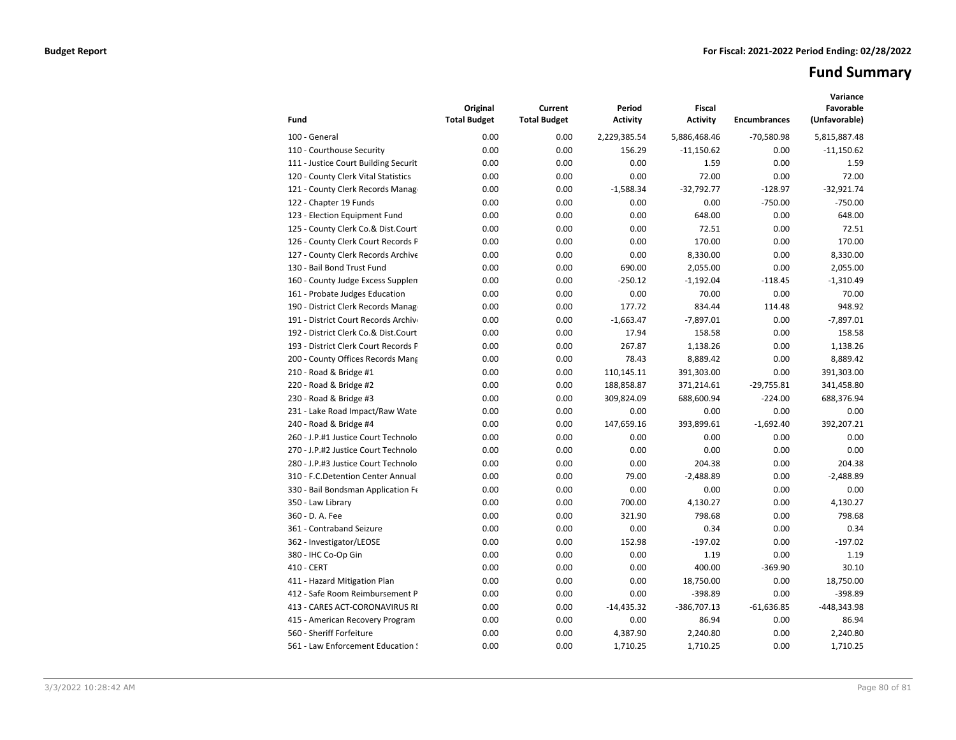# **Fund Summary**

| Fund                                 | Original<br><b>Total Budget</b> | Current<br><b>Total Budget</b> | Period<br><b>Activity</b> | <b>Fiscal</b><br><b>Activity</b> | <b>Encumbrances</b> | Variance<br>Favorable<br>(Unfavorable) |
|--------------------------------------|---------------------------------|--------------------------------|---------------------------|----------------------------------|---------------------|----------------------------------------|
| 100 - General                        | 0.00                            | 0.00                           | 2,229,385.54              | 5,886,468.46                     | $-70,580.98$        | 5,815,887.48                           |
| 110 - Courthouse Security            | 0.00                            | 0.00                           | 156.29                    | $-11,150.62$                     | 0.00                | $-11,150.62$                           |
| 111 - Justice Court Building Securit | 0.00                            | 0.00                           | 0.00                      | 1.59                             | 0.00                | 1.59                                   |
| 120 - County Clerk Vital Statistics  | 0.00                            | 0.00                           | 0.00                      | 72.00                            | 0.00                | 72.00                                  |
| 121 - County Clerk Records Manag     | 0.00                            | 0.00                           | $-1,588.34$               | $-32,792.77$                     | $-128.97$           | $-32,921.74$                           |
| 122 - Chapter 19 Funds               | 0.00                            | 0.00                           | 0.00                      | 0.00                             | $-750.00$           | $-750.00$                              |
| 123 - Election Equipment Fund        | 0.00                            | 0.00                           | 0.00                      | 648.00                           | 0.00                | 648.00                                 |
| 125 - County Clerk Co.& Dist.Court   | 0.00                            | 0.00                           | 0.00                      | 72.51                            | 0.00                | 72.51                                  |
| 126 - County Clerk Court Records P   | 0.00                            | 0.00                           | 0.00                      | 170.00                           | 0.00                | 170.00                                 |
| 127 - County Clerk Records Archive   | 0.00                            | 0.00                           | 0.00                      | 8,330.00                         | 0.00                | 8,330.00                               |
| 130 - Bail Bond Trust Fund           | 0.00                            | 0.00                           | 690.00                    | 2,055.00                         | 0.00                | 2,055.00                               |
| 160 - County Judge Excess Supplen    | 0.00                            | 0.00                           | $-250.12$                 | $-1,192.04$                      | $-118.45$           | $-1,310.49$                            |
| 161 - Probate Judges Education       | 0.00                            | 0.00                           | 0.00                      | 70.00                            | 0.00                | 70.00                                  |
| 190 - District Clerk Records Manag   | 0.00                            | 0.00                           | 177.72                    | 834.44                           | 114.48              | 948.92                                 |
| 191 - District Court Records Archive | 0.00                            | 0.00                           | $-1,663.47$               | $-7,897.01$                      | 0.00                | $-7,897.01$                            |
| 192 - District Clerk Co.& Dist.Court | 0.00                            | 0.00                           | 17.94                     | 158.58                           | 0.00                | 158.58                                 |
| 193 - District Clerk Court Records P | 0.00                            | 0.00                           | 267.87                    | 1,138.26                         | 0.00                | 1,138.26                               |
| 200 - County Offices Records Mang    | 0.00                            | 0.00                           | 78.43                     | 8,889.42                         | 0.00                | 8,889.42                               |
| 210 - Road & Bridge #1               | 0.00                            | 0.00                           | 110,145.11                | 391,303.00                       | 0.00                | 391,303.00                             |
| 220 - Road & Bridge #2               | 0.00                            | 0.00                           | 188,858.87                | 371,214.61                       | $-29,755.81$        | 341,458.80                             |
| 230 - Road & Bridge #3               | 0.00                            | 0.00                           | 309,824.09                | 688,600.94                       | $-224.00$           | 688,376.94                             |
| 231 - Lake Road Impact/Raw Wate      | 0.00                            | 0.00                           | 0.00                      | 0.00                             | 0.00                | 0.00                                   |
| 240 - Road & Bridge #4               | 0.00                            | 0.00                           | 147,659.16                | 393,899.61                       | $-1,692.40$         | 392,207.21                             |
| 260 - J.P.#1 Justice Court Technolo  | 0.00                            | 0.00                           | 0.00                      | 0.00                             | 0.00                | 0.00                                   |
| 270 - J.P.#2 Justice Court Technolo  | 0.00                            | 0.00                           | 0.00                      | 0.00                             | 0.00                | 0.00                                   |
| 280 - J.P.#3 Justice Court Technolo  | 0.00                            | 0.00                           | 0.00                      | 204.38                           | 0.00                | 204.38                                 |
| 310 - F.C.Detention Center Annual    | 0.00                            | 0.00                           | 79.00                     | $-2.488.89$                      | 0.00                | $-2,488.89$                            |
| 330 - Bail Bondsman Application Fe   | 0.00                            | 0.00                           | 0.00                      | 0.00                             | 0.00                | 0.00                                   |
| 350 - Law Library                    | 0.00                            | 0.00                           | 700.00                    | 4.130.27                         | 0.00                | 4,130.27                               |
| 360 - D. A. Fee                      | 0.00                            | 0.00                           | 321.90                    | 798.68                           | 0.00                | 798.68                                 |
| 361 - Contraband Seizure             | 0.00                            | 0.00                           | 0.00                      | 0.34                             | 0.00                | 0.34                                   |
| 362 - Investigator/LEOSE             | 0.00                            | 0.00                           | 152.98                    | $-197.02$                        | 0.00                | $-197.02$                              |
| 380 - IHC Co-Op Gin                  | 0.00                            | 0.00                           | 0.00                      | 1.19                             | 0.00                | 1.19                                   |
| 410 - CERT                           | 0.00                            | 0.00                           | 0.00                      | 400.00                           | $-369.90$           | 30.10                                  |
| 411 - Hazard Mitigation Plan         | 0.00                            | 0.00                           | 0.00                      | 18,750.00                        | 0.00                | 18,750.00                              |
| 412 - Safe Room Reimbursement P      | 0.00                            | 0.00                           | 0.00                      | $-398.89$                        | 0.00                | $-398.89$                              |
| 413 - CARES ACT-CORONAVIRUS RI       | 0.00                            | 0.00                           | $-14,435.32$              | $-386,707.13$                    | $-61,636.85$        | -448,343.98                            |
| 415 - American Recovery Program      | 0.00                            | 0.00                           | 0.00                      | 86.94                            | 0.00                | 86.94                                  |
| 560 - Sheriff Forfeiture             | 0.00                            | 0.00                           | 4,387.90                  | 2,240.80                         | 0.00                | 2,240.80                               |
| 561 - Law Enforcement Education !    | 0.00                            | 0.00                           | 1,710.25                  | 1,710.25                         | 0.00                | 1,710.25                               |